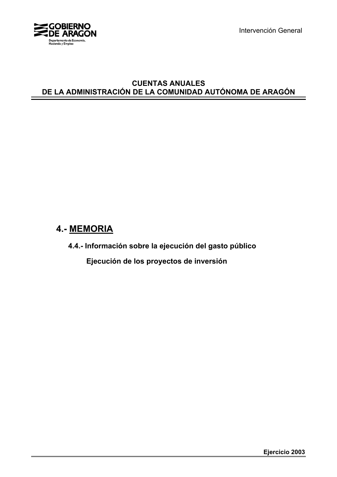

Intervención General

# **CUENTAS ANUALES DE LA ADMINISTRACIÓN DE LA COMUNIDAD AUTÓNOMA DE ARAGÓN**

# **4.- MEMORIA**

**4.4.- Información sobre la ejecución del gasto público**

 **Ejecución de los proyectos de inversión**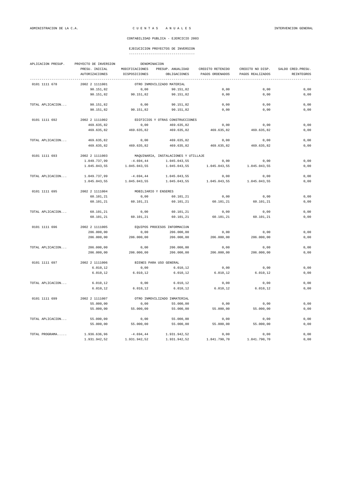# EJECUCICION PROYECTOS DE INVERSION

|  | ----------------------------------- |  |
|--|-------------------------------------|--|

| APLICACION PRESUP. | PROYECTO DE INVERSION | DENOMINACION         |                                      |                  |                  |                    |  |
|--------------------|-----------------------|----------------------|--------------------------------------|------------------|------------------|--------------------|--|
|                    | PRESU. INICIAL        | MODIFICACIONES       | PRESUP. ANUALIDAD                    | CREDITO RETENIDO | CREDITO NO DISP. | SALDO CRED. PRESU. |  |
|                    | <b>AUTORIZACIONES</b> | DISPOSICIONES        | OBLIGACIONES                         | PAGOS ORDENADOS  | PAGOS REALIZADOS | REINTEGROS         |  |
| 0101 1111 678      | 2002 2 1111001        |                      | OTRO INMOVILIZADO MATERIAL           |                  |                  |                    |  |
|                    | 90.151,82             | 0,00                 | 90.151,82                            | 0,00             | 0,00             | 0,00               |  |
|                    | 90.151,82             | 90.151,82            | 90.151,82                            | 0,00             | 0,00             | 0,00               |  |
| TOTAL APLICACION   | 90.151,82             | 0,00                 | 90.151,82                            | 0,00             | 0,00             | 0,00               |  |
|                    | 90.151,82             | 90.151,82            | 90.151,82                            | 0,00             | 0,00             | 0,00               |  |
| 0101 1111 692      | 2002 2 1111002        |                      | EDIFICIOS Y OTRAS CONSTRUCCIONES     |                  |                  |                    |  |
|                    | 469.635,82            | 0,00                 | 469.635,82                           | 0,00             | 0,00             | 0,00               |  |
|                    | 469.635,82            | 469.635,82           | 469.635,82                           | 469.635,82       | 469.635,82       | 0,00               |  |
| TOTAL APLICACION   | 469.635,82            | 0,00                 | 469.635,82                           | 0,00             | 0,00             | 0,00               |  |
|                    | 469.635,82            | 469.635,82           | 469.635,82                           | 469.635,82       | 469.635,82       | 0,00               |  |
| 0101 1111 693      | 2002 2 1111003        |                      | MAQUINARIA, INSTALACIONES Y UTILLAJE |                  |                  |                    |  |
|                    | 1.049.737,99          | $-4.694, 44$         | 1.045.043,55                         | 0,00             | 0,00             | 0,00               |  |
|                    | 1.045.043,55          | 1.045.043,55         | 1.045.043,55                         | 1.045.043,55     | 1.045.043,55     | 0,00               |  |
| TOTAL APLICACION   | 1.049.737,99          | $-4.694, 44$         | 1.045.043,55                         | 0,00             | 0,00             | 0,00               |  |
|                    | 1.045.043,55          | 1.045.043,55         | 1.045.043,55                         | 1.045.043,55     | 1.045.043,55     | 0,00               |  |
| 0101 1111 695      | 2002 2 1111004        | MOBILIARIO Y ENSERES |                                      |                  |                  |                    |  |
|                    | 60.101,21             | 0,00                 | 60.101,21                            | 0,00             | 0,00             | 0,00               |  |
|                    | 60.101,21             | 60.101,21            | 60.101,21                            | 60.101,21        | 60.101,21        | 0,00               |  |
| TOTAL APLICACION   | 60.101,21             | 0,00                 | 60.101,21                            | 0,00             | 0,00             | 0,00               |  |
|                    | 60.101,21             | 60.101,21            | 60.101,21                            | 60.101,21        | 60.101,21        | 0,00               |  |
| 0101 1111 696      | 2002 2 1111005        |                      | EQUIPOS PROCESOS INFORMACIÓN         |                  |                  |                    |  |
|                    | 206.000,00            | 0,00                 | 206.000,00                           | 0,00             | 0,00             | 0,00               |  |
|                    | 206.000,00            | 206.000,00           | 206.000,00                           | 206.000,00       | 206.000,00       | 0,00               |  |
| TOTAL APLICACION   | 206.000,00            | 0,00                 | 206.000,00                           | 0,00             | 0,00             | 0,00               |  |
|                    | 206.000,00            | 206.000,00           | 206.000,00                           | 206.000,00       | 206.000,00       | 0,00               |  |
| 0101 1111 697      | 2002 2 1111006        |                      | BIENES PARA USO GENERAL              |                  |                  |                    |  |
|                    | 6.010, 12             | 0,00                 | 6.010, 12                            | 0,00             | 0,00             | 0,00               |  |
|                    | 6.010, 12             | 6.010, 12            | 6.010, 12                            | 6.010, 12        | 6.010, 12        | 0,00               |  |
| TOTAL APLICACION   | 6.010, 12             | 0,00                 | 6.010, 12                            | 0,00             | 0,00             | 0,00               |  |
|                    | 6.010, 12             | 6.010, 12            | 6.010, 12                            | 6.010, 12        | 6.010, 12        | 0,00               |  |
| 0101 1111 699      | 2002 2 1111007        |                      | OTRO INMOVILIZADO INMATERIAL         |                  |                  |                    |  |
|                    | 55.000,00             | 0,00                 | 55.000,00                            | 0,00             | 0,00             | 0,00               |  |
|                    | 55.000,00             | 55.000,00            | 55.000,00                            | 55.000,00        | 55.000,00        | 0,00               |  |
| TOTAL APLICACION   | 55.000,00             | 0,00                 | 55.000,00                            | 0,00             | 0,00             | 0,00               |  |
|                    | 55.000,00             | 55.000,00            | 55.000,00                            | 55.000,00        | 55.000,00        | 0,00               |  |
| TOTAL PROGRAMA     | 1.936.636,96          | $-4.694, 44$         | 1.931.942,52                         | 0,00             | 0,00             | 0,00               |  |
|                    | 1.931.942,52          | 1.931.942,52         | 1.931.942,52                         | 1.841.790,70     | 1.841.790,70     | 0.00               |  |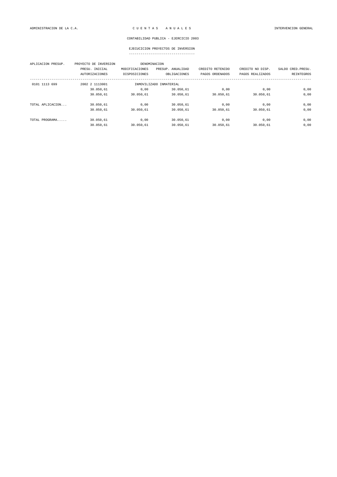| APLICACION PRESUP. | PROYECTO DE INVERSION |                | DENOMINACION            |                  |                  |                    |
|--------------------|-----------------------|----------------|-------------------------|------------------|------------------|--------------------|
|                    | PRESU. INICIAL        | MODIFICACIONES | PRESUP. ANUALIDAD       | CREDITO RETENIDO | CREDITO NO DISP. | SALDO CRED. PRESU. |
|                    | <b>AUTORIZACIONES</b> | DISPOSICIONES  | OBLIGACIONES            | PAGOS ORDENADOS  | PAGOS REALIZADOS | REINTEGROS         |
| 0101 1113 699      | 2002 2 1113001        |                | INMOVILIZADO INMATERIAL |                  |                  |                    |
|                    | 30.050,61             | 0.00           | 30.050,61               | 0,00             | 0,00             | 0,00               |
|                    | 30.050,61             | 30.050,61      | 30.050,61               | 30.050,61        | 30.050,61        | 0,00               |
| TOTAL APLICACION   | 30.050,61             | 0.00           | 30.050,61               | 0.00             | 0,00             | 0,00               |
|                    | 30.050,61             | 30.050,61      | 30.050,61               | 30.050,61        | 30.050,61        | 0,00               |
| TOTAL PROGRAMA     | 30.050.61             | 0.00           | 30.050,61               | 0,00             | 0,00             | 0,00               |
|                    | 30.050.61             | 30.050.61      | 30.050.61               | 30.050.61        | 30.050,61        | 0,00               |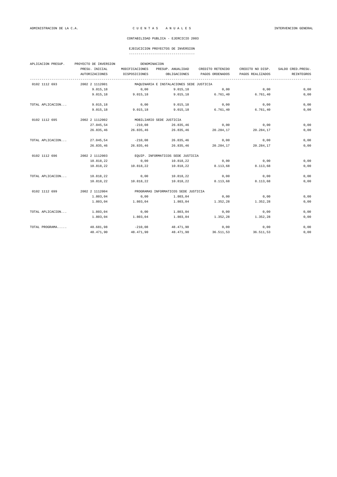| APLICACION PRESUP. | PROYECTO DE INVERSION |                | DENOMINACION                             |                  |                  |                    |
|--------------------|-----------------------|----------------|------------------------------------------|------------------|------------------|--------------------|
|                    | PRESU. INICIAL        | MODIFICACIONES | PRESUP. ANUALIDAD                        | CREDITO RETENIDO | CREDITO NO DISP. | SALDO CRED. PRESU. |
|                    | AUTORIZACIONES        | DISPOSICIONES  | OBLIGACIONES                             | PAGOS ORDENADOS  | PAGOS REALIZADOS | REINTEGROS         |
| 0102 1112 693      | 2002 2 1112001        |                | MAQUINARIA E INSTALACIONES SEDE JUSTICIA |                  |                  |                    |
|                    | 9.015, 18             | 0,00           | 9.015, 18                                | 0,00             | 0,00             | 0,00               |
|                    | 9.015, 18             | 9.015, 18      | 9.015, 18                                | 6.761, 40        | 6.761,40         | 0,00               |
| TOTAL APLICACION   | 9.015,18              | 0,00           | 9.015, 18                                | 0,00             | 0,00             | 0,00               |
|                    | 9.015, 18             | 9.015, 18      | 9.015, 18                                | 6.761, 40        | 6.761,40         | 0,00               |
| 0102 1112 695      | 2002 2 1112002        |                | MOBILIARIO SEDE JUSTICIA                 |                  |                  |                    |
|                    | 27.045,54             | $-210.08$      | 26.835,46                                | 0,00             | 0,00             | 0,00               |
|                    | 26.835,46             | 26.835,46      | 26.835,46                                | 20.284,17        | 20.284,17        | 0,00               |
| TOTAL APLICACION   | 27.045,54             | $-210,08$      | 26.835,46                                | 0,00             | 0,00             | 0,00               |
|                    | 26.835,46             | 26.835,46      | 26.835,46                                | 20.284,17        | 20.284.17        | 0,00               |
| 0102 1112 696      | 2002 2 1112003        |                | EQUIP. INFORMATICOS SEDE JUSTICIA        |                  |                  |                    |
|                    | 10.818,22             | 0,00           | 10.818,22                                | 0,00             | 0,00             | 0,00               |
|                    | 10.818,22             | 10.818,22      | 10.818,22                                | 8.113,68         | 8.113,68         | 0,00               |
| TOTAL APLICACION   | 10.818,22             | 0,00           | 10.818,22                                | 0,00             | 0,00             | 0,00               |
|                    | 10.818,22             | 10.818,22      | 10.818.22                                | 8.113,68         | 8.113,68         | 0,00               |
| 0102 1112 699      | 2002 2 1112004        |                | PROGRAMAS INFORMATICOS SEDE JUSTICIA     |                  |                  |                    |
|                    | 1.803,04              | 0,00           | 1.803,04                                 | 0,00             | 0,00             | 0,00               |
|                    | 1.803.04              | 1.803.04       | 1.803,04                                 | 1.352.28         | 1.352.28         | 0,00               |
| TOTAL APLICACION   | 1.803,04              | 0,00           | 1.803,04                                 | 0,00             | 0,00             | 0,00               |
|                    | 1.803,04              | 1.803,04       | 1.803,04                                 | 1.352, 28        | 1.352,28         | 0,00               |
| TOTAL PROGRAMA     | 48.681,98             | $-210,08$      | 48.471,90                                | 0,00             | 0,00             | 0,00               |
|                    | 48.471.90             | 48.471,90      | 48.471,90                                | 36.511,53        | 36.511,53        | 0,00               |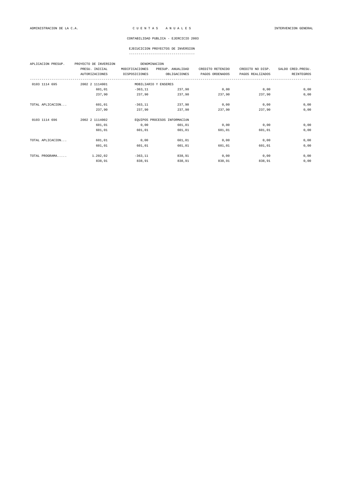| APLICACION PRESUP. | PROYECTO DE INVERSION | DENOMINACION   |                              |                  |                  |                    |
|--------------------|-----------------------|----------------|------------------------------|------------------|------------------|--------------------|
|                    | PRESU. INICIAL        | MODIFICACIONES | PRESUP. ANUALIDAD            | CREDITO RETENIDO | CREDITO NO DISP. | SALDO CRED. PRESU. |
|                    | <b>AUTORIZACIONES</b> | DISPOSICIONES  | OBLIGACIONES                 | PAGOS ORDENADOS  | PAGOS REALIZADOS | REINTEGROS         |
| 0103 1114 695      | 2002 2 1114001        |                | MOBILIARIO Y ENSERES         |                  |                  |                    |
|                    | 601,01                | $-363, 11$     | 237.90                       | 0,00             | 0,00             | 0,00               |
|                    | 237,90                | 237,90         | 237,90                       | 237.90           | 237,90           | 0,00               |
| TOTAL APLICACION   | 601,01                | $-363, 11$     | 237,90                       | 0,00             | 0,00             | 0,00               |
|                    | 237,90                | 237,90         | 237,90                       | 237,90           | 237,90           | 0,00               |
| 0103 1114 696      | 2002 2 1114002        |                | EQUIPOS PROCESOS INFORMACIÓN |                  |                  |                    |
|                    | 601,01                | 0,00           | 601,01                       | 0,00             | 0,00             | 0,00               |
|                    | 601,01                | 601.01         | 601.01                       | 601.01           | 601.01           | 0,00               |
| TOTAL APLICACION   | 601,01                | 0,00           | 601,01                       | 0,00             | 0,00             | 0,00               |
|                    | 601,01                | 601,01         | 601,01                       | 601,01           | 601,01           | 0,00               |
| TOTAL PROGRAMA     | 1.202,02              | $-363, 11$     | 838,91                       | 0,00             | 0,00             | 0,00               |
|                    | 838,91                | 838,91         | 838,91                       | 838,91           | 838,91           | 0,00               |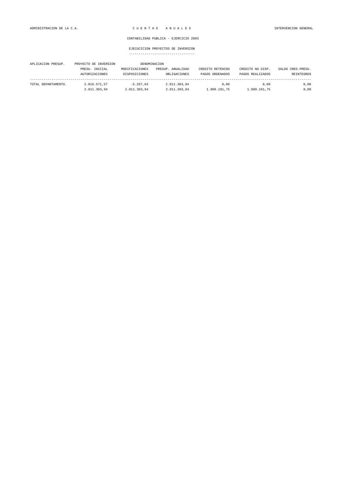| APLICACION PRESUP.  | PROYECTO DE INVERSION |                | DENOMINACION      |                  |                  |                    |
|---------------------|-----------------------|----------------|-------------------|------------------|------------------|--------------------|
|                     | PRESU. INICIAL        | MODIFICACIONES | PRESUP. ANUALIDAD | CREDITO RETENIDO | CREDITO NO DISP. | SALDO CRED. PRESU. |
|                     | AUTORIZACIONES        | DISPOSICIONES  | OBLIGACIONES      | PAGOS ORDENADOS  | PAGOS REALIZADOS | <b>REINTEGROS</b>  |
| TOTAL DEPARTAMENTO. | 2.016.571.57          | $-5.267.63$    | 2.011.303.94      | 0.00             | 0.00             | 0.00               |
|                     | 2.011.303.94          | 2.011.303.94   | 2.011.303.94      | 1.909.191.75     | 1.909.191.75     | 0,00               |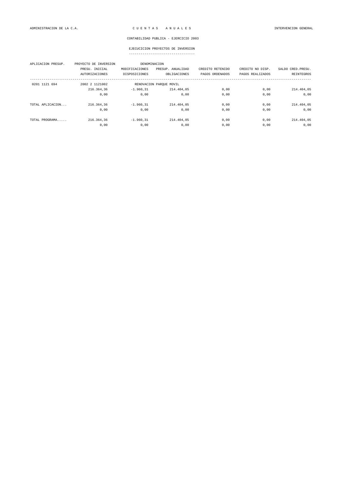| APLICACION PRESUP. | PROYECTO DE INVERSION |                | DENOMINACION            |                  |                  |                    |
|--------------------|-----------------------|----------------|-------------------------|------------------|------------------|--------------------|
|                    | PRESU. INICIAL        | MODIFICACIONES | PRESUP. ANUALIDAD       | CREDITO RETENIDO | CREDITO NO DISP. | SALDO CRED. PRESU. |
|                    | <b>AUTORIZACIONES</b> | DISPOSICIONES  | OBLIGACIONES            | PAGOS ORDENADOS  | PAGOS REALIZADOS | REINTEGROS         |
| 0201 1121 694      | 2002 2 1121002        |                | RENOVACION PARQUE MOVIL |                  |                  |                    |
|                    | 216.364,36            | $-1.960.31$    | 214.404.05              | 0.00             | 0,00             | 214.404,05         |
|                    | 0,00                  | 0.00           | 0,00                    | 0,00             | 0,00             | 0,00               |
| TOTAL APLICACION   | 216.364,36            | $-1.960.31$    | 214.404,05              | 0.00             | 0.00             | 214.404,05         |
|                    | 0,00                  | 0,00           | 0,00                    | 0,00             | 0,00             | 0,00               |
| TOTAL PROGRAMA     | 216.364,36            | $-1.960.31$    | 214.404,05              | 0,00             | 0,00             | 214.404,05         |
|                    | 0,00                  | 0,00           | 0,00                    | 0,00             | 0,00             | 0,00               |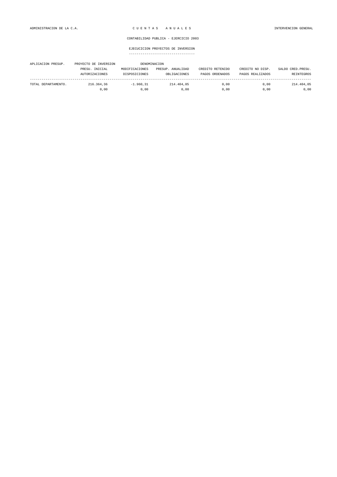| APLICACION PRESUP.  | PROYECTO DE INVERSION |                | DENOMINACION      |                  |                  |                    |
|---------------------|-----------------------|----------------|-------------------|------------------|------------------|--------------------|
|                     | PRESU. INICIAL        | MODIFICACIONES | PRESUP. ANUALIDAD | CREDITO RETENIDO | CREDITO NO DISP. | SALDO CRED. PRESU. |
|                     | AUTORIZACIONES        | DISPOSICIONES  | OBLIGACIONES      | PAGOS ORDENADOS  | PAGOS REALIZADOS | REINTEGROS         |
| TOTAL DEPARTAMENTO. | 216.364.36            | $-1.960.31$    | 214.404.05        | 0.00             | 0.00             | 214.404.05         |
|                     | 0.00                  | 0.00           | 0.00              | 0.00             | 0.00             | 0,00               |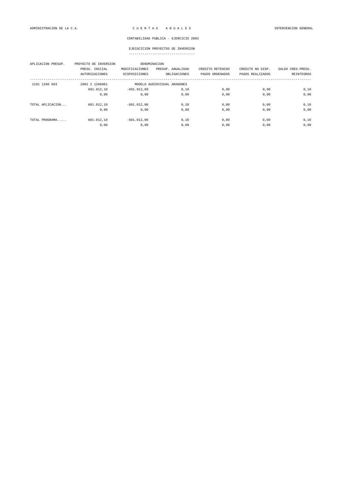| APLICACION PRESUP. | PROYECTO DE INVERSION<br>PRESU. INICIAL<br><b>AUTORIZACIONES</b> | MODIFICACIONES<br>DISPOSICIONES | DENOMINACION<br>PRESUP. ANUALIDAD<br>OBLIGACIONES | CREDITO RETENIDO<br>PAGOS ORDENADOS | CREDITO NO DISP.<br>PAGOS REALIZADOS | SALDO CRED. PRESU.<br>REINTEGROS |
|--------------------|------------------------------------------------------------------|---------------------------------|---------------------------------------------------|-------------------------------------|--------------------------------------|----------------------------------|
| 1101 1266 693      | 2002 2 1266001                                                   |                                 | MODELO AUDIOVISUAL ARAGONES                       |                                     |                                      |                                  |
|                    | 601.012,10                                                       | $-601.012,00$                   | 0, 10                                             | 0,00                                | 0,00                                 | 0,10                             |
|                    | 0,00                                                             | 0.00                            | 0.00                                              | 0,00                                | 0.00                                 | 0,00                             |
| TOTAL APLICACION   | 601.012.10                                                       | $-601.012.00$                   | 0.10                                              | 0.00                                | 0.00                                 | 0,10                             |
|                    | 0,00                                                             | 0,00                            | 0,00                                              | 0,00                                | 0,00                                 | 0,00                             |
| TOTAL PROGRAMA     | 601.012,10                                                       | $-601.012.00$                   | 0,10                                              | 0,00                                | 0,00                                 | 0,10                             |
|                    | 0,00                                                             | 0,00                            | 0,00                                              | 0,00                                | 0,00                                 | 0,00                             |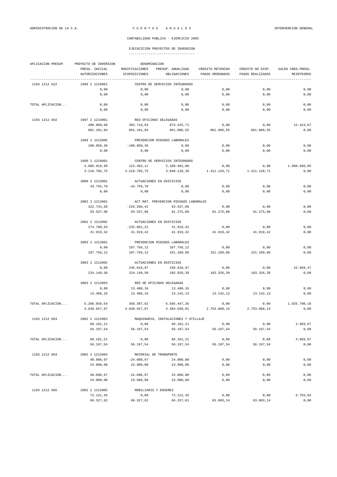| APLICACION PRESUP. | PROYECTO DE INVERSION                   | DENOMINACION                    |                                       |                                     |                                      |                                  |
|--------------------|-----------------------------------------|---------------------------------|---------------------------------------|-------------------------------------|--------------------------------------|----------------------------------|
|                    | PRESU. INICIAL<br><b>AUTORIZACIONES</b> | MODIFICACIONES<br>DISPOSICIONES | PRESUP. ANUALIDAD<br>OBLIGACIONES     | CREDITO RETENIDO<br>PAGOS ORDENADOS | CREDITO NO DISP.<br>PAGOS REALIZADOS | SALDO CRED. PRESU.<br>REINTEGROS |
| 1103 1212 622      | 1999 2 1216001                          |                                 | CENTRO DE SERVICIOS INTEGRADOS        |                                     |                                      |                                  |
|                    | 0,00                                    | 0,00                            | 0,00                                  | 0,00                                | 0,00                                 | 0,00                             |
|                    | 0,00                                    | 0,00                            | 0,00                                  | 0,00                                | 0,00                                 | 0,00                             |
| TOTAL APLICACION   | 0,00                                    | 0,00                            | 0,00                                  | 0,00                                | 0,00                                 | 0,00                             |
|                    | 0,00                                    | 0,00                            | 0,00                                  | 0,00                                | 0,00                                 | 0,00                             |
| 1103 1212 692      | 1997 2 1214001                          | RED OFICINAS DELEGADAS          |                                       |                                     |                                      |                                  |
|                    | 480.809,68                              | 392.716,03                      | 873.525,71                            | 0,00                                | 0,00                                 | 12.424,67                        |
|                    | 861.101,04                              | 861.101,04                      | 861.086,55                            | 861.086,55                          | 861.086,55                           | 0,00                             |
|                    | 1999 2 1212005                          |                                 | PREVENCION RIESGOS LABORALES          |                                     |                                      |                                  |
|                    | 100.050,36                              | $-100.050, 36$                  | 0,00                                  | 0,00                                | 0,00                                 | 0,00                             |
|                    | 0,00                                    | 0,00                            | 0,00                                  | 0,00                                | 0,00                                 | 0,00                             |
|                    | 1999 2 1216001                          |                                 | CENTRO DE SERVICIOS INTEGRADOS        |                                     |                                      |                                  |
|                    | 4.985.919,69                            | 123.482,11                      | 5.109.401,80                          | 0,00                                | 0,00                                 | 1.890.696,05                     |
|                    | 3.218.705,75                            | 3.218.705,75                    | 3.040.129,38                          | 1.411.128,71                        | 1.411.128,71                         | 0,00                             |
|                    | 2000 2 1212001                          |                                 | ACTUACIONES EN EDIFICIOS              |                                     |                                      |                                  |
|                    | 43.755,78                               | $-43.755,78$                    | 0,00                                  | 0,00                                | 0,00                                 | 0,00                             |
|                    | 0,00                                    | 0,00                            | 0,00                                  | 0,00                                | 0,00                                 | 0,00                             |
|                    | 2002 2 1212001                          |                                 | ACT.MAT. PREVENCION RIESGOS LABORALES |                                     |                                      |                                  |
|                    | 322.743,50                              | $-229.206, 42$                  | 93.537,08                             | 0,00                                | 0,00                                 | 0,00                             |
|                    | 93.537,08                               | 93.537,08                       | 91.275,08                             | 91.275,08                           | 91.275,08                            | 0,00                             |
|                    | 2002 2 1212002                          |                                 | ACTUACIONES EN EDIFICIOS              |                                     |                                      |                                  |
|                    | 274.780,63                              | $-232.861, 21$                  | 41.919,42                             | 0,00                                | 0,00                                 | 0,00                             |
|                    | 41.919,42                               | 41.919,42                       | 41.919,42                             | 41.919,42                           | 41.919,42                            | 0,00                             |
|                    | 2003 2 1212001                          |                                 | PREVENCION RIESGOS LABORALES          |                                     |                                      |                                  |
|                    | 0,00                                    | 187.756,12                      | 187.756,12                            | 0,00                                | 0,00                                 | 0,00                             |
|                    | 187.756,12                              | 187.756,12                      | 151.189,86                            | 151.189,86                          | 151.189,86                           | 0,00                             |
|                    | 2003 2 1212002                          |                                 | ACTUACIONES EN EDIFICIOS              |                                     |                                      |                                  |
|                    | 0,00                                    | 246.818,97                      | 246.818,97                            | 0,00                                | 0,00                                 | 22.669,47                        |
|                    | 224.149,50                              | 224.149,50                      | 185.826,39                            | 183.326,39                          | 183.326,39                           | 0,00                             |
|                    | 2003 2 1212003                          |                                 | RED DE OFICINAS DELEGADAS             |                                     |                                      |                                  |
|                    | 0,00                                    | 13.488,16                       | 13.488,16                             | 0,00                                | 0,00                                 | 0,00                             |
|                    | 13.488,16                               | 13.488,16                       | 13.142,13                             | 13.142,13                           | 13.142,13                            | 0,00                             |
| TOTAL APLICACION   | 6.208.059,64                            | 358.387,62                      | 6.566.447,26                          | 0,00                                | 0,00                                 | 1.925.790.19                     |
|                    | 4.640.657,07                            | 4.640.657,07                    | 4.384.568,81                          | 2.753.068,14                        | 2.753.068,14                         | 0,00                             |
| 1103 1212 693      | 2002 2 1212003                          |                                 | MAQUINARIA, INSTALACIONES Y UTILLAJE  |                                     |                                      |                                  |
|                    | 60.101,21                               | 0,00                            | 60.101,21                             | 0,00                                | 0,00                                 | 3.903,67                         |
|                    | 56.197,54                               | 56.197,54                       | 56.197,54                             | 56.197,54                           | 56.197,54                            | 0,00                             |
| TOTAL APLICACION   | 60.101,21                               | 0,00                            | 60.101,21                             | 0,00                                | 0,00                                 | 3.903,67                         |
|                    | 56.197,54                               | 56.197,54                       | 56.197,54                             | 56.197,54                           | 56.197,54                            | 0,00                             |
| 1103 1212 694      | 2002 2 1212004                          |                                 | MATERIAL DE TRANSPORTE                |                                     |                                      |                                  |
|                    | 48.080,97                               | $-24.080,97$                    | 24.000,00                             | 0,00                                | 0,00                                 | 0,00                             |
|                    | 24.000,00                               | 23.900,00                       | 23.900,00                             | 0,00                                | 0,00                                 | 0,00                             |
| TOTAL APLICACION   | 48.080,97                               | $-24.080,97$                    | 24.000,00                             | 0,00                                | 0,00                                 | 0,00                             |
|                    | 24.000,00                               | 23.900,00                       | 23.900,00                             | 0,00                                | 0,00                                 | 0,00                             |
| 1103 1212 695      | 2002 2 1212005                          | MOBILIARIO Y ENSERES            |                                       |                                     |                                      |                                  |
|                    | 72.121,45                               | 0,00                            | 72.121,45                             | 0,00                                | 0,00                                 | 5.793,83                         |
|                    | 66.327,62                               | 66.327,62                       | 66.327,61                             | 63.003,14                           | 63.003,14                            | 0,00                             |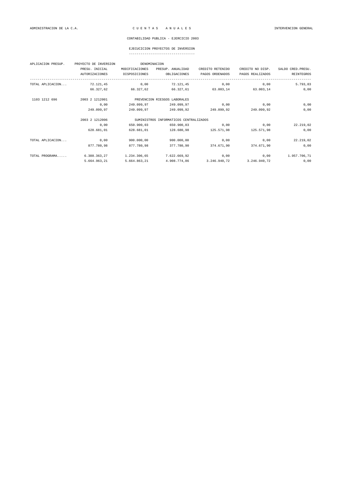# EJECUCICION PROYECTOS DE INVERSION

|  | ----------------------------------- |  |
|--|-------------------------------------|--|

| APLICACION PRESUP. | PROYECTO DE INVERSION | DENOMINACION   |                                        |                  |                  |                    |
|--------------------|-----------------------|----------------|----------------------------------------|------------------|------------------|--------------------|
|                    | PRESU. INICIAL        | MODIFICACIONES | PRESUP. ANUALIDAD                      | CREDITO RETENIDO | CREDITO NO DISP. | SALDO CRED. PRESU. |
|                    | <b>AUTORIZACIONES</b> | DISPOSICIONES  | OBLIGACIONES                           | PAGOS ORDENADOS  | PAGOS REALIZADOS | <b>REINTEGROS</b>  |
| TOTAL APLICACION   | 72.121,45             | 0,00           | 72.121,45                              | 0,00             | 0,00             | 5.793,83           |
|                    | 66.327,62             | 66.327,62      | 66.327,61                              | 63.003,14        | 63.003.14        | 0,00               |
| 1103 1212 696      | 2003 2 1212001        |                | PREVENCION RIESGOS LABORALES           |                  |                  |                    |
|                    | 0,00                  | 249.099,97     | 249.099,97                             | 0,00             | 0,00             | 0,00               |
|                    | 249.099,97            | 249.099,97     | 249.099,92                             | 249.099,92       | 249.099,92       | 0,00               |
|                    | 2003 2 1212006        |                | SUMINISTROS INFORMATICOS CENTRALIZADOS |                  |                  |                    |
|                    | 0,00                  | 650.900,03     | 650.900,03                             | 0,00             | 0,00             | 22.219,02          |
|                    | 628.681,01            | 628.681.01     | 128.680,98                             | 125.571.98       | 125.571.98       | 0,00               |
| TOTAL APLICACION   | 0,00                  | 900.000,00     | 900,000,00                             | 0,00             | 0,00             | 22.219,02          |
|                    | 877.780,98            | 877.780,98     | 377.780,90                             | 374.671,90       | 374.671,90       | 0,00               |
| TOTAL PROGRAMA     | 6.388.363,27          | 1.234.306,65   | 7.622.669,92                           | 0,00             | 0,00             | 1.957.706,71       |
|                    | 5.664.963,21          | 5.664.863,21   | 4.908.774,86                           | 3.246.940,72     | 3.246.940,72     | 0,00               |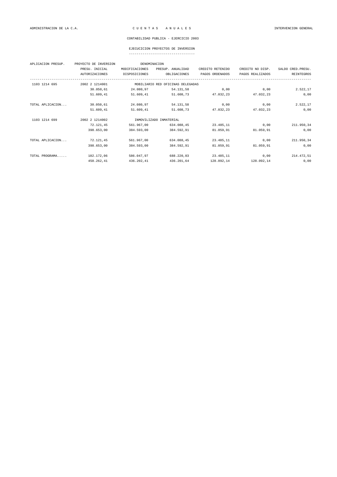# EJECUCICION PROYECTOS DE INVERSION

| APLICACION PRESUP. | PROYECTO DE INVERSION |                | DENOMINACION                      |                  |                  |                    |
|--------------------|-----------------------|----------------|-----------------------------------|------------------|------------------|--------------------|
|                    | PRESU. INICIAL        | MODIFICACIONES | PRESUP. ANUALIDAD                 | CREDITO RETENIDO | CREDITO NO DISP. | SALDO CRED. PRESU. |
|                    | <b>AUTORIZACIONES</b> | DISPOSICIONES  | OBLIGACIONES                      | PAGOS ORDENADOS  | PAGOS REALIZADOS | <b>REINTEGROS</b>  |
| 1103 1214 695      | 2002 2 1214001        |                | MOBILIARIO RED OFICINAS DELEGADAS |                  |                  |                    |
|                    | 30.050,61             | 24.080,97      | 54.131,58                         | 0,00             | 0,00             | 2.522,17           |
|                    | 51.609,41             | 51.609,41      | 51.608,73                         | 47.032,23        | 47.032,23        | 0,00               |
| TOTAL APLICACION   | 30.050,61             | 24.080,97      | 54.131,58                         | 0,00             | 0,00             | 2.522,17           |
|                    | 51.609,41             | 51.609,41      | 51.608,73                         | 47.032,23        | 47.032,23        | 0,00               |
| 1103 1214 699      | 2002 2 1214002        |                | INMOVILIZADO INMATERIAL           |                  |                  |                    |
|                    | 72.121,45             | 561.967,00     | 634.088,45                        | 23.485,11        | 0,00             | 211.950,34         |
|                    | 398.653,00            | 384.593,00     | 384.592,91                        | 81.059.91        | 81.059.91        | 0,00               |
| TOTAL APLICACION   | 72.121,45             | 561.967,00     | 634.088,45                        | 23.485,11        | 0,00             | 211.950,34         |
|                    | 398.653,00            | 384.593,00     | 384.592,91                        | 81.059,91        | 81.059,91        | 0,00               |
| TOTAL PROGRAMA     | 102.172,06            | 586.047,97     | 688.220,03                        | 23.485,11        | 0,00             | 214.472,51         |
|                    | 450.262,41            | 436.202,41     | 436.201,64                        | 128.092,14       | 128.092,14       | 0,00               |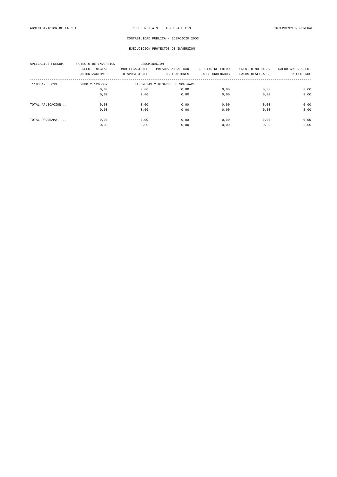| APLICACION PRESUP. | PROYECTO DE INVERSION<br>PRESU. INICIAL<br><b>AUTORIZACIONES</b> | DENOMINACION<br>MODIFICACIONES<br>DISPOSICIONES | PRESUP. ANUALIDAD<br>OBLIGACIONES | CREDITO RETENIDO<br>PAGOS ORDENADOS | CREDITO NO DISP.<br>PAGOS REALIZADOS | SALDO CRED. PRESU.<br>REINTEGROS |
|--------------------|------------------------------------------------------------------|-------------------------------------------------|-----------------------------------|-------------------------------------|--------------------------------------|----------------------------------|
| 1103 1265 699      | 2000 2 1265002                                                   | LICENCIAS Y DESARROLLO SOFTWARE                 |                                   |                                     |                                      |                                  |
|                    | 0,00                                                             | 0,00                                            | 0,00                              | 0,00                                | 0.00                                 | 0,00                             |
|                    | 0,00                                                             | 0,00                                            | 0,00                              | 0,00                                | 0,00                                 | 0,00                             |
| TOTAL APLICACION   | 0,00                                                             | 0,00                                            | 0,00                              | 0,00                                | 0,00                                 | 0,00                             |
|                    | 0,00                                                             | 0,00                                            | 0,00                              | 0,00                                | 0,00                                 | 0,00                             |
| TOTAL PROGRAMA     | 0,00                                                             | 0,00                                            | 0,00                              | 0,00                                | 0,00                                 | 0,00                             |
|                    | 0,00                                                             | 0,00                                            | 0,00                              | 0,00                                | 0,00                                 | 0,00                             |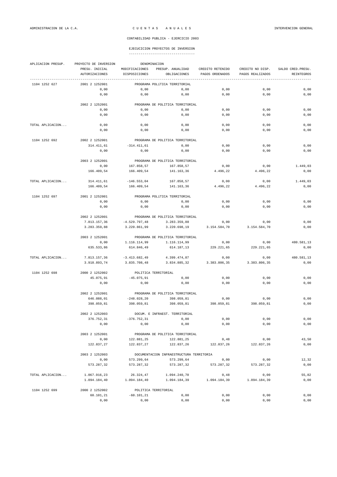| APLICACION PRESUP. | DENOMINACION<br>PROYECTO DE INVERSION |                      |                                          |                  |                  |                    |  |  |
|--------------------|---------------------------------------|----------------------|------------------------------------------|------------------|------------------|--------------------|--|--|
|                    | PRESU. INICIAL                        | MODIFICACIONES       | PRESUP. ANUALIDAD                        | CREDITO RETENIDO | CREDITO NO DISP. | SALDO CRED. PRESU. |  |  |
|                    | <b>AUTORIZACIONES</b>                 | DISPOSICIONES        | OBLIGACIONES                             | PAGOS ORDENADOS  | PAGOS REALIZADOS | REINTEGROS         |  |  |
| 1104 1252 627      | 2001 2 1252001                        |                      | PROGRAMA POLÍTICA TERRITORIAL            |                  |                  |                    |  |  |
|                    | 0,00                                  | 0,00                 | 0,00                                     | 0,00             | 0,00             | 0,00               |  |  |
|                    | 0,00                                  | 0,00                 | 0,00                                     | 0,00             | 0,00             | 0,00               |  |  |
|                    | 2002 2 1252001                        |                      | PROGRAMA DE POLITICA TERRITORIAL         |                  |                  |                    |  |  |
|                    | 0,00                                  | 0,00                 | 0,00                                     | 0,00             | 0,00             | 0,00               |  |  |
|                    | 0,00                                  | 0,00                 | 0,00                                     | 0,00             | 0,00             | 0,00               |  |  |
|                    |                                       |                      |                                          |                  |                  |                    |  |  |
| TOTAL APLICACION   | 0,00                                  | 0,00                 | 0,00                                     | 0,00             | 0,00             | 0,00               |  |  |
|                    | 0,00                                  | 0,00                 | 0,00                                     | 0,00             | 0,00             | 0,00               |  |  |
| 1104 1252 692      | 2002 2 1252001                        |                      | PROGRAMA DE POLITICA TERRITORIAL         |                  |                  |                    |  |  |
|                    | 314.411,61                            | $-314.411,61$        | 0,00                                     | 0,00             | 0,00             | 0,00               |  |  |
|                    | 0,00                                  | 0,00                 | 0,00                                     | 0,00             | 0,00             | 0,00               |  |  |
|                    | 2003 2 1252001                        |                      | PROGRAMA DE POLITICA TERRITORIAL         |                  |                  |                    |  |  |
|                    | 0,00                                  | 167.858,57           | 167.858,57                               | 0,00             | 0,00             | 1.449,03           |  |  |
|                    | 166.409,54                            | 166.409,54           | 141.163,36                               | 4.496,22         | 4.496,22         | 0,00               |  |  |
| TOTAL APLICACION   | 314.411,61                            | $-146.553,04$        | 167.858,57                               | 0,00             | 0,00             | 1.449,03           |  |  |
|                    | 166.409,54                            | 166.409,54           | 141.163,36                               | 4.496,22         | 4.496,22         | 0,00               |  |  |
|                    |                                       |                      |                                          |                  |                  |                    |  |  |
| 1104 1252 697      | 2001 2 1252001<br>0,00                | 0,00                 | PROGRAMA POLÍTICA TERRITORIAL<br>0,00    | 0,00             | 0,00             | 0,00               |  |  |
|                    | 0,00                                  | 0,00                 | 0,00                                     | 0,00             | 0,00             | 0,00               |  |  |
|                    | 2002 2 1252001                        |                      | PROGRAMA DE POLITICA TERRITORIAL         |                  |                  |                    |  |  |
|                    | 7.813.157,36                          | $-4.529.797,48$      | 3.283.359,88                             | 0,00             | 0,00             | 0,00               |  |  |
|                    | 3.283.359,88                          | 3.220.861,99         | 3.220.698,19                             | 3.154.584,70     | 3.154.584,70     | 0,00               |  |  |
|                    |                                       |                      |                                          |                  |                  |                    |  |  |
|                    | 2003 2 1252001                        |                      | PROGRAMA DE POLITICA TERRITORIAL         |                  |                  |                    |  |  |
|                    | 0,00                                  | 1.116.114,99         | 1.116.114,99                             | 0,00             | 0,00             | 480.581,13         |  |  |
|                    | 635.533,86                            | 614.846,49           | 614.187,13                               | 229.221,65       | 229.221,65       | 0,00               |  |  |
| TOTAL APLICACION   | 7.813.157,36                          | $-3.413.682,49$      | 4.399.474,87                             | 0,00             | 0,00             | 480.581,13         |  |  |
|                    | 3.918.893,74                          | 3.835.708,48         | 3.834.885,32                             | 3.383.806,35     | 3.383.806,35     | 0,00               |  |  |
| 1104 1252 698      | 2000 2 1252002                        | POLITICA TERRITORIAL |                                          |                  |                  |                    |  |  |
|                    | 45.075,91                             | $-45.075, 91$        | 0,00                                     | 0,00             | 0,00             | 0,00               |  |  |
|                    | 0,00                                  | 0,00                 | 0,00                                     | 0,00             | 0,00             | 0,00               |  |  |
|                    | 2002 2 1252001                        |                      | PROGRAMA DE POLITICA TERRITORIAL         |                  |                  |                    |  |  |
|                    | 646.088,01                            | $-248.028, 20$       | 398.059,81                               | 0,00             | 0,00             | 0,00               |  |  |
|                    | 398.059,81                            | 398.059,81           | 398.059,81                               | 398.059,81       | 398.059,81       | 0,00               |  |  |
|                    | 2002 2 1252003                        |                      | DOCUM. E INFRAEST. TERRITORIAL           |                  |                  |                    |  |  |
|                    | 376.752,31                            | $-376.752, 31$       | 0,00                                     | 0,00             | 0,00             | 0,00               |  |  |
|                    | 0,00                                  | 0,00                 | 0,00                                     | 0,00             | 0,00             | 0,00               |  |  |
|                    |                                       |                      |                                          |                  |                  |                    |  |  |
|                    | 2003 2 1252001                        |                      | PROGRAMA DE POLITICA TERRITORIAL         |                  |                  |                    |  |  |
|                    | 0,00                                  | 122.881,25           | 122.881,25                               | 0,48             | 0,00             | 43,50              |  |  |
|                    | 122.837,27                            | 122.837,27           | 122.837,26                               | 122.837,26       | 122.837,26       | 0,00               |  |  |
|                    | 2003 2 1252003                        |                      | DOCUMENTACION INFRAESTRUCTURA TERRITORIA |                  |                  |                    |  |  |
|                    | 0,00                                  | 573.299,64           | 573.299,64                               | 0,00             | 0,00             | 12,32              |  |  |
|                    | 573.287,32                            | 573.287,32           | 573.287,32                               | 573.287,32       | 573.287,32       | 0,00               |  |  |
| TOTAL APLICACION   | 1.067.916,23                          | 26.324,47            | 1.094.240,70                             | 0,48             | 0,00             | 55,82              |  |  |
|                    | 1.094.184,40                          | 1.094.184,40         | 1.094.184,39                             | 1.094.184,39     | 1.094.184,39     | 0,00               |  |  |
| 1104 1252 699      | 2000 2 1252002                        | POLITICA TERRITORIAL |                                          |                  |                  |                    |  |  |
|                    | 60.101,21                             | $-60.101, 21$        | 0,00                                     | 0,00             | 0,00             | 0,00               |  |  |
|                    | 0,00                                  | 0,00                 | 0,00                                     | 0,00             | 0,00             | 0,00               |  |  |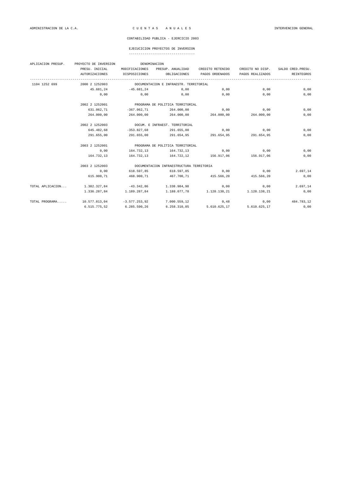# EJECUCICION PROYECTOS DE INVERSION

|               | APLICACION PRESUP. PROYECTO DE INVERSION        |                                                       | DENOMINACION                                  |                  |                  |                   |  |  |  |
|---------------|-------------------------------------------------|-------------------------------------------------------|-----------------------------------------------|------------------|------------------|-------------------|--|--|--|
|               | PRESU. INICIAL                                  | MODIFICACIONES                                        | PRESUP. ANUALIDAD                             | CREDITO RETENIDO | CREDITO NO DISP. | SALDO CRED.PRESU. |  |  |  |
|               | <b>AUTORIZACIONES</b>                           | DISPOSICIONES                                         | OBLIGACIONES                                  | PAGOS ORDENADOS  | PAGOS REALIZADOS | <b>REINTEGROS</b> |  |  |  |
| 1104 1252 699 |                                                 | 2000 2 1252003 DOCUMENTACION E INFRAESTR. TERRITORIAL |                                               |                  |                  |                   |  |  |  |
|               |                                                 | 45.681,24 -45.681,24                                  | $0,00$ $0,00$                                 |                  | 0,00             | 0,00              |  |  |  |
|               | 0.00                                            | 0.00                                                  | $0,00$ 0,00                                   |                  | 0,00             | 0,00              |  |  |  |
|               | 2002 2 1252001 PROGRAMA DE POLITICA TERRITORIAL |                                                       |                                               |                  |                  |                   |  |  |  |
|               | 631.062,71                                      | $-367.062,71$                                         | 264.000,00                                    | $0,00$ 0,00      |                  | 0,00              |  |  |  |
|               | 264,000,00                                      | 264.000,00                                            | $264.000,00$ $264.000,00$ $264.000,00$        |                  |                  | 0,00              |  |  |  |
|               |                                                 |                                                       | 2002 2 1252003 DOCUM. E INFRAEST. TERRITORIAL |                  |                  |                   |  |  |  |
|               | 645.482,68                                      |                                                       | $-353.827.68$ $291.655.00$ 0.00 0.00 0.00     |                  |                  | 0,00              |  |  |  |
|               | 291.655,00                                      | 291.655,00                                            | 291.654,95 291.654,95 291.654,95              |                  |                  | 0,00              |  |  |  |
|               | 2003 2 1252001                                  |                                                       | PROGRAMA DE POLITICA TERRITORIAL              |                  |                  |                   |  |  |  |
|               | 0,00                                            |                                                       | $164.732.13$ $164.732.13$ $0.00$ 0.00         |                  |                  | 0,00              |  |  |  |
|               | 164.732,13                                      |                                                       | 164.732,13 164.722,12 156.917,06 156.917,06   |                  |                  | 0,00              |  |  |  |
|               | 2003 2 1252003                                  |                                                       | DOCUMENTACION INFRAESTRUCTURA TERRITORIA      |                  |                  |                   |  |  |  |
|               | 0,00                                            | 618.597,85                                            | $618.597.85$ $0.00$ $0.00$ $0.00$             |                  |                  | 2.697,14          |  |  |  |
|               | 615.900,71                                      | 468.900,71                                            | 467.700,71 415.566,20 415.566,20              |                  |                  | 0,00              |  |  |  |
|               |                                                 |                                                       |                                               |                  |                  |                   |  |  |  |

TOTAL APLICACION... 1.382.327,84 -43.342,86 1.338.984,98 0,00 0,00 2.697,14

TOTAL PROGRAMA..... 10.577.813,04 -3.577.253,92 7.000.559,12 0,48 0,00 484.783,12

1.336.287,84 1.189.287,84 1.188.077,78 1.128.138,21 1.128.138,21 0,00

6.515.775,52 6.285.590,26 6.258.310,85 5.610.625,17 5.610.625,17 0,00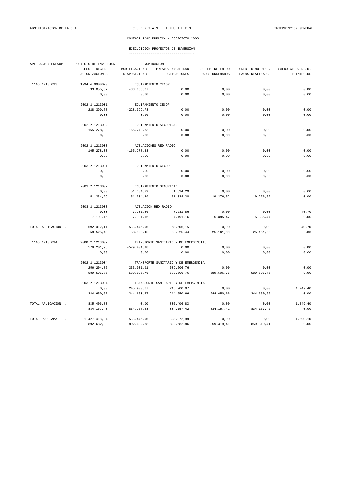| APLICACION PRESUP. | PROYECTO DE INVERSION<br>DENOMINACION |                        |                                       |                  |                  |                    |  |  |  |
|--------------------|---------------------------------------|------------------------|---------------------------------------|------------------|------------------|--------------------|--|--|--|
|                    | PRESU. INICIAL                        | MODIFICACIONES         | PRESUP. ANUALIDAD                     | CREDITO RETENIDO | CREDITO NO DISP. | SALDO CRED. PRESU. |  |  |  |
|                    | AUTORIZACIONES                        | DISPOSICIONES          | OBLIGACIONES                          | PAGOS ORDENADOS  | PAGOS REALIZADOS | REINTEGROS         |  |  |  |
| 1105 1213 693      | 1994 4 0000020                        |                        | EQUIPAMIENTO CECOP                    |                  |                  |                    |  |  |  |
|                    | 33.055,67                             | $-33.055,67$           | 0,00                                  | 0,00             | 0,00             | 0,00               |  |  |  |
|                    | 0,00                                  | 0,00                   | 0,00                                  | 0,00             | 0,00             | 0,00               |  |  |  |
|                    | 2002 2 1213001                        |                        | EQUIPAMIENTO CECOP                    |                  |                  |                    |  |  |  |
|                    | 228.399,78                            | $-228.399,78$          | 0,00                                  | 0,00             | 0,00             | 0,00               |  |  |  |
|                    | 0,00                                  | 0,00                   | 0,00                                  | 0,00             | 0,00             | 0,00               |  |  |  |
|                    |                                       | EQUIPAMIENTO SEGURIDAD |                                       |                  |                  |                    |  |  |  |
|                    | 2002 2 1213002                        |                        |                                       |                  |                  |                    |  |  |  |
|                    | 165.278,33                            | $-165.278,33$          | 0,00                                  | 0,00             | 0,00             | 0,00               |  |  |  |
|                    | 0,00                                  | 0,00                   | 0,00                                  | 0,00             | 0,00             | 0,00               |  |  |  |
|                    | 2002 2 1213003                        |                        | ACTUACIONES RED RADIO                 |                  |                  |                    |  |  |  |
|                    | 165.278,33                            | $-165.278,33$          | 0,00                                  | 0,00             | 0,00             | 0,00               |  |  |  |
|                    | 0,00                                  | 0,00                   | 0,00                                  | 0,00             | 0,00             | 0,00               |  |  |  |
|                    | 2003 2 1213001                        | EQUIPAMIENTO CECOP     |                                       |                  |                  |                    |  |  |  |
|                    | 0,00                                  | 0,00                   | 0,00                                  | 0,00             | 0,00             | 0,00               |  |  |  |
|                    | 0,00                                  | 0,00                   | 0,00                                  | 0,00             | 0,00             | 0,00               |  |  |  |
|                    | 2003 2 1213002                        |                        |                                       |                  |                  |                    |  |  |  |
|                    | 0,00                                  | 51.334,29              | EQUIPAMIENTO SEGURIDAD<br>51.334,29   | 0,00             | 0,00             | 0,00               |  |  |  |
|                    | 51.334,29                             | 51.334,29              | 51.334,28                             | 19.276,52        | 19.276,52        | 0,00               |  |  |  |
|                    |                                       |                        |                                       |                  |                  |                    |  |  |  |
|                    | 2003 2 1213003                        |                        | ACTUACIÓN RED RADIO                   |                  |                  |                    |  |  |  |
|                    | 0,00                                  | 7.231,86               | 7.231,86                              | 0,00             | 0,00             | 40,70              |  |  |  |
|                    | 7.191,16                              | 7.191,16               | 7.191,16                              | 5.885,47         | 5.885,47         | 0,00               |  |  |  |
| TOTAL APLICACION   | 592.012,11                            | $-533.445,96$          | 58.566,15                             | 0,00             | 0,00             | 40,70              |  |  |  |
|                    | 58.525,45                             | 58.525,45              | 58.525,44                             | 25.161,99        | 25.161,99        | 0,00               |  |  |  |
| 1105 1213 694      | 2000 2 1213002                        |                        | TRANSPORTE SANITARIO Y DE EMERGENCIAS |                  |                  |                    |  |  |  |
|                    | 579.201,98                            | $-579.201,98$          | 0,00                                  | 0,00             | 0,00             | 0,00               |  |  |  |
|                    | 0,00                                  | 0,00                   | 0,00                                  | 0,00             | 0,00             | 0,00               |  |  |  |
|                    |                                       |                        |                                       |                  |                  |                    |  |  |  |
|                    | 2002 2 1213004                        |                        | TRANSPORTE SANITARIO Y DE EMERGENCIA  |                  |                  |                    |  |  |  |
|                    | 256.204,85                            | 333.301,91             | 589.506,76                            | 0,00             | 0,00             | 0,00               |  |  |  |
|                    | 589.506,76                            | 589.506,76             | 589.506,76                            | 589.506,76       | 589.506,76       | 0,00               |  |  |  |
|                    | 2003 2 1213004                        |                        | TRANSPORTE SANITARIO Y DE EMERGENCIA  |                  |                  |                    |  |  |  |
|                    | 0,00                                  | 245.900,07             | 245.900,07                            | 0,00             | 0,00             | 1.249,40           |  |  |  |
|                    | 244.650,67                            | 244.650,67             | 244.650,66                            | 244.650,66       | 244.650,66       | 0,00               |  |  |  |
| TOTAL APLICACION   | 835.406,83                            | 0,00                   | 835.406,83                            | 0,00             | 0,00             | 1.249,40           |  |  |  |
|                    | 834.157,43                            | 834.157,43             | 834.157,42                            | 834.157,42       | 834.157,42       | 0,00               |  |  |  |
|                    |                                       |                        |                                       |                  |                  |                    |  |  |  |
| TOTAL PROGRAMA     | 1.427.418,94                          | $-533.445,96$          | 893.972,98                            | 0,00             | 0.00             | 1.290,10           |  |  |  |
|                    | 892.682,88                            | 892.682,88             | 892.682,86                            | 859.319,41       | 859.319,41       | 0,00               |  |  |  |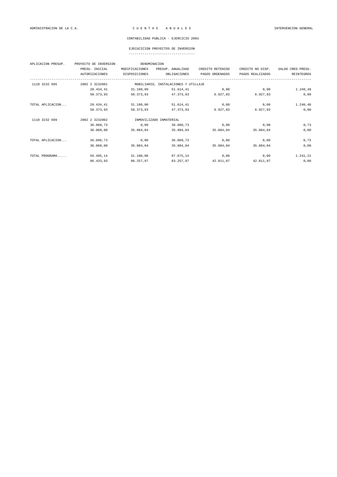| APLICACION PRESUP. | PROYECTO DE INVERSION |                | DENOMINACION                         |                  |                  |                    |
|--------------------|-----------------------|----------------|--------------------------------------|------------------|------------------|--------------------|
|                    | PRESU. INICIAL        | MODIFICACIONES | PRESUP. ANUALIDAD                    | CREDITO RETENIDO | CREDITO NO DISP. | SALDO CRED. PRESU. |
|                    | <b>AUTORIZACIONES</b> | DISPOSICIONES  | OBLIGACIONES                         | PAGOS ORDENADOS  | PAGOS REALIZADOS | <b>REINTEGROS</b>  |
| 1110 3232 695      | 2002 2 3232001        |                | MOBILIARIO, INSTALACIONES Y UTILLAJE |                  |                  |                    |
|                    | 20.434,41             | 31.180,00      | 51.614,41                            | 0,00             | 0,00             | 1.240, 48          |
|                    | 50.373.93             | 50.373.93      | 47.373,93                            | 6.927,83         | 6.927,83         | 0,00               |
| TOTAL APLICACION   | 20.434,41             | 31.180,00      | 51.614,41                            | 0,00             | 0,00             | 1.240, 48          |
|                    | 50.373.93             | 50.373.93      | 47.373,93                            | 6.927,83         | 6.927,83         | 0,00               |
| 1110 3232 699      | 2002 2 3232002        |                | INMOVILIZADO INMATERIAL              |                  |                  |                    |
|                    | 36.060,73             | 0,00           | 36.060,73                            | 0,00             | 0,00             | 0,73               |
|                    | 36.060,00             | 35.884.04      | 35.884,04                            | 35.884,04        | 35.884,04        | 0,00               |
| TOTAL APLICACION   | 36.060,73             | 0,00           | 36.060,73                            | 0,00             | 0,00             | 0,73               |
|                    | 36,060,00             | 35.884.04      | 35.884.04                            | 35.884,04        | 35.884.04        | 0,00               |
| TOTAL PROGRAMA     | 56.495,14             | 31.180,00      | 87.675,14                            | 0,00             | 0,00             | 1.241,21           |
|                    | 86.433,93             | 86.257,97      | 83.257,97                            | 42.811,87        | 42.811,87        | 0,00               |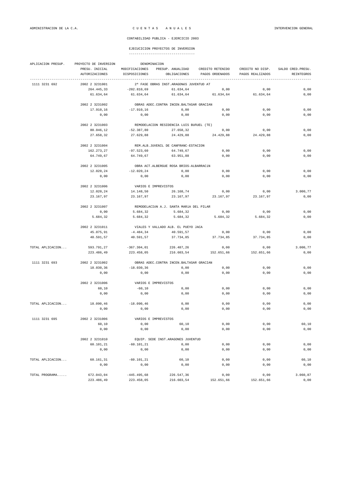|                  | APLICACION PRESUP. PROYECTO DE INVERSION<br>DENOMINACION |                                            |                                                  |                                     |                                      |                                         |  |  |  |  |
|------------------|----------------------------------------------------------|--------------------------------------------|--------------------------------------------------|-------------------------------------|--------------------------------------|-----------------------------------------|--|--|--|--|
|                  | PRESU. INICIAL<br>AUTORIZACIONES                         | DISPOSICIONES                              | MODIFICACIONES PRESUP. ANUALIDAD<br>OBLIGACIONES | CREDITO RETENIDO<br>PAGOS ORDENADOS | CREDITO NO DISP.<br>PAGOS REALIZADOS | SALDO CRED. PRESU.<br><b>REINTEGROS</b> |  |  |  |  |
| 1111 3231 692    | 2002 2 3231001                                           |                                            | 2ª FASE OBRAS INST. ARAGONÉS JUVENTUD AT         |                                     |                                      |                                         |  |  |  |  |
|                  | 264.445,33                                               | $-202.810,69$                              | 61.634,64                                        | 0,00                                | 0,00                                 | 0,00                                    |  |  |  |  |
|                  | 61.634,64                                                | 61.634,64                                  | 61.634,64                                        | 61.634,64                           | 61.634,64                            | 0,00                                    |  |  |  |  |
|                  | 2002 2 3231002                                           | OBRAS ADEC. CONTRA INCEN. BALTASAR GRACIAN |                                                  |                                     |                                      |                                         |  |  |  |  |
|                  | 17.910,16                                                | $-17.910,16$                               | 0,00                                             | 0,00                                | 0,00                                 | 0,00                                    |  |  |  |  |
|                  | 0,00                                                     | 0,00                                       | 0,00                                             | 0,00                                | 0,00                                 | 0,00                                    |  |  |  |  |
|                  | 2002 2 3231003                                           |                                            | REMODELACION RESIDENCIA LUIS BUñUEL (TE)         |                                     |                                      |                                         |  |  |  |  |
|                  | 80.046,12                                                | -52.387,80                                 | 27.658,32                                        | 0,00                                | 0,00                                 | 0,00                                    |  |  |  |  |
|                  | 27.658,32                                                | 27.629,88                                  | 24.429,88                                        | 24.429,88                           | 24.429,88                            | 0,00                                    |  |  |  |  |
|                  | 2002 2 3231004                                           |                                            | REM.ALB.JUVENIL DE CANFRANC-ESTACION             |                                     |                                      |                                         |  |  |  |  |
|                  | 162.273,27                                               | -97.523,60                                 | 64.749,67                                        | 0,00                                | 0,00                                 | 0,00                                    |  |  |  |  |
|                  | 64.749,67                                                | 64.749,67                                  | 63.951,88                                        | 0,00                                | 0,00                                 | 0,00                                    |  |  |  |  |
|                  | 2002 2 3231005                                           |                                            | OBRA ACT. ALBERGUE ROSA BRIOS-ALBARRACÍN         |                                     |                                      |                                         |  |  |  |  |
|                  | 12.020,24                                                | $-12.020, 24$                              | 0,00                                             | 0,00                                | 0,00                                 | 0,00                                    |  |  |  |  |
|                  | 0.00                                                     | 0,00                                       | 0,00                                             | 0,00                                | 0,00                                 | 0,00                                    |  |  |  |  |
|                  | 2002 2 3231006                                           | VARIOS E IMPREVISTOS                       |                                                  |                                     |                                      |                                         |  |  |  |  |
|                  | 12.020,24                                                | 14.148,50                                  | 26.168,74                                        | 0,00                                | 0,00                                 | 3.000,77                                |  |  |  |  |
|                  | 23.167,97                                                | 23.167,97                                  | 23.167,97                                        | 23.167,97                           | 23.167,97                            | 0,00                                    |  |  |  |  |
|                  | 2002 2 3231007                                           |                                            | REMODELACIÓN A.J. SANTA MARÍA DEL PILAR          |                                     |                                      |                                         |  |  |  |  |
|                  | 0,00                                                     | 5.684,32                                   | 5.684,32                                         | 0,00                                | 0,00                                 | 0,00                                    |  |  |  |  |
|                  | 5.684,32                                                 | 5.684,32                                   | 5.684,32                                         | 5.684,32                            | 5.684,32                             | 0,00                                    |  |  |  |  |
|                  | 2002 2 3231011                                           |                                            | VIALES Y VALLADO ALB. EL PUEYO JACA              |                                     |                                      |                                         |  |  |  |  |
|                  | 45.075,91                                                | $-4.484,34$                                | 40.591,57                                        | 0,00                                | 0,00                                 | 0,00                                    |  |  |  |  |
|                  | 40.591,57                                                | 40.591,57                                  | 37.734,85                                        | 37.734,85                           | 37.734,85                            | 0,00                                    |  |  |  |  |
| TOTAL APLICACION | 593.791,27                                               | $-367.304,01$                              | 226.487,26                                       | 0,00                                | 0,00                                 | 3.000,77                                |  |  |  |  |
|                  | 223.486,49                                               | 223.458,05                                 | 216.603,54                                       | 152.651,66                          | 152.651,66                           | 0,00                                    |  |  |  |  |
| 1111 3231 693    | 2002 2 3231002                                           |                                            | OBRAS ADEC. CONTRA INCEN. BALTASAR GRACIAN       |                                     |                                      |                                         |  |  |  |  |
|                  | 18.030,36                                                | $-18.030,36$                               | 0,00                                             | 0,00                                | 0,00                                 | 0,00                                    |  |  |  |  |
|                  | 0,00                                                     | 0,00                                       | 0,00                                             | 0,00                                | 0,00                                 | 0,00                                    |  |  |  |  |
|                  | 2002 2 3231006                                           |                                            | VARIOS E IMPREVISTOS                             |                                     |                                      |                                         |  |  |  |  |
|                  | 60,10                                                    | $-60,10$                                   | 0,00                                             | 0,00                                | 0,00                                 | 0,00                                    |  |  |  |  |
|                  | 0,00                                                     | 0,00                                       | 0,00                                             | 0,00                                | 0,00                                 | 0,00                                    |  |  |  |  |
| TOTAL APLICACION | 18.090,46                                                | $-18.090, 46$                              | 0,00                                             | 0,00                                | 0,00                                 | 0,00                                    |  |  |  |  |
|                  | 0,00                                                     | 0,00                                       | 0,00                                             | 0,00                                | 0,00                                 | 0,00                                    |  |  |  |  |
| 1111 3231 695    | 2002 2 3231006                                           |                                            | VARIOS E IMPREVISTOS                             |                                     |                                      |                                         |  |  |  |  |
|                  | 60,10                                                    | 0,00                                       | 60,10                                            | 0,00                                | 0,00                                 | 60,10                                   |  |  |  |  |
|                  | 0,00                                                     | 0,00                                       | 0,00                                             | 0,00                                | 0,00                                 | 0,00                                    |  |  |  |  |
|                  | 2002 2 3231010                                           |                                            | EQUIP. SEDE INST. ARAGONES JUVENTUD              |                                     |                                      |                                         |  |  |  |  |
|                  | 60.101,21                                                | $-60.101, 21$                              | 0,00                                             | 0,00                                | 0,00                                 | 0,00                                    |  |  |  |  |
|                  | 0,00                                                     | 0,00                                       | 0,00                                             | 0,00                                | 0,00                                 | 0,00                                    |  |  |  |  |
| TOTAL APLICACION | 60.161,31                                                | $-60.101, 21$                              | 60,10                                            | 0,00                                | 0,00                                 | 60,10                                   |  |  |  |  |
|                  | 0,00                                                     | 0,00                                       | 0,00                                             | 0,00                                | 0,00                                 | 0,00                                    |  |  |  |  |
| TOTAL PROGRAMA   | 672.043,04                                               | $-445.495,68$                              | 226.547,36                                       | 0,00                                | 0,00                                 | 3.060,87                                |  |  |  |  |
|                  | 223.486,49                                               | 223.458,05                                 | 216.603,54                                       | 152.651,66                          | 152.651,66                           | 0,00                                    |  |  |  |  |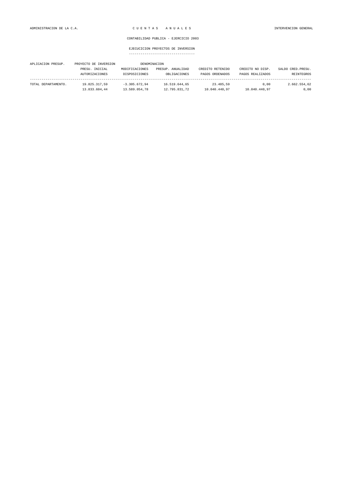| APLICACION PRESUP.  | PROYECTO DE INVERSION |                 | DENOMINACION      |                  |                  |                    |
|---------------------|-----------------------|-----------------|-------------------|------------------|------------------|--------------------|
|                     | PRESU. INICIAL        | MODIFICACIONES  | PRESUP. ANUALIDAD | CREDITO RETENIDO | CREDITO NO DISP. | SALDO CRED. PRESU. |
|                     | AUTORIZACIONES        | DISPOSICIONES   | OBLIGACIONES      | PAGOS ORDENADOS  | PAGOS REALIZADOS | REINTEGROS         |
| TOTAL DEPARTAMENTO. | 19.825.317.59         | $-3.305.672.94$ | 16.519.644.65     | 23.485.59        | 0.00             | 2.662.554.62       |
|                     | 13.833.604.44         | 13.589.054.78   | 12.795.831.72     | 10.040.440.97    | 10.040.440,97    | 0,00               |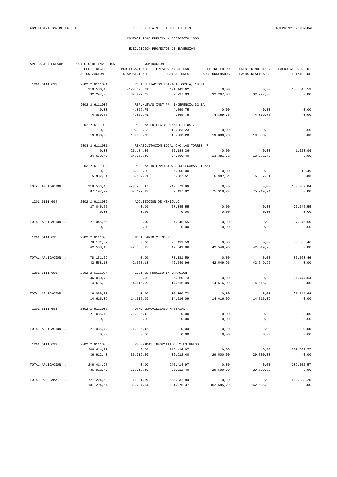| APLICACION PRESUP. | PROYECTO DE INVERSION<br>DENOMINACION |                |                                          |                  |                  |                    |  |  |  |
|--------------------|---------------------------------------|----------------|------------------------------------------|------------------|------------------|--------------------|--|--|--|
|                    | PRESU. INICIAL                        | MODIFICACIONES | PRESUP. ANUALIDAD                        | CREDITO RETENIDO | CREDITO NO DISP. | SALDO CRED. PRESU. |  |  |  |
|                    | <b>AUTORIZACIONES</b>                 | DISPOSICIONES  | OBLIGACIONES                             | PAGOS ORDENADOS  | PAGOS REALIZADOS | <b>REINTEGROS</b>  |  |  |  |
| 1201 6111 692      | 2002 2 6111001                        |                | REHABILITACION EDIFICIO COSTA, 18 ZA     |                  |                  |                    |  |  |  |
|                    | 318.536,43                            | $-127.393,81$  | 191.142,62                               | 0,00             | 0,00             | 158.845,59         |  |  |  |
|                    | 32.297,03                             | 32.297,03      | 32.297,03                                | 32.297,03        | 32.297,03        | 0,00               |  |  |  |
|                    |                                       |                |                                          |                  |                  |                    |  |  |  |
|                    | 2002 2 6111007                        |                | REF. NUEVAS INST. P° INDEPENCIA-32 ZA    |                  |                  |                    |  |  |  |
|                    | 0,00                                  | 4.869,75       | 4.869,75                                 | 0,00             | 0,00             | 0,00               |  |  |  |
|                    | 4.869,75                              | 4.869,75       | 4.869,75                                 | 4.869,75         | 4.869,75         | 0,00               |  |  |  |
|                    | 2002 2 6111008                        |                | REFORMA EDIFICIO PLAZA SITIOS 7          |                  |                  |                    |  |  |  |
|                    | 0,00                                  | 19.383,23      | 19.383,23                                | 0,00             | 0,00             | 0,00               |  |  |  |
|                    | 19.383,23                             | 19.383,23      | 19.383,23                                | 19.383,23        | 19.383,23        | 0,00               |  |  |  |
|                    | 2003 2 6111001                        |                | REHABILITACION LOCAL CNO.LAS TORRES 47   |                  |                  |                    |  |  |  |
|                    | 0,00                                  | 26.184,36      | 26.184,36                                | 0,00             | 0,00             | 1.523,96           |  |  |  |
|                    | 24.660,40                             | 24.660,40      | 24.660,40                                | 13.381,72        | 13.381,72        | 0,00               |  |  |  |
|                    |                                       |                |                                          |                  |                  |                    |  |  |  |
|                    | 2003 2 6111002                        |                | REFORMA INTERVENCIONES DELEGADAS PIGNATE |                  |                  |                    |  |  |  |
|                    | 0,00                                  | 6.000,00       | 6.000,00                                 | 0,00             | 0,00             | 12,49              |  |  |  |
|                    | 5.987,51                              | 5.987,51       | 5.987,51                                 | 5.987,51         | 5.987,51         | 0,00               |  |  |  |
| TOTAL APLICACION   | 318.536,43                            | $-70.956, 47$  | 247.579,96                               | 0,00             | 0,00             | 160.382,04         |  |  |  |
|                    | 87.197,92                             | 87.197,92      | 87.197,92                                | 75.919,24        | 75.919,24        | 0,00               |  |  |  |
| 1201 6111 694      | 2002 2 6111002                        |                | ADQUISICION DE VEHICULO                  |                  |                  |                    |  |  |  |
|                    | 27.045,55                             | 0,00           | 27.045,55                                | 0,00             | 0,00             | 27.045,55          |  |  |  |
|                    | 0,00                                  | 0,00           | 0,00                                     | 0,00             | 0,00             | 0,00               |  |  |  |
|                    |                                       |                |                                          |                  |                  |                    |  |  |  |
| TOTAL APLICACION   | 27.045,55                             | 0,00           | 27.045,55                                | 0,00             | 0,00             | 27.045,55          |  |  |  |
|                    | 0,00                                  | 0,00           | 0,00                                     | 0,00             | 0,00             | 0,00               |  |  |  |
| 1201 6111 695      | 2002 2 6111003                        |                | MOBILIARIO Y ENSERES                     |                  |                  |                    |  |  |  |
|                    | 78.131,59                             | 0,00           | 78.131,59                                | 0,00             | 0,00             | 35.563,46          |  |  |  |
|                    | 42.568,13                             | 42.568,13      | 42.549,96                                | 42.549,96        | 42.549,96        | 0,00               |  |  |  |
| TOTAL APLICACION   | 78.131,59                             | 0,00           | 78.131,59                                | 0,00             | 0,00             | 35.563,46          |  |  |  |
|                    | 42.568,13                             | 42.568,13      | 42.549,96                                | 42.549,96        | 42.549,96        | 0,00               |  |  |  |
|                    |                                       |                |                                          |                  |                  |                    |  |  |  |
| 1201 6111 696      | 2002 2 6111004                        |                | EQUIPOS PROCESO INFORMACION              |                  |                  |                    |  |  |  |
|                    | 36.060,73                             | 0,00           | 36.060,73                                | 0,00             | 0,00             | 21.444,64          |  |  |  |
|                    | 14.616,09                             | 14.616,09      | 14.616,09                                | 14.616,09        | 14.616,09        | 0,00               |  |  |  |
| TOTAL APLICACION   | 36.060,73                             | 0,00           | 36.060,73                                | 0,00             | 0,00             | 21.444,64          |  |  |  |
|                    | 14.616,09                             | 14.616,09      | 14.616,09                                | 14.616,09        | 14.616,09        | 0,00               |  |  |  |
| 1201 6111 698      | 2002 2 6111006                        |                | OTRO INMOVILIZADO MATERIAL               |                  |                  |                    |  |  |  |
|                    | 21.035,42                             | $-21.035, 42$  | 0,00                                     | 0,00             | 0,00             | 0,00               |  |  |  |
|                    | 0,00                                  | 0,00           | $0$ , $00$                               | 0,00             | 0,00             | 0,00               |  |  |  |
|                    |                                       |                |                                          |                  |                  |                    |  |  |  |
| TOTAL APLICACION   | 21.035,42                             | $-21.035, 42$  | 0,00                                     | 0,00             | 0,00             | 0,00               |  |  |  |
|                    | 0,00                                  | 0,00           | 0,00                                     | 0,00             | 0,00             | 0,00               |  |  |  |
| 1201 6111 699      | 2002 2 6111005                        |                | PROGRAMAS INFORMATICOS Y ESTUDIOS        |                  |                  |                    |  |  |  |
|                    | 246.414,97                            | 0,00           | 246.414,97                               | 0,00             | 0,00             | 209.502,57         |  |  |  |
|                    | 36.912,40                             | 36.912,40      | 36.912,40                                | 29.500,00        | 29.500,00        | 0,00               |  |  |  |
|                    |                                       |                |                                          |                  |                  |                    |  |  |  |
| TOTAL APLICACION   | 246.414,97                            | 0,00           | 246.414,97                               | 0,00             | 0,00             | 209.502,57         |  |  |  |
|                    | 36.912,40                             | 36.912,40      | 36.912,40                                | 29.500,00        | 29.500,00        | 0,00               |  |  |  |
| TOTAL PROGRAMA     | 727.224,69                            | $-91.991,89$   | 635.232,80                               | 0,00             | 0,00             | 453.938,26         |  |  |  |
|                    | 181.294,54                            | 181.294,54     | 181.276,37                               | 162.585,29       | 162.585,29       | 0,00               |  |  |  |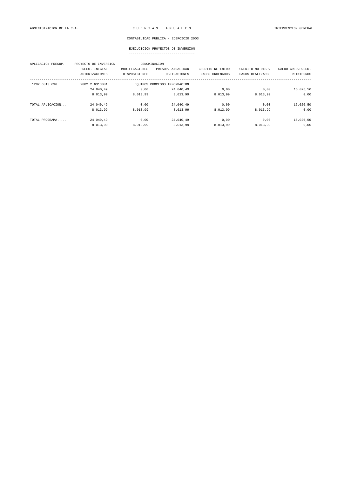# EJECUCICION PROYECTOS DE INVERSION

| APLICACION PRESUP. | PROYECTO DE INVERSION |                | DENOMINACION                 |                  |                  |                    |
|--------------------|-----------------------|----------------|------------------------------|------------------|------------------|--------------------|
|                    | PRESU. INICIAL        | MODIFICACIONES | PRESUP. ANUALIDAD            | CREDITO RETENIDO | CREDITO NO DISP. | SALDO CRED. PRESU. |
|                    | <b>AUTORIZACIONES</b> | DISPOSICIONES  | OBLIGACIONES                 | PAGOS ORDENADOS  | PAGOS REALIZADOS | REINTEGROS         |
| 1202 6313 696      | 2002 2 6313001        |                | EOUIPOS PROCESOS INFORMACION |                  |                  |                    |
|                    | 24.040.49             | 0,00           | 24.040.49                    | 0,00             | 0,00             | 16.026,50          |
|                    | 8.013,99              | 8.013,99       | 8.013.99                     | 8.013.99         | 8.013.99         | 0,00               |
| TOTAL APLICACION   | 24.040.49             | 0.00           | 24.040.49                    | 0.00             | 0.00             | 16.026,50          |
|                    | 8.013,99              | 8.013.99       | 8.013.99                     | 8.013.99         | 8.013,99         | 0,00               |
| TOTAL PROGRAMA     | 24.040,49             | 0.00           | 24.040,49                    | 0,00             | 0.00             | 16.026,50          |
|                    | 8.013,99              | 8.013,99       | 8.013.99                     | 8.013.99         | 8.013,99         | 0,00               |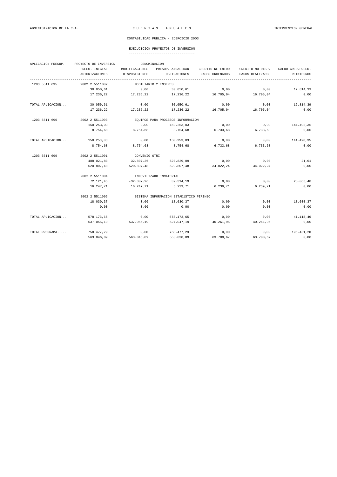# EJECUCICION PROYECTOS DE INVERSION

| APLICACION PRESUP. | PROYECTO DE INVERSION<br>DENOMINACION |                         |                                         |                  |                  |                    |  |  |  |
|--------------------|---------------------------------------|-------------------------|-----------------------------------------|------------------|------------------|--------------------|--|--|--|
|                    | PRESU. INICIAL                        | MODIFICACIONES          | PRESUP. ANUALIDAD                       | CREDITO RETENIDO | CREDITO NO DISP. | SALDO CRED. PRESU. |  |  |  |
|                    | AUTORIZACIONES                        | DISPOSICIONES           | OBLIGACIONES                            | PAGOS ORDENADOS  | PAGOS REALIZADOS | REINTEGROS         |  |  |  |
| 1203 5511 695      | 2002 2 5511002                        |                         | MOBILIARIO Y ENSERES                    |                  |                  |                    |  |  |  |
|                    | 30.050,61                             | 0,00                    | 30.050,61                               | 0,00             | 0,00             | 12.814,39          |  |  |  |
|                    | 17.236,22                             | 17.236,22               | 17.236,22                               | 16.705,04        | 16.705,04        | 0,00               |  |  |  |
| TOTAL APLICACION   | 30.050,61                             | 0,00                    | 30.050,61                               | 0,00             | 0,00             | 12.814,39          |  |  |  |
|                    | 17.236,22                             | 17.236,22               | 17.236,22                               | 16.705,04        | 16.705,04        | 0,00               |  |  |  |
| 1203 5511 696      | 2002 2 5511003                        |                         | EQUIPOS PARA PROCESOS INFORMACION       |                  |                  |                    |  |  |  |
|                    | 150.253,03                            | 0,00                    | 150.253,03                              | 0,00             | 0,00             | 141.498,35         |  |  |  |
|                    | 8.754,68                              | 8.754,68                | 8.754,68                                | 6.733,68         | 6.733,68         | 0,00               |  |  |  |
| TOTAL APLICACION   | 150.253,03                            | 0,00                    | 150.253,03                              | 0,00             | 0,00             | 141.498,35         |  |  |  |
|                    | 8.754,68                              | 8.754,68                | 8.754,68                                | 6.733,68         | 6.733,68         | 0,00               |  |  |  |
| 1203 5511 699      | 2002 2 5511001                        | CONVENIO OTRI           |                                         |                  |                  |                    |  |  |  |
|                    | 488.021,83                            | 32.807,26               | 520.829,09                              | 0,00             | 0,00             | 21,61              |  |  |  |
|                    | 520.807,48                            | 520.807,48              | 520.807,48                              | 34.022,24        | 34.022,24        | 0,00               |  |  |  |
|                    | 2002 2 5511004                        | INMOVILIZADO INMATERIAL |                                         |                  |                  |                    |  |  |  |
|                    | 72.121,45                             | $-32.807, 26$           | 39.314,19                               | 0,00             | 0,00             | 23.066,48          |  |  |  |
|                    | 16.247,71                             | 16.247,71               | 6.239,71                                | 6.239.71         | 6.239,71         | 0,00               |  |  |  |
|                    | 2002 2 5511005                        |                         | SISTEMA INFORMACION ESTADÍSTICO PIRINEO |                  |                  |                    |  |  |  |
|                    | 18.030,37                             | 0,00                    | 18.030,37                               | 0,00             | 0,00             | 18.030,37          |  |  |  |
|                    | 0,00                                  | 0,00                    | 0,00                                    | 0,00             | 0,00             | 0,00               |  |  |  |
| TOTAL APLICACION   | 578.173,65                            | 0,00                    | 578.173,65                              | 0,00             | 0,00             | 41.118,46          |  |  |  |
|                    | 537.055,19                            | 537.055,19              | 527.047,19                              | 40.261,95        | 40.261,95        | 0,00               |  |  |  |
| TOTAL PROGRAMA     | 758.477,29                            | 0,00                    | 758.477,29                              | 0,00             | 0,00             | 195.431,20         |  |  |  |
|                    | 563.046.09                            | 563.046,09              | 553.038.09                              | 63.700,67        | 63.700,67        | 0,00               |  |  |  |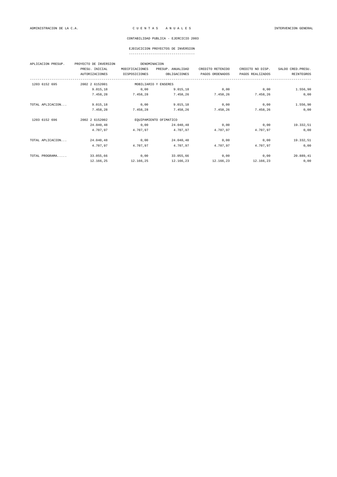# EJECUCICION PROYECTOS DE INVERSION

| APLICACION PRESUP. | PROYECTO DE INVERSION |                | DENOMINACION           |                  |                  |                    |  |  |
|--------------------|-----------------------|----------------|------------------------|------------------|------------------|--------------------|--|--|
|                    | PRESU. INICIAL        | MODIFICACIONES | PRESUP. ANUALIDAD      | CREDITO RETENIDO | CREDITO NO DISP. | SALDO CRED. PRESU. |  |  |
|                    | <b>AUTORIZACIONES</b> | DISPOSICIONES  | OBLIGACIONES           | PAGOS ORDENADOS  | PAGOS REALIZADOS | REINTEGROS         |  |  |
| 1203 6152 695      | 2002 2 6152001        |                | MOBILIARIO Y ENSERES   |                  |                  |                    |  |  |
|                    | 9.015, 18             | 0.00           | 9.015,18               | 0.00             | 0.00             | 1.556,90           |  |  |
|                    | 7.458,28              | 7.458.28       | 7.458.26               | 7.458,26         | 7.458.26         | 0,00               |  |  |
| TOTAL APLICACION   | 9.015, 18             | 0,00           | 9.015, 18              | 0,00             | 0,00             | 1.556,90           |  |  |
|                    | 7.458,28              | 7.458,28       | 7.458,26               | 7.458,26         | 7.458,26         | 0,00               |  |  |
| 1203 6152 696      | 2002 2 6152002        |                | EQUIPAMIENTO OFIMATICO |                  |                  |                    |  |  |
|                    | 24.040.48             | 0.00           | 24.040.48              | 0.00             | 0.00             | 19.332,51          |  |  |
|                    | 4.707.97              | 4.707.97       | 4.707,97               | 4.707,97         | 4.707.97         | 0,00               |  |  |
| TOTAL APLICACION   | 24.040,48             | 0,00           | 24.040,48              | 0,00             | 0,00             | 19.332,51          |  |  |
|                    | 4.707.97              | 4.707.97       | 4.707.97               | 4.707.97         | 4.707.97         | 0,00               |  |  |
| TOTAL PROGRAMA     | 33.055,66             | 0,00           | 33.055,66              | 0,00             | 0,00             | 20.889,41          |  |  |
|                    | 12.166,25             | 12.166.25      | 12.166,23              | 12.166,23        | 12.166.23        | 0,00               |  |  |
|                    |                       |                |                        |                  |                  |                    |  |  |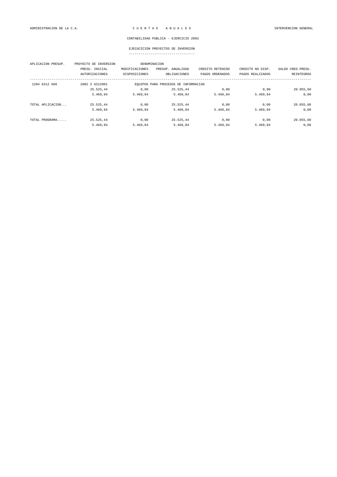| APLICACION PRESUP. | PROYECTO DE INVERSION |                                      | DENOMINACION      |                  |                  |                    |  |
|--------------------|-----------------------|--------------------------------------|-------------------|------------------|------------------|--------------------|--|
|                    | PRESU. INICIAL        | MODIFICACIONES                       | PRESUP. ANUALIDAD | CREDITO RETENIDO | CREDITO NO DISP. | SALDO CRED. PRESU. |  |
|                    | <b>AUTORIZACIONES</b> | DISPOSICIONES                        | OBLIGACIONES      | PAGOS ORDENADOS  | PAGOS REALIZADOS | <b>REINTEGROS</b>  |  |
| 1204 6312 696      | 2002 2 6312001        | EQUIPOS PARA PROCESOS DE INFORMACIÓN |                   |                  |                  |                    |  |
|                    | 25.525,44             | 0,00                                 | 25.525,44         | 0,00             | 0,00             | 20.055,60          |  |
|                    | 5.469,84              | 5.469,84                             | 5.469,84          | 5.469,84         | 5.469,84         | 0,00               |  |
| TOTAL APLICACION   | 25.525,44             | 0,00                                 | 25.525,44         | 0.00             | 0,00             | 20.055,60          |  |
|                    | 5.469.84              | 5.469,84                             | 5.469,84          | 5.469,84         | 5.469,84         | 0,00               |  |
| TOTAL PROGRAMA     | 25.525,44             | 0,00                                 | 25.525,44         | 0,00             | 0,00             | 20.055,60          |  |
|                    | 5.469.84              | 5.469.84                             | 5.469.84          | 5.469.84         | 5.469.84         | 0,00               |  |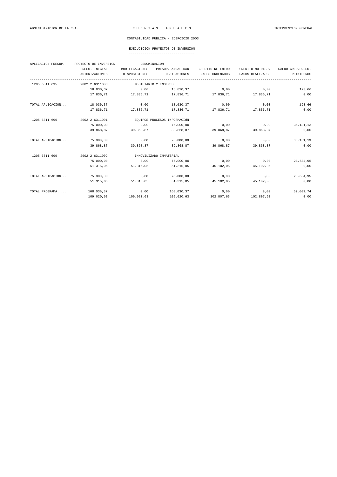# EJECUCICION PROYECTOS DE INVERSION

| APLICACION PRESUP. | PROYECTO DE INVERSION |                              | DENOMINACION            |                  |                  |                    |
|--------------------|-----------------------|------------------------------|-------------------------|------------------|------------------|--------------------|
|                    | PRESU. INICIAL        | MODIFICACIONES               | PRESUP. ANUALIDAD       | CREDITO RETENIDO | CREDITO NO DISP. | SALDO CRED. PRESU. |
|                    | <b>AUTORIZACIONES</b> | DISPOSICIONES                | OBLIGACIONES            | PAGOS ORDENADOS  | PAGOS REALIZADOS | REINTEGROS         |
| 1205 6311 695      | 2002 2 6311003        |                              | MOBILIARIO Y ENSERES    |                  |                  |                    |
|                    | 18.030,37             | 0,00                         | 18.030,37               | 0,00             | 0,00             | 193,66             |
|                    | 17.836,71             | 17.836,71                    | 17.836,71               | 17.836,71        | 17.836,71        | 0,00               |
| TOTAL APLICACION   | 18.030,37             | 0,00                         | 18.030,37               | 0,00             | 0,00             | 193,66             |
|                    | 17.836,71             | 17.836,71                    | 17.836,71               | 17.836,71        | 17.836,71        | 0,00               |
| 1205 6311 696      | 2002 2 6311001        | EOUIPOS PROCESOS INFORMACIÓN |                         |                  |                  |                    |
|                    | 75.000,00             | 0,00                         | 75.000,00               | 0,00             | 0,00             | 35.131,13          |
|                    | 39.868,87             | 39.868,87                    | 39.868,87               | 39.868,87        | 39.868,87        | 0,00               |
| TOTAL APLICACION   | 75.000,00             | 0,00                         | 75.000,00               | 0,00             | 0,00             | 35.131,13          |
|                    | 39.868,87             | 39.868,87                    | 39.868,87               | 39.868,87        | 39.868,87        | 0,00               |
| 1205 6311 699      | 2002 2 6311002        |                              | INMOVILIZADO INMATERIAL |                  |                  |                    |
|                    | 75.000,00             | 0,00                         | 75.000,00               | 0,00             | 0,00             | 23.684,95          |
|                    | 51.315,05             | 51.315,05                    | 51.315,05               | 45.102,05        | 45.102,05        | 0,00               |
| TOTAL APLICACION   | 75.000,00             | 0,00                         | 75.000,00               | 0,00             | 0,00             | 23.684,95          |
|                    | 51.315,05             | 51.315,05                    | 51.315,05               | 45.102,05        | 45.102,05        | 0,00               |
| TOTAL PROGRAMA     | 168.030,37            | 0,00                         | 168.030.37              | 0,00             | 0,00             | 59.009,74          |
|                    | 109.020,63            | 109.020,63                   | 109.020,63              | 102.807,63       | 102.807,63       | 0,00               |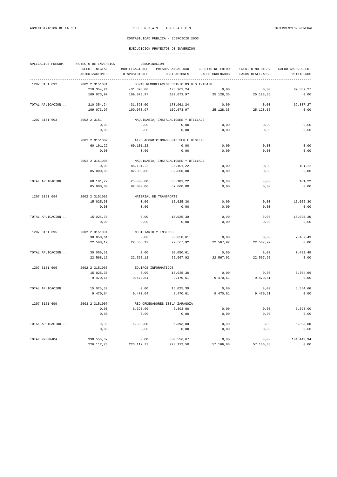#### EJECUCICION PROYECTOS DE INVERSION

| APLICACION PRESUP. | PROYECTO DE INVERSION | DENOMINACION           |                                          |                  |                  |                    |  |  |
|--------------------|-----------------------|------------------------|------------------------------------------|------------------|------------------|--------------------|--|--|
|                    | PRESU. INICIAL        | MODIFICACIONES         | PRESUP. ANUALIDAD                        | CREDITO RETENIDO | CREDITO NO DISP. | SALDO CRED. PRESU. |  |  |
|                    | <b>AUTORIZACIONES</b> | DISPOSICIONES          | OBLIGACIONES                             | PAGOS ORDENADOS  | PAGOS REALIZADOS | <b>REINTEGROS</b>  |  |  |
| 1207 3151 692      | 2002 2 3151001        |                        | OBRAS REMODELACION EDIFICIOS D.G.TRABAJO |                  |                  |                    |  |  |
|                    | 210.354,24            | $-31.393,00$           | 178.961,24                               | 0,00             | 0,00             | 69.887,27          |  |  |
|                    | 109.073,97            | 109.073,97             | 109.073,97                               | 25.128,35        | 25.128,35        | 0,00               |  |  |
| TOTAL APLICACION   | 210.354,24            | $-31.393,00$           | 178.961,24                               | 0,00             | 0,00             | 69.887,27          |  |  |
|                    | 109.073,97            | 109.073,97             | 109.073,97                               | 25.128,35        | 25.128,35        | 0,00               |  |  |
| 1207 3151 693      | 2002 2 3151           |                        | MAQUINARIA, INSTALACIONES Y UTILLAJE     |                  |                  |                    |  |  |
|                    | 0,00                  | 0,00                   | 0,00                                     | 0,00             | 0,00             | 0,00               |  |  |
|                    | 0,00                  | 0,00                   | 0,00                                     | 0,00             | 0,00             | 0,00               |  |  |
|                    | 2002 2 3151002        |                        | AIRE ACONDICIONADO GAB.SEG.E HIGIENE     |                  |                  |                    |  |  |
|                    | 60.101, 22            | $-60.101, 22$          | 0,00                                     | 0,00             | 0,00             | 0,00               |  |  |
|                    | 0,00                  | 0,00                   | 0,00                                     | 0,00             | 0,00             | 0,00               |  |  |
|                    | 2002 2 3151006        |                        | MAQUINARIA, INSTALACIONES Y UTILLAJE     |                  |                  |                    |  |  |
|                    | 0,00                  | 85.101,22              | 85.101,22                                | 0,00             | 0,00             | 101,22             |  |  |
|                    | 85.000,00             | 82.000,00              | 82.000,00                                | 0,00             | 0,00             | 0,00               |  |  |
| TOTAL APLICACION   | 60.101,22             | 25.000,00              | 85.101,22                                | 0,00             | 0,00             | 101,22             |  |  |
|                    | 85.000,00             | 82.000,00              | 82.000,00                                | 0,00             | 0,00             | 0,00               |  |  |
| 1207 3151 694      | 2002 2 3151003        | MATERIAL DE TRANSPORTE |                                          |                  |                  |                    |  |  |
|                    | 15.025,30             | 0,00                   | 15.025,30                                | 0,00             | 0,00             | 15.025,30          |  |  |
|                    | 0,00                  | 0,00                   | 0,00                                     | 0,00             | 0,00             | 0,00               |  |  |
| TOTAL APLICACION   | 15.025,30             | 0,00                   | 15.025,30                                | 0,00             | 0,00             | 15.025,30          |  |  |
|                    | 0,00                  | 0,00                   | 0,00                                     | 0,00             | 0,00             | 0,00               |  |  |
| 1207 3151 695      | 2002 2 3151004        | MOBILIARIO Y ENSERES   |                                          |                  |                  |                    |  |  |
|                    | 30.050,61             | 0,00                   | 30.050,61                                | 0,00             | 0,00             | 7.482,49           |  |  |
|                    | 22.568,12             | 22.568,12              | 22.567,92                                | 22.567,92        | 22.567,92        | 0,00               |  |  |
| TOTAL APLICACION   | 30.050,61             | 0,00                   | 30.050,61                                | 0,00             | 0,00             | 7.482,49           |  |  |
|                    | 22.568,12             | 22.568,12              | 22.567,92                                | 22.567,92        | 22.567,92        | 0,00               |  |  |
| 1207 3151 696      | 2002 2 3151005        | EQUIPOS INFORMATICOS   |                                          |                  |                  |                    |  |  |
|                    | 15.025,30             | 0,00                   | 15.025,30                                | 0,00             | 0,00             | 5.554,66           |  |  |
|                    | 9.470,64              | 9.470,64               | 9.470,61                                 | 9.470, 61        | 9.470,61         | 0,00               |  |  |
| TOTAL APLICACION   | 15.025,30             | 0,00                   | 15.025,30                                | 0,00             | 0,00             | 5.554.66           |  |  |
|                    | 9.470,64              | 9.470,64               | 9.470,61                                 | 9.470,61         | 9.470,61         | 0,00               |  |  |
| 1207 3151 699      | 2003 2 3151007        |                        | RED ORDENADORES ISSLA ZARAGOZA           |                  |                  |                    |  |  |
|                    | 0,00                  | 6.393,00               | 6.393,00                                 | 0,00             | 0,00             | 6.393,00           |  |  |
|                    | 0,00                  | 0,00                   | 0,00                                     | 0,00             | 0,00             | 0,00               |  |  |

TOTAL APLICACION... 0,00 6.393,00 6.393,00 0,00 0,00 6.393,00

TOTAL PROGRAMA..... 330.556,67 0,00 330.556,67 0,00 0,00 0,00 104.443,94<br>221.112,73 223.112,73 223.112,50 57.166,88 57.166,88 0,00

 $223.112,50$ 

0,00 0,00 0,00 0,00 0,00 0,00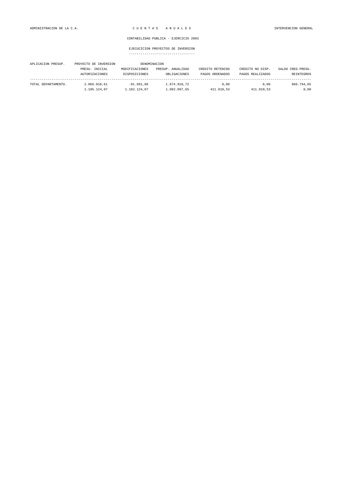| APLICACION PRESUP.  | PROYECTO DE INVERSION | DENOMINACION   |                   |                  |                  |                    |
|---------------------|-----------------------|----------------|-------------------|------------------|------------------|--------------------|
|                     | PRESU. INICIAL        | MODIFICACIONES | PRESUP. ANUALIDAD | CREDITO RETENIDO | CREDITO NO DISP. | SALDO CRED. PRESU. |
|                     | AUTORIZACIONES        | DISPOSICIONES  | OBLIGACIONES      | PAGOS ORDENADOS  | PAGOS REALIZADOS | <b>REINTEGROS</b>  |
| TOTAL DEPARTAMENTO. | 2.066.910.61          | $-91.991.89$   | 1.974.918.72      | 0.00             | 0.00             | 869.794.65         |
|                     | 1.105.124.07          | 1.102.124,07   | 1.092.097.65      | 411.910.53       | 411.910.53       | 0.00               |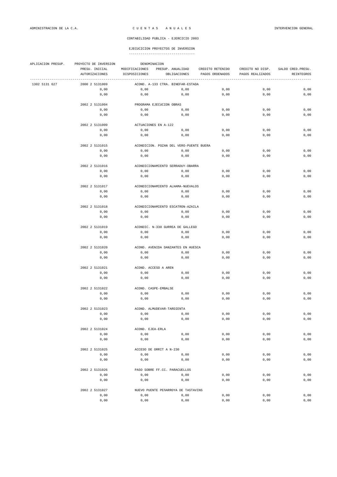| APLICACION PRESUP. | PROYECTO DE INVERSION  | DENOMINACION             |                                                            |                  |                  |                    |  |  |  |  |
|--------------------|------------------------|--------------------------|------------------------------------------------------------|------------------|------------------|--------------------|--|--|--|--|
|                    | PRESU. INICIAL         | MODIFICACIONES           | PRESUP. ANUALIDAD                                          | CREDITO RETENIDO | CREDITO NO DISP. | SALDO CRED. PRESU. |  |  |  |  |
|                    | <b>AUTORIZACIONES</b>  | DISPOSICIONES            | OBLIGACIONES                                               | PAGOS ORDENADOS  | PAGOS REALIZADOS | REINTEGROS         |  |  |  |  |
| 1302 5131 627      | 2000 2 5131009         |                          | ---------------------<br>ACOND. A-133 CTRA. BINEFAR-ESTADA |                  |                  |                    |  |  |  |  |
|                    | 0,00                   | 0,00                     | 0,00                                                       | 0,00             | 0,00             | 0,00               |  |  |  |  |
|                    | 0,00                   | 0,00                     | 0,00                                                       | 0,00             | 0,00             | 0,00               |  |  |  |  |
|                    | 2002 2 5131004         |                          | PROGRAMA EJECUCION OBRAS                                   |                  |                  |                    |  |  |  |  |
|                    | 0,00                   | 0,00                     | 0,00                                                       | 0,00             | 0,00             | 0,00               |  |  |  |  |
|                    | 0,00                   | 0,00                     | 0,00                                                       | 0,00             | 0,00             | 0,00               |  |  |  |  |
|                    |                        |                          |                                                            |                  |                  |                    |  |  |  |  |
|                    | 2002 2 5131009         |                          | ACTUACIONES EN A-122                                       |                  |                  |                    |  |  |  |  |
|                    | 0,00                   | 0,00                     | 0,00                                                       | 0,00             | 0,00             | 0,00               |  |  |  |  |
|                    | 0,00                   | 0,00                     | 0,00                                                       | 0,00             | 0,00             | 0,00               |  |  |  |  |
|                    | 2002 2 5131015         |                          | ACONDICION. POZAN DEL VERO-PUENTE BUERA                    |                  |                  |                    |  |  |  |  |
|                    | 0,00                   | 0,00                     | 0,00                                                       | 0,00             | 0,00             | 0,00               |  |  |  |  |
|                    | 0,00                   | 0,00                     | 0,00                                                       | 0,00             | 0,00             | 0,00               |  |  |  |  |
|                    | 2002 2 5131016         |                          | ACONDICIONAMIENTO SERRADUY-OBARRA                          |                  |                  |                    |  |  |  |  |
|                    | 0,00                   | 0,00                     | 0,00                                                       | 0,00             | 0,00             | 0,00               |  |  |  |  |
|                    | 0,00                   | 0,00                     | 0,00                                                       | 0,00             | 0,00             | 0,00               |  |  |  |  |
|                    | 2002 2 5131017         |                          | ACONDICIONAMIENTO ALHAMA-NUEVALOS                          |                  |                  |                    |  |  |  |  |
|                    |                        |                          | 0,00                                                       | 0,00             | 0,00             | 0,00               |  |  |  |  |
|                    | 0,00<br>0,00           | 0,00<br>0,00             | 0,00                                                       | 0,00             | 0,00             | 0,00               |  |  |  |  |
|                    |                        |                          |                                                            |                  |                  |                    |  |  |  |  |
|                    | 2002 2 5131018         |                          | ACONDICIONAMIENTO ESCATRON-AZAILA                          |                  |                  |                    |  |  |  |  |
|                    | 0,00                   | 0,00                     | 0,00                                                       | 0,00             | 0,00             | 0,00               |  |  |  |  |
|                    | 0,00                   | 0,00                     | 0,00                                                       | 0,00             | 0,00             | 0,00               |  |  |  |  |
|                    | 2002 2 5131019         |                          | ACONDIC. N-330 GURREA DE GALLEGO                           |                  |                  |                    |  |  |  |  |
|                    | 0,00                   | 0,00                     | 0,00                                                       | 0,00             | 0,00             | 0,00               |  |  |  |  |
|                    | 0,00                   | 0,00                     | 0,00                                                       | 0,00             | 0,00             | 0,00               |  |  |  |  |
|                    | 2002 2 5131020         |                          | ACOND. AVENIDA DANZANTES EN HUESCA                         |                  |                  |                    |  |  |  |  |
|                    | 0,00                   | 0,00                     | 0,00                                                       | 0,00             | 0,00             | 0,00               |  |  |  |  |
|                    | 0,00                   | 0,00                     | 0,00                                                       | 0,00             | 0,00             | 0,00               |  |  |  |  |
|                    |                        | ACOND. ACCESO A AREN     |                                                            |                  |                  |                    |  |  |  |  |
|                    | 2002 2 5131021         |                          |                                                            |                  |                  |                    |  |  |  |  |
|                    | 0,00                   | 0,00                     | 0,00                                                       | 0,00             | 0,00             | 0,00               |  |  |  |  |
|                    | 0,00                   | 0,00                     | 0,00                                                       | 0,00             | 0,00             | 0,00               |  |  |  |  |
|                    | 2002 2 5131022         |                          | ACOND. CASPE-EMBALSE                                       |                  |                  |                    |  |  |  |  |
|                    | 0,00                   | 0,00                     | 0,00                                                       | 0,00             | 0,00             | 0,00               |  |  |  |  |
|                    | 0,00                   | 0,00                     | 0,00                                                       | 0,00             | 0,00             | 0,00               |  |  |  |  |
|                    | 2002 2 5131023         |                          | ACOND. ALMUDEVAR-TARDIENTA                                 |                  |                  |                    |  |  |  |  |
|                    | 0,00                   | 0,00                     | 0,00                                                       | 0,00             | 0,00             | 0,00               |  |  |  |  |
|                    | 0,00                   | 0,00                     | 0,00                                                       | 0,00             | 0,00             | $0,00$             |  |  |  |  |
|                    |                        |                          |                                                            |                  |                  |                    |  |  |  |  |
|                    | 2002 2 5131024<br>0,00 | ACOND. EJEA-ERLA<br>0,00 |                                                            | 0,00             | 0,00             |                    |  |  |  |  |
|                    | 0,00                   | 0,00                     | 0,00<br>0,00                                               | 0,00             | 0,00             | 0,00<br>$0$ , $00$ |  |  |  |  |
|                    |                        |                          |                                                            |                  |                  |                    |  |  |  |  |
|                    | 2002 2 5131025         |                          | ACCESO DE ORRIT A N-230                                    |                  |                  |                    |  |  |  |  |
|                    | 0,00                   | 0,00                     | 0,00                                                       | 0,00             | 0,00             | 0,00               |  |  |  |  |
|                    | 0,00                   | 0,00                     | 0,00                                                       | 0,00             | 0,00             | 0,00               |  |  |  |  |
|                    | 2002 2 5131026         |                          | PASO SOBRE FF.CC. PARACUELLOS                              |                  |                  |                    |  |  |  |  |
|                    | 0,00                   | 0,00                     | 0,00                                                       | 0,00             | 0,00             | 0,00               |  |  |  |  |
|                    | 0,00                   | 0,00                     | 0,00                                                       | 0,00             | 0,00             | 0,00               |  |  |  |  |
|                    | 2002 2 5131027         |                          | NUEVO PUENTE PEÑARROYA DE TASTAVINS                        |                  |                  |                    |  |  |  |  |
|                    | 0,00                   | 0,00                     | 0,00                                                       | 0,00             | 0,00             | 0,00               |  |  |  |  |
|                    | 0,00                   | $0$ , $00$               | 0,00                                                       | 0,00             | 0,00             | $0,00$             |  |  |  |  |
|                    |                        |                          |                                                            |                  |                  |                    |  |  |  |  |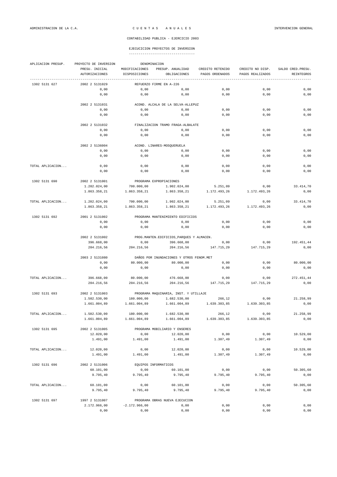| APLICACION PRESUP. | PROYECTO DE INVERSION<br>DENOMINACION   |                                       |                                            |                                     |                                      |                                  |  |  |
|--------------------|-----------------------------------------|---------------------------------------|--------------------------------------------|-------------------------------------|--------------------------------------|----------------------------------|--|--|
|                    | PRESU. INICIAL<br><b>AUTORIZACIONES</b> | MODIFICACIONES<br>DISPOSICIONES       | PRESUP. ANUALIDAD<br>OBLIGACIONES          | CREDITO RETENIDO<br>PAGOS ORDENADOS | CREDITO NO DISP.<br>PAGOS REALIZADOS | SALDO CRED. PRESU.<br>REINTEGROS |  |  |
| 1302 5131 627      | 2002 2 5131029                          |                                       | REFUERZO FIRME EN A-226                    |                                     |                                      |                                  |  |  |
|                    | 0,00                                    | 0,00                                  | 0,00                                       | 0,00                                | 0,00                                 | 0,00                             |  |  |
|                    | 0,00                                    | 0,00                                  | 0,00                                       | 0,00                                | 0,00                                 | 0,00                             |  |  |
|                    | 2002 2 5131031                          |                                       | ACOND. ALCALA DE LA SELVA-ALLEPUZ          |                                     |                                      |                                  |  |  |
|                    | 0,00                                    | 0,00                                  | 0,00                                       | 0,00                                | 0,00                                 | 0,00                             |  |  |
|                    | 0,00                                    | 0,00                                  | 0,00                                       | 0,00                                | 0,00                                 | 0,00                             |  |  |
|                    | 2002 2 5131032                          |                                       | FINALIZACION TRAMO FRAGA-ALBALATE          |                                     |                                      |                                  |  |  |
|                    | 0,00                                    | 0,00                                  | 0,00                                       | 0,00                                | 0,00                                 | 0,00                             |  |  |
|                    | 0,00                                    | 0,00                                  | 0,00                                       | 0,00                                | 0,00                                 | 0,00                             |  |  |
|                    | 2002 2 5136004                          |                                       | ACOND. LINARES-MOSQUERUELA                 |                                     |                                      |                                  |  |  |
|                    | 0,00                                    | 0,00                                  | 0,00                                       | 0,00                                | 0,00                                 | 0,00                             |  |  |
|                    | 0,00                                    | 0,00                                  | 0,00                                       | 0,00                                | 0,00                                 | 0,00                             |  |  |
| TOTAL APLICACION   | 0,00                                    | 0,00                                  | 0,00                                       | 0,00                                | 0,00                                 | 0,00                             |  |  |
|                    | 0,00                                    | 0,00                                  | 0,00                                       | 0,00                                | 0,00                                 | 0,00                             |  |  |
| 1302 5131 690      | 2002 2 5131001                          |                                       | PROGRAMA EXPROPIACIONES                    |                                     |                                      |                                  |  |  |
|                    | 1.202.024,00                            | 700.000,00                            | 1.902.024,00                               | 5.251,09                            | 0,00                                 | 33.414,70                        |  |  |
|                    | 1.863.358,21                            | 1.863.358,21                          | 1.863.358,21                               | 1.172.493,26                        | 1.172.493,26                         | 0,00                             |  |  |
| TOTAL APLICACION   | 1.202.024,00                            | 700.000,00                            | 1.902.024,00                               | 5.251,09                            | 0,00                                 | 33.414,70                        |  |  |
|                    | 1.863.358,21                            | 1.863.358,21                          | 1.863.358,21                               | 1.172.493,26                        | 1.172.493,26                         | 0,00                             |  |  |
| 1302 5131 692      | 2001 2 5131002                          |                                       | PROGRAMA MANTENIMIENTO EDIFICIOS           |                                     |                                      |                                  |  |  |
|                    | 0,00                                    | 0,00                                  | 0,00                                       | 0,00                                | 0,00                                 | 0,00                             |  |  |
|                    | 0,00                                    | 0,00                                  | 0,00                                       | 0,00                                | 0,00                                 | 0,00                             |  |  |
|                    | 2002 2 5131002                          |                                       | PROG. MANTEN. EDIFICIOS_PARQUES Y ALMACEN. |                                     |                                      |                                  |  |  |
|                    | 396.668,00                              | 0,00                                  | 396.668,00                                 | 0,00                                | 0,00                                 | 192.451,44                       |  |  |
|                    | 204.216,56                              | 204.216,56                            | 204.216,56                                 | 147.715,29                          | 147.715,29                           | 0,00                             |  |  |
|                    | 2003 2 5131080                          |                                       | DAÑOS POR INUNDACIONES Y OTROS FENOM. MET  |                                     |                                      |                                  |  |  |
|                    | 0,00                                    | 80.000,00                             | 80.000,00                                  | 0,00                                | 0,00                                 | 80.000,00                        |  |  |
|                    | 0,00                                    | 0,00                                  | 0,00                                       | 0,00                                | 0,00                                 | 0,00                             |  |  |
| TOTAL APLICACION   | 396.668,00                              | 80.000,00                             | 476.668,00                                 | 0,00                                | 0,00                                 | 272.451,44                       |  |  |
|                    | 204.216,56                              | 204.216,56                            | 204.216,56                                 | 147.715,29                          | 147.715,29                           | 0,00                             |  |  |
| 1302 5131 693      | 2002 2 5131003                          | PROGRAMA MAQUINARIA, INST. Y UTILLAJE |                                            |                                     |                                      |                                  |  |  |
|                    | 1.502.530,00                            | 180.000,00                            | 1.682.530,00                               | 266,12                              | 0,00                                 | 21.258,99                        |  |  |
|                    | 1.661.004,89                            | 1.661.004,89                          | 1.661.004,89                               | 1.639.303,85                        | 1.639.303,85                         | 0,00                             |  |  |
| TOTAL APLICACION   | 1.502.530,00                            | 180.000,00                            | 1.682.530,00                               | 266,12                              | 0,00                                 | 21.258,99                        |  |  |
|                    | 1.661.004,89                            | 1.661.004,89                          | 1.661.004,89                               | 1.639.303,85                        | 1.639.303,85                         | 0,00                             |  |  |
| 1302 5131 695      | 2002 2 5131005                          |                                       | PROGRAMA MOBILIARIO Y ENSERES              |                                     |                                      |                                  |  |  |
|                    | 12.020,00                               | 0,00                                  | 12.020,00                                  | 0,00                                | 0,00                                 | 10.529,00                        |  |  |
|                    | 1.491,00                                | 1.491,00                              | 1.491,00                                   | 1.307,49                            | 1.307,49                             | 0,00                             |  |  |
| TOTAL APLICACION   | 12.020,00                               | 0,00                                  | 12.020,00                                  | 0,00                                | 0,00                                 | 10.529,00                        |  |  |
|                    | 1.491,00                                | 1.491,00                              | 1.491,00                                   | 1.307,49                            | 1.307,49                             | 0,00                             |  |  |
| 1302 5131 696      | 2002 2 5131006                          |                                       | EQUIPOS INFORMATICOS                       |                                     |                                      |                                  |  |  |
|                    | 60.101,00                               | 0,00                                  | 60.101,00                                  | 0,00                                | 0,00                                 | 50.305,60                        |  |  |
|                    | 9.795,40                                | 9.795,40                              | 9.795,40                                   | 9.795,40                            | 9.795,40                             | 0,00                             |  |  |
| TOTAL APLICACION   | 60.101,00                               | 0,00                                  | 60.101,00                                  | 0,00                                | 0,00                                 | 50.305,60                        |  |  |
|                    | 9.795,40                                | 9.795,40                              | 9.795,40                                   | 9.795,40                            | 9.795,40                             | 0,00                             |  |  |
| 1302 5131 697      | 1997 2 5131007                          |                                       | PROGRAMA OBRAS NUEVA EJECUCION             |                                     |                                      |                                  |  |  |
|                    | 2.172.966,00                            | $-2.172.966,00$                       | 0,00                                       | 0,00                                | 0,00                                 | 0,00                             |  |  |
|                    | 0,00                                    | 0,00                                  | 0,00                                       | 0,00                                | 0,00                                 | 0,00                             |  |  |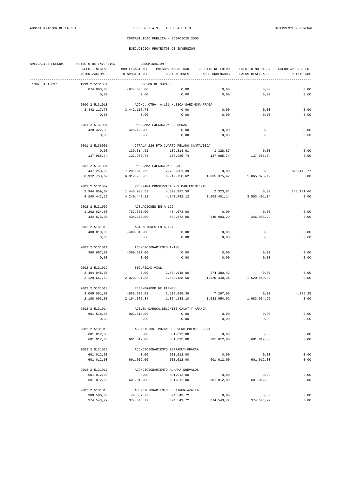| APLICACION PRESUP. | DENOMINACION<br>PROYECTO DE INVERSION |                       |                                           |                           |                  |                    |  |
|--------------------|---------------------------------------|-----------------------|-------------------------------------------|---------------------------|------------------|--------------------|--|
|                    | PRESU. INICIAL                        | MODIFICACIONES        | PRESUP. ANUALIDAD                         | CREDITO RETENIDO          | CREDITO NO DISP. | SALDO CRED. PRESU. |  |
|                    | AUTORIZACIONES                        | DISPOSICIONES         | OBLIGACIONES                              | PAGOS ORDENADOS           | PAGOS REALIZADOS | REINTEGROS         |  |
| 1302 5131 697      | 1999 2 5131004                        | EJECUCION DE OBRAS    |                                           |                           |                  |                    |  |
|                    | 874.008,00                            | $-874.008,00$         | 0,00                                      | 0,00                      | 0,00             | 0,00               |  |
|                    | 0,00                                  | 0,00                  | 0,00                                      | 0,00                      | 0,00             | 0,00               |  |
|                    | 2000 2 5131010                        |                       | ACOND. CTRA. A-131 HUESCA-SARI¤ENA-FRAGA  |                           |                  |                    |  |
|                    | 3.442.117,78                          | $-3.442.117,78$       | 0,00                                      | 0,00                      | 0,00             | 0,00               |  |
|                    | 0,00                                  | 0,00                  | 0,00                                      | 0,00                      | 0,00             | 0,00               |  |
|                    |                                       |                       |                                           |                           |                  |                    |  |
|                    | 2001 2 5131004                        |                       | PROGRAMA EJECUCION DE OBRAS               |                           |                  |                    |  |
|                    | 428.422,00                            | $-428.422,00$         | 0,00                                      | 0,00                      | 0,00             | 0,00               |  |
|                    | 0,00                                  | 0,00                  | 0,00                                      | 0,00                      | 0,00             | 0,00               |  |
|                    | 2001 2 5136001                        |                       | CTRA.A-226 PTO.CUARTO PELADO-CANTAVIEJA   |                           |                  |                    |  |
|                    | 0,00                                  | 139.314,61            | 139.314,61                                | 1.328,87                  | 0,00             | 0,00               |  |
|                    | 137.985,74                            | 137.985,74            | 137.985,74                                | 137.985,74                | 137.985,74       | 0,00               |  |
|                    | 2002 2 5131004                        |                       | PROGRAMA EJECUCION OBRAS                  |                           |                  |                    |  |
|                    | 447.253,00                            | 7.291.648,39          | 7.738.901,39                              | 0,00                      | 0,00             | 826.142,77         |  |
|                    | 6.912.758,62                          | 6.912.758,62          |                                           | 6.912.758,62 1.865.375,42 | 1.865.375,42     | 0,00               |  |
|                    |                                       |                       |                                           |                           |                  |                    |  |
|                    | 2002 2 5131007                        |                       | PROGRAMA CONSERVACION Y MANTENIMIENTO     |                           |                  |                    |  |
|                    | 2.944.959,00                          | 1.445.938,59          | 4.390.897,59                              | 2.323,81                  | 0,00             | 148.131,66         |  |
|                    | 4.240.442,12                          | 4.240.442,12          | 4.240.442,12                              | 3.503.401,14              | 3.503.401,14     | 0,00               |  |
|                    | 2002 2 5131009                        | ACTUACIONES EN A-122  |                                           |                           |                  |                    |  |
|                    | 1.202.024,00                          | $-767.351,00$         | 434.673,00                                | 0,00                      | 0,00             | 0,00               |  |
|                    | 434.673,00                            | 434.673,00            | 434.673,00                                | 346.903,29                | 346.903,29       | 0,00               |  |
|                    | 2002 2 5131010                        | ACTUACIONES EN A-127  |                                           |                           |                  |                    |  |
|                    | 480.810,00                            | $-480.810,00$         | 0,00                                      | 0,00                      | 0,00             | 0,00               |  |
|                    | 0,00                                  | 0,00                  | 0,00                                      | 0,00                      | 0,00             | 0,00               |  |
|                    |                                       |                       |                                           |                           |                  |                    |  |
|                    | 2002 2 5131011                        |                       | ACONDICIONAMIENTO A-136                   |                           |                  |                    |  |
|                    | 360.607,00                            | $-360.607,00$         | 0,00                                      | 0,00                      | 0,00             | 0,00               |  |
|                    | 0,00                                  | 0,00                  | 0,00                                      | 0,00                      | 0,00             | 0,00               |  |
|                    | 2002 2 5131012                        | SEGURIDAD VIAL        |                                           |                           |                  |                    |  |
|                    | 2.404.048,00                          | 0,00                  | 2.404.048,00                              | 274.380,42                | 0,00             | 0,00               |  |
|                    | 2.129.667,58                          | 2.028.991,35          | 1.664.138,50                              | 1.520.440,34              | 1.520.440,34     | 0,00               |  |
|                    | 2002 2 5131013                        | REGENERADOR DE FIRMES |                                           |                           |                  |                    |  |
|                    | 3.005.061,00                          | -885.375,61           | 2.119.685,39                              | 7.297,06                  | 0,00             | 4.385.25           |  |
|                    | 2.108.003,08                          | 2.104.376,34          | 1.854.138,10                              | 1.683.054,92              | 1.683.054,92     | 0,00               |  |
|                    | 2002 2 5131014                        |                       | ACT. EN DAROCA, BELCHITE, CALAT. Y ARANDA |                           |                  |                    |  |
|                    | 901.518,00                            | $-901.518,00$         | 0,00                                      | 0,00                      | 0,00             | 0,00               |  |
|                    | 0,00                                  | 0,00                  | 0,00                                      | 0,00                      | 0,00             | 0,00               |  |
|                    |                                       |                       |                                           |                           |                  |                    |  |
|                    | 2002 2 5131015                        |                       | ACONDICION. POZAN DEL VERO-PUENTE BUERA   |                           |                  |                    |  |
|                    | 601.012,00                            | 0,00                  | 601.012,00                                | 0,00                      | 0,00             | 0,00               |  |
|                    | 601.012,00                            | 601.012,00            | 601.012,00                                | 601.012,00                | 601.012,00       | 0,00               |  |
|                    | 2002 2 5131016                        |                       | ACONDICIONAMIENTO SERRADUY-OBARRA         |                           |                  |                    |  |
|                    | 601.012,00                            | 0,00                  | 601.012,00                                | 0,00                      | 0,00             | 0,00               |  |
|                    | 601.012,00                            | 601.012,00            | 601.012,00                                | 601.012,00                | 601.012,00       | 0,00               |  |
|                    | 2002 2 5131017                        |                       | ACONDICIONAMIENTO ALHAMA-NUEVALOS         |                           |                  |                    |  |
|                    | 601.012,00                            | 0,00                  | 601.012,00                                | 0,00                      | 0,00             | 0,00               |  |
|                    | 601.012,00                            | 601.012,00            | 601.012,00                                | 601.012,00                | 601.012,00       | 0,00               |  |
|                    |                                       |                       |                                           |                           |                  |                    |  |
|                    | 2002 2 5131018                        |                       | ACONDICIONAMIENTO ESCATRON-AZAILA         |                           |                  |                    |  |
|                    | 300.506,00                            | 74.037,72             | 374.543,72                                | 0,00                      | 0,00             | 0,00               |  |
|                    | 374.543,72                            | 374.543,72            | 374.543,72                                | 374.543,72                | 374.543,72       | 0,00               |  |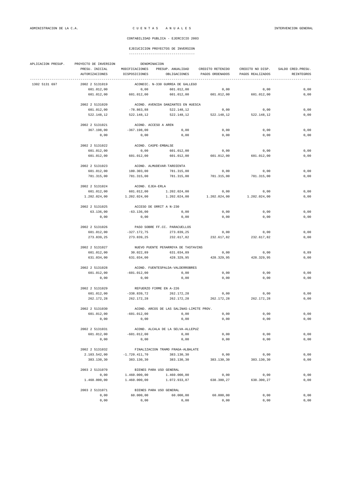| APLICACION PRESUP. | PROYECTO DE INVERSION<br>DENOMINACION                   |                                  |                                          |                                                                                       |                  |                                  |  |
|--------------------|---------------------------------------------------------|----------------------------------|------------------------------------------|---------------------------------------------------------------------------------------|------------------|----------------------------------|--|
|                    | PRESU. INICIAL<br>AUTORIZACIONES<br>------------------- | DISPOSICIONES                    | OBLIGACIONES                             | MODIFICACIONES PRESUP. ANUALIDAD CREDITO RETENIDO CREDITO NO DISP.<br>PAGOS ORDENADOS | PAGOS REALIZADOS | SALDO CRED. PRESU.<br>REINTEGROS |  |
| 1302 5131 697      | 2002 2 5131019                                          |                                  | ACONDIC. N-330 GURREA DE GALLEGO         |                                                                                       |                  |                                  |  |
|                    | 601.012,00                                              | 0,00                             | 601.012,00                               | 0,00                                                                                  | 0,00             | 0,00                             |  |
|                    | 601.012,00                                              | 601.012,00                       |                                          | 601.012,00 601.012,00                                                                 | 601.012,00       | 0,00                             |  |
|                    | 2002 2 5131020                                          |                                  | ACOND. AVENIDA DANZANTES EN HUESCA       |                                                                                       |                  |                                  |  |
|                    | 601.012,00                                              | $-78.863,88$                     | 522.148,12                               | 0,00                                                                                  | 0,00             | 0,00                             |  |
|                    | 522.148,12                                              | 522.148,12                       |                                          | 522.148,12 522.148,12                                                                 | 522.148,12       | 0,00                             |  |
|                    | 2002 2 5131021                                          | ACOND. ACCESO A AREN             |                                          |                                                                                       |                  |                                  |  |
|                    | 367.198,00                                              | $-367.198,00$                    | 0,00                                     | 0,00                                                                                  | 0,00             | 0,00                             |  |
|                    | 0,00                                                    | 0,00                             | 0,00                                     | 0,00                                                                                  | 0,00             | 0,00                             |  |
|                    | 2002 2 5131022                                          | ACOND. CASPE-EMBALSE             |                                          |                                                                                       |                  |                                  |  |
|                    | 601.012,00                                              |                                  | 0,00 601.012,00                          | 0,00                                                                                  | 0,00             | 0,00                             |  |
|                    | 601.012,00                                              | 601.012,00                       | 601.012,00                               | 601.012,00                                                                            | 601.012,00       | 0,00                             |  |
|                    | 2002 2 5131023                                          |                                  | ACOND. ALMUDEVAR-TARDIENTA               |                                                                                       |                  |                                  |  |
|                    | 601.012,00                                              | 180.303,00                       | 781.315,00                               | 0,00                                                                                  | 0,00             | 0,00                             |  |
|                    | 781.315,00                                              | 781.315,00                       | 781.315,00                               | 781.315,00                                                                            | 781.315,00       | 0,00                             |  |
|                    | 2002 2 5131024                                          |                                  |                                          |                                                                                       |                  |                                  |  |
|                    | 601.012,00                                              | ACOND. EJEA-ERLA                 | 601.012,00  1.202.024,00                 | 0,00                                                                                  | 0,00             | 0,00                             |  |
|                    | 1.202.024,00                                            | 1.202.024,00                     | 1.202.024,00                             | 1.202.024,00                                                                          | 1.202.024,00     | 0,00                             |  |
|                    |                                                         |                                  |                                          |                                                                                       |                  |                                  |  |
|                    | 2002 2 5131025                                          |                                  | ACCESO DE ORRIT A N-230                  |                                                                                       |                  |                                  |  |
|                    | 63.136,00                                               | $-63.136,00$                     | 0,00                                     | 0,00                                                                                  | 0,00             | 0,00                             |  |
|                    | 0,00                                                    | 0,00                             | 0,00                                     | 0,00                                                                                  | 0,00             | 0,00                             |  |
|                    | 2002 2 5131026                                          |                                  | PASO SOBRE FF.CC. PARACUELLOS            |                                                                                       |                  |                                  |  |
|                    | 601.012,00                                              |                                  | $-327.172,75$ 273.839,25                 | 0,00                                                                                  | 0,00             | 0,00                             |  |
|                    | 273.839,25                                              | 273.839,25                       | 232.617,82                               | 232.617,82                                                                            | 232.617,82       | 0,00                             |  |
|                    | 2002 2 5131027                                          |                                  | NUEVO PUENTE PEÑARROYA DE TASTAVINS      |                                                                                       |                  |                                  |  |
|                    | 601.012,00                                              | 30.022,89                        | 631.034,89                               | 0,00                                                                                  | 0,00             | 0,89                             |  |
|                    | 631.034,00                                              | 631.034,00                       |                                          | 428.329,95 428.329,95                                                                 | 428.329,95       | 0,00                             |  |
|                    | 2002 2 5131028                                          | ACOND. FUENTESPALDA-VALDERROBRES |                                          |                                                                                       |                  |                                  |  |
|                    | 601.012,00                                              | $-601.012,00$                    | 0,00                                     | 0,00                                                                                  | 0,00             | 0,00                             |  |
|                    | 0,00                                                    | 0,00                             | 0,00                                     | 0,00                                                                                  | 0,00             | 0,00                             |  |
|                    | 2002 2 5131029                                          | REFUERZO FIRME EN A-226          |                                          |                                                                                       |                  |                                  |  |
|                    | 601.012,00                                              | $-338.839,72$                    | 262.172,28                               | 0,00                                                                                  | 0,00             | 0,00                             |  |
|                    | 262.172,28                                              | 262.172,28                       | 262.172,28                               | 262.172,28                                                                            | 262.172,28       | 0,00                             |  |
|                    |                                                         |                                  |                                          |                                                                                       |                  |                                  |  |
|                    | 2002 2 5131030                                          |                                  | ACOND. ARCOS DE LAS SALINAS-LIMITE PROV. |                                                                                       |                  |                                  |  |
|                    | 601.012,00<br>0,00                                      | $-601.012,00$<br>0,00            | 0,00<br>0,00                             | 0,00<br>0,00                                                                          | 0,00<br>0,00     | 0,00<br>0,00                     |  |
|                    |                                                         |                                  |                                          |                                                                                       |                  |                                  |  |
|                    | 2002 2 5131031                                          |                                  | ACOND. ALCALA DE LA SELVA-ALLEPUZ        |                                                                                       |                  |                                  |  |
|                    | 601.012,00                                              | $-601.012,00$                    | 0,00                                     | 0,00                                                                                  | 0,00             | $0,00$                           |  |
|                    | 0,00                                                    | 0,00                             | 0,00                                     | 0,00                                                                                  | 0,00             | $0,00$                           |  |
|                    | 2002 2 5131032                                          |                                  | FINALIZACION TRAMO FRAGA-ALBALATE        |                                                                                       |                  |                                  |  |
|                    | 2.103.542,00                                            | $-1.720.411,70$                  | 383.130,30                               | 0,00                                                                                  | 0,00             | 0,00                             |  |
|                    | 383.130,30                                              | 383.130,30                       | 383.130,30                               | 383.130,30                                                                            | 383.130,30       | 0,00                             |  |
|                    | 2003 2 5131070                                          |                                  | BIENES PARA USO GENERAL                  |                                                                                       |                  |                                  |  |
|                    | 0,00                                                    | 1.460.000,00                     | 1.460.000,00                             | 0,00                                                                                  | 0,00             | 0,00                             |  |
|                    | 1.460.000,00                                            | 1.460.000,00                     | 1.072.933,87                             | 638.300,27                                                                            | 638.300,27       | 0,00                             |  |
|                    | 2003 2 5131071                                          |                                  | BIENES PARA USO GENERAL                  |                                                                                       |                  |                                  |  |
|                    | 0,00                                                    | 60.000,00                        | 60.000,00                                | 60.000,00                                                                             | 0,00             | 0,00                             |  |
|                    | 0,00                                                    | 0,00                             | 0,00                                     | 0,00                                                                                  | 0,00             | 0,00                             |  |
|                    |                                                         |                                  |                                          |                                                                                       |                  |                                  |  |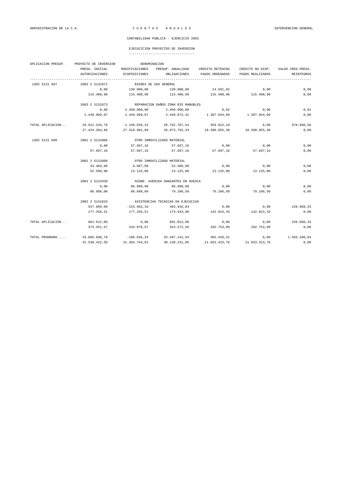# EJECUCICION PROYECTOS DE INVERSION

| APLICACION PRESUP. | PROYECTO DE INVERSION | DENOMINACION    |                                    |                                           |                  |                    |  |  |
|--------------------|-----------------------|-----------------|------------------------------------|-------------------------------------------|------------------|--------------------|--|--|
|                    | PRESU. INICIAL        | MODIFICACIONES  | PRESUP. ANUALIDAD                  | CREDITO RETENIDO                          | CREDITO NO DISP. | SALDO CRED. PRESU. |  |  |
|                    | <b>AUTORIZACIONES</b> | DISPOSICIONES   | OBLIGACIONES                       | PAGOS ORDENADOS                           | PAGOS REALIZADOS | REINTEGROS         |  |  |
| 1302 5131 697      | 2003 2 5131072        |                 | BIENES DE USO GENERAL              |                                           |                  |                    |  |  |
|                    | 0,00                  | 130.000,00      | 130.000,00                         | 14.591,02                                 | 0,00             | 0,00               |  |  |
|                    | 115.408,98            | 115.408,98      | 115.408,98                         | 115.408,98                                | 115.408,98       | 0,00               |  |  |
|                    | 2003 2 5131073        |                 | REPARACION DAÑOS ZONA RIO MANUBLES |                                           |                  |                    |  |  |
|                    | 0,00                  | 2.450.000,00    | 2.450.000,00                       | 0, 92                                     | 0,00             | 0,01               |  |  |
|                    | 2.449.999,07          | 2.449.999,07    | 2.449.972,31                       | 1.387.844,09                              | 1.387.844,09     | 0,00               |  |  |
| TOTAL APLICACION   | 29.912.343,78         | $-1.149.556,24$ | 28.762.787,54                      | 359.922,10                                | 0,00             | 978.660,58         |  |  |
|                    | 27.424.204,86         | 27.319.901,89   |                                    | 26.073.792.43 18.390.055.38 18.390.055.38 |                  | 0,00               |  |  |
| 1302 5131 698      | 2001 2 5131006        |                 | OTRO INMOVILIZADO MATERIAL         |                                           |                  |                    |  |  |
|                    | 0,00                  | 57.697,16       | 57.697,16                          | 0,00                                      | 0,00             | 0,00               |  |  |
|                    | 57.697,16             |                 | 57.697,16 57.697,16                | 57.697,16                                 | 57.697,16        | 0,00               |  |  |
|                    | 2002 2 5131008        |                 | OTRO INMOVILIZADO MATERIAL         |                                           |                  |                    |  |  |
|                    | 43.403,00             | 9.097,00        | 52.500,00                          | 0,00                                      | 0.00             | 0,00               |  |  |
|                    | 52.500,00             | 13.125,00       | 13.125,00                          | 13.125,00                                 | 13.125,00        | 0,00               |  |  |
|                    | 2002 2 5131020        |                 | ACOND. AVENIDA DANZANTES EN HUESCA |                                           |                  |                    |  |  |
|                    | 0,00                  | 86.898,00       | 86.898,00                          | 0,00                                      | 0,00             | 0,00               |  |  |
|                    | 86.898,00             | 86.898,00       | 79.106,50                          | 79.106,50                                 | 79.106,50        | 0,00               |  |  |
|                    | 2002 2 5131033        |                 | ASISTENCIAS TECNICAS EN EJECUCIÓN  |                                           |                  |                    |  |  |
|                    | 557.609,00            | $-153.692,16$   | 403.916,84                         | 0,00                                      | 0,00             | 226.660,33         |  |  |
|                    | 177.256,51            | 177.256,51      | 174.643,90                         | 142.824,43                                | 142.824,43       | 0,00               |  |  |
| TOTAL APLICACION   | 601.012,00            | 0,00            | 601.012,00                         | 0,00                                      | 0,00             | 226.660,33         |  |  |
|                    | 374.351,67            | 334.976,67      | 324.572,56                         | 292.753,09                                | 292.753,09       | 0,00               |  |  |
| TOTAL PROGRAMA     | 33.686.698,78         | $-189.556, 24$  | 33.497.142,54                      | 365.439,31                                | 0,00             | 1.593.280,64       |  |  |
|                    | 31.538.422,59         | 31.394.744,62   | 30.138.231,05                      | 21.653.423,76                             | 21.653.423,76    | 0,00               |  |  |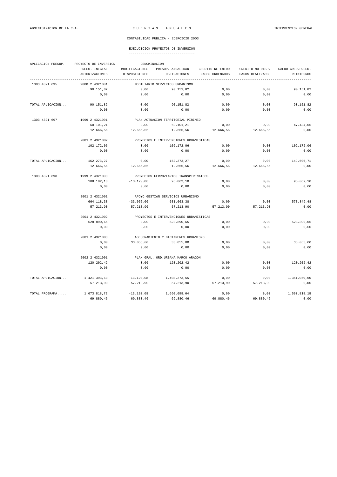# EJECUCICION PROYECTOS DE INVERSION

| APLICACION PRESUP. | DENOMINACION<br>PROYECTO DE INVERSION |                                         |                                         |                  |                  |                    |  |  |  |
|--------------------|---------------------------------------|-----------------------------------------|-----------------------------------------|------------------|------------------|--------------------|--|--|--|
|                    | PRESU. INICIAL                        | MODIFICACIONES                          | PRESUP. ANUALIDAD                       | CREDITO RETENIDO | CREDITO NO DISP. | SALDO CRED. PRESU. |  |  |  |
|                    | <b>AUTORIZACIONES</b>                 | DISPOSICIONES                           | OBLIGACIONES                            | PAGOS ORDENADOS  | PAGOS REALIZADOS | <b>REINTEGROS</b>  |  |  |  |
| 1303 4321 695      | 2000 2 4321001                        |                                         | MOBILIARIO SERVICIOS URBANISMO          |                  |                  |                    |  |  |  |
|                    | 90.151,82                             | 0,00                                    | 90.151,82                               | 0,00             | 0,00             | 90.151,82          |  |  |  |
|                    | 0,00                                  | 0,00                                    | 0,00                                    | 0,00             | 0,00             | 0,00               |  |  |  |
| TOTAL APLICACION   | 90.151,82                             | 0,00                                    | 90.151.82                               | 0.00             | 0.00             | 90.151.82          |  |  |  |
|                    | 0,00                                  | 0,00                                    | 0,00                                    | 0,00             | 0,00             | 0,00               |  |  |  |
| 1303 4321 697      | 1999 2 4321001                        |                                         | PLAN ACTUACION TERRITORIAL PIRINEO      |                  |                  |                    |  |  |  |
|                    | 60.101,21                             | 0.00                                    | 60.101,21                               | 0,00             | 0.00             | 47.434,65          |  |  |  |
|                    | 12.666,56                             | 12.666,56                               | 12.666,56                               | 12.666,56        | 12.666,56        | 0,00               |  |  |  |
|                    | 2001 2 4321002                        | PROYECTOS E INTERVENCIONES URBANISTICAS |                                         |                  |                  |                    |  |  |  |
|                    | 102.172,06                            | 0,00                                    | 102.172,06                              | 0,00             | 0,00             | 102.172,06         |  |  |  |
|                    | 0,00                                  | 0,00                                    | 0,00                                    | 0,00             | 0,00             | 0,00               |  |  |  |
| TOTAL APLICACION   | 162.273,27                            | 0,00                                    | 162.273,27                              | 0,00             | 0,00             | 149.606,71         |  |  |  |
|                    | 12.666,56                             | 12.666,56                               | 12.666,56                               | 12.666,56        | 12.666,56        | 0,00               |  |  |  |
| 1303 4321 698      | 1999 2 4321003                        |                                         | PROYECTOS FERROVIARIOS TRANSPIRENAICOS  |                  |                  |                    |  |  |  |
|                    | 108.182,18                            | $-13.120.08$                            | 95.062,10                               | 0,00             | 0,00             | 95.062,10          |  |  |  |
|                    | 0,00                                  | 0,00                                    | 0,00                                    | 0,00             | 0,00             | 0,00               |  |  |  |
|                    | 2001 2 4321001                        | APOYO GESTIÓN SERVICIOS URBANISMO       |                                         |                  |                  |                    |  |  |  |
|                    | 664.118,38                            | $-33.055,00$                            | 631.063,38                              | 0,00             | 0.00             | 573.849,48         |  |  |  |
|                    | 57.213,90                             | 57.213,90                               | 57.213,90                               | 57.213,90        | 57.213,90        | 0,00               |  |  |  |
|                    | 2001 2 4321002                        |                                         | PROYECTOS E INTERVENCIONES URBANISTICAS |                  |                  |                    |  |  |  |
|                    | 528.890,65                            | 0,00                                    | 528.890,65                              | 0,00             | 0,00             | 528.890,65         |  |  |  |
|                    | 0,00                                  | 0,00                                    | 0,00                                    | 0,00             | 0,00             | 0,00               |  |  |  |
|                    | 2001 2 4321003                        |                                         | ASESORAMIENTO Y DICTÁMENES URBANISMO    |                  |                  |                    |  |  |  |
|                    | 0,00                                  | 33.055,00                               | 33.055,00                               | 0,00             | 0,00             | 33.055,00          |  |  |  |
|                    | 0,00                                  | 0,00                                    | 0,00                                    | 0,00             | 0,00             | 0,00               |  |  |  |
|                    | 2002 2 4321001                        |                                         | PLAN GRAL, ORD. URBANA MARCO ARAGON     |                  |                  |                    |  |  |  |
|                    | 120.202,42                            | 0,00                                    | 120.202,42                              | 0,00             | 0,00             | 120.202,42         |  |  |  |
|                    | 0,00                                  | 0,00                                    | 0,00                                    | 0,00             | 0,00             | 0,00               |  |  |  |
| TOTAL APLICACION   | 1.421.393,63                          | $-13.120.08$                            | 1.408.273,55                            | 0,00             | 0,00             | 1.351.059,65       |  |  |  |
|                    | 57.213,90                             | 57.213,90                               | 57.213,90                               | 57.213,90        | 57.213,90        | 0,00               |  |  |  |
| TOTAL PROGRAMA     | 1.673.818.72                          | $-13.120.08$                            | 1.660.698.64                            | 0.00             | 0.00             | 1.590.818.18       |  |  |  |
|                    | 69.880,46                             | 69.880,46                               | 69.880,46                               | 69.880,46        | 69.880,46        | 0,00               |  |  |  |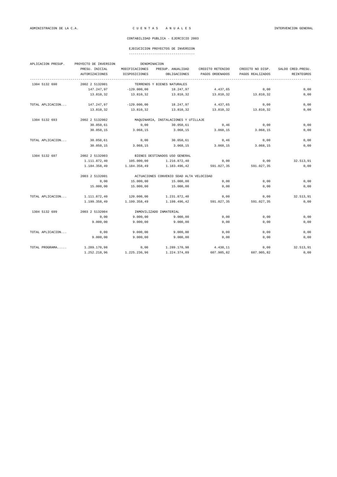# EJECUCICION PROYECTOS DE INVERSION

| APLICACION PRESUP. | PROYECTO DE INVERSION<br>DENOMINACION |                                          |                                      |                  |                  |                    |  |  |  |
|--------------------|---------------------------------------|------------------------------------------|--------------------------------------|------------------|------------------|--------------------|--|--|--|
|                    | PRESU. INICIAL                        | MODIFICACIONES                           | PRESUP. ANUALIDAD                    | CREDITO RETENIDO | CREDITO NO DISP. | SALDO CRED. PRESU. |  |  |  |
|                    | <b>AUTORIZACIONES</b>                 | DISPOSICIONES                            | OBLIGACIONES<br>--------------       | PAGOS ORDENADOS  | PAGOS REALIZADOS | REINTEGROS         |  |  |  |
| 1304 5132 690      | 2002 2 5132001                        |                                          | TERRENOS Y BIENES NATURALES          |                  |                  |                    |  |  |  |
|                    | 147.247,97                            | $-129.000,00$                            | 18.247,97                            | 4.437,65         | 0,00             | 0,00               |  |  |  |
|                    | 13.810,32                             | 13.810,32                                | 13.810,32                            | 13.810,32        | 13.810,32        | 0,00               |  |  |  |
| TOTAL APLICACION   | 147.247,97                            | $-129.000,00$                            | 18.247,97                            | 4.437,65         | 0,00             | 0,00               |  |  |  |
|                    | 13.810,32                             | 13.810,32                                | 13.810,32                            | 13.810,32        | 13.810,32        | 0,00               |  |  |  |
| 1304 5132 693      | 2002 2 5132002                        |                                          | MAQUINARIA, INSTALACIONES Y UTILLAJE |                  |                  |                    |  |  |  |
|                    | 30.050,61                             | 0,00                                     | 30.050,61                            | 0,46             | 0,00             | 0,00               |  |  |  |
|                    | 30.050,15                             | 3.068,15                                 | 3.068,15                             | 3.068,15         | 3.068,15         | 0,00               |  |  |  |
| TOTAL APLICACION   | 30.050,61                             | 0,00                                     | 30.050,61                            | 0,46             | 0,00             | 0,00               |  |  |  |
|                    | 30.050,15                             | 3.068,15                                 | 3.068,15                             | 3.068,15         | 3.068,15         | 0,00               |  |  |  |
| 1304 5132 697      | 2002 2 5132003                        |                                          | BIENES DESTINADOS USO GENERAL        |                  |                  |                    |  |  |  |
|                    | 1.111.872,40                          | 105.000,00                               | 1.216.872,40                         | 0,00             | 0,00             | 32.513,91          |  |  |  |
|                    | 1.184.358,49                          | 1.184.358,49                             | 1.183.496,42                         | 591.027,35       | 591.027,35       | 0,00               |  |  |  |
|                    | 2003 2 5132001                        | ACTUACIONES CONVENIO SDAD ALTA VELOCIDAD |                                      |                  |                  |                    |  |  |  |
|                    | 0,00                                  | 15.000,00                                | 15.000,00                            | 0,00             | 0,00             | 0,00               |  |  |  |
|                    | 15.000,00                             | 15.000,00                                | 15.000,00                            | 0,00             | 0,00             | 0,00               |  |  |  |
| TOTAL APLICACION   | 1.111.872,40                          | 120.000,00                               | 1.231.872,40                         | 0,00             | 0,00             | 32.513,91          |  |  |  |
|                    | 1.199.358,49                          | 1.199.358,49                             | 1.198.496,42                         | 591.027,35       | 591.027,35       | 0,00               |  |  |  |
| 1304 5132 699      | 2003 2 5132004                        |                                          | INMOVILIZADO INMATERIAL              |                  |                  |                    |  |  |  |
|                    | 0,00                                  | 9.000,00                                 | 9.000,00                             | 0,00             | 0,00             | 0,00               |  |  |  |
|                    | 9.000,00                              | 9.000,00                                 | 9.000,00                             | 0,00             | 0,00             | 0,00               |  |  |  |
| TOTAL APLICACION   | 0,00                                  | 9.000,00                                 | 9.000,00                             | 0,00             | 0,00             | 0,00               |  |  |  |
|                    | 9.000,00                              | 9.000,00                                 | 9.000,00                             | 0,00             | 0,00             | 0,00               |  |  |  |
| TOTAL PROGRAMA     | 1.289.170,98                          | 0,00                                     | 1.289.170,98                         | 4.438,11         | 0,00             | 32.513,91          |  |  |  |
|                    | 1.252.218,96                          | 1.225.236,96                             | 1.224.374,89                         | 607.905,82       | 607.905,82       | 0,00               |  |  |  |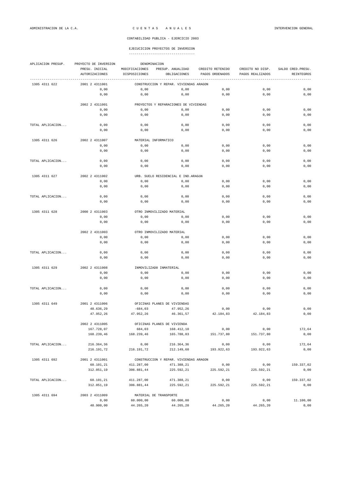# EJECUCICION PROYECTOS DE INVERSION

| APLICACION PRESUP. | PROYECTO DE INVERSION                        |                                 | DENOMINACION                           |                                     |                                      |                                 |  |  |  |
|--------------------|----------------------------------------------|---------------------------------|----------------------------------------|-------------------------------------|--------------------------------------|---------------------------------|--|--|--|
|                    | PRESU. INICIAL<br><b>AUTORIZACIONES</b>      | MODIFICACIONES<br>DISPOSICIONES | PRESUP. ANUALIDAD<br>OBLIGACIONES      | CREDITO RETENIDO<br>PAGOS ORDENADOS | CREDITO NO DISP.<br>PAGOS REALIZADOS | SALDO CRED. PRESU<br>REINTEGROS |  |  |  |
| 1305 4311 622      | 2001 2 4311001                               |                                 | CONSTRUCCION Y REPAR. VIVIENDAS ARAGON |                                     |                                      |                                 |  |  |  |
|                    | 0,00                                         | 0,00                            | 0,00                                   | 0,00                                | 0,00                                 | 0,00                            |  |  |  |
|                    | 0,00                                         | 0,00                            | 0,00                                   | 0,00                                | 0,00                                 | 0,00                            |  |  |  |
|                    | 2002 2 4311001                               |                                 | PROYECTOS Y REPARACIONES DE VIVIENDAS  |                                     |                                      |                                 |  |  |  |
|                    | 0,00                                         | 0,00                            | 0,00                                   | 0,00                                | 0,00                                 | 0,00                            |  |  |  |
|                    | 0,00                                         | 0,00                            | 0,00                                   | 0,00                                | 0,00                                 | 0,00                            |  |  |  |
| TOTAL APLICACION   | 0,00                                         | 0,00                            | 0,00                                   | 0,00                                | 0,00                                 | 0,00                            |  |  |  |
|                    | 0,00                                         | 0,00                            | 0,00                                   | 0,00                                | 0,00                                 | 0,00                            |  |  |  |
| 1305 4311 626      | 2002 2 4311007                               | MATERIAL INFORMATICO            |                                        |                                     |                                      |                                 |  |  |  |
|                    | 0,00                                         | 0,00                            | 0,00                                   | 0,00                                | 0,00                                 | 0,00                            |  |  |  |
|                    | 0,00                                         | 0,00                            | 0,00                                   | 0,00                                | 0,00                                 | 0,00                            |  |  |  |
| TOTAL APLICACION   | 0,00                                         | 0,00                            | 0,00                                   | 0,00                                | 0,00                                 | 0,00                            |  |  |  |
|                    | 0,00                                         | 0,00                            | 0,00                                   | 0,00                                | 0,00                                 | 0,00                            |  |  |  |
| 1305 4311 627      | 2002 2 4311002                               |                                 | URB. SUELO RESIDENCIAL E IND. ARAGÓN   |                                     |                                      |                                 |  |  |  |
|                    | 0,00                                         | 0,00                            | 0,00                                   | 0,00                                | 0,00                                 | 0,00                            |  |  |  |
|                    | 0,00                                         | 0,00                            | 0,00                                   | 0,00                                | 0,00                                 | 0,00                            |  |  |  |
| TOTAL APLICACION   | 0,00                                         | 0,00                            | 0,00                                   | 0,00                                | 0,00                                 | 0,00                            |  |  |  |
|                    | 0,00                                         | 0,00                            | 0,00                                   | 0,00                                | 0,00                                 | 0,00                            |  |  |  |
| 1305 4311 628      | 2000 2 4311003<br>OTRO INMOVILIZADO MATERIAL |                                 |                                        |                                     |                                      |                                 |  |  |  |
|                    | 0,00                                         | 0,00                            | 0,00                                   | 0,00                                | 0,00                                 | 0,00                            |  |  |  |
|                    | 0,00                                         | 0,00                            | 0,00                                   | 0,00                                | 0,00                                 | 0,00                            |  |  |  |
|                    | 2002 2 4311003                               |                                 | OTRO INMOVILIZADO MATERIAL             |                                     |                                      |                                 |  |  |  |
|                    | 0,00                                         | 0,00                            | 0,00                                   | 0,00                                | 0,00                                 | 0,00                            |  |  |  |
|                    | 0,00                                         | 0,00                            | 0,00                                   | 0,00                                | 0,00                                 | 0,00                            |  |  |  |
| TOTAL APLICACION   | 0,00                                         | 0,00                            | 0,00                                   | 0,00                                | 0,00                                 | 0,00                            |  |  |  |
|                    | 0,00                                         | 0,00                            | 0,00                                   | 0,00                                | 0,00                                 | 0,00                            |  |  |  |
| 1305 4311 629      | 2002 2 4311008                               | INMOVILIZADO INMATERIAL         |                                        |                                     |                                      |                                 |  |  |  |
|                    | 0,00                                         | 0,00                            | 0,00                                   | 0,00                                | 0,00                                 | 0,00                            |  |  |  |
|                    | 0,00                                         | 0,00                            | 0,00                                   | 0,00                                | 0,00                                 | 0,00                            |  |  |  |
| TOTAL APLICACION   | 0,00                                         | 0,00                            | 0,00                                   | 0,00                                | 0,00                                 | 0,00                            |  |  |  |
|                    | 0,00                                         | 0,00                            | 0,00                                   | 0,00                                | 0,00                                 | 0,00                            |  |  |  |
| 1305 4311 649      | 2001 2 4311006                               |                                 | OFICINAS PLANES DE VIVIENDAS           |                                     |                                      |                                 |  |  |  |
|                    | 48.636,29                                    | $-684,03$                       | 47.952,26                              | 0,00                                | 0,00                                 | 0,00                            |  |  |  |
|                    | 47.952,26                                    | 47.952,26                       | 46.361,57                              | 42.184,83                           | 42.184,83                            | 0,00                            |  |  |  |
|                    | 2002 2 4311005                               |                                 | OFICINAS PLANES DE VIVIENDA            |                                     |                                      |                                 |  |  |  |
|                    | 167.728,07                                   | 684,03                          | 168.412,10                             | 0,00                                | 0,00                                 | 172,64                          |  |  |  |
|                    | 168.239,46                                   | 168.239,46                      | 165.788,03                             | 151.737,80                          | 151.737,80                           | 0,00                            |  |  |  |
| TOTAL APLICACION   | 216.364,36                                   | 0,00                            | 216.364,36                             | 0,00                                | 0,00                                 | 172,64                          |  |  |  |
|                    | 216.191,72                                   | 216.191,72                      | 212.149,60                             | 193.922,63                          | 193.922,63                           | 0,00                            |  |  |  |
| 1305 4311 692      | 2001 2 4311001                               |                                 | CONSTRUCCION Y REPAR. VIVIENDAS ARAGON |                                     |                                      |                                 |  |  |  |
|                    | 60.101,21                                    | 411.287,00                      | 471.388,21                             | 0,00                                | 0,00                                 | 159.337,02                      |  |  |  |
|                    | 312.051,19                                   | 306.881,44                      | 225.592,21                             | 225.592,21                          | 225.592,21                           | 0,00                            |  |  |  |
| TOTAL APLICACION   | 60.101,21                                    | 411.287,00                      | 471.388,21                             | 0,00                                | 0,00                                 | 159.337,02                      |  |  |  |
|                    | 312.051,19                                   | 306.881,44                      | 225.592,21                             | 225.592,21                          | 225.592,21                           | 0,00                            |  |  |  |
| 1305 4311 694      | 2003 2 4311009                               | MATERIAL DE TRANSPORTE          |                                        |                                     |                                      |                                 |  |  |  |
|                    | 0,00                                         | 60.000,00                       | 60.000,00                              | 0,00                                | 0,00                                 | 11.100,00                       |  |  |  |
|                    | 48.900,00                                    | 44.265,20                       | 44.265,20                              | 44.265,20                           | 44.265,20                            | 0,00                            |  |  |  |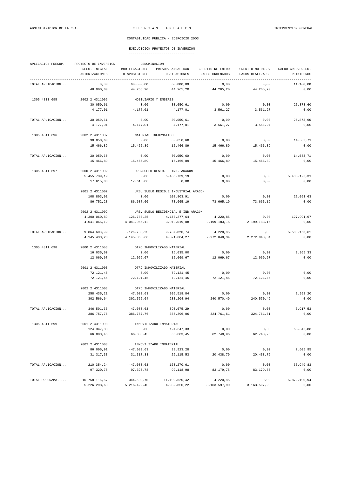| APLICACION PRESUP. | PROYECTO DE INVERSION<br>DENOMINACION             |                                      |                         |                  |                                      |                                 |
|--------------------|---------------------------------------------------|--------------------------------------|-------------------------|------------------|--------------------------------------|---------------------------------|
|                    | PRESU. INICIAL                                    | PRESUP. ANUALIDAD<br>MODIFICACIONES  |                         | CREDITO RETENIDO | CREDITO NO DISP.                     | SALDO CRED. PRESU.              |
|                    | AUTORIZACIONES                                    | DISPOSICIONES                        | OBLIGACIONES            | PAGOS ORDENADOS  | PAGOS REALIZADOS<br>---------------- | <b>REINTEGROS</b><br>---------- |
| TOTAL APLICACION   | 0,00                                              | 60.000,00                            | 60.000,00               | 0,00             | 0,00                                 | 11.100,00                       |
|                    | 48.900,00                                         | 44.265,20                            | 44.265,20               | 44.265,20        | 44.265,20                            | 0,00                            |
| 1305 4311 695      | 2002 2 4311006                                    | MOBILIARIO Y ENSERES                 |                         |                  |                                      |                                 |
|                    | 30.050,61                                         | 0,00                                 | 30.050,61               | 0,00             | 0,00                                 | 25.873,60                       |
|                    | 4.177,01                                          | 4.177,01                             | 4.177,01                | 3.561,27         | 3.561,27                             | 0,00                            |
| TOTAL APLICACION   | 30.050,61                                         | 0,00                                 | 30.050,61               | 0,00             | 0,00                                 | 25.873,60                       |
|                    | 4.177,01                                          | 4.177,01                             | 4.177,01                | 3.561,27         | 3.561,27                             | 0,00                            |
| 1305 4311 696      | 2002 2 4311007                                    | MATERIAL INFORMATICO                 |                         |                  |                                      |                                 |
|                    | 30.050,60                                         | 0,00                                 | 30.050,60               | 0,00             | 0,00                                 | 14.583,71                       |
|                    | 15.466,89                                         | 15.466,89                            | 15.466,89               | 15.466,89        | 15.466,89                            | 0,00                            |
| TOTAL APLICACION   | 30.050,60                                         | 0,00                                 | 30.050,60               | 0,00             | 0,00                                 | 14.583,71                       |
|                    | 15.466,89                                         | 15.466,89                            | 15.466,89               | 15.466,89        | 15.466,89                            | 0,00                            |
| 1305 4311 697      | 2000 2 4311002<br>URB. SUELO RESID. E IND. ARAGON |                                      |                         |                  |                                      |                                 |
|                    | 5.455.739,19                                      | 0,00                                 | 5.455.739,19            | 0,00             | 0,00                                 | 5.438.123,31                    |
|                    | 17.615,88                                         | 17.615,88                            | 0,00                    | 0,00             | 0,00                                 | 0,00                            |
|                    | 2001 2 4311002                                    | URB. SUELO RESID.E INDUSTRIAL ARAGON |                         |                  |                                      |                                 |
|                    | 108.803,91                                        | 0,00                                 | 108.803,91              | 0,00             | 0,00                                 | 22.051,63                       |
|                    | 86.752,28                                         | 86.687,60                            | 73.665,19               | 73.665,19        | 73.665,19                            | 0,00                            |
|                    | 2002 2 4311002                                    | URB. SUELO RESIDENCIAL E IND.ARAGÓN  |                         |                  |                                      |                                 |
|                    | 4.300.060,89                                      | $-126.783, 25$                       | 4.173.277,64            | 4.220,85         | 0,00                                 | 127.991,67                      |
|                    | 4.041.065,12                                      | 4.041.065,12                         | 3.948.019,08            | 2.199.183,15     | 2.199.183,15                         | 0,00                            |
| TOTAL APLICACION   | 9.864.603,99                                      | $-126.783, 25$                       | 9.737.820,74            | 4.220,85         | 0,00                                 | 5.588.166,61                    |
|                    | 4.145.433,28                                      | 4.145.368,60                         | 4.021.684,27            | 2.272.848,34     | 2.272.848,34                         | 0,00                            |
| 1305 4311 698      | 2000 2 4311003                                    | OTRO INMOVILIZADO MATERIAL           |                         |                  |                                      |                                 |
|                    | 16.035,00                                         | 0,00                                 | 16.035,00               | 0,00             | 0,00                                 | 3.965,33                        |
|                    | 12.069,67                                         | 12.069,67                            | 12.069,67               | 12.069,67        | 12.069,67                            | 0,00                            |
|                    | 2001 2 4311003                                    | OTRO INMOVILIZADO MATERIAL           |                         |                  |                                      |                                 |
|                    | 72.121,45                                         | 0,00                                 | 72.121,45               | 0,00             | 0,00                                 | 0,00                            |
|                    | 72.121,45                                         | 72.121,45                            | 72.121,45               | 72.121,45        | 72.121,45                            | 0,00                            |
|                    | 2002 2 4311003                                    | OTRO INMOVILIZADO MATERIAL           |                         |                  |                                      |                                 |
|                    | 258.435,21                                        | 47.083,63                            | 305.518,84              | 0,00             | 0,00                                 | 2.952,20                        |
|                    | 302.566,64                                        | 302.566,64                           | 283.204,94              | 240.570,49       | 240.570,49                           | 0,00                            |
| TOTAL APLICACION   | 346.591,66                                        | 47.083,63                            | 393.675,29              | 0,00             | 0,00                                 | 6.917,53                        |
|                    | 386.757,76                                        | 386.757,76                           | 367.396,06              | 324.761,61       | 324.761,61                           | 0,00                            |
| 1305 4311 699      | 2001 2 4311008                                    |                                      | INMOVILIZADO INMATERIAL |                  |                                      |                                 |
|                    | 124.347,33                                        | 0,00                                 | 124.347,33              | 0,00             | 0,00                                 | 58.343,88                       |
|                    | 66.003,45                                         | 66.003,45                            | 66.003,45               | 62.740,96        | 62.740,96                            | 0,00                            |
|                    | 2002 2 4311008                                    | INMOVILIZADO INMATERIAL              |                         |                  |                                      |                                 |
|                    | 86.006,91                                         | $-47.083,63$                         | 38.923,28               | 0,00             | 0,00                                 | 7.605,95                        |
|                    | 31.317,33                                         | 31.317,33                            | 26.115,53               | 20.438,79        | 20.438,79                            | 0,00                            |
| TOTAL APLICACION   | 210.354,24                                        | $-47.083,63$                         | 163.270,61              | 0,00             | 0,00                                 | 65.949,83                       |
|                    | 97.320,78                                         | 97.320,78                            | 92.118,98               | 83.179,75        | 83.179,75                            | 0,00                            |
| TOTAL PROGRAMA     | 10.758.116,67                                     | 344.503,75                           | 11.102.620,42           | 4.220,85         | 0,00                                 | 5.872.100,94                    |
|                    | 5.226.298,63                                      | 5.216.429,40                         | 4.982.850,22            | 3.163.597,90     | 3.163.597,90                         | 0,00                            |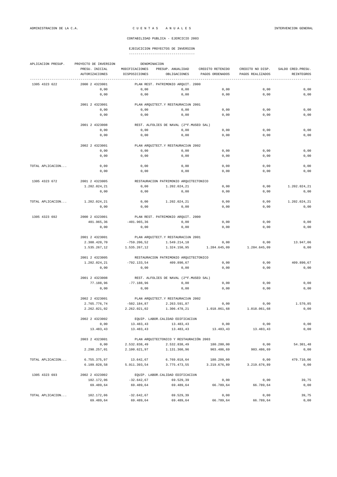| APLICACION PRESUP. | PROYECTO DE INVERSION | DENOMINACION   |                                         |                          |                    |                    |
|--------------------|-----------------------|----------------|-----------------------------------------|--------------------------|--------------------|--------------------|
|                    | PRESU. INICIAL        | MODIFICACIONES | PRESUP. ANUALIDAD                       | CREDITO RETENIDO         | CREDITO NO DISP.   | SALDO CRED. PRESU. |
|                    | <b>AUTORIZACIONES</b> | DISPOSICIONES  | OBLIGACIONES                            | PAGOS ORDENADOS          | PAGOS REALIZADOS   | <b>REINTEGROS</b>  |
| 1305 4323 622      | 2000 2 4323001        |                | PLAN REST. PATRIMONIO ARQUIT. 2000      |                          |                    |                    |
|                    | 0,00                  | 0,00           | 0,00                                    | 0,00                     | 0,00               | 0,00               |
|                    | 0,00                  | 0,00           | 0,00                                    | 0,00                     | 0,00               | 0,00               |
|                    |                       |                |                                         |                          |                    |                    |
|                    | 2001 2 4323001        |                | PLAN ARQUITECT.Y RESTAURACIÓN 2001      |                          |                    |                    |
|                    | 0,00                  | 0,00           | 0,00                                    | 0,00                     | 0,00               | 0,00               |
|                    | 0,00                  | 0,00           | 0,00                                    | 0,00                     | 0,00               | 0,00               |
|                    | 2001 2 4323008        |                | REST. ALFOLIES DE NAVAL (2ªF.MUSEO SAL) |                          |                    |                    |
|                    | 0,00                  | 0,00           | 0,00                                    | 0,00                     | 0,00               | 0,00               |
|                    | 0,00                  | 0,00           | 0,00                                    | 0,00                     | 0,00               | 0,00               |
|                    | 2002 2 4323001        |                | PLAN ARQUITECT.Y RESTAURACIÓN 2002      |                          |                    |                    |
|                    |                       |                |                                         |                          |                    |                    |
|                    | 0,00                  | 0,00           | 0,00                                    | 0,00                     | 0,00               | 0,00               |
|                    | 0,00                  | 0,00           | 0,00                                    | 0,00                     | 0,00               | 0,00               |
| TOTAL APLICACION   | 0,00                  | 0,00           | 0,00                                    | 0,00                     | 0,00               | 0,00               |
|                    | 0,00                  | 0,00           | 0,00                                    | 0,00                     | 0,00               | 0,00               |
| 1305 4323 672      | 2001 2 4323005        |                | RESTAURACION PATRIMONIO ARQUITECTONICO  |                          |                    |                    |
|                    | 1.202.024,21          | 0,00           | 1.202.024,21                            | 0,00                     | 0,00               | 1.202.024,21       |
|                    | 0,00                  | 0,00           | 0,00                                    | 0,00                     | 0,00               | 0,00               |
|                    |                       |                |                                         |                          |                    |                    |
| TOTAL APLICACION   | 1.202.024,21          | 0,00           | 1.202.024,21                            | 0,00                     | 0,00               | 1.202.024,21       |
|                    | 0,00                  | 0,00           | 0,00                                    | 0,00                     | 0,00               | 0,00               |
| 1305 4323 692      | 2000 2 4323001        |                | PLAN REST. PATRIMONIO ARQUIT. 2000      |                          |                    |                    |
|                    | 401.965,36            | $-401.965, 36$ | 0,00                                    | 0,00                     | 0,00               | 0,00               |
|                    | 0,00                  | 0,00           | 0,00                                    | 0,00                     | 0,00               | 0,00               |
|                    |                       |                |                                         |                          |                    |                    |
|                    | 2001 2 4323001        |                | PLAN ARQUITECT.Y RESTAURACIÓN 2001      |                          |                    |                    |
|                    | 2.308.420,70          | $-759.206, 52$ | 1.549.214,18                            | 0,00                     | 0,00               | 13.947,06          |
|                    | 1.535.267,12          | 1.535.267,12   | 1.324.150,95                            | 1.284.645,09             | 1.284.645,09       | 0,00               |
|                    | 2001 2 4323005        |                | RESTAURACION PATRIMONIO ARQUITECTONICO  |                          |                    |                    |
|                    | 1.202.024,21          | $-792.133,54$  | 409.890,67                              | 0,00                     | 0,00               | 409.890,67         |
|                    | 0,00                  | 0,00           | 0,00                                    | 0,00                     | 0,00               | 0,00               |
|                    |                       |                |                                         |                          |                    |                    |
|                    | 2001 2 4323008        |                | REST. ALFOLIES DE NAVAL (2ªF.MUSEO SAL) |                          |                    |                    |
|                    | 77.188,96             | $-77.188,96$   | 0,00                                    | 0,00                     | 0,00               | 0,00               |
|                    | 0,00                  | 0,00           | 0,00                                    | 0,00                     | 0,00               | 0,00               |
|                    | 2002 2 4323001        |                | PLAN ARQUITECT.Y RESTAURACIÓN 2002      |                          |                    |                    |
|                    | 2.765.776,74          | $-502.184, 87$ | 2.263.591,87                            | 0,00                     | 0,00               | 1.570.85           |
|                    | 2.262.021,02          | 2.262.021,02   | 1.306.478,21                            | 1.018.061,68             | 1.018.061,68       | 0,00               |
|                    | 2002 2 4323002        |                | EQUIP. LABOR. CALIDAD EDIFICACIÓN       |                          |                    |                    |
|                    | 0,00                  | 13.483,43      | 13.483,43                               | 0,00                     | 0,00               | 0,00               |
|                    | 13.483,43             | 13.483,43      | 13.483,43                               | 13.483,43                | 13.483,43          | 0,00               |
|                    |                       |                |                                         |                          |                    |                    |
|                    | 2003 2 4323001        |                | PLAN ARQUITECTONICO Y RESTAURACIÓN 2003 |                          |                    |                    |
|                    | 0,00<br>2.298.257,01  | 2.532.838,49   | 2.532.838,49<br>1.131.360,96            | 180.280,00<br>903.486,69 | 0,00<br>903.486,69 | 54.301,48          |
|                    |                       | 2.100.621,97   |                                         |                          |                    | 0,00               |
| TOTAL APLICACION   | 6.755.375,97          | 13.642,67      | 6.769.018,64                            | 180.280,00               | 0,00               | 479.710,06         |
|                    | 6.109.028,58          | 5.911.393,54   | 3.775.473,55                            | 3.219.676,89             | 3.219.676,89       | 0,00               |
| 1305 4323 693      | 2002 2 4323002        |                | EQUIP. LABOR. CALIDAD EDIFICACIÓN       |                          |                    |                    |
|                    | 102.172,06            | $-32.642,67$   | 69.529,39                               | 0,00                     | 0,00               | 39,75              |
|                    | 69.489,64             | 69.489,64      | 69.489,64                               | 66.789,64                | 66.789,64          | 0,00               |
|                    |                       |                |                                         |                          |                    |                    |
| TOTAL APLICACION   | 102.172,06            | $-32.642,67$   | 69.529,39                               | 0,00                     | 0,00               | 39,75              |
|                    | 69.489,64             | 69.489,64      | 69.489,64                               | 66.789,64                | 66.789,64          | 0,00               |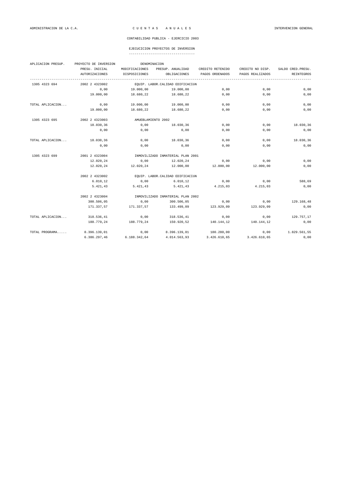### EJECUCICION PROYECTOS DE INVERSION

| APLICACION PRESUP. | PROYECTO DE INVERSION | DENOMINACION                      |                                   |                  |                  |                    |  |
|--------------------|-----------------------|-----------------------------------|-----------------------------------|------------------|------------------|--------------------|--|
|                    | PRESU. INICIAL        | MODIFICACIONES                    | PRESUP. ANUALIDAD                 | CREDITO RETENIDO | CREDITO NO DISP. | SALDO CRED. PRESU. |  |
|                    | <b>AUTORIZACIONES</b> | DISPOSICIONES                     | OBLIGACIONES                      | PAGOS ORDENADOS  | PAGOS REALIZADOS | <b>REINTEGROS</b>  |  |
| 1305 4323 694      | 2002 2 4323002        |                                   | EQUIP. LABOR. CALIDAD EDIFICACIÓN |                  |                  |                    |  |
|                    | 0,00                  | 19,000,00                         | 19.000,00                         | 0,00             | 0,00             | 0,00               |  |
|                    | 19.000,00             | 18.680,22                         | 18.680,22                         | 0,00             | 0,00             | 0,00               |  |
| TOTAL APLICACION   | 0,00                  | 19.000,00                         | 19.000,00                         | 0,00             | 0,00             | 0,00               |  |
|                    | 19.000,00             | 18.680,22                         | 18.680,22                         | 0,00             | 0,00             | 0,00               |  |
| 1305 4323 695      | 2002 2 4323003        |                                   | AMUEBLAMIENTO 2002                |                  |                  |                    |  |
|                    | 18.030,36             | 0,00                              | 18.030,36                         | 0,00             | 0,00             | 18.030,36          |  |
|                    | 0,00                  | 0,00                              | 0,00                              | 0,00             | 0,00             | 0,00               |  |
| TOTAL APLICACION   | 18.030,36             | 0,00                              | 18.030,36                         | 0,00             | 0,00             | 18.030,36          |  |
|                    | 0,00                  | 0,00                              | 0,00                              | 0,00             | 0,00             | 0,00               |  |
| 1305 4323 699      | 2001 2 4323004        | INMOVILIZADO INMATERIAL PLAN 2001 |                                   |                  |                  |                    |  |
|                    | 12.020,24             | 0,00                              | 12.020,24                         | 0,00             | 0,00             | 0,00               |  |
|                    | 12.020,24             | 12.020,24                         | 12.000,00                         | 12.000,00        | 12.000,00        | 0,00               |  |
|                    | 2002 2 4323002        |                                   | EQUIP. LABOR.CALIDAD EDIFICACIÓN  |                  |                  |                    |  |
|                    | 6.010, 12             | 0,00                              | 6.010, 12                         | 0,00             | 0,00             | 588,69             |  |
|                    | 5.421,43              | 5.421,43                          | 5.421,43                          | 4.215,03         | 4.215,03         | 0,00               |  |
|                    | 2002 2 4323004        |                                   | INMOVILIZADO INMATERIAL PLAN 2002 |                  |                  |                    |  |
|                    | 300.506,05            | 0,00                              | 300.506,05                        | 0,00             | 0,00             | 129.168,48         |  |
|                    | 171.337,57            | 171.337,57                        | 133.499,09                        | 123.929,09       | 123.929,09       | 0,00               |  |
| TOTAL APLICACION   | 318.536,41            | 0,00                              | 318.536,41                        | 0,00             | 0,00             | 129.757,17         |  |
|                    | 188.779,24            | 188.779,24                        | 150.920,52                        | 140.144,12       | 140.144,12       | 0,00               |  |
| TOTAL PROGRAMA     | 8.396.139,01          | 0,00                              | 8.396.139,01                      | 180.280,00       | 0,00             | 1.829.561,55       |  |
|                    | 6.386.297,46          | 6.188.342,64                      | 4.014.563,93                      | 3.426.610,65     | 3.426.610,65     | 0,00               |  |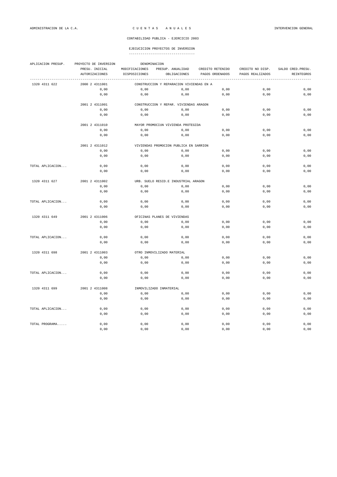| APLICACION PRESUP. | PROYECTO DE INVERSION |                | DENOMINACION                                  |                  |                  |                    |  |  |  |
|--------------------|-----------------------|----------------|-----------------------------------------------|------------------|------------------|--------------------|--|--|--|
|                    | PRESU. INICIAL        | MODIFICACIONES | PRESUP. ANUALIDAD                             | CREDITO RETENIDO | CREDITO NO DISP. | SALDO CRED. PRESU. |  |  |  |
|                    | <b>AUTORIZACIONES</b> | DISPOSICIONES  | OBLIGACIONES                                  | PAGOS ORDENADOS  | PAGOS REALIZADOS | <b>REINTEGROS</b>  |  |  |  |
| 1320 4311 622      | 2000 2 4311001        |                | .<br>CONSTRUCCION Y REPARACION VIVIENDAS EN A |                  |                  |                    |  |  |  |
|                    | 0,00                  | 0,00           | 0,00                                          | 0,00             | 0,00             | 0,00               |  |  |  |
|                    | 0,00                  | 0,00           | 0,00                                          | 0,00             | 0,00             | 0,00               |  |  |  |
|                    | 2001 2 4311001        |                | CONSTRUCCION Y REPAR. VIVIENDAS ARAGON        |                  |                  |                    |  |  |  |
|                    | 0.00                  | 0,00           | 0,00                                          | 0,00             | 0.00             | 0.00               |  |  |  |
|                    | 0,00                  | 0,00           | 0,00                                          | 0,00             | 0,00             | 0,00               |  |  |  |
|                    | 2001 2 4311010        |                | MAYOR PROMOCIÓN VIVIENDA PROTEGIDA            |                  |                  |                    |  |  |  |
|                    | 0,00                  | 0,00           | 0,00                                          | 0,00             | 0,00             | 0,00               |  |  |  |
|                    | 0,00                  | 0,00           | 0,00                                          | 0,00             | 0,00             | 0,00               |  |  |  |
|                    | 2001 2 4311012        |                | VIVIENDAS PROMOCION PUBLICA EN SARRION        |                  |                  |                    |  |  |  |
|                    | 0,00                  | 0,00           | 0,00                                          | 0,00             | 0,00             | 0,00               |  |  |  |
|                    | 0,00                  | 0,00           | 0,00                                          | 0,00             | 0,00             | 0,00               |  |  |  |
| TOTAL APLICACION   | 0,00                  | 0,00           | 0,00                                          | 0,00             | 0,00             | 0,00               |  |  |  |
|                    | 0,00                  | 0,00           | 0,00                                          | 0,00             | 0,00             | 0,00               |  |  |  |
| 1320 4311 627      | 2001 2 4311002        |                | URB. SUELO RESID.E INDUSTRIAL ARAGON          |                  |                  |                    |  |  |  |
|                    | 0,00                  | 0,00           | 0,00                                          | 0,00             | 0,00             | 0,00               |  |  |  |
|                    | 0,00                  | 0,00           | 0,00                                          | 0,00             | 0,00             | 0,00               |  |  |  |
| TOTAL APLICACION   | 0,00                  | 0,00           | 0,00                                          | 0,00             | 0,00             | 0,00               |  |  |  |
|                    | 0,00                  | 0,00           | 0,00                                          | 0,00             | 0,00             | 0,00               |  |  |  |
| 1320 4311 649      | 2001 2 4311006        |                | OFICINAS PLANES DE VIVIENDAS                  |                  |                  |                    |  |  |  |
|                    | 0,00                  | 0,00           | 0,00                                          | 0,00             | 0,00             | 0,00               |  |  |  |
|                    | 0,00                  | 0,00           | 0,00                                          | 0,00             | 0,00             | 0,00               |  |  |  |
| TOTAL APLICACION   | 0,00                  | 0,00           | 0,00                                          | 0,00             | 0,00             | 0,00               |  |  |  |
|                    | 0,00                  | 0,00           | 0,00                                          | 0,00             | 0,00             | 0,00               |  |  |  |
| 1320 4311 698      | 2001 2 4311003        |                | OTRO INMOVILIZADO MATERIAL                    |                  |                  |                    |  |  |  |
|                    | 0,00                  | 0,00           | 0,00                                          | 0,00             | 0,00             | 0,00               |  |  |  |
|                    | 0,00                  | 0,00           | 0,00                                          | 0,00             | 0,00             | 0,00               |  |  |  |
| TOTAL APLICACION   | 0,00                  | 0,00           | 0,00                                          | 0,00             | 0,00             | 0,00               |  |  |  |
|                    | 0,00                  | 0,00           | 0,00                                          | 0,00             | 0,00             | 0,00               |  |  |  |
| 1320 4311 699      | 2001 2 4311008        |                | INMOVILIZADO INMATERIAL                       |                  |                  |                    |  |  |  |
|                    | 0,00                  | 0,00           | 0,00                                          | 0,00             | 0,00             | 0,00               |  |  |  |
|                    | 0,00                  | 0,00           | 0,00                                          | 0,00             | 0,00             | 0,00               |  |  |  |
| TOTAL APLICACION   | 0,00                  | 0,00           | 0,00                                          | 0,00             | 0,00             | 0,00               |  |  |  |
|                    | 0,00                  | 0,00           | 0,00                                          | 0,00             | 0,00             | 0,00               |  |  |  |
| TOTAL PROGRAMA     | 0,00                  | 0,00           | 0,00                                          | 0,00             | 0,00             | 0,00               |  |  |  |
|                    | 0.00                  | 0,00           | 0,00                                          | 0,00             | 0,00             | 0.00               |  |  |  |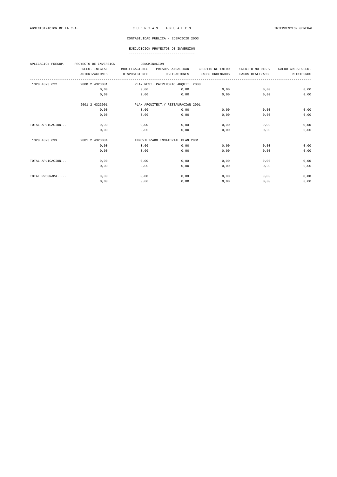| APLICACION PRESUP. | PROYECTO DE INVERSION | DENOMINACION   |                                    |                  |                  |                    |
|--------------------|-----------------------|----------------|------------------------------------|------------------|------------------|--------------------|
|                    | PRESU. INICIAL        | MODIFICACIONES | PRESUP. ANUALIDAD                  | CREDITO RETENIDO | CREDITO NO DISP. | SALDO CRED. PRESU. |
|                    | <b>AUTORIZACIONES</b> | DISPOSICIONES  | OBLIGACIONES                       | PAGOS ORDENADOS  | PAGOS REALIZADOS | REINTEGROS         |
| 1320 4323 622      | 2000 2 4323001        |                | PLAN REST. PATRIMONIO ARQUIT. 2000 |                  |                  |                    |
|                    | 0.00                  | 0.00           | 0.00                               | 0.00             | 0.00             | 0,00               |
|                    | 0.00                  | 0,00           | 0.00                               | 0.00             | 0.00             | 0,00               |
|                    | 2001 2 4323001        |                | PLAN ARQUITECT.Y RESTAURACIÓN 2001 |                  |                  |                    |
|                    | 0,00                  | 0,00           | 0,00                               | 0,00             | 0.00             | 0,00               |
|                    | 0,00                  | 0,00           | 0,00                               | 0,00             | 0.00             | 0,00               |
| TOTAL APLICACION   | 0,00                  | 0,00           | 0,00                               | 0,00             | 0,00             | 0,00               |
|                    | 0,00                  | 0,00           | 0,00                               | 0,00             | 0.00             | 0,00               |
| 1320 4323 699      | 2001 2 4323004        |                | INMOVILIZADO INMATERIAL PLAN 2001  |                  |                  |                    |
|                    | 0.00                  | 0,00           | 0,00                               | 0,00             | 0.00             | 0,00               |
|                    | 0.00                  | 0.00           | 0.00                               | 0.00             | 0.00             | 0,00               |
| TOTAL APLICACION   | 0,00                  | 0,00           | 0,00                               | 0,00             | 0,00             | 0,00               |
|                    | 0,00                  | 0,00           | 0,00                               | 0,00             | 0,00             | 0,00               |
| TOTAL PROGRAMA     | 0,00                  | 0,00           | 0,00                               | 0,00             | 0,00             | 0,00               |
|                    | 0,00                  | 0,00           | 0,00                               | 0,00             | 0,00             | 0,00               |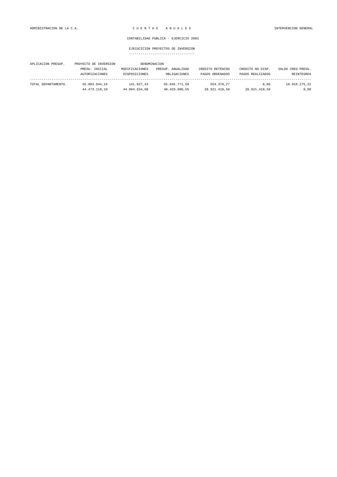| APLICACION PRESUP.  | PROYECTO DE INVERSION                   |                                 | DENOMINACION                      |                                     |                                      |                                  |
|---------------------|-----------------------------------------|---------------------------------|-----------------------------------|-------------------------------------|--------------------------------------|----------------------------------|
|                     | PRESU. INICIAL<br><b>AUTORIZACIONES</b> | MODIFICACIONES<br>DISPOSICIONES | PRESUP. ANUALIDAD<br>OBLIGACIONES | CREDITO RETENIDO<br>PAGOS ORDENADOS | CREDITO NO DISP.<br>PAGOS REALIZADOS | SALDO CRED. PRESU.<br>REINTEGROS |
| TOTAL DEPARTAMENTO. | 55.803.944.16                           | 141.827.43                      | 55.945.771.59                     | 554.378.27                          | 0.00                                 | 10.918.275.22                    |
|                     | 44.473.118.10                           | 44.094.634.08                   | 40.429.900.55                     | 28.921.418.59                       | 28.921.418.59                        | 0.00                             |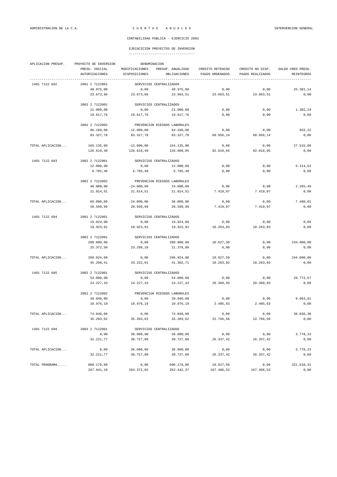|  | ----------------------------------- |  |
|--|-------------------------------------|--|

| APLICACION PRESUP. | PROYECTO DE INVERSION |                | DENOMINACION                 |                  |                  |                    |
|--------------------|-----------------------|----------------|------------------------------|------------------|------------------|--------------------|
|                    | PRESU. INICIAL        | MODIFICACIONES | PRESUP. ANUALIDAD            | CREDITO RETENIDO | CREDITO NO DISP. | SALDO CRED. PRESU. |
|                    | AUTORIZACIONES        | DISPOSICIONES  | OBLIGACIONES                 | PAGOS ORDENADOS  | PAGOS REALIZADOS | REINTEGROS         |
| 1401 7122 692      | 2001 2 7122001        |                | SERVICIOS CENTRALIZADOS      |                  |                  |                    |
|                    | 48.975,00             | 0,00           | 48.975,00                    | 0,00             | 0,00             | 25.301,14          |
|                    | 23.673,86             | 23.673,86      | 23.663,51                    | 23.663,51        | 23.663,51        | 0,00               |
|                    | 2002 2 7122001        |                | SERVICIOS CENTRALIZADOS      |                  |                  |                    |
|                    | 21.000,00             | 0,00           | 21.000,00                    | 0,00             | 0,00             | 1.382,24           |
|                    | 19.617,76             | 19.617,76      | 19.617,76                    | 0,00             | 0,00             | 0,00               |
|                    | 2002 2 7122002        |                | PREVENCIÓN RIESGOS LABORALES |                  |                  |                    |
|                    | 96.160,00             | $-12.000,00$   | 84.160,00                    | 0,00             | 0,00             | 832,22             |
|                    | 83.327,78             | 83.327,78      | 83.327,78                    | 68.956,14        | 68.956,14        | 0,00               |
|                    |                       |                |                              |                  |                  |                    |
| TOTAL APLICACION   | 166.135,00            | $-12.000,00$   | 154.135,00                   | 0,00             | 0,00             | 27.515,60          |
|                    | 126.619,40            | 126.619,40     | 126.609,05                   | 92.619,65        | 92.619,65        | 0,00               |
| 1401 7122 693      | 2002 2 7122001        |                | SERVICIOS CENTRALIZADOS      |                  |                  |                    |
|                    | 12.000,00             | 0,00           | 12.000,00                    | 0,00             | 0,00             | 5.214,52           |
|                    | 6.785,48              | 6.785,48       | 6.785,48                     | 0,00             | 0,00             | 0,00               |
|                    | 2002 2 7122002        |                | PREVENCIÓN RIESGOS LABORALES |                  |                  |                    |
|                    | 48.080,00             | $-24.000,00$   | 24.080,00                    | 0,00             | 0,00             | 2.265,49           |
|                    | 21.814,51             | 21.814,51      | 21.814,51                    | 7.419,07         | 7.419,07         | 0,00               |
|                    |                       |                |                              |                  |                  |                    |
| TOTAL APLICACION   | 60.080,00             | $-24.000,00$   | 36.080,00                    | 0,00             | 0,00             | 7.480,01           |
|                    | 28.599,99             | 28.599,99      | 28.599,99                    | 7.419,07         | 7.419,07         | 0,00               |
| 1401 7122 694      | 2001 2 7122001        |                | SERVICIOS CENTRALIZADOS      |                  |                  |                    |
|                    | 19.924,00             | 0,00           | 19.924,00                    | 0,00             | 0,00             | 0,09               |
|                    | 19.923,91             | 19.923,91      | 19.923,91                    | 18.263,83        | 18.263,83        | 0,00               |
|                    | 2002 2 7122001        |                | SERVICIOS CENTRALIZADOS      |                  |                  |                    |
|                    | 280.000,00            | 0,00           | 280.000,00                   | 10.627,50        | 0,00             | 244.000,00         |
|                    | 25.372,50             | 23.298,10      | 21.378,80                    | 0,00             | 0,00             | 0,00               |
| TOTAL APLICACION   | 299.924,00            | 0,00           | 299.924,00                   | 10.627,50        | 0,00             | 244.000,09         |
|                    | 45.296,41             | 43.222,01      | 41.302,71                    | 18.263,83        | 18.263,83        | 0,00               |
| 1401 7122 695      | 2002 2 7122001        |                | SERVICIOS CENTRALIZADOS      |                  |                  |                    |
|                    | 54.000,00             | 0,00           | 54.000,00                    | 0,00             | 0,00             | 29.772,57          |
|                    | 24.227,43             | 24.227,43      | 24.227,43                    | 20.360,93        | 20.360,93        | 0,00               |
|                    | 2002 2 7122002        |                | PREVENCIÓN RIESGOS LABORALES |                  |                  |                    |
|                    | 20.040,00             | 0,00           | 20.040,00                    | 0,00             | 0,00             | 9.063, 81          |
|                    | 10.976,19             | 10.976,19      | 10.976,19                    | 2.405,63         | 2.405,63         | 0,00               |
| TOTAL APLICACION   | 74.040,00             | 0,00           | 74.040,00                    | 0,00             | 0,00             | 38.836,38          |
|                    | 35.203,62             | 35.203,62      | 35.203,62                    | 22.766,56        | 22.766,56        | 0,00               |
|                    |                       |                |                              |                  |                  |                    |
| 1401 7122 699      | 2003 2 7122001        |                | SERVICIOS CENTRALIZADOS      |                  |                  |                    |
|                    | 0,00                  | 36.000,00      | 36.000,00                    | 0,00             | 0,00             | 3.778,23           |
|                    | 32.221,77             | 30.727,00      | 30.727,00                    | 26.337,42        | 26.337,42        | 0,00               |
| TOTAL APLICACION   | 0,00                  | 36.000,00      | 36.000,00                    | 0,00             | 0,00             | 3.778,23           |
|                    | 32.221,77             | 30.727,00      | 30.727,00                    | 26.337,42        | 26.337,42        | 0,00               |
| TOTAL PROGRAMA     | 600.179,00            | 0,00           | 600.179,00                   | 10.627,50        | 0,00             | 321.610,31         |
|                    | 267.941,19            | 264.372,02     | 262.442,37                   | 167.406,53       | 167.406,53       | 0,00               |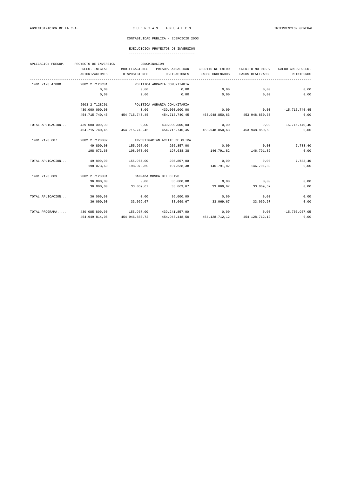### EJECUCICION PROYECTOS DE INVERSION

| APLICACION PRESUP. | PROYECTO DE INVERSION                           | DENOMINACION   |                               |                               |                  |                    |
|--------------------|-------------------------------------------------|----------------|-------------------------------|-------------------------------|------------------|--------------------|
|                    | PRESU. INICIAL                                  | MODIFICACIONES | PRESUP. ANUALIDAD             | CREDITO RETENIDO              | CREDITO NO DISP. | SALDO CRED. PRESU. |
|                    | <b>AUTORIZACIONES</b>                           | DISPOSICIONES  | OBLIGACIONES                  | PAGOS ORDENADOS               | PAGOS REALIZADOS | REINTEGROS         |
| 1401 7128 47800    | -----------------------------<br>2002 2 7128C01 |                | POLITICA AGRARIA COMUNITARIA  |                               |                  |                    |
|                    | 0,00                                            | 0,00           | 0,00                          | 0,00                          | 0,00             | 0,00               |
|                    | 0,00                                            | 0,00           | 0,00                          | 0,00                          | 0,00             | 0,00               |
|                    | 2003 2 7128C01                                  |                | POLITICA AGRARIA COMUNITARIA  |                               |                  |                    |
|                    | 439.000.000,00                                  | 0,00           | 439.000.000,00                | 0,00                          | 0,00             | $-15.715.740.45$   |
|                    | 454.715.740,45                                  | 454.715.740,45 | 454.715.740,45                | 453.948.850,63                | 453.948.850,63   | 0,00               |
| TOTAL APLICACION   | 439.000.000,00                                  | 0,00           | 439.000.000,00                | 0,00                          | 0,00             | $-15.715.740,45$   |
|                    | 454.715.740,45                                  | 454.715.740,45 | 454.715.740,45                | 453.948.850,63 453.948.850,63 |                  | 0,00               |
| 1401 7128 687      | 2002 2 7128002                                  |                | INVESTIGACIÓN ACEITE DE OLIVA |                               |                  |                    |
|                    | 49.890,00                                       | 155.967,00     | 205.857,00                    | 0,00                          | 0,00             | 7.783,40           |
|                    | 198,073,60                                      | 198.073,60     | 197.638.38                    | 146.791,82                    | 146.791,82       | 0,00               |
| TOTAL APLICACION   | 49.890,00                                       | 155.967,00     | 205.857,00                    | 0,00                          | 0,00             | 7.783,40           |
|                    | 198.073,60                                      | 198.073,60     | 197.638,38                    | 146.791,82                    | 146.791,82       | 0,00               |
| 1401 7128 689      | 2002 2 7128001                                  |                | CAMPAñA MOSCA DEL OLIVO       |                               |                  |                    |
|                    | 36.000,00                                       | 0,00           | 36.000,00                     | 0,00                          | 0,00             | 0,00               |
|                    | 36.000,00                                       | 33.069,67      | 33.069,67                     | 33.069,67                     | 33.069,67        | 0,00               |
| TOTAL APLICACION   | 36.000,00                                       | 0,00           | 36.000,00                     | 0,00                          | 0,00             | 0,00               |
|                    | 36.000,00                                       | 33.069,67      | 33.069,67                     | 33.069,67                     | 33.069,67        | 0,00               |
| TOTAL PROGRAMA     | 439.085.890,00                                  | 155.967,00     | 439.241.857,00                | 0,00                          | 0,00             | $-15.707.957,05$   |
|                    | 454.949.814.05                                  | 454.946.883,72 | 454.946.448.50                | 454.128.712,12                | 454.128.712.12   | 0,00               |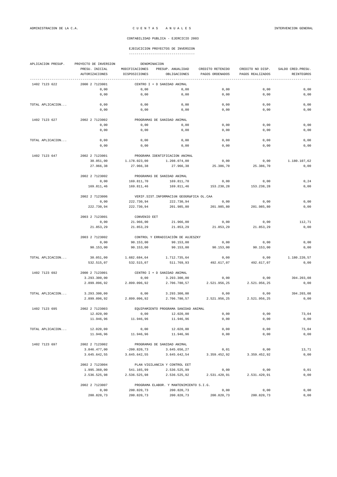| APLICACION PRESUP. | PROYECTO DE INVERSION                   | DENOMINACION                    |                                          |                                     |                                      |                                         |  |  |
|--------------------|-----------------------------------------|---------------------------------|------------------------------------------|-------------------------------------|--------------------------------------|-----------------------------------------|--|--|
|                    | PRESU. INICIAL<br><b>AUTORIZACIONES</b> | MODIFICACIONES<br>DISPOSICIONES | PRESUP. ANUALIDAD<br>OBLIGACIONES        | CREDITO RETENIDO<br>PAGOS ORDENADOS | CREDITO NO DISP.<br>PAGOS REALIZADOS | SALDO CRED. PRESU.<br><b>REINTEGROS</b> |  |  |
| 1402 7123 622      | 2000 2 7123001                          |                                 | CENTRO I + D SANIDAD ANIMAL              |                                     |                                      |                                         |  |  |
|                    |                                         |                                 |                                          |                                     |                                      |                                         |  |  |
|                    | 0,00                                    | 0,00                            | 0,00                                     | 0,00                                | 0,00                                 | 0,00                                    |  |  |
|                    | 0,00                                    | 0,00                            | 0,00                                     | 0,00                                | 0,00                                 | 0,00                                    |  |  |
| TOTAL APLICACION   | 0,00                                    | 0,00                            | 0,00                                     | 0,00                                | 0,00                                 | 0,00                                    |  |  |
|                    | 0,00                                    | 0,00                            | 0,00                                     | 0,00                                | 0,00                                 | 0,00                                    |  |  |
| 1402 7123 627      | 2002 2 7123002                          |                                 | PROGRAMAS DE SANIDAD ANIMAL              |                                     |                                      |                                         |  |  |
|                    | 0,00                                    | 0,00                            | 0,00                                     | 0,00                                | 0,00                                 | 0,00                                    |  |  |
|                    | 0,00                                    | 0,00                            | 0,00                                     | 0,00                                | 0,00                                 | 0,00                                    |  |  |
| TOTAL APLICACION   | 0,00                                    | 0,00                            | 0,00                                     | 0,00                                | 0,00                                 | 0,00                                    |  |  |
|                    | 0,00                                    | 0,00                            | 0,00                                     | 0,00                                | 0,00                                 | 0,00                                    |  |  |
|                    |                                         |                                 |                                          |                                     |                                      |                                         |  |  |
| 1402 7123 647      | 2002 2 7123001                          |                                 | PROGRAMA IDENTIFICACION ANIMAL           |                                     |                                      |                                         |  |  |
|                    | 30.051,00                               | 1.178.023,00                    | 1.208.074,00                             | 0,00                                | 0,00                                 | 1.180.107,62                            |  |  |
|                    | 27.966,38                               | 27.966,38                       | 27.966,38                                | 25.386,70                           | 25.386,70                            | 0,00                                    |  |  |
|                    | 2002 2 7123002                          |                                 | PROGRAMAS DE SANIDAD ANIMAL              |                                     |                                      |                                         |  |  |
|                    | 0,00                                    | 169.811,70                      | 169.811,70                               | 0,00                                | 0,00                                 | 0, 24                                   |  |  |
|                    | 169.811,46                              | 169.811,46                      | 169.811,46                               | 153.238,28                          | 153.238,28                           | 0,00                                    |  |  |
|                    | 2002 2 7123006                          |                                 | VERIF.SIST.INFORMACIÓN GEOGRÁFICA OL.CAA |                                     |                                      |                                         |  |  |
|                    | 0,00                                    | 222.730,94                      | 222.730,94                               | 0,00                                | 0,00                                 | 0,00                                    |  |  |
|                    | 222.730,94                              | 222.730,94                      | 201.985,80                               | 201.985,80                          | 201.985,80                           | 0,00                                    |  |  |
|                    |                                         |                                 |                                          |                                     |                                      |                                         |  |  |
|                    | 2003 2 7123001                          | CONVENIO EET                    |                                          |                                     |                                      |                                         |  |  |
|                    | 0,00                                    | 21.966,00                       | 21.966,00                                | 0,00                                | 0,00                                 | 112,71                                  |  |  |
|                    | 21.853,29                               | 21.853,29                       | 21.853,29                                | 21.853,29                           | 21.853,29                            | 0,00                                    |  |  |
|                    | 2003 2 7123002                          |                                 | CONTROL Y ERRADICACIÓN DE AUJESZKY       |                                     |                                      |                                         |  |  |
|                    | 0,00                                    | 90.153,00                       | 90.153,00                                | 0,00                                | 0,00                                 | 0,00                                    |  |  |
|                    | 90.153,00                               | 90.153,00                       | 90.153,00                                | 90.153,00                           | 90.153,00                            | 0,00                                    |  |  |
| TOTAL APLICACION   | 30.051,00                               | 1.682.684,64                    | 1.712.735,64                             | 0,00                                | 0,00                                 | 1.180.220,57                            |  |  |
|                    | 532.515,07                              | 532.515,07                      | 511.769,93                               | 492.617,07                          | 492.617,07                           | 0,00                                    |  |  |
|                    |                                         |                                 |                                          |                                     |                                      |                                         |  |  |
| 1402 7123 692      | 2000 2 7123001                          |                                 | CENTRO I + D SANIDAD ANIMAL              |                                     |                                      | 394.203,08                              |  |  |
|                    | 3.293.300,00<br>2.899.096,92            | 0,00<br>2.899.096,92            | 3.293.300,00<br>2.706.780,57             | 0,00<br>2.521.956,25                | 0,00<br>2.521.956,25                 | 0,00                                    |  |  |
|                    |                                         |                                 |                                          |                                     |                                      |                                         |  |  |
| TOTAL APLICACION   | 3.293.300,00                            | 0,00                            | 3.293.300,00                             | 0,00                                | 0,00                                 | 394.203,08                              |  |  |
|                    | 2.899.096,92                            | 2.899.096,92                    | 2.706.780,57                             | 2.521.956,25                        | 2.521.956,25                         | 0,00                                    |  |  |
| 1402 7123 695      | 2002 2 7123003                          |                                 | EQUIPAMIENTO PROGRAMA SANIDAD ANIMAL     |                                     |                                      |                                         |  |  |
|                    | 12.020,00                               | 0,00                            | 12.020,00                                | 0,00                                | 0,00                                 | 73,04                                   |  |  |
|                    | 11.946,96                               | 11.946,96                       | 11.946,96                                | 0,00                                | 0,00                                 | 0,00                                    |  |  |
|                    |                                         |                                 |                                          |                                     |                                      |                                         |  |  |
| TOTAL APLICACION   | 12.020,00                               | 0,00                            | 12.020,00                                | 0,00                                | 0,00                                 | 73,04                                   |  |  |
|                    | 11.946,96                               | 11.946,96                       | 11.946,96                                | 0,00                                | 0,00                                 | 0,00                                    |  |  |
| 1402 7123 697      | 2002 2 7123002                          |                                 | PROGRAMAS DE SANIDAD ANIMAL              |                                     |                                      |                                         |  |  |
|                    | 3.846.477,00                            | $-200.820,73$                   | 3.645.656,27                             | 0,01                                | 0,00                                 | 13,71                                   |  |  |
|                    | 3.645.642,55                            | 3.645.642,55                    | 3.645.642,54                             | 3.359.452,92                        | 3.359.452,92                         | 0,00                                    |  |  |
|                    | 2002 2 7123004                          |                                 | PLAN VIGILANCIA Y CONTROL EET            |                                     |                                      |                                         |  |  |
|                    | 1.995.360,00                            | 541.165,99                      | 2.536.525,99                             | 0,00                                | 0,00                                 | 0,01                                    |  |  |
|                    | 2.536.525,98                            | 2.536.525,98                    | 2.536.525,92                             | 2.531.420,91                        | 2.531.420,91                         | 0,00                                    |  |  |
|                    |                                         |                                 |                                          |                                     |                                      |                                         |  |  |
|                    | 2002 2 7123007                          |                                 | PROGRAMA ELABOR. Y MANTENIMIENTO S.I.G.  |                                     |                                      |                                         |  |  |
|                    | 0,00                                    | 200.820,73                      | 200.820,73                               | 0,00                                | 0,00                                 | 0,00                                    |  |  |
|                    | 200.820,73                              | 200.820,73                      | 200.820,73                               | 200.820,73                          | 200.820,73                           | 0,00                                    |  |  |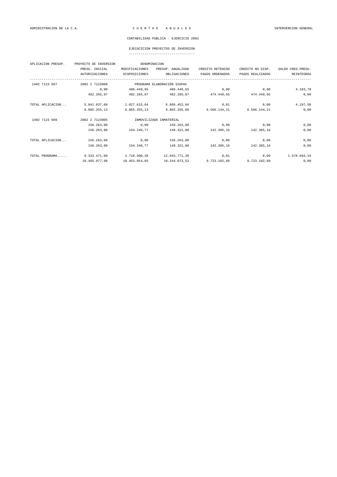### EJECUCICION PROYECTOS DE INVERSION

| APLICACION PRESUP. | PROYECTO DE INVERSION | DENOMINACION   |                             |                  |                  |                    |
|--------------------|-----------------------|----------------|-----------------------------|------------------|------------------|--------------------|
|                    | PRESU. INICIAL        | MODIFICACIONES | PRESUP. ANUALIDAD           | CREDITO RETENIDO | CREDITO NO DISP. | SALDO CRED. PRESU. |
|                    | <b>AUTORIZACIONES</b> | DISPOSICIONES  | OBLIGACIONES                | PAGOS ORDENADOS  | PAGOS REALIZADOS | <b>REINTEGROS</b>  |
| 1402 7123 697      | 2002 2 7123008        |                | PROGRAMA ELABORACIÓN SIGPAC |                  |                  |                    |
|                    | 0,00                  | 486.449,65     | 486.449,65                  | 0,00             | 0,00             | 4.183,78           |
|                    | 482.265,87            | 482.265,87     | 482.265,87                  | 474.449,65       | 474.449,65       | 0,00               |
| TOTAL APLICACION   | 5.841.837,00          | 1.027.615,64   | 6.869.452,64                | 0,01             | 0,00             | 4.197,50           |
|                    | 6.865.255,13          | 6.865.255,13   | 6.865.255,06                | 6.566.144,21     | 6.566.144,21     | 0,00               |
| 1402 7123 699      | 2002 2 7123005        |                | INMOVILIZADO INMATERIAL     |                  |                  |                    |
|                    | 156.263,00            | 0,00           | 156.263,00                  | 0,00             | 0,00             | 0,00               |
|                    | 156.263,00            | 154.240,77     | 148.321,00                  | 142.385,16       | 142.385,16       | 0,00               |
| TOTAL APLICACION   | 156.263,00            | 0,00           | 156.263,00                  | 0,00             | 0,00             | 0,00               |
|                    | 156.263,00            | 154.240,77     | 148.321,00                  | 142.385,16       | 142.385,16       | 0,00               |
| TOTAL PROGRAMA     | 9.333.471,00          | 2.710.300,28   | 12.043.771,28               | 0,01             | 0,00             | 1.578.694,19       |
|                    | 10.465.077,08         | 10.463.054,85  | 10.244.073,52               | 9.723.102,69     | 9.723.102,69     | 0,00               |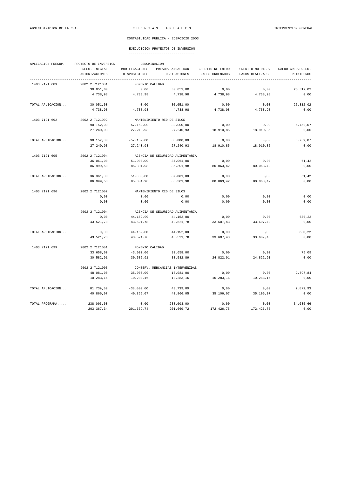| APLICACION PRESUP. | PROYECTO DE INVERSION |                                  | DENOMINACION                     |                  |                  |                    |  |
|--------------------|-----------------------|----------------------------------|----------------------------------|------------------|------------------|--------------------|--|
|                    | PRESU. INICIAL        | MODIFICACIONES                   | PRESUP. ANUALIDAD                | CREDITO RETENIDO | CREDITO NO DISP. | SALDO CRED. PRESU. |  |
|                    | <b>AUTORIZACIONES</b> | DISPOSICIONES                    | OBLIGACIONES                     | PAGOS ORDENADOS  | PAGOS REALIZADOS | REINTEGROS         |  |
| 1403 7121 689      | 2002 2 7121001        | FOMENTO CALIDAD                  |                                  |                  |                  |                    |  |
|                    | 30.051,00             | 0,00                             | 30.051,00                        | 0,00             | 0,00             | 25.312,02          |  |
|                    | 4.738,98              | 4.738,98                         | 4.738,98                         | 4.738,98         | 4.738,98         | 0,00               |  |
| TOTAL APLICACION   | 30.051,00             | 0,00                             | 30.051,00                        | 0,00             | 0,00             | 25.312,02          |  |
|                    | 4.738,98              | 4.738,98                         | 4.738,98                         | 4.738,98         | 4.738,98         | 0,00               |  |
| 1403 7121 692      | 2002 2 7121002        |                                  | MANTENIMIENTO RED DE SILOS       |                  |                  |                    |  |
|                    | 90.152,00             | $-57.152,00$                     | 33.000,00                        | 0,00             | 0,00             | 5.759,07           |  |
|                    | 27.240,93             | 27.240,93                        | 27.240,93                        | 18.910,85        | 18.910,85        | 0,00               |  |
| TOTAL APLICACION   | 90.152,00             | $-57.152,00$                     | 33.000,00                        | 0,00             | 0,00             | 5.759,07           |  |
|                    | 27.240,93             | 27.240,93                        | 27.240,93                        | 18.910,85        | 18.910,85        | 0,00               |  |
| 1403 7121 695      | 2002 2 7121004        | AGENCIA DE SEGURIDAD ALIMENTARIA |                                  |                  |                  |                    |  |
|                    | 36.061,00             | 51.000,00                        | 87.061,00                        | 0,00             | 0,00             | 61,42              |  |
|                    | 86.999,58             | 85.301,98                        | 85.301,98                        | 80.063,42        | 80.063,42        | 0,00               |  |
| TOTAL APLICACION   | 36.061,00             | 51.000,00                        | 87.061,00                        | 0,00             | 0,00             | 61,42              |  |
|                    | 86.999,58             | 85.301,98                        | 85.301,98                        | 80.063,42        | 80.063,42        | 0,00               |  |
| 1403 7121 696      | 2002 2 7121002        |                                  | MANTENIMIENTO RED DE SILOS       |                  |                  |                    |  |
|                    | 0,00                  | 0,00                             | 0,00                             | 0,00             | 0,00             | 0,00               |  |
|                    | 0,00                  | 0,00                             | 0,00                             | 0,00             | 0,00             | 0,00               |  |
|                    | 2002 2 7121004        |                                  | AGENCIA DE SEGURIDAD ALIMENTARIA |                  |                  |                    |  |
|                    | 0,00                  | 44.152,00                        | 44.152,00                        | 0,00             | 0,00             | 630,22             |  |
|                    | 43.521,78             | 43.521,78                        | 43.521,78                        | 33.607,43        | 33.607,43        | 0,00               |  |
| TOTAL APLICACION   | 0,00                  | 44.152,00                        | 44.152,00                        | 0,00             | 0,00             | 630,22             |  |
|                    | 43.521,78             | 43.521,78                        | 43.521,78                        | 33.607,43        | 33.607,43        | 0,00               |  |
| 1403 7121 699      | 2002 2 7121001        | FOMENTO CALIDAD                  |                                  |                  |                  |                    |  |
|                    | 33.658,00             | $-3.000,00$                      | 30.658,00                        | 0,00             | 0,00             | 75,09              |  |
|                    | 30.582,91             | 30.582,91                        | 30.582,89                        | 24.822,91        | 24.822,91        | 0,00               |  |
|                    | 2002 2 7121003        |                                  | CONSERV. MERCANCIAS INTERVENIDAS |                  |                  |                    |  |
|                    | 48.081,00             | $-35.000,00$                     | 13.081,00                        | 0,00             | 0,00             | 2.797,84           |  |
|                    | 10.283,16             | 10.283,16                        | 10.283,16                        | 10.283,16        | 10.283,16        | 0,00               |  |
| TOTAL APLICACION   | 81.739,00             | $-38.000,00$                     | 43.739,00                        | 0,00             | 0,00             | 2.872,93           |  |
|                    | 40.866,07             | 40.866,07                        | 40.866,05                        | 35.106,07        | 35.106,07        | 0,00               |  |
| TOTAL PROGRAMA     | 238.003,00            | 0,00                             | 238.003,00                       | 0,00             | 0,00             | 34.635,66          |  |
|                    | 203.367,34            | 201.669,74                       | 201.669,72                       | 172.426,75       | 172.426,75       | 0,00               |  |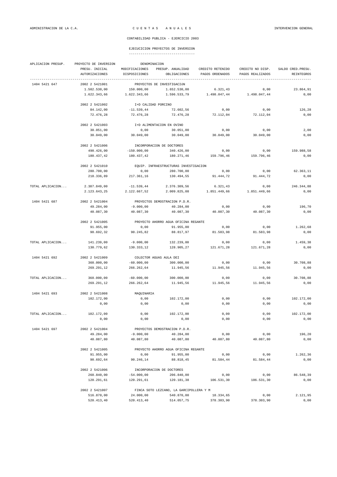| APLICACION PRESUP. | PROYECTO DE INVERSION            | DENOMINACION                    |                                         |                                     |                                      |                                         |  |  |
|--------------------|----------------------------------|---------------------------------|-----------------------------------------|-------------------------------------|--------------------------------------|-----------------------------------------|--|--|
|                    | PRESU. INICIAL<br>AUTORIZACIONES | MODIFICACIONES<br>DISPOSICIONES | PRESUP. ANUALIDAD<br>OBLIGACIONES       | CREDITO RETENIDO<br>PAGOS ORDENADOS | CREDITO NO DISP.<br>PAGOS REALIZADOS | SALDO CRED. PRESU.<br><b>REINTEGROS</b> |  |  |
| 1404 5421 647      | --------------<br>2002 2 5421001 |                                 | PROYECTOS DE INVESTIGACIÓN              |                                     |                                      |                                         |  |  |
|                    | 1.502.530,00                     | 150.000,00                      | 1.652.530,00                            | 6.321,43                            | 0,00                                 | 23.864,91                               |  |  |
|                    | 1.622.343,66                     | 1.622.343,66                    | 1.596.533,79                            | 1.498.047,44                        | 1.498.047,44                         | 0,00                                    |  |  |
|                    | 2002 2 5421002                   | I+D CALIDAD PORCINO             |                                         |                                     |                                      |                                         |  |  |
|                    | 84.142,00                        | $-11.539.44$                    | 72.602,56                               | 0,00                                | 0,00                                 | 126,28                                  |  |  |
|                    | 72.476,28                        | 72.476,28                       | 72.476,28                               | 72.112,04                           | 72.112,04                            | 0,00                                    |  |  |
|                    | 2002 2 5421003                   |                                 | I+D ALIMENTACION EN OVINO               |                                     |                                      |                                         |  |  |
|                    | 30.051,00                        | 0,00                            | 30.051,00                               | 0,00                                | 0,00                                 | 2,00                                    |  |  |
|                    | 30.049,00                        | 30.049,00                       | 30.049,00                               | 30.049,00                           | 30.049,00                            | 0,00                                    |  |  |
|                    | 2002 2 5421006                   |                                 | INCORPORACION DE DOCTORES               |                                     |                                      |                                         |  |  |
|                    | 490.426,00                       | $-150.000,00$                   | 340.426,00                              | 0,00                                | 0,00                                 | 159.988,58                              |  |  |
|                    | 180.437,42                       | 180.437,42                      | 180.271,46                              | 159.796,46                          | 159.796,46                           | 0,00                                    |  |  |
|                    | 2002 2 5421010                   |                                 | EQUIP. INFRAESTRUCTURAS INVESTIGACION   |                                     |                                      |                                         |  |  |
|                    | 280.700,00                       | 0,00                            | 280.700,00                              | 0,00                                | 0,00                                 | 62.363,11                               |  |  |
|                    | 218.336,89                       | 217.361,16                      | 130.494,55                              | 91.444,72                           | 91.444,72                            | 0,00                                    |  |  |
| TOTAL APLICACION   | 2.387.849,00                     | $-11.539,44$                    | 2.376.309,56                            | 6.321,43                            | 0,00                                 | 246.344,88                              |  |  |
|                    | 2.123.643,25                     | 2.122.667,52                    | 2.009.825,08                            | 1.851.449,66                        | 1.851.449,66                         | 0,00                                    |  |  |
| 1404 5421 687      | 2002 2 5421004                   |                                 | PROYECTOS DEMOSTRACION P.D.R.           |                                     |                                      |                                         |  |  |
|                    | 49.284,00                        | $-9.000,00$                     | 40.284,00                               | 0,00                                | 0,00                                 | 196,70                                  |  |  |
|                    | 40.087,30                        | 40.087,30                       | 40.087,30                               | 40.087,30                           | 40.087,30                            | 0,00                                    |  |  |
|                    | 2002 2 5421005                   |                                 | PROYECTO AHORRO AGUA OFICINA REGANTE    |                                     |                                      |                                         |  |  |
|                    | 91.955,00                        | 0,00                            | 91.955,00                               | 0,00                                | 0,00                                 | 1.262,68                                |  |  |
|                    | 90.692,32                        | 90.245,82                       | 88.817,97                               | 81.583,98                           | 81.583,98                            | 0,00                                    |  |  |
| TOTAL APLICACION   | 141.239,00                       | $-9.000,00$                     | 132.239,00                              | 0,00                                | 0,00                                 | 1.459,38                                |  |  |
|                    | 130.779,62                       | 130.333,12                      | 128.905,27                              | 121.671,28                          | 121.671,28                           | 0,00                                    |  |  |
| 1404 5421 692      | 2002 2 5421009                   |                                 | COLECTOR AGUAS AULA DEI                 |                                     |                                      |                                         |  |  |
|                    | 360.000,00                       | $-60.000,00$                    | 300.000,00                              | 0,00                                | 0,00                                 | 30.708,88                               |  |  |
|                    | 269.291,12                       | 266.262,64                      | 11.945,56                               | 11.945,56                           | 11.945,56                            | 0,00                                    |  |  |
| TOTAL APLICACION   | 360.000,00                       | $-60.000,00$                    | 300.000,00                              | 0,00                                | 0,00                                 | 30.708,88                               |  |  |
|                    | 269.291,12                       | 266.262,64                      | 11.945,56                               | 11.945,56                           | 11.945,56                            | 0,00                                    |  |  |
| 1404 5421 693      | 2002 2 5421008                   | MAQUINARIA                      |                                         |                                     |                                      |                                         |  |  |
|                    | 102.172,00                       | 0,00                            | 102.172,00                              | 0,00                                | 0,00                                 | 102.172,00                              |  |  |
|                    | 0,00                             | 0,00                            | 0,00                                    | 0,00                                | 0,00                                 | 0,00                                    |  |  |
| TOTAL APLICACION   | 102.172,00                       | 0,00                            | 102.172,00                              | 0,00                                | 0,00                                 | 102.172,00                              |  |  |
|                    | 0,00                             | 0,00                            | 0,00                                    | 0,00                                | 0,00                                 | 0,00                                    |  |  |
| 1404 5421 697      | 2002 2 5421004                   |                                 | PROYECTOS DEMOSTRACION P.D.R.           |                                     |                                      |                                         |  |  |
|                    | 49.284,00                        | $-9.000,00$                     | 40.284,00                               | 0,00                                | 0,00                                 | 196,20                                  |  |  |
|                    | 40.087,80                        | 40.087,80                       | 40.087,80                               | 40.087,80                           | 40.087,80                            | 0,00                                    |  |  |
|                    | 2002 2 5421005                   |                                 | PROYECTO AHORRO AGUA OFICINA REGANTE    |                                     |                                      |                                         |  |  |
|                    | 91.955,00                        | 0,00                            | 91.955,00                               | 0,00                                | 0,00                                 | 1.262, 36                               |  |  |
|                    | 90.692,64                        | 90.246,14                       | 88.818,45                               | 81.584,44                           | 81.584,44                            | 0,00                                    |  |  |
|                    | 2002 2 5421006                   |                                 | INCORPORACION DE DOCTORES               |                                     |                                      |                                         |  |  |
|                    | 260.840,00                       | $-54.000,00$                    | 206.840,00                              | 0,00                                | 0,00                                 | 86.548,39                               |  |  |
|                    | 120.291,61                       | 120.291,61                      | 120.181,38                              | 106.531,30                          | 106.531,30                           | 0,00                                    |  |  |
|                    | 2002 2 5421007                   |                                 | FINCA SOTO LEZCANO, LA GARCIPOLLERA Y M |                                     |                                      |                                         |  |  |
|                    | 516.870,00                       | 24.000,00                       | 540.870,00                              | 18.334,65                           | 0,00                                 | 2.121,95                                |  |  |
|                    | 520.413,40                       | 520.413,40                      | 514.057,75                              | 378.303,90                          | 378.303,90                           | 0,00                                    |  |  |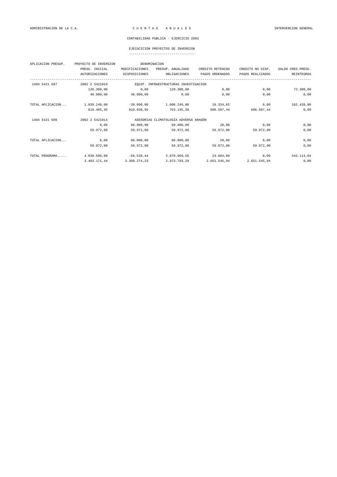| ----------------------------------- |  |  |  |  |  |  |  |  |  |  |  |  |  |  |  |  |  |
|-------------------------------------|--|--|--|--|--|--|--|--|--|--|--|--|--|--|--|--|--|
|                                     |  |  |  |  |  |  |  |  |  |  |  |  |  |  |  |  |  |

| APLICACION PRESUP. | PROYECTO DE INVERSION |                | DENOMINACION                          |                  |                  |                    |
|--------------------|-----------------------|----------------|---------------------------------------|------------------|------------------|--------------------|
|                    | PRESU. INICIAL        | MODIFICACIONES | PRESUP. ANUALIDAD                     | CREDITO RETENIDO | CREDITO NO DISP. | SALDO CRED. PRESU. |
|                    | <b>AUTORIZACIONES</b> | DISPOSICIONES  | OBLIGACIONES                          | PAGOS ORDENADOS  | PAGOS REALIZADOS | <b>REINTEGROS</b>  |
| 1404 5421 697      | 2002 2 5421010        |                | EQUIP. INFRAESTRUCTURAS INVESTIGACION |                  |                  |                    |
|                    | 120.300,00            | 0,00           | 120.300,00                            | 0,00             | 0,00             | 72.300,00          |
|                    | 48.000,00             | 48.000,00      | 0,00                                  | 0,00             | 0,00             | 0,00               |
| TOTAL APLICACION   | 1.039.249,00          | $-39.000,00$   | 1.000.249,00                          | 18.334,65        | 0,00             | 162.428,90         |
|                    | 819.485,45            | 819.038,95     | 763.145,38                            | 606.507,44       | 606.507,44       | 0,00               |
| 1404 5421 699      | 2002 2 5421014        |                | ASESORIAS CLIMATOLOGÍA ADVERSA ARAGÓN |                  |                  |                    |
|                    | 0,00                  | 60.000,00      | 60.000,00                             | 28,00            | 0,00             | 0,00               |
|                    | 59.972,00             | 59.972.00      | 59.972.00                             | 59.972.00        | 59.972.00        | 0,00               |
| TOTAL APLICACION   | 0,00                  | 60.000,00      | 60,000,00                             | 28,00            | 0,00             | 0,00               |
|                    | 59.972,00             | 59.972,00      | 59.972,00                             | 59.972,00        | 59.972,00        | 0,00               |
| TOTAL PROGRAMA     | 4.030.509,00          | $-59.539,44$   | 3.970.969,56                          | 24.684,08        | 0,00             | 543.114,04         |
|                    | 3.403.171,44          | 3.398.274,23   | 2.973.793,29                          | 2.651.545,94     | 2.651.545,94     | 0,00               |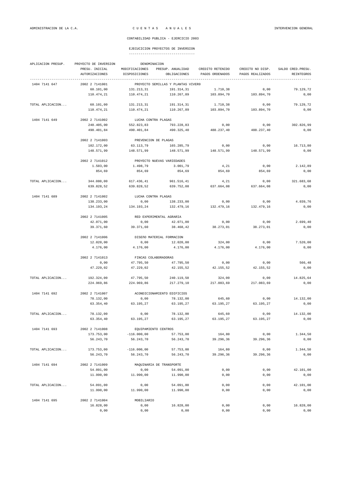| ----------------------------------- |  |  |  |  |  |  |  |  |  |  |  |  |  |
|-------------------------------------|--|--|--|--|--|--|--|--|--|--|--|--|--|
|                                     |  |  |  |  |  |  |  |  |  |  |  |  |  |

| APLICACION PRESUP. | PROYECTO DE INVERSION            | DENOMINACION                    |                                    |                                     |                                      |                                  |
|--------------------|----------------------------------|---------------------------------|------------------------------------|-------------------------------------|--------------------------------------|----------------------------------|
|                    | PRESU. INICIAL<br>AUTORIZACIONES | MODIFICACIONES<br>DISPOSICIONES | PRESUP. ANUALIDAD<br>OBLIGACIONES  | CREDITO RETENIDO<br>PAGOS ORDENADOS | CREDITO NO DISP.<br>PAGOS REALIZADOS | SALDO CRED. PRESU.<br>REINTEGROS |
| 1404 7141 647      | 2002 2 7141001                   |                                 | PROYECTO SEMILLAS Y PLANTAS VIVERO |                                     |                                      |                                  |
|                    | 60.101,00                        | 131.213,31                      | 191.314,31                         | 1.710,38                            | 0,00                                 | 79.129,72                        |
|                    | 110.474,21                       | 110.474,21                      | 110.267,89                         | 103.894,70                          | 103.894,70                           | 0,00                             |
| TOTAL APLICACION   | 60.101,00                        | 131.213,31                      | 191.314,31                         | 1.710,38                            | 0,00                                 | 79.129,72                        |
|                    | 110.474,21                       | 110.474,21                      | 110.267,89                         | 103.894,70                          | 103.894,70                           | 0,00                             |
| 1404 7141 649      | 2002 2 7141002                   | LUCHA CONTRA PLAGAS             |                                    |                                     |                                      |                                  |
|                    | 240.405,00                       | 552.823,83                      | 793.228,83                         | 0,00                                | 0,00                                 | 302.826,99                       |
|                    | 490.401,84                       | 490.401,84                      | 490.325,40                         | 488.237,40                          | 488.237,40                           | 0,00                             |
|                    | 2002 2 7141003                   | PREVENCION DE PLAGAS            |                                    |                                     |                                      |                                  |
|                    | 102.172,00                       | 63.113,79                       | 165.285,79                         | 0,00                                | 0,00                                 | 16.713,80                        |
|                    | 148.571,99                       | 148.571,99                      | 148.571,99                         | 148.571,99                          | 148.571,99                           | 0,00                             |
|                    | 2002 2 7141012                   |                                 | PROYECTO NUEVAS VARIEDADES         |                                     |                                      |                                  |
|                    | 1.503,00                         | 1.498,79                        | 3.001,79                           | 4,21                                | 0,00                                 | 2.142,89                         |
|                    | 854,69                           | 854,69                          | 854,69                             | 854,69                              | 854,69                               | 0,00                             |
| TOTAL APLICACION   | 344.080,00                       | 617.436,41                      | 961.516,41                         | 4,21                                | 0,00                                 | 321.683,68                       |
|                    | 639.828,52                       | 639.828,52                      | 639.752,08                         | 637.664,08                          | 637.664,08                           | 0,00                             |
| 1404 7141 689      | 2002 2 7141002                   | LUCHA CONTRA PLAGAS             |                                    |                                     |                                      |                                  |
|                    | 138.233,00                       | 0,00                            | 138.233,00                         | 0,00                                | 0,00                                 | 4.039,76                         |
|                    | 134.193,24                       | 134.193,24                      | 132.479,16                         | 132.479,16                          | 132.479,16                           | 0,00                             |
|                    | 2002 2 7141005                   | RED EXPERIMENTAL AGRARIA        |                                    |                                     |                                      |                                  |
|                    | 42.071,00                        | 0,00                            | 42.071,00                          | 0,00                                | 0,00                                 | 2.699,40                         |
|                    | 39.371,60                        | 39.371,60                       | 38.468,42                          | 38.273,01                           | 38.273,01                            | 0,00                             |
|                    | 2002 2 7141006                   |                                 | DISEÑO MATERIAL FORMACION          |                                     |                                      |                                  |
|                    | 12.020,00                        | 0,00                            | 12.020,00                          | 324,00                              | 0,00                                 | 7.520,00                         |
|                    | 4.176,00                         | 4.176,00                        | 4.176,00                           | 4.176,00                            | 4.176,00                             | 0,00                             |
|                    | 2002 2 7141013                   | FINCAS COLABORADORAS            |                                    |                                     |                                      |                                  |
|                    | 0,00                             | 47.795,50                       | 47.795,50                          | 0,00                                | 0,00                                 | 566,48                           |
|                    | 47.229,02                        | 47.229,02                       | 42.155,52                          | 42.155,52                           | 42.155,52                            | 0,00                             |
| TOTAL APLICACION   | 192.324,00                       | 47.795,50                       | 240.119,50                         | 324,00                              | 0,00                                 | 14.825,64                        |
|                    | 224.969,86                       | 224.969,86                      | 217.279,10                         | 217.083,69                          | 217.083,69                           | 0,00                             |
| 1404 7141 692      | 2002 2 7141007                   |                                 | ACONDICIONAMIENTO EDIFICIOS        |                                     |                                      |                                  |
|                    | 78.132,00                        | 0,00                            | 78.132,00                          | 645,60                              | 0,00                                 | 14.132,00                        |
|                    | 63.354,40                        | 63.195,27                       | 63.195,27                          | 63.195,27                           | 63.195,27                            | 0,00                             |
| TOTAL APLICACION   | 78.132,00                        | 0,00                            | 78.132,00                          | 645,60                              | 0,00                                 | 14.132,00                        |
|                    | 63.354,40                        | 63.195,27                       | 63.195,27                          | 63.195,27                           | 63.195,27                            | 0,00                             |
| 1404 7141 693      | 2002 2 7141008                   | EQUIPAMIENTO CENTROS            |                                    |                                     |                                      |                                  |
|                    | 173.753,00                       | $-116.000,00$                   | 57.753,00                          | 164,80                              | 0,00                                 | 1.344,50                         |
|                    | 56.243,70                        | 56.243,70                       | 56.243,70                          | 39.296,36                           | 39.296,36                            | 0,00                             |
| TOTAL APLICACION   |                                  | $-116.000,00$                   |                                    | 164,80                              |                                      | 1.344,50                         |
|                    | 173.753,00<br>56.243,70          | 56.243,70                       | 57.753,00<br>56.243,70             | 39.296,36                           | 0,00<br>39.296,36                    | 0,00                             |
|                    |                                  |                                 |                                    |                                     |                                      |                                  |
| 1404 7141 694      | 2002 2 7141009                   |                                 | MAQUINARIA DE TRANSPORTE           |                                     |                                      | 42.101,00                        |
|                    | 54.091,00<br>11.990,00           | 0,00<br>11.990,00               | 54.091,00<br>11.990,00             | 0,00<br>0,00                        | 0,00<br>0,00                         | 0,00                             |
|                    |                                  |                                 |                                    |                                     |                                      |                                  |
| TOTAL APLICACION   | 54.091,00<br>11.990,00           | 0,00<br>11.990,00               | 54.091,00<br>11.990,00             | 0,00<br>0,00                        | 0,00<br>0,00                         | 42.101,00<br>0,00                |
|                    |                                  |                                 |                                    |                                     |                                      |                                  |
| 1404 7141 695      | 2002 2 7141004                   | MOBILIARIO                      |                                    |                                     |                                      |                                  |
|                    | 16.828,00                        | 0,00                            | 16.828,00                          | 0,00                                | 0,00                                 | 16.828,00                        |
|                    | 0,00                             | 0,00                            | 0,00                               | 0,00                                | 0,00                                 | 0,00                             |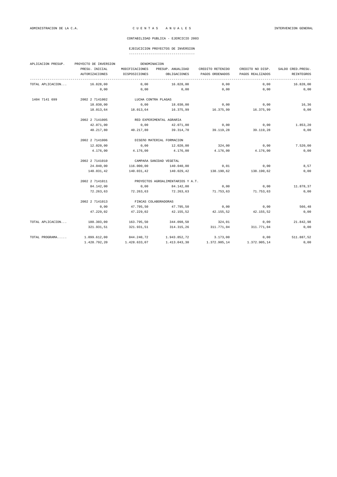|  |  |  |  |  |  |  |  |  |  |  |  |  |  |  | ----------------------------------- |  |
|--|--|--|--|--|--|--|--|--|--|--|--|--|--|--|-------------------------------------|--|
|  |  |  |  |  |  |  |  |  |  |  |  |  |  |  |                                     |  |

| APLICACION PRESUP. | PROYECTO DE INVERSION |                     | DENOMINACION                      |                  |                  |                    |
|--------------------|-----------------------|---------------------|-----------------------------------|------------------|------------------|--------------------|
|                    | PRESU. INICIAL        | MODIFICACIONES      | PRESUP. ANUALIDAD                 | CREDITO RETENIDO | CREDITO NO DISP. | SALDO CRED. PRESU. |
|                    | <b>AUTORIZACIONES</b> | DISPOSICIONES       | OBLIGACIONES                      | PAGOS ORDENADOS  | PAGOS REALIZADOS | REINTEGROS         |
| TOTAL APLICACION   | 16.828,00             | 0,00                | 16.828,00                         | 0,00             | 0,00             | 16.828,00          |
|                    | 0,00                  | 0,00                | 0,00                              | 0,00             | 0,00             | 0,00               |
| 1404 7141 699      | 2002 2 7141002        | LUCHA CONTRA PLAGAS |                                   |                  |                  |                    |
|                    | 18.030,00             | 0,00                | 18.030,00                         | 0,00             | 0,00             | 16,36              |
|                    | 18.013,64             | 18.013,64           | 16.375,99                         | 16.375,99        | 16.375,99        | 0,00               |
|                    | 2002 2 7141005        |                     | RED EXPERIMENTAL AGRARIA          |                  |                  |                    |
|                    | 42.071,00             | 0,00                | 42.071,00                         | 0,00             | 0,00             | 1.853,20           |
|                    | 40.217,80             | 40.217,80           | 39.314,70                         | 39.119,28        | 39.119,28        | 0,00               |
|                    | 2002 2 7141006        |                     | DISEÑO MATERIAL FORMACION         |                  |                  |                    |
|                    | 12.020,00             | 0,00                | 12.020,00                         | 324,00           | 0,00             | 7.520,00           |
|                    | 4.176,00              | 4.176,00            | 4.176,00                          | 4.176,00         | 4.176,00         | 0,00               |
|                    | 2002 2 7141010        |                     | CAMPAñA SANIDAD VEGETAL           |                  |                  |                    |
|                    | 24.040,00             | 116.000,00          | 140.040,00                        | 0,01             | 0,00             | 8,57               |
|                    | 140.031,42            | 140.031,42          | 140.029,42                        | 138.190,62       | 138.190,62       | 0,00               |
|                    | 2002 2 7141011        |                     | PROYECTOS AGROALIMENTARIOS Y A.T. |                  |                  |                    |
|                    | 84.142,00             | 0,00                | 84.142,00                         | 0,00             | 0.00             | 11.878,37          |
|                    | 72.263,63             | 72.263,63           | 72.263,63                         | 71.753,63        | 71.753,63        | 0,00               |
|                    | 2002 2 7141013        |                     | FINCAS COLABORADORAS              |                  |                  |                    |
|                    | 0,00                  | 47.795,50           | 47.795,50                         | 0,00             | 0,00             | 566,48             |
|                    | 47.229,02             | 47.229,02           | 42.155,52                         | 42.155,52        | 42.155,52        | 0,00               |
| TOTAL APLICACION   | 180.303,00            | 163.795,50          | 344.098,50                        | 324,01           | 0,00             | 21.842,98          |
|                    | 321.931,51            | 321.931,51          | 314.315,26                        | 311.771,04       | 311.771,04       | 0,00               |
| TOTAL PROGRAMA     | 1.099.612,00          | 844.240,72          | 1.943.852,72                      | 3.173,00         | 0,00             | 511.887,52         |
|                    | 1.428.792,20          | 1.428.633,07        | 1.413.043,30                      | 1.372.905,14     | 1.372.905,14     | 0,00               |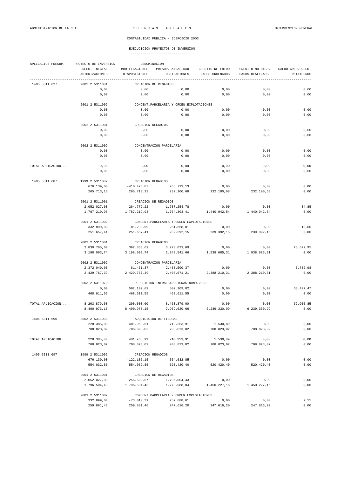| APLICACION PRESUP. | PROYECTO DE INVERSION            | DENOMINACION                    |                                            |                                     |                                      |                                  |
|--------------------|----------------------------------|---------------------------------|--------------------------------------------|-------------------------------------|--------------------------------------|----------------------------------|
|                    | PRESU. INICIAL<br>AUTORIZACIONES | MODIFICACIONES<br>DISPOSICIONES | PRESUP. ANUALIDAD<br>OBLIGACIONES          | CREDITO RETENIDO<br>PAGOS ORDENADOS | CREDITO NO DISP.<br>PAGOS REALIZADOS | SALDO CRED. PRESU.<br>REINTEGROS |
| 1405 5311 627      | 2001 2 5311001                   |                                 | CREACION DE REGADIOS                       |                                     |                                      |                                  |
|                    | 0,00                             | 0,00                            | 0,00                                       | 0,00                                | 0,00                                 | 0,00                             |
|                    | 0,00                             | 0,00                            | 0,00                                       | 0,00                                | 0,00                                 | 0,00                             |
|                    | 2001 2 5311002                   |                                 | CONCENT. PARCELARIA Y ORDEN. EXPLOTACIONES |                                     |                                      |                                  |
|                    | 0,00                             | 0,00                            | 0,00                                       | 0,00                                | 0,00                                 | 0,00                             |
|                    | 0,00                             | 0,00                            | 0,00                                       | 0,00                                | 0,00                                 | 0,00                             |
|                    | 2002 2 5311001                   | CREACION REGADIOS               |                                            |                                     |                                      |                                  |
|                    | 0,00                             | 0,00                            | 0,00                                       | 0,00                                | 0,00                                 | 0,00                             |
|                    | 0,00                             | 0,00                            | 0,00                                       | 0,00                                | 0,00                                 | 0,00                             |
|                    | 2002 2 5311002                   |                                 | CONCENTRACION PARCELARIA                   |                                     |                                      |                                  |
|                    | 0,00                             | 0,00                            | 0,00                                       | 0,00                                | 0,00                                 | 0,00                             |
|                    | 0,00                             | 0,00                            | 0,00                                       | 0,00                                | 0,00                                 | 0,00                             |
| TOTAL APLICACION   | 0,00                             | 0,00                            | 0,00                                       | 0,00                                | 0,00                                 | 0,00                             |
|                    | 0,00                             | 0,00                            | 0,00                                       | 0,00                                | 0,00                                 | 0,00                             |
| 1405 5311 687      | 1999 2 5311002                   | CREACION REGADIOS               |                                            |                                     |                                      |                                  |
|                    | 676.139,00                       | $-410.425,87$                   | 265.713,13                                 | 0,00                                | 0,00                                 | 0,00                             |
|                    | 265.713,13                       | 265.713,13                      | 232.100,68                                 | 232.100,68                          | 232.100,68                           | 0,00                             |
|                    | 2001 2 5311001                   |                                 | CREACION DE REGADIOS                       |                                     |                                      |                                  |
|                    | 2.052.027,00                     | $-264.772, 22$                  | 1.787.254,78                               | 0,00                                | 0,00                                 | 34,85                            |
|                    | 1.787.219,93                     | 1.787.219,93                    | 1.764.303,41                               | 1.440.942,54                        | 1.440.942,54                         | 0,00                             |
|                    | 2001 2 5311002                   |                                 | CONCENT. PARCELARIA Y ORDEN. EXPLOTACIONES |                                     |                                      |                                  |
|                    | 332.899,00                       | $-81.230,99$                    | 251.668,01                                 | 0,00                                | 0,00                                 | 10,60                            |
|                    | 251.657,41                       | 251.657,41                      | 239.392,15                                 | 239.392,15                          | 239.392,15                           | 0,00                             |
|                    | 2002 2 5311001                   | CREACION REGADIOS               |                                            |                                     |                                      |                                  |
|                    | 2.830.765,00                     | 392.868,69                      | 3.223.633,69                               | 0,00                                | 0,00                                 | 25.629,95                        |
|                    | 3.198.003,74                     | 3.198.003,74                    | 2.848.541,66                               | 1.938.685,31                        | 1.938.685,31                         | 0,00                             |
|                    | 2002 2 5311002                   |                                 | CONCENTRACION PARCELARIA                   |                                     |                                      |                                  |
|                    | 2.372.049,00                     | 61.451,37                       | 2.433.500,37                               | 0,00                                | 0,00                                 | 3.732,98                         |
|                    | 2.429.767,39                     | 2.429.767,39                    | 2.406.671,21                               | 2.388.210,31                        | 2.388.210,31                         | 0,00                             |
|                    | 2003 2 5311070                   |                                 | REPOSICION INFRAESTRUCTURASINUND.2003      |                                     |                                      |                                  |
|                    | 0,00                             | 502.109,02                      | 502.109,02                                 | 0,00                                | 0,00                                 | 33.497,47                        |
|                    | 468.611,55                       | 468.611,55                      | 468.611,55                                 | 0,00                                | 0,00                                 | 0,00                             |
| TOTAL APLICACION   | 8.263.879,00                     | 200.000,00                      | 8.463.879,00                               | 0,00                                | 0,00                                 | 62.905,85                        |
|                    | 8.400.973,15                     | 8.400.973,15                    | 7.959.620,66                               | 6.239.330,99                        | 6.239.330,99                         | 0,00                             |
| 1405 5311 690      | 2002 2 5311003                   |                                 | ADQUISICION DE TIERRAS                     |                                     |                                      |                                  |
|                    | 228.385,00                       | 481.968,91                      | 710.353,91                                 | 1.530,89                            | 0,00                                 | 0,00                             |
|                    | 708.823,02                       | 708.823,02                      | 708.823,02                                 | 708.823,02                          | 708.823,02                           | 0,00                             |
| TOTAL APLICACION   | 228.385,00                       | 481.968,91                      | 710.353,91                                 | 1.530,89                            | 0,00                                 | 0,00                             |
|                    | 708.823,02                       | 708.823,02                      | 708.823,02                                 | 708.823,02                          | 708.823,02                           | 0,00                             |
| 1405 5311 697      | 1999 2 5311002                   | CREACION REGADIOS               |                                            |                                     |                                      |                                  |
|                    | 676.139,00                       | $-122.106, 15$                  | 554.032,85                                 | 0,00                                | 0,00                                 | 0,00                             |
|                    | 554.032,85                       | 554.032,85                      | 520.420,40                                 | 520.420,40                          | 520.420,40                           | 0,00                             |
|                    | 2001 2 5311001                   |                                 | CREACION DE REGADIOS                       |                                     |                                      |                                  |
|                    | 2.052.027,00                     | $-255.522, 57$                  | 1.796.504,43                               | 0,00                                | 0,00                                 | 0,00                             |
|                    | 1.796.504,43                     | 1.796.504,43                    | 1.773.588,04                               | 1.450.227,16                        | 1.450.227,16                         | 0,00                             |
|                    | 2001 2 5311002                   |                                 | CONCENT. PARCELARIA Y ORDEN. EXPLOTACIONES |                                     |                                      |                                  |
|                    | 332.899,00                       | $-73.010,39$                    | 259.888,61                                 | 0,00                                | 0,00                                 | 7,15                             |
|                    | 259.881,46                       | 259.881,46                      | 247.616,20                                 | 247.616,20                          | 247.616,20                           | 0,00                             |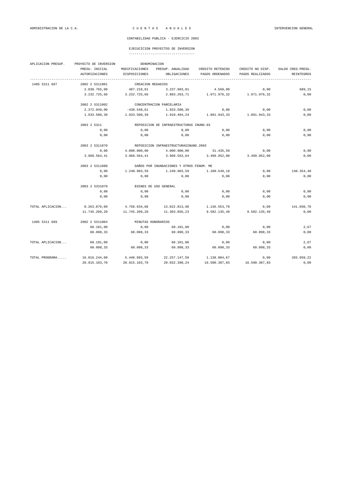| APLICACION PRESUP. | PROYECTO DE INVERSION |                   | DENOMINACION                             |                  |                  |                    |
|--------------------|-----------------------|-------------------|------------------------------------------|------------------|------------------|--------------------|
|                    | PRESU. INICIAL        | MODIFICACIONES    | PRESUP. ANUALIDAD                        | CREDITO RETENIDO | CREDITO NO DISP. | SALDO CRED. PRESU. |
|                    | <b>AUTORIZACIONES</b> | DISPOSICIONES     | OBLIGACIONES                             | PAGOS ORDENADOS  | PAGOS REALIZADOS | REINTEGROS         |
| 1405 5311 697      | 2002 2 5311001        | CREACION REGADIOS |                                          |                  |                  |                    |
|                    | 2.830.765,00          | 407.218,81        | 3.237.983,81                             | 4.569,00         | 0,00             | 689,15             |
|                    | 3.232.725,66          | 3.232.725,66      | 2.883.263,71                             | 1.971.976,32     | 1.971.976,32     | 0,00               |
|                    | 2002 2 5311002        |                   | CONCENTRACION PARCELARIA                 |                  |                  |                    |
|                    | 2.372.049,00          | $-438.548,61$     | 1.933.500,39                             | 0,00             | 0,00             | 0,00               |
|                    | 1.933.500,39          | 1.933.500,39      | 1.910.404,24                             | 1.891.943,33     | 1.891.943,33     | 0,00               |
|                    | 2003 2 5311           |                   | REPOSICION DE INFRAESTRUCTURAS INUND.03  |                  |                  |                    |
|                    | 0,00                  | 0,00              | 0,00                                     | 0,00             | 0,00             | 0,00               |
|                    | 0,00                  | 0,00              | 0,00                                     | 0.00             | 0,00             | 0,00               |
|                    | 2003 2 5311070        |                   | REPOSICION INFRAESTRUCTURASINUND.2003    |                  |                  |                    |
|                    | 0,00                  | 4.000.000,00      | 4.000.000,00                             | 31.435,59        | 0,00             | 0,00               |
|                    | 3.968.564,41          | 3.968.564,41      | 3.968.563,64                             | 3.499.952,08     | 3.499.952,08     | 0,00               |
|                    | 2003 2 5311080        |                   | DAÑOS POR INUNDACIONES Y OTROS FENOM. ME |                  |                  |                    |
|                    | 0,00                  | 1.240.903,59      | 1.240.903,59                             | 1.100.549,19     | 0,00             | 140.354,40         |
|                    | 0,00                  | 0,00              | 0,00                                     | 0,00             | 0,00             | 0,00               |
|                    | 2003 2 5331070        |                   | BIENES DE USO GENERAL                    |                  |                  |                    |
|                    | 0,00                  | 0,00              | 0,00                                     | 0,00             | 0,00             | 0,00               |
|                    | 0,00                  | 0,00              | 0,00                                     | 0,00             | 0,00             | 0,00               |
| TOTAL APLICACION   | 8.263.879,00          | 4.758.934,68      | 13.022.813,68                            | 1.136.553,78     | 0,00             | 141.050,70         |
|                    | 11.745.209,20         | 11.745.209,20     | 11.303.856,23                            | 9.582.135,49     | 9.582.135,49     | 0,00               |
| 1405 5311 699      | 2002 2 5311004        |                   | MINUTAS HONORARIOS                       |                  |                  |                    |
|                    | 60.101,00             | 0,00              | 60.101,00                                | 0,00             | 0,00             | 2,67               |
|                    | 60.098,33             | 60.098,33         | 60.098,33                                | 60.098,33        | 60.098,33        | 0,00               |
| TOTAL APLICACION   | 60.101,00             | 0,00              | 60.101,00                                | 0,00             | 0,00             | 2,67               |
|                    | 60.098,33             | 60.098,33         | 60.098,33                                | 60.098,33        | 60.098,33        | 0,00               |
| TOTAL PROGRAMA     | 16.816.244,00         | 5.440.903,59      | 22.257.147,59                            | 1.138.084,67     | 0,00             | 203.959,22         |
|                    | 20.915.103.70         | 20.915.103.70     | 20.032.398.24                            | 16.590.387,83    | 16.590.387.83    | 0.00               |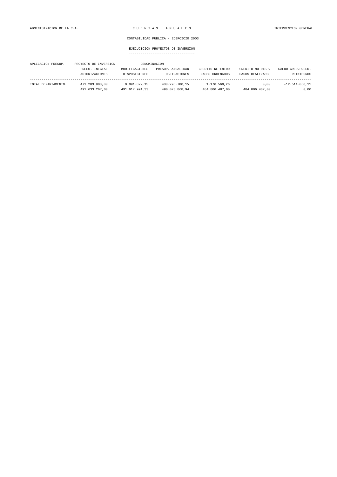| APLICACION PRESUP.  | PROYECTO DE INVERSION |                | DENOMINACION      |                  |                  |                    |
|---------------------|-----------------------|----------------|-------------------|------------------|------------------|--------------------|
|                     | PRESU. INICIAL        | MODIFICACIONES | PRESUP. ANUALIDAD | CREDITO RETENIDO | CREDITO NO DISP. | SALDO CRED. PRESU. |
|                     | <b>AUTORIZACIONES</b> | DISPOSICIONES  | OBLIGACIONES      | PAGOS ORDENADOS  | PAGOS REALIZADOS | REINTEGROS         |
| TOTAL DEPARTAMENTO. | 471.203.908.00        | 9.091.872.15   | 480.295.780.15    | 1.176.569.26     | 0.00             | $-12.514.056.11$   |
|                     | 491.633.267.00        | 491.617.991.33 | 490.073.868.94    | 484.806.487.00   | 484.806.487.00   | 0.00               |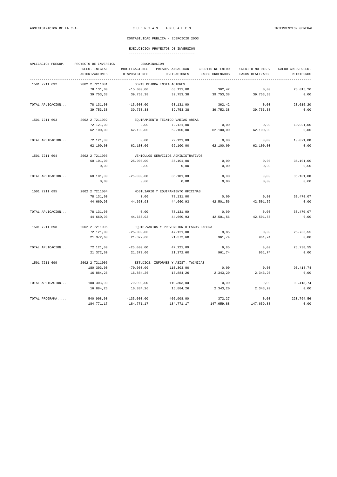### EJECUCICION PROYECTOS DE INVERSION

| APLICACION PRESUP. | PROYECTO DE INVERSION |                | DENOMINACION                             |                  |                  |                    |
|--------------------|-----------------------|----------------|------------------------------------------|------------------|------------------|--------------------|
|                    | PRESU. INICIAL        | MODIFICACIONES | PRESUP. ANUALIDAD                        | CREDITO RETENIDO | CREDITO NO DISP. | SALDO CRED. PRESU. |
|                    | <b>AUTORIZACIONES</b> | DISPOSICIONES  | OBLIGACIONES                             | PAGOS ORDENADOS  | PAGOS REALIZADOS | REINTEGROS         |
| 1501 7211 692      | 2002 2 7211001        |                | OBRAS MEJORA INSTALACIONES               |                  |                  |                    |
|                    | 78.131,00             | $-15.000,00$   | 63.131,00                                | 362,42           | 0,00             | 23.015,20          |
|                    | 39.753,38             | 39.753,38      | 39.753,38                                | 39.753,38        | 39.753,38        | 0,00               |
| TOTAL APLICACION   | 78.131,00             | $-15.000,00$   | 63.131,00                                | 362,42           | 0,00             | 23.015,20          |
|                    | 39.753,38             | 39.753,38      | 39.753,38                                | 39.753,38        | 39.753,38        | 0,00               |
| 1501 7211 693      | 2002 2 7211002        |                | EQUIPAMIENTO TECNICO VARIAS AREAS        |                  |                  |                    |
|                    | 72.121,00             | 0,00           | 72.121,00                                | 0,00             | 0.00             | 10.021,00          |
|                    | 62.100,00             | 62.100,00      | 62.100,00                                | 62.100,00        | 62.100,00        | 0,00               |
| TOTAL APLICACION   | 72.121,00             | 0,00           | 72.121,00                                | 0,00             | 0,00             | 10.021,00          |
|                    | 62.100,00             | 62.100,00      | 62.100,00                                | 62.100,00        | 62.100,00        | 0,00               |
| 1501 7211 694      | 2002 2 7211003        |                | VEHICULOS SERVICIOS ADMINISTRATIVOS      |                  |                  |                    |
|                    | 60.101,00             | $-25.000,00$   | 35.101,00                                | 0,00             | 0,00             | 35.101,00          |
|                    | 0,00                  | 0,00           | 0,00                                     | 0,00             | 0,00             | 0,00               |
| TOTAL APLICACION   | 60.101,00             | $-25.000,00$   | 35.101,00                                | 0,00             | 0,00             | 35.101,00          |
|                    | 0,00                  | 0,00           | 0,00                                     | 0,00             | 0,00             | 0,00               |
| 1501 7211 695      | 2002 2 7211004        |                | MOBILIARIO Y EQUIPAMIENTO OFICINAS       |                  |                  |                    |
|                    | 78.131,00             | 0,00           | 78.131,00                                | 0,00             | 0,00             | 33.470,07          |
|                    | 44.660,93             | 44.660,93      | 44.660,93                                | 42.501,56        | 42.501,56        | 0,00               |
| TOTAL APLICACION   | 78.131,00             | 0,00           | 78.131,00                                | 0,00             | 0,00             | 33.470,07          |
|                    | 44.660,93             | 44.660,93      | 44.660,93                                | 42.501,56        | 42.501,56        | 0,00               |
| 1501 7211 698      | 2002 2 7211005        |                | EQUIP.VARIOS Y PREVENCION RIESGOS LABORA |                  |                  |                    |
|                    | 72.121,00             | $-25.000,00$   | 47.121,00                                | 9,85             | 0,00             | 25.738,55          |
|                    | 21.372,60             | 21.372,60      | 21.372,60                                | 961,74           | 961,74           | 0,00               |
| TOTAL APLICACION   | 72.121,00             | $-25.000,00$   | 47.121,00                                | 9,85             | 0,00             | 25.738,55          |
|                    | 21.372,60             | 21.372,60      | 21.372,60                                | 961,74           | 961,74           | 0,00               |
| 1501 7211 699      | 2002 2 7211006        |                | ESTUDIOS, INFORMES Y ASIST. TéCNICAS     |                  |                  |                    |
|                    | 180.303,00            | $-70.000,00$   | 110.303,00                               | 0,00             | 0,00             | 93.418,74          |
|                    | 16.884,26             | 16.884.26      | 16.884,26                                | 2.343.20         | 2.343,20         | 0.00               |
| TOTAL APLICACION   | 180.303,00            | $-70.000,00$   | 110.303,00                               | 0,00             | 0,00             | 93.418,74          |
|                    | 16.884,26             | 16.884,26      | 16.884,26                                | 2.343,20         | 2.343,20         | 0,00               |
| TOTAL PROGRAMA     | 540.908,00            | $-135.000,00$  | 405.908,00                               | 372,27           | 0,00             | 220.764,56         |
|                    | 184.771,17            | 184.771,17     | 184.771,17                               | 147.659,88       | 147.659,88       | 0,00               |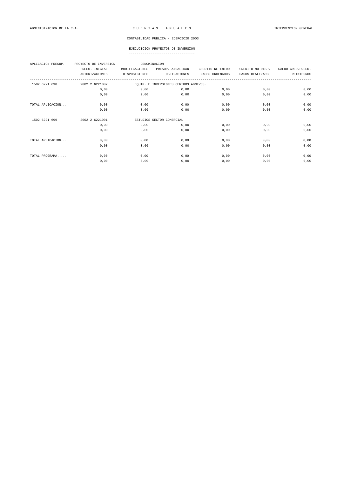| APLICACION PRESUP. | PROYECTO DE INVERSION |                | DENOMINACION                          |                  |                  |                    |
|--------------------|-----------------------|----------------|---------------------------------------|------------------|------------------|--------------------|
|                    | PRESU. INICIAL        | MODIFICACIONES | PRESUP. ANUALIDAD                     | CREDITO RETENIDO | CREDITO NO DISP. | SALDO CRED. PRESU. |
|                    | <b>AUTORIZACIONES</b> | DISPOSICIONES  | OBLIGACIONES                          | PAGOS ORDENADOS  | PAGOS REALIZADOS | REINTEGROS         |
| 1502 6221 698      | 2002 2 6221002        |                | EQUIP. E INVERSIONES CENTROS ADMTVOS. |                  |                  |                    |
|                    | 0,00                  | 0,00           | 0,00                                  | 0,00             | 0,00             | 0,00               |
|                    | 0,00                  | 0,00           | 0,00                                  | 0,00             | 0,00             | 0,00               |
| TOTAL APLICACION   | 0,00                  | 0,00           | 0,00                                  | 0,00             | 0,00             | 0,00               |
|                    | 0,00                  | 0,00           | 0,00                                  | 0,00             | 0,00             | 0,00               |
| 1502 6221 699      | 2002 2 6221001        |                | ESTUDIOS SECTOR COMERCIAL             |                  |                  |                    |
|                    | 0,00                  | 0,00           | 0,00                                  | 0,00             | 0,00             | 0,00               |
|                    | 0,00                  | 0,00           | 0,00                                  | 0,00             | 0,00             | 0,00               |
| TOTAL APLICACION   | 0,00                  | 0,00           | 0,00                                  | 0,00             | 0,00             | 0,00               |
|                    | 0,00                  | 0,00           | 0,00                                  | 0,00             | 0,00             | 0,00               |
| TOTAL PROGRAMA     | 0,00                  | 0,00           | 0,00                                  | 0,00             | 0,00             | 0,00               |
|                    | 0,00                  | 0,00           | 0,00                                  | 0,00             | 0,00             | 0,00               |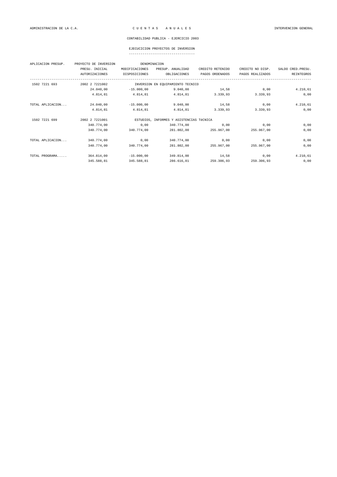| APLICACION PRESUP. | PROYECTO DE INVERSION | DENOMINACION   |                                          |                  |                  |                    |
|--------------------|-----------------------|----------------|------------------------------------------|------------------|------------------|--------------------|
|                    | PRESU. INICIAL        | MODIFICACIONES | PRESUP. ANUALIDAD                        | CREDITO RETENIDO | CREDITO NO DISP. | SALDO CRED. PRESU. |
|                    | <b>AUTORIZACIONES</b> | DISPOSICIONES  | OBLIGACIONES                             | PAGOS ORDENADOS  | PAGOS REALIZADOS | REINTEGROS         |
|                    |                       |                |                                          |                  |                  |                    |
| 1502 7221 693      | 2002 2 7221002        |                | INVERSION EN EQUIPAMIENTO TECNICO        |                  |                  |                    |
|                    | 24.040,00             | $-15.000,00$   | 9.040,00                                 | 14,58            | 0,00             | 4.210,61           |
|                    | 4.814,81              | 4.814,81       | 4.814,81                                 | 3.339.93         | 3.339,93         | 0,00               |
| TOTAL APLICACION   | 24.040,00             | $-15.000,00$   | 9.040,00                                 | 14,58            | 0,00             | 4.210,61           |
|                    | 4.814,81              | 4.814,81       | 4.814,81                                 | 3.339,93         | 3.339,93         | 0,00               |
| 1502 7221 699      | 2002 2 7221001        |                | ESTUDIOS, INFORMES Y ASISTENCIAS TéCNICA |                  |                  |                    |
|                    | 340.774,00            | 0,00           | 340.774,00                               | 0,00             | 0,00             | 0,00               |
|                    | 340.774,00            | 340.774.00     | 281.802,00                               | 255.967.00       | 255.967.00       | 0,00               |
| TOTAL APLICACION   | 340.774,00            | 0,00           | 340.774,00                               | 0,00             | 0,00             | 0,00               |
|                    | 340.774,00            | 340.774,00     | 281.802,00                               | 255.967,00       | 255.967,00       | 0,00               |
| TOTAL PROGRAMA     | 364.814,00            | $-15.000,00$   | 349.814,00                               | 14,58            | 0,00             | 4.210,61           |
|                    | 345.588,81            | 345.588,81     | 286.616,81                               | 259.306,93       | 259.306,93       | 0,00               |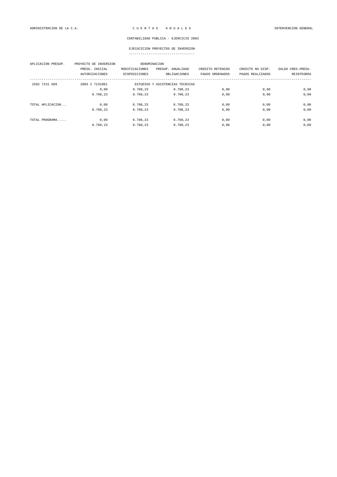| APLICACION PRESUP. | PROYECTO DE INVERSION<br>PRESU. INICIAL<br><b>AUTORIZACIONES</b> | DENOMINACION<br>MODIFICACIONES<br>DISPOSICIONES | PRESUP. ANUALIDAD<br>OBLIGACIONES | CREDITO RETENIDO<br>PAGOS ORDENADOS | CREDITO NO DISP.<br>PAGOS REALIZADOS | SALDO CRED. PRESU.<br>REINTEGROS |
|--------------------|------------------------------------------------------------------|-------------------------------------------------|-----------------------------------|-------------------------------------|--------------------------------------|----------------------------------|
| 1502 7231 699      | 2003 2 7231001                                                   |                                                 | ESTUDIOS Y ASISTENCIAS TECNICAS   |                                     |                                      |                                  |
|                    | 0,00                                                             | 8.708,23                                        | 8.708,23                          | 0,00                                | 0,00                                 | 0,00                             |
|                    | 8.708,23                                                         | 8.708,23                                        | 8.708,23                          | 0,00                                | 0,00                                 | 0,00                             |
| TOTAL APLICACION   | 0.00                                                             | 8.708.23                                        | 8.708.23                          | 0,00                                | 0,00                                 | 0,00                             |
|                    | 8.708.23                                                         | 8.708.23                                        | 8.708.23                          | 0,00                                | 0,00                                 | 0,00                             |
| TOTAL PROGRAMA     | 0,00                                                             | 8.708,23                                        | 8.708.23                          | 0,00                                | 0,00                                 | 0,00                             |
|                    | 8.708,23                                                         | 8.708,23                                        | 8.708,23                          | 0,00                                | 0,00                                 | 0,00                             |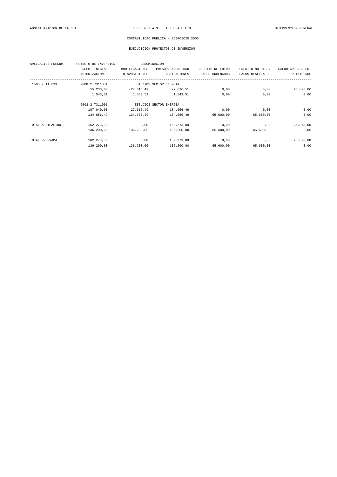## EJECUCICION PROYECTOS DE INVERSION

| APLICACION PRESUP. | PROYECTO DE INVERSION |                | DENOMINACION            |                  |                  |                    |  |
|--------------------|-----------------------|----------------|-------------------------|------------------|------------------|--------------------|--|
|                    | PRESU. INICIAL        | MODIFICACIONES | PRESUP. ANUALIDAD       | CREDITO RETENIDO | CREDITO NO DISP. | SALDO CRED. PRESU. |  |
|                    | <b>AUTORIZACIONES</b> | DISPOSICIONES  | OBLIGACIONES            | PAGOS ORDENADOS  | PAGOS REALIZADOS | <b>REINTEGROS</b>  |  |
| 1503 7311 699      | 2000 2 7311001        |                | ESTUDIOS SECTOR ENERGIA |                  |                  |                    |  |
|                    | 55.233,00             | $-27.616, 49$  | 27.616,51               | 0,00             | 0,00             | 26.073,00          |  |
|                    | 1.543,51              | 1.543,51       | 1.543,51                | 0,00             | 0,00             | 0,00               |  |
|                    | 2002 2 7311001        |                | ESTUDIOS SECTOR ENERGIA |                  |                  |                    |  |
|                    | 107.040,00            | 27.616,49      | 134.656,49              | 0,00             | 0,00             | 0,00               |  |
|                    | 134.656,49            | 134.656,49     | 134.656,49              | 65.600,00        | 65.600,00        | 0,00               |  |
| TOTAL APLICACION   | 162.273,00            | 0,00           | 162.273,00              | 0,00             | 0,00             | 26.073,00          |  |
|                    | 136.200,00            | 136.200,00     | 136.200,00              | 65.600,00        | 65.600,00        | 0,00               |  |
| TOTAL PROGRAMA     | 162.273,00            | 0,00           | 162.273,00              | 0,00             | 0,00             | 26.073,00          |  |
|                    | 136.200,00            | 136.200,00     | 136.200,00              | 65.600,00        | 65.600,00        | 0,00               |  |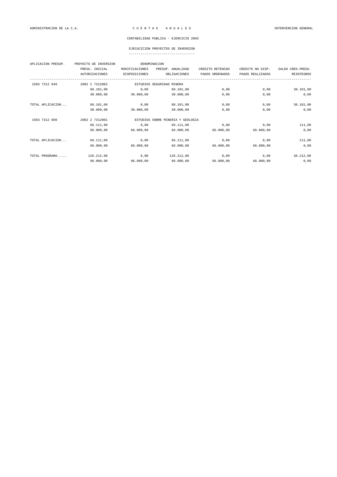## EJECUCICION PROYECTOS DE INVERSION

| APLICACION PRESUP. | PROYECTO DE INVERSION |                | DENOMINACION                      |                  |                  |                    |
|--------------------|-----------------------|----------------|-----------------------------------|------------------|------------------|--------------------|
|                    | PRESU. INICIAL        | MODIFICACIONES | PRESUP. ANUALIDAD                 | CREDITO RETENIDO | CREDITO NO DISP. | SALDO CRED. PRESU. |
|                    | <b>AUTORIZACIONES</b> | DISPOSICIONES  | OBLIGACIONES                      | PAGOS ORDENADOS  | PAGOS REALIZADOS | <b>REINTEGROS</b>  |
| 1503 7312 649      | 2002 2 7312002        |                | ESTUDIOS SEGURIDAD MINERA         |                  |                  |                    |
|                    | 60.101,00             | 0,00           | 60.101,00                         | 0,00             | 0,00             | 30.101,00          |
|                    | 30.000,00             | 30.000,00      | 30.000,00                         | 0,00             | 0,00             | 0,00               |
| TOTAL APLICACION   | 60.101,00             | 0,00           | 60.101,00                         | 0,00             | 0,00             | 30.101,00          |
|                    | 30.000,00             | 30.000,00      | 30.000,00                         | 0,00             | 0,00             | 0,00               |
| 1503 7312 699      | 2002 2 7312001        |                | ESTUDIOS SOBRE MINERIA Y GEOLOGIA |                  |                  |                    |
|                    | 66.111,00             | 0,00           | 66.111,00                         | 0,00             | 0,00             | 111,00             |
|                    | 66.000,00             | 66.000,00      | 66.000,00                         | 66.000,00        | 66.000,00        | 0,00               |
| TOTAL APLICACION   | 66.111,00             | 0,00           | 66.111,00                         | 0,00             | 0,00             | 111,00             |
|                    | 66.000,00             | 66.000,00      | 66.000,00                         | 66.000,00        | 66.000,00        | 0,00               |
| TOTAL PROGRAMA     | 126.212,00            | 0,00           | 126.212,00                        | 0,00             | 0,00             | 30.212,00          |
|                    | 96.000,00             | 96.000,00      | 96.000,00                         | 66.000,00        | 66.000,00        | 0,00               |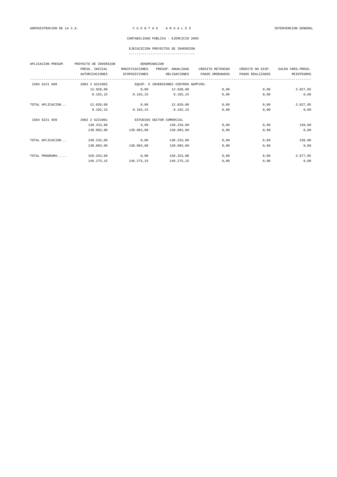|  | ------------------------------------ |  |
|--|--------------------------------------|--|

| PROYECTO DE INVERSION |                |                   |                                           |                                       |                    |
|-----------------------|----------------|-------------------|-------------------------------------------|---------------------------------------|--------------------|
| PRESU. INICIAL        | MODIFICACIONES | PRESUP. ANUALIDAD | CREDITO RETENIDO                          | CREDITO NO DISP.                      | SALDO CRED. PRESU. |
| <b>AUTORIZACIONES</b> | DISPOSICIONES  | OBLIGACIONES      | PAGOS ORDENADOS                           | PAGOS REALIZADOS                      | <b>REINTEGROS</b>  |
| 2002 2 6221002        |                |                   |                                           |                                       |                    |
| 12.020,00             | 0,00           | 12.020,00         | 0,00                                      | 0,00                                  | 3.827,85           |
| 8.192,15              | 8.192,15       | 8.192,15          | 0,00                                      | 0,00                                  | 0,00               |
| 12.020,00             | 0,00           | 12.020,00         | 0,00                                      | 0,00                                  | 3.827,85           |
| 8.192,15              | 8.192,15       | 8.192,15          | 0,00                                      | 0,00                                  | 0,00               |
| 2002 2 6221001        |                |                   |                                           |                                       |                    |
| 138.233,00            | 0,00           | 138.233,00        | 0,00                                      | 0,00                                  | 150,00             |
| 138.083,00            | 138.083,00     | 138.083,00        | 0,00                                      | 0,00                                  | 0,00               |
| 138.233,00            | 0,00           | 138.233,00        | 0,00                                      | 0,00                                  | 150,00             |
| 138.083,00            | 138.083,00     | 138.083,00        | 0,00                                      | 0,00                                  | 0,00               |
| 150.253,00            | 0,00           | 150.253,00        | 0,00                                      | 0,00                                  | 3.977,85           |
| 146.275,15            | 146.275,15     | 146.275,15        | 0,00                                      | 0,00                                  | 0,00               |
|                       |                |                   | DENOMINACION<br>ESTUDIOS SECTOR COMERCIAL | EQUIP. E INVERSIONES CENTROS ADMTVOS. |                    |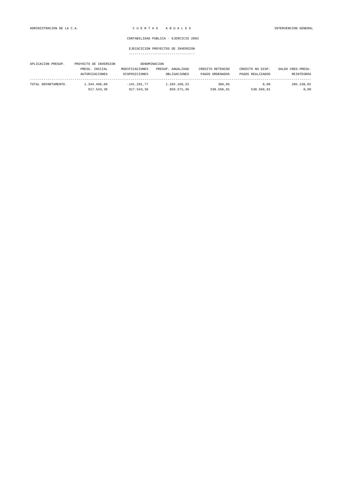| APLICACION PRESUP.  | PROYECTO DE INVERSION |                | DENOMINACION      |                  |                  |                    |
|---------------------|-----------------------|----------------|-------------------|------------------|------------------|--------------------|
|                     | PRESU. INICIAL        | MODIFICACIONES | PRESUP. ANUALIDAD | CREDITO RETENIDO | CREDITO NO DISP. | SALDO CRED. PRESU. |
|                     | <b>AUTORIZACIONES</b> | DISPOSICIONES  | OBLIGACIONES      | PAGOS ORDENADOS  | PAGOS REALIZADOS | REINTEGROS         |
| TOTAL DEPARTAMENTO. | 1.344.460.00          | $-141.291.77$  | 1.203.168.23      | 386.85           | 0.00             | 285.238.02         |
|                     | 917.543,36            | 917.543.36     | 858.571.36        | 538.566.81       | 538.566.81       | 0,00               |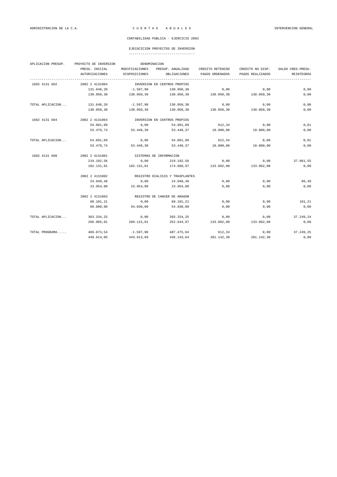### EJECUCICION PROYECTOS DE INVERSION

| APLICACION PRESUP. | PROYECTO DE INVERSION |                | DENOMINACION                    |                  |                  |                    |  |  |
|--------------------|-----------------------|----------------|---------------------------------|------------------|------------------|--------------------|--|--|
|                    | PRESU. INICIAL        | MODIFICACIONES | PRESUP. ANUALIDAD               | CREDITO RETENIDO | CREDITO NO DISP. | SALDO CRED. PRESU. |  |  |
|                    | <b>AUTORIZACIONES</b> | DISPOSICIONES  | OBLIGACIONES                    | PAGOS ORDENADOS  | PAGOS REALIZADOS | REINTEGROS         |  |  |
| 1602 4131 692      | 2002 2 4131004        |                | INVERSION EN CENTROS PROPIOS    |                  |                  |                    |  |  |
|                    | 131.648,20            | $-1.597,90$    | 130.050,30                      | 0,00             | 0,00             | 0,00               |  |  |
|                    | 130.050,30            | 130.050,30     | 130.050,30                      | 130.050,30       | 130.050,30       | 0,00               |  |  |
| TOTAL APLICACION   | 131.648,20            | $-1.597,90$    | 130.050,30                      | 0,00             | 0,00             | 0,00               |  |  |
|                    | 130.050,30            | 130.050,30     | 130.050,30                      | 130.050,30       | 130.050,30       | 0,00               |  |  |
| 1602 4131 694      | 2002 2 4131004        |                | INVERSION EN CENTROS PROPIOS    |                  |                  |                    |  |  |
|                    | 54.091,09             | 0,00           | 54.091,09                       | 612,34           | 0,00             | 0,01               |  |  |
|                    | 53.478,74             | 53.448,38      | 53.448,37                       | 18.000,00        | 18.000,00        | 0,00               |  |  |
| TOTAL APLICACION   | 54.091,09             | 0,00           | 54.091,09                       | 612,34           | 0,00             | 0,01               |  |  |
|                    | 53.478,74             | 53.448,38      | 53.448,37                       | 18.000,00        | 18.000,00        | 0,00               |  |  |
| 1602 4131 698      | 2002 2 4131001        |                | SISTEMAS DE INFORMACION         |                  |                  |                    |  |  |
|                    | 219.192,56            | 0,00           | 219.192,56                      | 0,00             | 0,00             | 37.061,55          |  |  |
|                    | 182.131.01            | 182.131,01     | 174.660,97                      | 133.092,08       | 133.092,08       | 0,00               |  |  |
|                    | 2002 2 4131002        |                | REGISTRO DIALISIS Y TRASPLANTES |                  |                  |                    |  |  |
|                    | 24.040,48             | 0,00           | 24.040,48                       | 0,00             | 0,00             | 86,48              |  |  |
|                    | 23.954,00             | 23.954,00      | 23.954,00                       | 0,00             | 0,00             | 0,00               |  |  |
|                    | 2002 2 4131003        |                | REGISTRO DE CANCER DE ARAGON    |                  |                  |                    |  |  |
|                    | 60.101,21             | 0,00           | 60.101,21                       | 0,00             | 0,00             | 101,21             |  |  |
|                    | 60.000,00             | 54.030,00      | 54.030,00                       | 0,00             | 0,00             | 0,00               |  |  |
| TOTAL APLICACION   | 303.334,25            | 0,00           | 303.334,25                      | 0,00             | 0,00             | 37.249,24          |  |  |
|                    | 266.085,01            | 260.115,01     | 252.644,97                      | 133.092,08       | 133.092,08       | 0,00               |  |  |
| TOTAL PROGRAMA     | 489.073,54            | $-1.597,90$    | 487.475,64                      | 612,34           | 0,00             | 37.249,25          |  |  |
|                    | 449.614,05            | 443.613,69     | 436.143,64                      | 281.142,38       | 281.142,38       | 0,00               |  |  |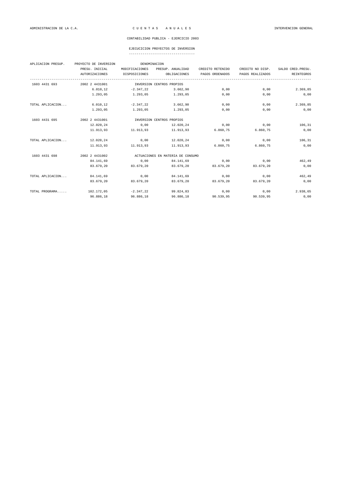|  |  |  |  |  |  |  |  |  |  |  |  |  |  |  | ----------------------------------- |  |
|--|--|--|--|--|--|--|--|--|--|--|--|--|--|--|-------------------------------------|--|
|  |  |  |  |  |  |  |  |  |  |  |  |  |  |  |                                     |  |

| APLICACION PRESUP. | PROYECTO DE INVERSION | DENOMINACION   |                                   |                  |                  |                    |
|--------------------|-----------------------|----------------|-----------------------------------|------------------|------------------|--------------------|
|                    | PRESU. INICIAL        | MODIFICACIONES | PRESUP. ANUALIDAD                 | CREDITO RETENIDO | CREDITO NO DISP. | SALDO CRED. PRESU. |
|                    | <b>AUTORIZACIONES</b> | DISPOSICIONES  | OBLIGACIONES<br>-------------     | PAGOS ORDENADOS  | PAGOS REALIZADOS | REINTEGROS         |
| 1603 4431 693      | 2002 2 4431001        |                | INVERSION CENTROS PROPIOS         |                  |                  |                    |
|                    | 6.010, 12             | $-2.347, 22$   | 3.662,90                          | 0,00             | 0,00             | 2.369,85           |
|                    | 1.293,05              | 1.293,05       | 1.293,05                          | 0,00             | 0,00             | 0,00               |
| TOTAL APLICACION   | 6.010, 12             | $-2.347, 22$   | 3.662,90                          | 0,00             | 0,00             | 2.369,85           |
|                    | 1.293,05              | 1.293,05       | 1.293,05                          | 0,00             | 0,00             | 0,00               |
| 1603 4431 695      | 2002 2 4431001        |                | INVERSION CENTROS PROPIOS         |                  |                  |                    |
|                    | 12.020,24             | 0,00           | 12.020,24                         | 0,00             | 0,00             | 106,31             |
|                    | 11.913.93             | 11.913.93      | 11,913,93                         | 6.860,75         | 6.860,75         | 0,00               |
| TOTAL APLICACION   | 12.020,24             | 0,00           | 12.020,24                         | 0,00             | 0,00             | 106,31             |
|                    | 11.913,93             | 11.913,93      | 11.913,93                         | 6.860,75         | 6.860,75         | 0,00               |
| 1603 4431 698      | 2002 2 4431002        |                | ACTUACIONES EN MATERIA DE CONSUMO |                  |                  |                    |
|                    | 84.141,69             | 0,00           | 84.141,69                         | 0,00             | 0,00             | 462,49             |
|                    | 83.679,20             | 83.679,20      | 83.679,20                         | 83.679,20        | 83.679,20        | 0,00               |
| TOTAL APLICACION   | 84.141,69             | 0,00           | 84.141,69                         | 0,00             | 0,00             | 462,49             |
|                    | 83.679.20             | 83.679,20      | 83.679,20                         | 83.679,20        | 83.679,20        | 0,00               |
| TOTAL PROGRAMA     | 102.172,05            | $-2.347,22$    | 99.824,83                         | 0,00             | 0,00             | 2.938,65           |
|                    | 96.886,18             | 96.886,18      | 96.886,18                         | 90.539,95        | 90.539,95        | 0,00               |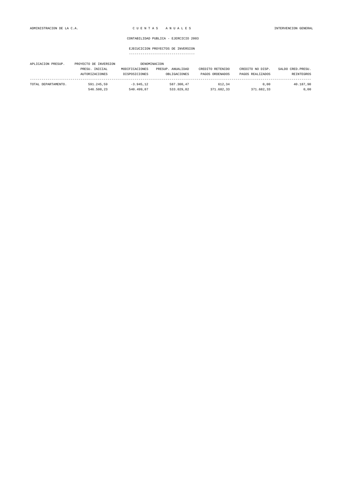| APLICACION PRESUP.  | PROYECTO DE INVERSION |                | DENOMINACION      |                  |                  |                    |
|---------------------|-----------------------|----------------|-------------------|------------------|------------------|--------------------|
|                     | PRESU. INICIAL        | MODIFICACIONES | PRESUP. ANUALIDAD | CREDITO RETENIDO | CREDITO NO DISP. | SALDO CRED. PRESU. |
|                     | <b>AUTORIZACIONES</b> | DISPOSICIONES  | OBLIGACIONES      | PAGOS ORDENADOS  | PAGOS REALIZADOS | REINTEGROS         |
| TOTAL DEPARTAMENTO. | 591.245.59            | $-3.945.12$    | 587.300.47        | 612.34           | 0.00             | 40.187,90          |
|                     | 546.500,23            | 540.499.87     | 533.029.82        | 371.682,33       | 371.682.33       | 0,00               |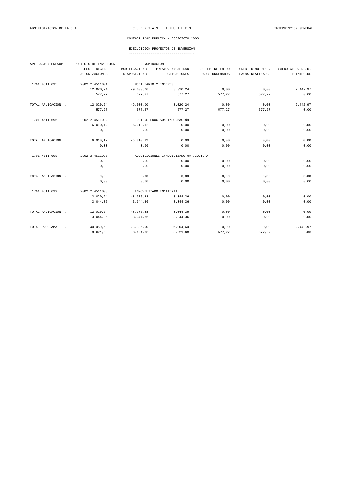| APLICACION PRESUP. | PROYECTO DE INVERSION |                | DENOMINACION                           |                  |                  |                    |
|--------------------|-----------------------|----------------|----------------------------------------|------------------|------------------|--------------------|
|                    | PRESU. INICIAL        | MODIFICACIONES | PRESUP. ANUALIDAD                      | CREDITO RETENIDO | CREDITO NO DISP. | SALDO CRED. PRESU. |
|                    | AUTORIZACIONES        | DISPOSICIONES  | OBLIGACIONES<br>---------------------- | PAGOS ORDENADOS  | PAGOS REALIZADOS | REINTEGROS         |
| 1701 4511 695      | 2002 2 4511001        |                | MOBILIARIO Y ENSERES                   |                  |                  |                    |
|                    | 12.020,24             | $-9.000,00$    | 3.020,24                               | 0,00             | 0,00             | 2.442,97           |
|                    | 577.27                | 577,27         | 577.27                                 | 577,27           | 577.27           | 0,00               |
| TOTAL APLICACION   | 12.020,24             | $-9.000,00$    | 3.020, 24                              | 0,00             | 0,00             | 2.442,97           |
|                    | 577.27                | 577,27         | 577.27                                 | 577,27           | 577,27           | 0,00               |
| 1701 4511 696      | 2002 2 4511002        |                | EQUIPOS PROCESOS INFORMACIÓN           |                  |                  |                    |
|                    | 6.010, 12             | $-6.010, 12$   | 0,00                                   | 0,00             | 0,00             | 0,00               |
|                    | 0,00                  | 0,00           | 0,00                                   | 0,00             | 0.00             | 0,00               |
| TOTAL APLICACION   | 6.010, 12             | $-6.010, 12$   | 0,00                                   | 0,00             | 0,00             | 0,00               |
|                    | 0.00                  | 0,00           | 0,00                                   | 0.00             | 0.00             | 0,00               |
| 1701 4511 698      | 2002 2 4511005        |                | ADQUISICIONES INMOVILIZADO MAT.CULTURA |                  |                  |                    |
|                    | 0,00                  | 0,00           | 0,00                                   | 0,00             | 0,00             | 0,00               |
|                    | 0,00                  | 0,00           | 0,00                                   | 0,00             | 0.00             | 0,00               |
| TOTAL APLICACION   | 0,00                  | 0,00           | 0,00                                   | 0,00             | 0,00             | 0,00               |
|                    | 0.00                  | 0,00           | 0,00                                   | 0,00             | 0.00             | 0,00               |
| 1701 4511 699      | 2002 2 4511003        |                | INMOVILIZADO INMATERIAL                |                  |                  |                    |
|                    | 12.020,24             | $-8.975.88$    | 3.044.36                               | 0,00             | 0,00             | 0.00               |
|                    | 3.044,36              | 3.044,36       | 3.044.36                               | 0,00             | 0.00             | 0,00               |
| TOTAL APLICACION   | 12.020,24             | $-8.975, 88$   | 3.044,36                               | 0,00             | 0,00             | 0,00               |
|                    | 3.044,36              | 3.044, 36      | 3.044,36                               | 0,00             | 0,00             | 0,00               |
| TOTAL PROGRAMA     | 30.050,60             | $-23.986,00$   | 6.064,60                               | 0,00             | 0,00             | 2.442,97           |
|                    | 3.621,63              | 3.621,63       | 3.621,63                               | 577,27           | 577,27           | 0,00               |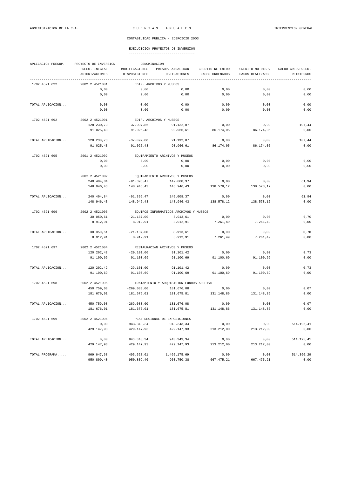|                  |                                         | DENOMINACION                    |                                          |                                     |                                      |                                         |
|------------------|-----------------------------------------|---------------------------------|------------------------------------------|-------------------------------------|--------------------------------------|-----------------------------------------|
|                  | PRESU. INICIAL<br><b>AUTORIZACIONES</b> | MODIFICACIONES<br>DISPOSICIONES | PRESUP. ANUALIDAD<br>OBLIGACIONES        | CREDITO RETENIDO<br>PAGOS ORDENADOS | CREDITO NO DISP.<br>PAGOS REALIZADOS | SALDO CRED. PRESU.<br><b>REINTEGROS</b> |
|                  |                                         |                                 |                                          |                                     |                                      |                                         |
| 1702 4521 622    | 2002 2 4521001                          |                                 | EDIF. ARCHIVOS Y MUSEOS                  |                                     |                                      |                                         |
|                  | 0,00                                    | 0,00                            | 0,00                                     | 0,00                                | 0,00                                 | 0,00                                    |
|                  | 0,00                                    | 0,00                            | 0,00                                     | 0,00                                | 0,00                                 | 0,00                                    |
| TOTAL APLICACION | 0,00                                    | 0,00                            | 0,00                                     | 0,00                                | 0,00                                 | 0,00                                    |
|                  | 0,00                                    | 0,00                            | 0,00                                     | 0,00                                | 0,00                                 | 0,00                                    |
| 1702 4521 692    | 2002 2 4521001                          | EDIF. ARCHIVOS Y MUSEOS         |                                          |                                     |                                      |                                         |
|                  | 128.230,73                              | $-37.097,86$                    | 91.132,87                                | 0,00                                | 0,00                                 | 107,44                                  |
|                  | 91.025,43                               | 91.025,43                       | 90.966,61                                | 86.174,05                           | 86.174,05                            | 0,00                                    |
| TOTAL APLICACION | 128.230,73                              | $-37.097,86$                    | 91.132,87                                | 0,00                                | 0,00                                 | 107,44                                  |
|                  | 91.025,43                               | 91.025,43                       | 90.966,61                                | 86.174,05                           | 86.174,05                            | 0,00                                    |
| 1702 4521 695    | 2001 2 4521002                          |                                 | EQUIPAMIENTO ARCHIVOS Y MUSEOS           |                                     |                                      |                                         |
|                  | 0,00                                    | 0,00                            | 0,00                                     | 0,00                                | 0,00                                 | 0,00                                    |
|                  | 0,00                                    | 0,00                            | 0,00                                     | 0,00                                | 0,00                                 | 0,00                                    |
|                  | 2002 2 4521002                          |                                 | EOUIPAMIENTO ARCHIVOS Y MUSEOS           |                                     |                                      |                                         |
|                  | 240.404,84                              | $-91.396, 47$                   | 149.008,37                               | 0,00                                | 0,00                                 | 61,94                                   |
|                  | 148.946,43                              | 148.946,43                      | 148.946,43                               | 138.578,12                          | 138.578,12                           | 0,00                                    |
| TOTAL APLICACION | 240.404,84                              | $-91.396,47$                    | 149.008,37                               | 0,00                                | 0,00                                 | 61,94                                   |
|                  | 148.946,43                              | 148.946,43                      | 148.946,43                               | 138.578,12                          | 138.578,12                           | 0,00                                    |
|                  |                                         |                                 |                                          |                                     |                                      |                                         |
| 1702 4521 696    | 2002 2 4521003                          |                                 | EQUIPOS INFORMATICOS ARCHIVOS Y MUSEOS   |                                     |                                      |                                         |
|                  | 30.050,61                               | $-21.137,00$                    | 8.913,61                                 | 0,00                                | 0,00                                 | 0,70                                    |
|                  | 8.912,91                                | 8.912,91                        | 8.912,91                                 | 7.261,49                            | 7.261,49                             | 0,00                                    |
| TOTAL APLICACION | 30.050,61                               | $-21.137,00$                    | 8.913,61                                 | 0,00                                | 0,00                                 | 0,70                                    |
|                  | 8.912,91                                | 8.912,91                        | 8.912,91                                 | 7.261,49                            | 7.261,49                             | 0,00                                    |
| 1702 4521 697    | 2002 2 4521004                          |                                 | RESTAURACIÓN ARCHIVOS Y MUSEOS           |                                     |                                      |                                         |
|                  | 120.202,42                              | $-29.101,00$                    | 91.101,42                                | 0,00                                | 0,00                                 | 0,73                                    |
|                  | 91.100,69                               | 91.100,69                       | 91.100,69                                | 91.100,69                           | 91.100,69                            | 0,00                                    |
| TOTAL APLICACION | 120.202,42                              | $-29.101,00$                    | 91.101,42                                | 0,00                                | 0,00                                 | 0,73                                    |
|                  | 91.100,69                               | 91.100,69                       | 91.100,69                                | 91.100,69                           | 91.100,69                            | 0,00                                    |
| 1702 4521 698    | 2002 2 4521005                          |                                 | TRATAMIENTO Y ADQUISICION FONDOS ARCHIVO |                                     |                                      |                                         |
|                  | 450.759,08                              | $-269.083,00$                   | 181.676,08                               | 0,00                                | 0,00                                 | 0,07                                    |
|                  | 181.676,01                              | 181.676,01                      | 181.675,81                               | 131.148,86                          | 131.148,86                           | 0,00                                    |
| TOTAL APLICACION | 450.759,08                              | $-269.083,00$                   | 181.676,08                               | 0,00                                | 0,00                                 | 0,07                                    |
|                  | 181.676,01                              | 181.676,01                      | 181.675,81                               | 131.148,86                          | 131.148,86                           | 0,00                                    |
| 1702 4521 699    | 2002 2 4521006                          |                                 | PLAN REGIONAL DE EXPOSICIONES            |                                     |                                      |                                         |
|                  | 0,00                                    | 943.343,34                      | 943.343,34                               | 0,00                                | 0,00                                 | 514.195,41                              |
|                  | 429.147,93                              | 429.147,93                      | 429.147,93                               | 213.212,00                          | 213.212,00                           | 0,00                                    |
| TOTAL APLICACION | 0,00                                    | 943.343,34                      | 943.343,34                               | 0,00                                | 0,00                                 | 514.195,41                              |
|                  | 429.147,93                              | 429.147,93                      | 429.147,93                               | 213.212,00                          | 213.212,00                           | 0,00                                    |
| TOTAL PROGRAMA   | 969.647,68                              | 495.528,01                      | 1.465.175,69                             | 0,00                                | 0,00                                 | 514.366,29                              |
|                  |                                         |                                 |                                          |                                     |                                      |                                         |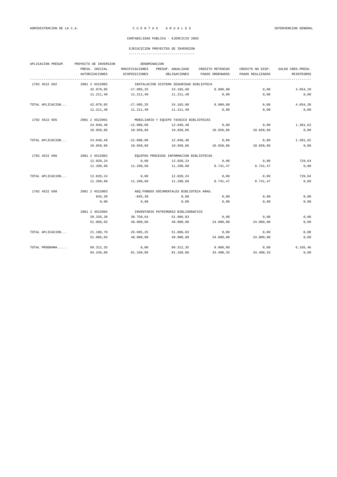## EJECUCICION PROYECTOS DE INVERSION

| APLICACION PRESUP. | PROYECTO DE INVERSION<br>DENOMINACION |                                           |                                          |                  |                  |                    |  |  |
|--------------------|---------------------------------------|-------------------------------------------|------------------------------------------|------------------|------------------|--------------------|--|--|
|                    | PRESU. INICIAL                        | MODIFICACIONES                            | PRESUP. ANUALIDAD                        | CREDITO RETENIDO | CREDITO NO DISP. | SALDO CRED. PRESU. |  |  |
|                    | AUTORIZACIONES                        | DISPOSICIONES                             | OBLIGACIONES                             | PAGOS ORDENADOS  | PAGOS REALIZADOS | <b>REINTEGROS</b>  |  |  |
| 1702 4522 692      | 2001 2 4522005                        |                                           | INSTALACION SISTEMA SEGURIDAD BIBLIOTECA |                  |                  |                    |  |  |
|                    | 42.070,85                             | $-17.905, 25$                             | 24.165,60                                | 8.900,00         | 0,00             | 4.054,20           |  |  |
|                    | 11.211,40                             | 11.211,40                                 | 11.211,40                                | 0,00             | 0,00             | 0,00               |  |  |
| TOTAL APLICACION   | 42.070,85                             | $-17.905, 25$                             | 24.165,60                                | 8.900,00         | 0,00             | 4.054,20           |  |  |
|                    | 11.211,40                             | 11.211,40                                 | 11.211,40                                | 0,00             | 0,00             | 0,00               |  |  |
| 1702 4522 695      | 2001 2 4522001                        |                                           | MOBILIARIO Y EQUIPO TÉCNICO BIBLIOTECAS  |                  |                  |                    |  |  |
|                    | 24.040,48                             | $-12.000,00$                              | 12.040,48                                | 0,00             | 0,00             | 1.381,62           |  |  |
|                    | 10.658,86                             | 10.658,86                                 | 10.658,86                                | 10.658,86        | 10.658,86        | 0,00               |  |  |
| TOTAL APLICACION   | 24.040,48                             | $-12.000,00$                              | 12.040,48                                | 0,00             | 0,00             | 1.381,62           |  |  |
|                    | 10.658,86                             | 10.658,86                                 | 10.658,86                                | 10.658,86        | 10.658,86        | 0,00               |  |  |
| 1702 4522 696      | 2001 2 4522002                        | EQUIPOS PROCESOS INFORMACION BIBLIOTECAS  |                                          |                  |                  |                    |  |  |
|                    | 12.020,24                             | 0,00                                      | 12.020,24                                | 0,00             | 0,00             | 729,64             |  |  |
|                    | 11.290,60                             | 11.290,60                                 | 11.290,60                                | 8.741,47         | 8.741,47         | 0,00               |  |  |
| TOTAL APLICACION   | 12.020,24                             | 0,00                                      | 12.020,24                                | 0,00             | 0,00             | 729,64             |  |  |
|                    | 11.290,60                             | 11.290,60                                 | 11.290,60                                | 8.741,47         | 8.741,47         | 0,00               |  |  |
| 1702 4522 698      | 2001 2 4522003                        | ADQ. FONDOS DOCUMENTALES BIBLIOTECA ARAG. |                                          |                  |                  |                    |  |  |
|                    | 845,39                                | $-845, 39$                                | 0,00                                     | 0,00             | 0,00             | 0,00               |  |  |
|                    | 0,00                                  | 0,00                                      | 0,00                                     | 0,00             | 0,00             | 0,00               |  |  |
|                    | 2001 2 4522004                        |                                           | INVENTARIO PATRIMONIO BIBLIOGRÁFICO      |                  |                  |                    |  |  |
|                    | 20.335,39                             | 30.750,64                                 | 51.086,03                                | 0,00             | 0,00             | 0,00               |  |  |
|                    | 51.086,03                             | 48.000,00                                 | 48.000,00                                | 24.000,00        | 24.000,00        | 0,00               |  |  |
| TOTAL APLICACION   | 21.180,78                             | 29.905,25                                 | 51.086,03                                | 0,00             | 0,00             | 0,00               |  |  |
|                    | 51.086,03                             | 48.000,00                                 | 48.000,00                                | 24.000,00        | 24.000,00        | 0,00               |  |  |
| TOTAL PROGRAMA     | 99.312,35                             | 0,00                                      | 99.312,35                                | 8.900,00         | 0,00             | 6.165, 46          |  |  |
|                    | 84.246,89                             | 81.160,86                                 | 81.160,86                                | 43.400,33        | 43.400,33        | 0,00               |  |  |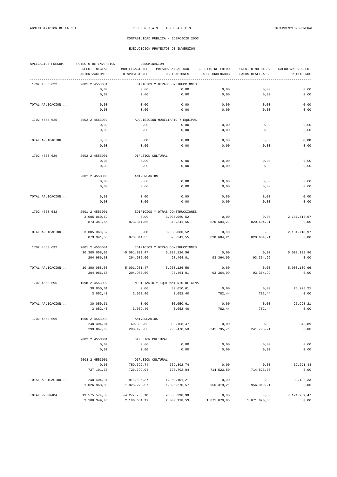|  | ----------------------------------- |  |
|--|-------------------------------------|--|

| APLICACION PRESUP. | PROYECTO DE INVERSION<br>DENOMINACION              |                                 |                                   |                                     |                                      |                                 |  |  |
|--------------------|----------------------------------------------------|---------------------------------|-----------------------------------|-------------------------------------|--------------------------------------|---------------------------------|--|--|
|                    | PRESU. INICIAL<br>AUTORIZACIONES                   | MODIFICACIONES<br>DISPOSICIONES | PRESUP. ANUALIDAD<br>OBLIGACIONES | CREDITO RETENIDO<br>PAGOS ORDENADOS | CREDITO NO DISP.<br>PAGOS REALIZADOS | SALDO CRED. PRESU<br>REINTEGROS |  |  |
| 1702 4553 622      | 2001 2 4553001                                     |                                 | EDIFICIOS Y OTRAS CONSTRUCCIONES  |                                     |                                      |                                 |  |  |
|                    | 0,00                                               | 0,00                            | 0,00                              | 0,00                                | 0,00                                 | 0,00                            |  |  |
|                    | 0,00                                               | 0,00                            | 0,00                              | 0,00                                | 0,00                                 | 0,00                            |  |  |
| TOTAL APLICACION   | 0,00                                               | 0,00                            | 0,00                              | 0,00                                | 0,00                                 | 0,00                            |  |  |
|                    | 0,00                                               | 0,00                            | 0,00                              | 0,00                                | 0,00                                 | 0,00                            |  |  |
| 1702 4553 625      | 2002 2 4553002                                     |                                 | ADQUISICION MOBILIARIO Y EQUIPOS  |                                     |                                      |                                 |  |  |
|                    | 0,00                                               | 0,00                            | 0,00                              | 0,00                                | 0,00                                 | 0,00                            |  |  |
|                    | 0,00                                               | 0,00                            | 0,00                              | 0,00                                | 0,00                                 | 0,00                            |  |  |
| TOTAL APLICACION   | 0,00                                               | 0,00                            | 0,00                              | 0,00                                | 0,00                                 | 0,00                            |  |  |
|                    | 0,00                                               | 0,00                            | 0,00                              | 0,00                                | 0,00                                 | 0,00                            |  |  |
| 1702 4553 629      | 2002 2 4553001                                     | DIFUSION CULTURAL               |                                   |                                     |                                      |                                 |  |  |
|                    | 0,00                                               | 0,00                            | 0,00                              | 0,00                                | 0,00                                 | 0,00                            |  |  |
|                    | 0,00                                               | 0,00                            | 0,00                              | 0,00                                | 0,00                                 | 0,00                            |  |  |
|                    | 2002 2 4553003                                     | ANIVERSARIOS                    |                                   |                                     |                                      |                                 |  |  |
|                    | 0,00                                               | 0,00                            | 0,00                              | 0,00                                | 0,00                                 | 0,00                            |  |  |
|                    | 0,00                                               | 0,00                            | 0,00                              | 0,00                                | 0,00                                 | 0,00                            |  |  |
| TOTAL APLICACION   | 0,00                                               | 0,00                            | 0,00                              | 0,00                                | 0,00                                 | 0,00                            |  |  |
|                    | 0,00                                               | 0,00                            | 0,00                              | 0,00                                | 0,00                                 | 0,00                            |  |  |
| 1702 4553 642      | 2001 2 4553001                                     |                                 | EDIFICIOS Y OTRAS CONSTRUCCIONES  |                                     |                                      |                                 |  |  |
|                    | 3.005.060,52                                       | 0,00                            | 3.005.060,52                      | 0,00                                | 0,00                                 | 2.131.718,97                    |  |  |
|                    | 873.341,55                                         | 873.341,55                      | 873.341,55                        | 820.604,21                          | 820.604,21                           | 0,00                            |  |  |
| TOTAL APLICACION   | 3.005.060,52                                       | 0,00                            | 3.005.060,52                      | 0,00                                | 0,00                                 | 2.131.718,97                    |  |  |
|                    | 873.341,55                                         | 873.341,55                      | 873.341,55                        | 820.604,21                          | 820.604,21                           | 0,00                            |  |  |
| 1702 4553 692      | 2001 2 4553001<br>EDIFICIOS Y OTRAS CONSTRUCCIONES |                                 |                                   |                                     |                                      |                                 |  |  |
|                    | 10.300.058,03                                      | $-5.091.931,47$                 | 5.208.126,56                      | 0,00                                | 0,00                                 | 5.003.139,96                    |  |  |
|                    | 204.986,60                                         | 204.986,60                      | 98.464,01                         | 93.364,99                           | 93.364,99                            | 0,00                            |  |  |
| TOTAL APLICACION   | 10.300.058,03                                      | $-5.091.931,47$                 | 5.208.126,56                      | 0,00                                | 0,00                                 | 5.003.139,96                    |  |  |
|                    | 204.986,60                                         | 204.986,60                      | 98.464,01                         | 93.364,99                           | 93.364,99                            | 0,00                            |  |  |
| 1702 4553 695      | 1998 2 4553002                                     |                                 | MOBILIARIO Y EQUIPAMIENTO OFICINA |                                     |                                      |                                 |  |  |
|                    | 30.050,61                                          | 0,00                            | 30.050,61                         | 0,00                                | 0,00                                 | 26.998,21                       |  |  |
|                    | 3.052, 40                                          | 3.052, 40                       | 3.052,40                          | 782,44                              | 782,44                               | 0,00                            |  |  |
| TOTAL APLICACION   | 30.050,61                                          | 0,00                            | 30.050,61                         | 0,00                                | 0,00                                 | 26.998,21                       |  |  |
|                    | 3.052, 40                                          | 3.052, 40                       | 3.052, 40                         | 782,44                              | 782,44                               | 0,00                            |  |  |
| 1702 4553 699      | 1996 2 4553003                                     | ANIVERSARIOS                    |                                   |                                     |                                      |                                 |  |  |
|                    | 240.404,84                                         | 60.303,63                       | 300.708,47                        | 0,00                                | 0,00                                 | 840,89                          |  |  |
|                    | 299.867,58                                         | 298.478,53                      | 298.478,53                        | 241.795,71                          | 241.795,71                           | 0,00                            |  |  |
|                    | 2002 2 4553001                                     | DIFUSION CULTURAL               |                                   |                                     |                                      |                                 |  |  |
|                    | 0,00                                               | 0,00                            | 0,00                              | 0,00                                | 0,00                                 | 0,00                            |  |  |
|                    | 0,00                                               | 0,00                            | 0,00                              | 0,00                                | 0,00                                 | 0,00                            |  |  |
|                    | 2003 2 4553001                                     | DIFUSION CULTURAL               |                                   |                                     |                                      |                                 |  |  |
|                    | 0,00                                               | 759.392,74                      | 759.392,74                        | 0,00                                | 0,00                                 | 32.291,44                       |  |  |
|                    | 727.101,30                                         | 726.792,04                      | 726.792,04                        | 714.523,50                          | 714.523,50                           | 0,00                            |  |  |
| TOTAL APLICACION   |                                                    |                                 |                                   |                                     |                                      | 33.132,33                       |  |  |
|                    | 240.404,84<br>1.026.968,88                         | 819.696,37<br>1.025.270,57      | 1.060.101,21<br>1.025.270,57      | 0,00<br>956.319,21                  | 0,00<br>956.319,21                   | 0,00                            |  |  |
|                    |                                                    |                                 |                                   |                                     |                                      |                                 |  |  |
| TOTAL PROGRAMA     | 13.575.574,00                                      | $-4.272.235,10$                 | 9.303.338,90                      | 0,00                                | 0,00                                 | 7.194.989,47                    |  |  |
|                    | 2.108.349,43                                       | 2.106.651,12                    | 2.000.128,53                      | 1.871.070,85                        | 1.871.070,85                         | 0,00                            |  |  |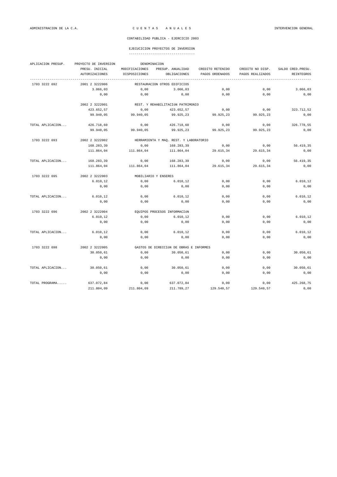|  | ----------------------------------- |  |
|--|-------------------------------------|--|

| APLICACION PRESUP. | PROYECTO DE INVERSION<br>DENOMINACION |                                         |                                        |                  |                  |                    |  |  |
|--------------------|---------------------------------------|-----------------------------------------|----------------------------------------|------------------|------------------|--------------------|--|--|
|                    | PRESU. INICIAL                        | MODIFICACIONES                          | PRESUP. ANUALIDAD                      | CREDITO RETENIDO | CREDITO NO DISP. | SALDO CRED. PRESU. |  |  |
|                    | <b>AUTORIZACIONES</b>                 | DISPOSICIONES                           | OBLIGACIONES                           | PAGOS ORDENADOS  | PAGOS REALIZADOS | REINTEGROS         |  |  |
| 1703 3222 692      | 2001 2 3222006                        |                                         | RESTAURACION OTROS EDIFICIOS           |                  |                  |                    |  |  |
|                    | 3.066,03                              | 0,00                                    | 3.066,03                               | 0,00             | 0,00             | 3.066,03           |  |  |
|                    | 0,00                                  | 0,00                                    | 0,00                                   | 0,00             | 0,00             | 0,00               |  |  |
|                    | 2002 2 3222001                        |                                         | REST. Y REHABILITACIÓN PATRIMONIO      |                  |                  |                    |  |  |
|                    | 423.652,57                            | 0.00                                    | 423.652,57                             | 0.00             | 0.00             | 323.712,52         |  |  |
|                    | 99.940,05                             | 99.940,05                               | 99.925,23                              | 99.925,23        | 99.925,23        | 0,00               |  |  |
| TOTAL APLICACION   | 426.718,60                            | 0,00                                    | 426.718.60                             | 0,00             | 0,00             | 326.778,55         |  |  |
|                    | 99.940,05                             | 99.940,05                               | 99.925,23                              | 99.925,23        | 99.925,23        | 0,00               |  |  |
| 1703 3222 693      | 2002 2 3222002                        |                                         | HERRAMIENTA Y MAQ. REST. Y LABORATORIO |                  |                  |                    |  |  |
|                    | 168.283,39                            | 0,00                                    | 168.283,39                             | 0,00             | 0,00             | 56.419,35          |  |  |
|                    | 111.864,04                            | 111.864,04                              | 111.864,04                             | 29.615,34        | 29.615,34        | 0,00               |  |  |
| TOTAL APLICACION   | 168.283,39                            | 0,00                                    | 168.283,39                             | 0,00             | 0.00             | 56.419.35          |  |  |
|                    | 111.864.04                            | 111.864,04                              | 111.864,04                             | 29.615,34        | 29.615,34        | 0,00               |  |  |
| 1703 3222 695      | 2002 2 3222003                        |                                         | MOBILIARIO Y ENSERES                   |                  |                  |                    |  |  |
|                    | 6.010, 12                             | 0,00                                    | 6.010, 12                              | 0,00             | 0,00             | 6.010, 12          |  |  |
|                    | 0,00                                  | 0,00                                    | 0,00                                   | 0,00             | 0,00             | 0,00               |  |  |
| TOTAL APLICACION   | 6.010, 12                             | 0,00                                    | 6.010, 12                              | 0,00             | 0,00             | 6.010, 12          |  |  |
|                    | 0,00                                  | 0,00                                    | 0,00                                   | 0,00             | 0,00             | 0,00               |  |  |
| 1703 3222 696      | 2002 2 3222004                        |                                         | EOUIPOS PROCESOS INFORMACIÓN           |                  |                  |                    |  |  |
|                    | 6.010, 12                             | 0,00                                    | 6.010, 12                              | 0,00             | 0,00             | 6.010, 12          |  |  |
|                    | 0,00                                  | 0,00                                    | 0,00                                   | 0,00             | 0,00             | 0,00               |  |  |
| TOTAL APLICACION   | 6.010, 12                             | 0,00                                    | 6.010, 12                              | 0,00             | 0,00             | 6.010, 12          |  |  |
|                    | 0,00                                  | 0,00                                    | 0,00                                   | 0,00             | 0,00             | 0,00               |  |  |
| 1703 3222 698      | 2002 2 3222005                        | GASTOS DE DIRECCIÓN DE OBRAS E INFORMES |                                        |                  |                  |                    |  |  |
|                    | 30.050,61                             | 0.00                                    | 30.050,61                              | 0,00             | 0.00             | 30.050,61          |  |  |
|                    | 0,00                                  | 0,00                                    | 0,00                                   | 0,00             | 0,00             | 0,00               |  |  |
| TOTAL APLICACION   | 30.050,61                             | 0,00                                    | 30.050,61                              | 0,00             | 0,00             | 30.050,61          |  |  |
|                    | 0,00                                  | 0,00                                    | 0,00                                   | 0,00             | 0.00             | 0,00               |  |  |
| TOTAL PROGRAMA     | 637.072,84                            | 0,00                                    | 637.072,84                             | 0,00             | 0,00             | 425.268,75         |  |  |
|                    | 211.804,09                            | 211.804,09                              | 211.789,27                             | 129.540,57       | 129.540,57       | 0,00               |  |  |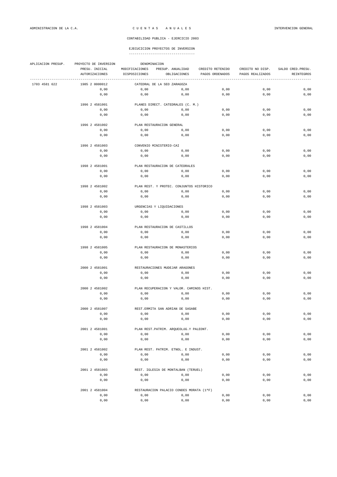| APLICACION PRESUP. | PROYECTO DE INVERSION  | DENOMINACION                        |                                                              |                  |                  |                    |  |  |  |
|--------------------|------------------------|-------------------------------------|--------------------------------------------------------------|------------------|------------------|--------------------|--|--|--|
|                    | PRESU. INICIAL         | MODIFICACIONES<br>PRESUP. ANUALIDAD |                                                              | CREDITO RETENIDO | CREDITO NO DISP. | SALDO CRED. PRESU. |  |  |  |
|                    | <b>AUTORIZACIONES</b>  | DISPOSICIONES                       | OBLIGACIONES                                                 | PAGOS ORDENADOS  | PAGOS REALIZADOS | REINTEGROS         |  |  |  |
| 1703 4581 622      | 1985 2 0000012         |                                     | -----------------------------<br>CATEDRAL DE LA SEO ZARAGOZA |                  |                  |                    |  |  |  |
|                    | 0,00                   | 0,00                                | 0,00                                                         | 0,00             | 0,00             | 0,00               |  |  |  |
|                    | 0,00                   | 0,00                                | 0,00                                                         | 0,00             | 0,00             | 0,00               |  |  |  |
|                    | 1996 2 4581001         |                                     | PLANES DIRECT. CATEDRALES (C. M.)                            |                  |                  |                    |  |  |  |
|                    | 0,00                   | 0,00                                | 0,00                                                         | 0,00             | 0,00             | 0,00               |  |  |  |
|                    | 0,00                   | 0,00                                | 0,00                                                         | 0,00             | 0,00             | 0,00               |  |  |  |
|                    | 1996 2 4581002         |                                     | PLAN RESTAURACION GENERAL                                    |                  |                  |                    |  |  |  |
|                    | 0,00                   | 0,00                                | 0,00                                                         | 0,00             | 0,00             | 0,00               |  |  |  |
|                    | 0,00                   | 0,00                                | 0,00                                                         | 0,00             | 0,00             | 0,00               |  |  |  |
|                    | 1996 2 4581003         |                                     | CONVENIO MINISTERIO-CAI                                      |                  |                  |                    |  |  |  |
|                    | 0,00                   | 0,00                                | 0,00                                                         | 0,00             | 0,00             | 0,00               |  |  |  |
|                    | 0,00                   | 0,00                                | 0,00                                                         | 0,00             | 0,00             | 0,00               |  |  |  |
|                    |                        |                                     |                                                              |                  |                  |                    |  |  |  |
|                    | 1998 2 4581001         |                                     | PLAN RESTAURACION DE CATEDRALES                              |                  |                  |                    |  |  |  |
|                    | 0,00                   | 0,00                                | 0,00                                                         | 0,00             | 0,00             | 0,00               |  |  |  |
|                    | 0,00                   | 0,00                                | 0,00                                                         | 0,00             | 0,00             | 0,00               |  |  |  |
|                    | 1998 2 4581002         |                                     | PLAN REST. Y PROTEC. CONJUNTOS HISTORICO                     |                  |                  |                    |  |  |  |
|                    | 0,00                   | 0,00                                | 0,00                                                         | 0,00             | 0,00             | 0,00               |  |  |  |
|                    | 0,00                   | 0,00                                | 0,00                                                         | 0,00             | 0,00             | 0,00               |  |  |  |
|                    | 1998 2 4581003         |                                     | URGENCIAS Y LIQUIDACIONES                                    |                  |                  |                    |  |  |  |
|                    | 0,00                   | 0,00                                | 0,00                                                         | 0,00             | 0,00             | 0,00               |  |  |  |
|                    | 0,00                   | 0,00                                | 0,00                                                         | 0,00             | 0,00             | 0,00               |  |  |  |
|                    |                        |                                     |                                                              |                  |                  |                    |  |  |  |
|                    | 1998 2 4581004<br>0,00 | 0,00                                | PLAN RESTAURACION DE CASTILLOS<br>0,00                       | 0,00             | 0,00             | 0,00               |  |  |  |
|                    | 0,00                   | 0,00                                | 0,00                                                         | 0,00             | 0,00             | 0,00               |  |  |  |
|                    |                        |                                     |                                                              |                  |                  |                    |  |  |  |
|                    | 1998 2 4581005         |                                     | PLAN RESTAURACION DE MONASTERIOS                             |                  |                  |                    |  |  |  |
|                    | 0,00                   | 0,00                                | 0,00                                                         | 0,00             | 0,00             | 0,00               |  |  |  |
|                    | 0,00                   | 0,00                                | 0,00                                                         | 0,00             | 0,00             | 0,00               |  |  |  |
|                    | 2000 2 4581001         |                                     | RESTAURACIONES MUDEJAR ARAGONES                              |                  |                  |                    |  |  |  |
|                    | 0,00                   | 0,00                                | 0,00                                                         | 0,00             | 0,00             | 0,00               |  |  |  |
|                    | 0,00                   | 0,00                                | 0,00                                                         | 0,00             | 0,00             | 0,00               |  |  |  |
|                    | 2000 2 4581002         |                                     | PLAN RECUPERACION Y VALOR. CAMINOS HIST.                     |                  |                  |                    |  |  |  |
|                    | 0,00                   | 0,00                                | 0,00                                                         | 0,00             | 0,00             | 0,00               |  |  |  |
|                    | 0,00                   | 0,00                                | 0,00                                                         | 0,00             | 0,00             | 0,00               |  |  |  |
|                    | 2000 2 4581007         | REST. ERMITA SAN ADRIAN DE SASABE   |                                                              |                  |                  |                    |  |  |  |
|                    | 0,00                   | 0,00                                | 0,00                                                         | 0,00             | 0,00             | 0,00               |  |  |  |
|                    | 0,00                   | 0,00                                | 0,00                                                         | 0,00             | 0,00             | 0,00               |  |  |  |
|                    | 2001 2 4581001         |                                     | PLAN REST. PATRIM. ARQUEOLÓG. Y PALEONT.                     |                  |                  |                    |  |  |  |
|                    | 0,00                   | 0,00                                | 0,00                                                         | 0,00             | 0,00             | 0,00               |  |  |  |
|                    | 0,00                   | 0,00                                | 0,00                                                         | 0,00             | 0,00             | 0,00               |  |  |  |
|                    |                        |                                     | PLAN REST. PATRIM. ETNOL. E INDUST.                          |                  |                  |                    |  |  |  |
|                    | 2001 2 4581002<br>0,00 | 0,00                                | 0,00                                                         | 0,00             |                  | 0,00               |  |  |  |
|                    | 0,00                   | 0,00                                | 0,00                                                         | 0,00             | 0,00<br>0,00     | 0,00               |  |  |  |
|                    |                        |                                     |                                                              |                  |                  |                    |  |  |  |
|                    | 2001 2 4581003<br>0,00 | 0,00                                | REST. IGLESIA DE MONTALBAN (TERUEL)<br>0,00                  | 0,00             | 0,00             | 0,00               |  |  |  |
|                    | 0,00                   | 0,00                                | 0,00                                                         | 0,00             | 0,00             | 0,00               |  |  |  |
|                    |                        |                                     |                                                              |                  |                  |                    |  |  |  |
|                    | 2001 2 4581004         |                                     | RESTAURACION PALACIO CONDES MORATA (1ªF)                     |                  |                  |                    |  |  |  |
|                    | 0,00                   | 0,00                                | 0,00                                                         | 0,00             | 0,00             | 0,00               |  |  |  |
|                    | 0,00                   | 0,00                                | 0,00                                                         | 0,00             | 0,00             | $0$ , $0$ $0$      |  |  |  |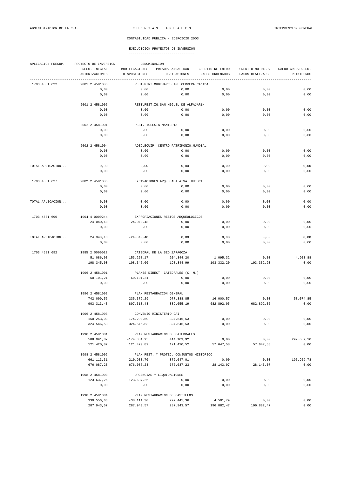| APLICACION PRESUP. | PROYECTO DE INVERSION       |                             | DENOMINACION                              |                   |                   |                    |  |  |
|--------------------|-----------------------------|-----------------------------|-------------------------------------------|-------------------|-------------------|--------------------|--|--|
|                    | PRESU. INICIAL              | MODIFICACIONES              | PRESUP. ANUALIDAD                         | CREDITO RETENIDO  | CREDITO NO DISP.  | SALDO CRED. PRESU. |  |  |
|                    | <b>AUTORIZACIONES</b>       | DISPOSICIONES               | OBLIGACIONES                              | PAGOS ORDENADOS   | PAGOS REALIZADOS  | REINTEGROS         |  |  |
| 1703 4581 622      | 2001 2 4581005              |                             | REST. PINT. MUDEJARES IGL. CERVERA CAñADA |                   |                   |                    |  |  |
|                    | 0,00                        | 0,00                        | 0,00                                      | 0,00              | 0,00              | 0,00               |  |  |
|                    | 0,00                        | 0,00                        | 0,00                                      | 0,00              | 0,00              | 0,00               |  |  |
|                    |                             |                             |                                           |                   |                   |                    |  |  |
|                    | 2001 2 4581006              |                             | REST.REST.IG.SAN MIGUEL DE ALFAJARÍN      |                   |                   |                    |  |  |
|                    | 0,00                        | 0,00                        | 0,00                                      | 0,00              | 0,00              | 0,00               |  |  |
|                    | 0,00                        | 0,00                        | 0,00                                      | 0,00              | 0,00              | 0,00               |  |  |
|                    |                             |                             |                                           |                   |                   |                    |  |  |
|                    | 2002 2 4581001              |                             | REST. IGLESIA MANTERIA                    |                   |                   |                    |  |  |
|                    | 0,00                        | 0,00                        | 0,00                                      | 0,00              | 0,00              | 0,00               |  |  |
|                    | 0,00                        | 0,00                        | 0,00                                      | 0,00              | 0,00              | 0,00               |  |  |
|                    | 2002 2 4581004              |                             | ADEC.EQUIP. CENTRO PATRIMONIO_MUNDIAL     |                   |                   |                    |  |  |
|                    | 0,00                        | 0,00                        | 0,00                                      | 0,00              | 0,00              | 0,00               |  |  |
|                    | 0,00                        | 0,00                        | 0,00                                      | 0,00              | 0,00              | 0,00               |  |  |
|                    |                             |                             |                                           |                   |                   |                    |  |  |
| TOTAL APLICACION   | 0,00                        | 0,00                        | 0,00                                      | 0,00              | 0,00              | 0,00               |  |  |
|                    | 0,00                        | 0,00                        | 0,00                                      | 0,00              | 0,00              | 0,00               |  |  |
|                    |                             |                             |                                           |                   |                   |                    |  |  |
| 1703 4581 627      | 2002 2 4581005              |                             | EXCAVACIONES ARQ. CASA AISA. HUESCA       |                   |                   |                    |  |  |
|                    | 0,00                        | 0,00                        | 0,00                                      | 0,00              | 0,00              | 0,00               |  |  |
|                    | 0,00                        | 0,00                        | 0,00                                      | 0,00              | 0,00              | 0,00               |  |  |
|                    |                             |                             |                                           |                   |                   |                    |  |  |
| TOTAL APLICACION   | 0,00                        | 0,00                        | 0,00                                      | 0,00              | 0,00              | 0,00               |  |  |
|                    | 0,00                        | 0,00                        | 0,00                                      | 0,00              | 0,00              | 0,00               |  |  |
|                    |                             |                             | EXPROPIACIONES RESTOS ARQUEOLOGICOS       |                   |                   |                    |  |  |
| 1703 4581 690      | 1994 4 0000244<br>24.040,48 | $-24.040, 48$               | 0,00                                      | 0,00              | 0,00              | 0,00               |  |  |
|                    | 0,00                        | 0,00                        | 0,00                                      | 0,00              | 0,00              | 0,00               |  |  |
|                    |                             |                             |                                           |                   |                   |                    |  |  |
| TOTAL APLICACION   | 24.040,48                   | $-24.040, 48$               | 0,00                                      | 0,00              | 0,00              | 0,00               |  |  |
|                    | 0,00                        | 0,00                        | 0,00                                      | 0,00              | 0,00              | 0,00               |  |  |
|                    |                             |                             |                                           |                   |                   |                    |  |  |
| 1703 4581 692      | 1985 2 0000012              | CATEDRAL DE LA SEO ZARAGOZA |                                           |                   |                   |                    |  |  |
|                    | 51.086,03                   | 153.258,17                  | 204.344,20                                | 1.095,32          | 0,00              | 4.903,88           |  |  |
|                    | 198.345,00                  | 198.345,00                  | 198.344,99                                | 193.332,20        | 193.332,20        | 0,00               |  |  |
|                    |                             |                             |                                           |                   |                   |                    |  |  |
|                    | 1996 2 4581001              |                             | PLANES DIRECT. CATEDRALES (C. M.)         |                   |                   |                    |  |  |
|                    | 60.101,21<br>0,00           | $-60.101, 21$<br>0,00       | 0,00                                      | 0,00              | 0,00<br>0,00      | 0,00<br>0,00       |  |  |
|                    |                             |                             | 0,00                                      | 0,00              |                   |                    |  |  |
|                    | 1996 2 4581002              |                             | PLAN RESTAURACION GENERAL                 |                   |                   |                    |  |  |
|                    | 742.009,56                  | 235.379,29                  | 977.388,85                                | 16.000,57         | 0,00              | 58.074,85          |  |  |
|                    | 903.313,43                  | 897.313,43                  | 889.055,19                                | 682.892.05        | 682.892.05        | 0,00               |  |  |
|                    |                             |                             |                                           |                   |                   |                    |  |  |
|                    | 1996 2 4581003              |                             | CONVENIO MINISTERIO-CAI                   |                   |                   |                    |  |  |
|                    | 150.253,03                  | 174.293,50                  | 324.546,53                                | 0,00              | 0,00              | 0,00               |  |  |
|                    | 324.546,53                  | 324.546,53                  | 324.546,53                                | 0,00              | 0,00              | 0,00               |  |  |
|                    |                             |                             |                                           |                   |                   |                    |  |  |
|                    | 1998 2 4581001              |                             | PLAN RESTAURACION DE CATEDRALES           |                   |                   |                    |  |  |
|                    | 588.991,87                  | $-174.881,95$               | 414.109,92                                | 0,00              | 0,00              | 292.689,10         |  |  |
|                    | 121.420,82                  | 121.420,82                  | 121.420,52                                | 57.647,58         | 57.647,58         | 0,00               |  |  |
|                    |                             |                             |                                           |                   |                   |                    |  |  |
|                    | 1998 2 4581002              |                             | PLAN REST. Y PROTEC. CONJUNTOS HISTORICO  |                   |                   |                    |  |  |
|                    | 661.113,31<br>676.087,23    | 210.933,70<br>676.087,23    | 872.047,01<br>676.087,23                  | 0,00<br>28.143,07 | 0,00<br>28.143,07 | 195.959,78<br>0,00 |  |  |
|                    |                             |                             |                                           |                   |                   |                    |  |  |
|                    | 1998 2 4581003              |                             | URGENCIAS Y LIQUIDACIONES                 |                   |                   |                    |  |  |
|                    | 123.637,26                  | $-123.637, 26$              | 0,00                                      | 0,00              | 0,00              | 0,00               |  |  |
|                    | 0,00                        | 0,00                        | 0,00                                      | 0,00              | 0,00              | 0,00               |  |  |
|                    |                             |                             |                                           |                   |                   |                    |  |  |
|                    | 1998 2 4581004              |                             | PLAN RESTAURACION DE CASTILLOS            |                   |                   |                    |  |  |
|                    | 330.556,66                  | $-38.111, 30$               | 292.445,36                                | 4.501,79          | 0,00              | 0,00               |  |  |
|                    | 287.943,57                  | 287.943,57                  | 287.943,57                                | 196.882,47        | 196.882,47        | 0,00               |  |  |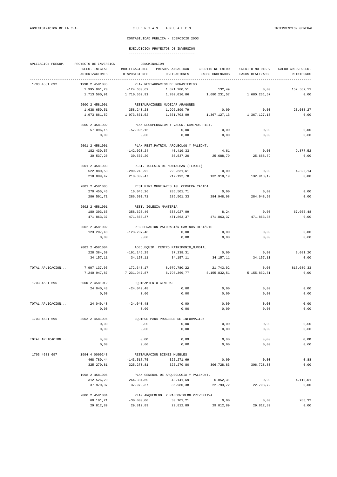## EJECUCICION PROYECTOS DE INVERSION

| APLICACION PRESUP. | PROYECTO DE INVERSION | DENOMINACION                             |                                           |                  |                  |                    |  |  |  |  |
|--------------------|-----------------------|------------------------------------------|-------------------------------------------|------------------|------------------|--------------------|--|--|--|--|
|                    | PRESU. INICIAL        | MODIFICACIONES                           | PRESUP. ANUALIDAD                         | CREDITO RETENIDO | CREDITO NO DISP. | SALDO CRED. PRESU. |  |  |  |  |
|                    | <b>AUTORIZACIONES</b> | DISPOSICIONES                            | OBLIGACIONES                              | PAGOS ORDENADOS  | PAGOS REALIZADOS | REINTEGROS         |  |  |  |  |
| 1703 4581 692      | 1998 2 4581005        | -----------------                        | PLAN RESTAURACION DE MONASTERIOS          |                  |                  |                    |  |  |  |  |
|                    | 1.995.961,20          | $-124.680,69$                            | 1.871.280,51                              | 132,49           | 0,00             | 157.587,11         |  |  |  |  |
|                    | 1.713.560.91          | 1.710.560,91                             | 1.709.016,86                              | 1.680.231,57     | 1.680.231,57     | 0,00               |  |  |  |  |
|                    | 2000 2 4581001        |                                          | RESTAURACIONES MUDEJAR ARAGONES           |                  |                  |                    |  |  |  |  |
|                    | 1.638.659,51          | 358.240,28                               | 1.996.899,79                              | 0,00             | 0,00             | 23.038,27          |  |  |  |  |
|                    | 1.973.861,52          | 1.973.861,52                             | 1.551.703,09                              | 1.367.127,13     | 1.367.127,13     | 0,00               |  |  |  |  |
|                    | 2000 2 4581002        | PLAN RECUPERACION Y VALOR. CAMINOS HIST. |                                           |                  |                  |                    |  |  |  |  |
|                    | 57.096,15             | $-57.096, 15$                            | 0,00                                      | 0,00             | 0,00             | 0,00               |  |  |  |  |
|                    | 0,00                  | 0,00                                     | 0,00                                      | 0,00             | 0,00             | 0,00               |  |  |  |  |
|                    | 2001 2 4581001        |                                          | PLAN REST. PATRIM. ARQUEOLÓG. Y PALEONT.  |                  |                  |                    |  |  |  |  |
|                    | 182.439,57            | $-142.020, 24$                           | 40.419,33                                 | 4,61             | 0,00             | 9.877,52           |  |  |  |  |
|                    | 30.537,20             | 30.537,20                                | 30.537,20                                 | 25.688,79        | 25.688,79        | 0,00               |  |  |  |  |
|                    | 2001 2 4581003        |                                          | REST. IGLESIA DE MONTALBAN (TERUEL)       |                  |                  |                    |  |  |  |  |
|                    | 522.880,53            | $-299.248,92$                            | 223.631,61                                | 0,00             | 0,00             | 4.822,14           |  |  |  |  |
|                    | 218.809,47            | 218.809,47                               | 217.192,78                                | 132.918,19       | 132.918,19       | 0,00               |  |  |  |  |
|                    | 2001 2 4581005        | REST.PINT.MUDEJARES IGL.CERVERA CAñADA   |                                           |                  |                  |                    |  |  |  |  |
|                    | 270.455,45            | 16.046,26                                | 286.501,71                                | 0,00             | 0,00             | 0,00               |  |  |  |  |
|                    | 286.501,71            | 286.501,71                               | 286.501,33                                | 284.948,98       | 284.948,98       | 0,00               |  |  |  |  |
|                    | 2002 2 4581001        | REST. IGLESIA MANTERIA                   |                                           |                  |                  |                    |  |  |  |  |
|                    | 180.303,63            | 358.623,46                               | 538.927,09                                | 8,24             | 0,00             | 67.055,48          |  |  |  |  |
|                    | 471.863,37            | 471.863,37                               | 471.863,37                                | 471.863,37       | 471.863,37       | 0,00               |  |  |  |  |
|                    | 2002 2 4581002        |                                          | RECUPERACION VALORACIÓN CAMINOS HISTÓRIC  |                  |                  |                    |  |  |  |  |
|                    | 123.207,48            | $-123.207,48$                            | 0,00                                      | 0,00             | 0,00             | 0,00               |  |  |  |  |
|                    | 0,00                  | 0,00                                     | 0,00                                      | 0,00             | 0,00             | 0,00               |  |  |  |  |
|                    | 2002 2 4581004        | ADEC.EQUIP. CENTRO PATRIMONIO_MUNDIAL    |                                           |                  |                  |                    |  |  |  |  |
|                    | 228.384,60            | $-191.146,29$                            | 37.238,31                                 | 0,00             | 0,00             | 3.081,20           |  |  |  |  |
|                    | 34.157,11             | 34.157,11                                | 34.157,11                                 | 34.157,11        | 34.157,11        | 0,00               |  |  |  |  |
| TOTAL APLICACION   | 7.907.137,05          | 172.643,17                               | 8.079.780,22                              | 21.743,02        | 0,00             | 817.089,33         |  |  |  |  |
|                    | 7.240.947,87          | 7.231.947,87                             | 6.798.369,77                              | 5.155.832,51     | 5.155.832,51     | 0,00               |  |  |  |  |
| 1703 4581 695      | 2000 2 4581012        | EQUIPAMIENTO GENERAL                     |                                           |                  |                  |                    |  |  |  |  |
|                    | 24.040,48             | $-24.040, 48$                            | 0,00                                      | 0,00             | 0,00             | 0,00               |  |  |  |  |
|                    | 0,00                  | 0,00                                     | 0,00                                      | 0,00             | 0,00             | 0,00               |  |  |  |  |
| TOTAL APLICACION   | 24.040,48             | $-24.040, 48$                            | 0,00                                      | 0,00             | 0,00             | 0,00               |  |  |  |  |
|                    | 0,00                  | 0,00                                     | 0,00                                      | 0,00             | 0,00             | 0,00               |  |  |  |  |
| 1703 4581 696      | 2002 2 4581006        |                                          | EQUIPOS PARA PROCESOS DE INFORMACION      |                  |                  |                    |  |  |  |  |
|                    | 0,00                  | 0,00                                     | 0,00                                      | 0,00             | 0,00             | 0,00               |  |  |  |  |
|                    | 0,00                  | 0,00                                     | 0,00                                      | 0,00             | 0,00             | 0,00               |  |  |  |  |
| TOTAL APLICACION   | 0,00                  | 0,00                                     | 0,00                                      | 0,00             | 0,00             | 0,00               |  |  |  |  |
|                    | 0,00                  | 0,00                                     | 0,00                                      | 0,00             | 0,00             | 0,00               |  |  |  |  |
| 1703 4581 697      | 1994 4 0000248        |                                          | RESTAURACION BIENES MUEBLES               |                  |                  |                    |  |  |  |  |
|                    | 468.789,44            | $-143.517,75$                            | 325.271,69                                | 0,00             | 0,00             | 0,88               |  |  |  |  |
|                    | 325.270,81            | 325.270,81                               | 325.270,80                                | 306.728,83       | 306.728,83       | 0,00               |  |  |  |  |
|                    | 1998 2 4581006        |                                          | PLAN GENERAL DE ARQUEOLOGIA Y PALENONT.   |                  |                  |                    |  |  |  |  |
|                    | 312.526,29            | $-264.384,60$                            | 48.141,69                                 | 6.052, 31        | 0,00             | 4.119,01           |  |  |  |  |
|                    | 37.970,37             | 37.970,37                                | 36.980,38                                 | 22.793,72        | 22.793,72        | 0,00               |  |  |  |  |
|                    | 2000 2 4581004        |                                          | PLAN ARQUEOLOG. Y PALEONTOLOG. PREVENTIVA |                  |                  |                    |  |  |  |  |
|                    | 60.101, 21            | $-30.000,00$                             | 30.101,21                                 | 0,00             | 0,00             | 288,32             |  |  |  |  |
|                    | 29.812,89             | 29.812,89                                | 29.812,89                                 | 29.812,89        | 29.812,89        | 0,00               |  |  |  |  |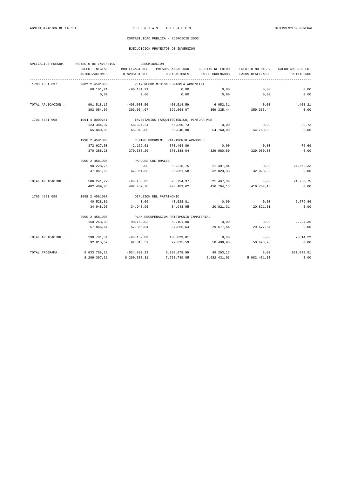# EJECUCICION PROYECTOS DE INVERSION

|  | ----------------------------------- |
|--|-------------------------------------|

| APLICACION PRESUP. | PROYECTO DE INVERSION | DENOMINACION       |                                          |                  |                  |                    |  |  |  |
|--------------------|-----------------------|--------------------|------------------------------------------|------------------|------------------|--------------------|--|--|--|
|                    | PRESU. INICIAL        | MODIFICACIONES     | PRESUP. ANUALIDAD                        | CREDITO RETENIDO | CREDITO NO DISP. | SALDO CRED. PRESU. |  |  |  |
|                    | AUTORIZACIONES        | DISPOSICIONES      | OBLIGACIONES                             | PAGOS ORDENADOS  | PAGOS REALIZADOS | REINTEGROS         |  |  |  |
| 1703 4581 697      | 2002 2 4581003        |                    | PLAN RECUP.MISION ESPAñOLA ARGENTINA     |                  |                  |                    |  |  |  |
|                    | 60.101,21             | $-60.101, 21$      | 0,00                                     | 0,00             | 0,00             | 0,00               |  |  |  |
|                    | 0,00                  | 0,00               | 0,00                                     | 0,00             | 0,00             | 0,00               |  |  |  |
| TOTAL APLICACION   | 901.518,15            | $-498.003,56$      | 403.514,59                               | 6.052, 31        | 0,00             | 4.408,21           |  |  |  |
|                    | 393.054,07            | 393.054,07         | 392.064,07                               | 359.335,44       | 359.335,44       | 0,00               |  |  |  |
| 1703 4581 698      | 1994 4 0000241        |                    | INVENTARIOS (ARQUITECTONICO, PINTURA MUR |                  |                  |                    |  |  |  |
|                    | 123.384,97            | -58.324,24         | 65.060,73                                | 0,00             | 0,00             | 20,73              |  |  |  |
|                    | 65.040,00             | 65.040,00          | 65.040,00                                | 54.760,00        | 54.760,00        | 0,00               |  |  |  |
|                    | 1998 2 4581008        |                    | CENTRO DOCUMENT. PATRIMONIO ARAGONES     |                  |                  |                    |  |  |  |
|                    | 372.627,50            | $-2.162, 61$       | 370.464,89                               | 0,00             | 0,00             | 76,69              |  |  |  |
|                    | 370.388,20            | 370.388,20         | 370.388,04                               | 329.980,80       | 329.980,80       | 0,00               |  |  |  |
|                    | 2000 2 4581005        | PARQUES CULTURALES |                                          |                  |                  |                    |  |  |  |
|                    | 90.228,75             | 0,00               | 90.228,75                                | 21.497,84        | 0,00             | 21.669,33          |  |  |  |
|                    | 47.061,58             | 47.061,58          | 35.061,58                                | 32.023,33        | 32.023,33        | 0,00               |  |  |  |
| TOTAL APLICACION   | 586.241,22            | $-60.486,85$       | 525.754,37                               | 21.497,84        | 0,00             | 21.766,75          |  |  |  |
|                    | 482.489,78            | 482.489,78         | 470.489,62                               | 416.764,13       | 416.764,13       | 0,00               |  |  |  |
| 1703 4581 699      | 1998 2 4581007        |                    | DIFUSION DEL PATRIMONIO                  |                  |                  |                    |  |  |  |
|                    | 40.528,81             | 0,00               | 40.528,81                                | 0,00             | 0,00             | 5.579,86           |  |  |  |
|                    | 34.948,95             | 34.948,95          | 34.948,95                                | 20.821,31        | 20.821,31        | 0,00               |  |  |  |
|                    | 2000 2 4581006        |                    | PLAN RECUPERACION PATRIMONIO INMATERIAL  |                  |                  |                    |  |  |  |
|                    | 150.253,03            | $-90.152,03$       | 60.101,00                                | 0,00             | 0,00             | 2.234,36           |  |  |  |
|                    | 57.866,64             | 57.866,64          | 57.866,64                                | 29.677,64        | 29.677,64        | 0,00               |  |  |  |
| TOTAL APLICACION   | 190.781,84            | $-90.152,03$       | 100.629,81                               | 0,00             | 0,00             | 7.814,22           |  |  |  |
|                    | 92.815.59             | 92.815,59          | 92.815.59                                | 50.498,95        | 50.498,95        | 0,00               |  |  |  |
| TOTAL PROGRAMA     | 9.633.759,22          | $-524.080,23$      | 9.109.678,99                             | 49.293,17        | 0,00             | 851.078,51         |  |  |  |
|                    | 8.209.307,31          | 8.200.307,31       | 7.753.739,05                             | 5.982.431,03     | 5.982.431,03     | 0,00               |  |  |  |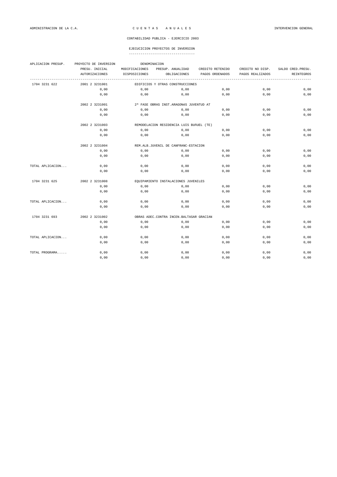# EJECUCICION PROYECTOS DE INVERSION

| APLICACION PRESUP. | PROYECTO DE INVERSION<br>DENOMINACION |                |                                            |                  |                  |                    |  |  |
|--------------------|---------------------------------------|----------------|--------------------------------------------|------------------|------------------|--------------------|--|--|
|                    | PRESU. INICIAL                        | MODIFICACIONES | PRESUP. ANUALIDAD                          | CREDITO RETENIDO | CREDITO NO DISP. | SALDO CRED. PRESU. |  |  |
|                    | <b>AUTORIZACIONES</b>                 | DISPOSICIONES  | OBLIGACIONES                               | PAGOS ORDENADOS  | PAGOS REALIZADOS | <b>REINTEGROS</b>  |  |  |
| 1704 3231 622      | 2001 2 3231001                        |                | EDIFICIOS Y OTRAS CONSTRUCCIONES           |                  |                  |                    |  |  |
|                    | 0,00                                  | 0,00           | 0,00                                       | 0,00             | 0,00             | 0,00               |  |  |
|                    | 0,00                                  | 0,00           | 0,00                                       | 0,00             | 0,00             | 0,00               |  |  |
|                    | 2002 2 3231001                        |                | 2ª FASE OBRAS INST. ARAGONÉS JUVENTUD AT   |                  |                  |                    |  |  |
|                    | 0,00                                  | 0,00           | 0,00                                       | 0.00             | 0,00             | 0,00               |  |  |
|                    | 0,00                                  | 0,00           | 0,00                                       | 0,00             | 0,00             | 0,00               |  |  |
|                    | 2002 2 3231003                        |                | REMODELACION RESIDENCIA LUIS BUÑUEL (TE)   |                  |                  |                    |  |  |
|                    | 0,00                                  | 0,00           | 0,00                                       | 0,00             | 0,00             | 0,00               |  |  |
|                    | 0,00                                  | 0,00           | 0,00                                       | 0,00             | 0,00             | 0,00               |  |  |
|                    | 2002 2 3231004                        |                | REM. ALB. JUVENIL DE CANFRANC-ESTACION     |                  |                  |                    |  |  |
|                    | 0,00                                  | 0,00           | 0,00                                       | 0,00             | 0,00             | 0,00               |  |  |
|                    | 0,00                                  | 0,00           | 0,00                                       | 0,00             | 0,00             | 0,00               |  |  |
| TOTAL APLICACION   | 0,00                                  | 0,00           | 0,00                                       | 0,00             | 0,00             | 0,00               |  |  |
|                    | 0,00                                  | 0,00           | 0,00                                       | 0,00             | 0,00             | 0,00               |  |  |
| 1704 3231 625      | 2002 2 3231008                        |                | EQUIPAMIENTO INSTALACIONES JUVENILES       |                  |                  |                    |  |  |
|                    | 0,00                                  | 0,00           | 0,00                                       | 0,00             | 0,00             | 0,00               |  |  |
|                    | 0,00                                  | 0,00           | 0,00                                       | 0,00             | 0,00             | 0,00               |  |  |
| TOTAL APLICACION   | 0,00                                  | 0,00           | 0,00                                       | 0,00             | 0,00             | 0,00               |  |  |
|                    | 0,00                                  | 0,00           | 0,00                                       | 0,00             | 0,00             | 0,00               |  |  |
| 1704 3231 693      | 2002 2 3231002                        |                | OBRAS ADEC. CONTRA INCEN. BALTASAR GRACIAN |                  |                  |                    |  |  |
|                    | 0,00                                  | 0,00           | 0,00                                       | 0,00             | 0,00             | 0,00               |  |  |
|                    | 0,00                                  | 0,00           | 0,00                                       | 0,00             | 0,00             | 0,00               |  |  |
| TOTAL APLICACION   | 0,00                                  | 0,00           | 0,00                                       | 0,00             | 0,00             | 0,00               |  |  |
|                    | 0,00                                  | 0,00           | 0,00                                       | 0,00             | 0,00             | 0,00               |  |  |
| TOTAL PROGRAMA     | 0,00                                  | 0,00           | 0,00                                       | 0,00             | 0,00             | 0,00               |  |  |
|                    | 0,00                                  | 0,00           | 0,00                                       | 0,00             | 0,00             | 0,00               |  |  |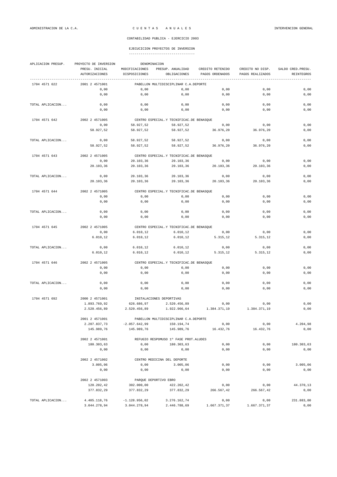### EJECUCICION PROYECTOS DE INVERSION ----------------------------------

| APLICACION PRESUP. | PROYECTO DE INVERSION            | DENOMINACION                    |                                            |                                     |                                      |                                  |
|--------------------|----------------------------------|---------------------------------|--------------------------------------------|-------------------------------------|--------------------------------------|----------------------------------|
|                    | PRESU. INICIAL<br>AUTORIZACIONES | MODIFICACIONES<br>DISPOSICIONES | PRESUP. ANUALIDAD<br>OBLIGACIONES          | CREDITO RETENIDO<br>PAGOS ORDENADOS | CREDITO NO DISP.<br>PAGOS REALIZADOS | SALDO CRED. PRESU.<br>REINTEGROS |
| 1704 4571 622      | 2001 2 4571001                   |                                 | PABELLON MULTIDISCIPLINAR C.A.DEPORTE      |                                     |                                      |                                  |
|                    | 0,00                             | 0,00                            | 0,00                                       | 0,00                                | 0,00                                 | 0,00                             |
|                    | 0,00                             | 0,00                            | 0,00                                       | 0,00                                | 0,00                                 | 0,00                             |
| TOTAL APLICACION   | 0,00                             | 0,00                            | 0,00                                       | 0,00                                | 0,00                                 | 0,00                             |
|                    | 0,00                             | 0,00                            | 0,00                                       | 0,00                                | 0,00                                 | 0,00                             |
| 1704 4571 642      | 2002 2 4571005                   |                                 | CENTRO ESPECIAL.Y TECNIFICAC.DE BENASQUE   |                                     |                                      |                                  |
|                    | 0,00                             | 58.927,52                       | 58.927,52                                  | 0,00                                | 0,00                                 | 0,00                             |
|                    | 58.927,52                        | 58.927,52                       | 58.927,52                                  | 36.976,20                           | 36.976,20                            | 0,00                             |
| TOTAL APLICACION   | 0,00                             | 58.927,52                       | 58.927,52                                  | 0,00                                | 0,00                                 | 0,00                             |
|                    | 58.927,52                        | 58.927,52                       | 58.927,52                                  | 36.976,20                           | 36.976,20                            | 0,00                             |
| 1704 4571 643      | 2002 2 4571005                   |                                 | CENTRO ESPECIAL. Y TECNIFICAC. DE BENASQUE |                                     |                                      |                                  |
|                    | 0,00                             | 20.103,36                       | 20.103,36                                  | 0,00                                | 0,00                                 | 0,00                             |
|                    | 20.103,36                        | 20.103,36                       | 20.103,36                                  | 20.103,36                           | 20.103,36                            | 0,00                             |
| TOTAL APLICACION   | 0,00                             | 20.103,36                       | 20.103,36                                  | 0,00                                | 0,00                                 | 0,00                             |
|                    | 20.103,36                        | 20.103,36                       | 20.103,36                                  | 20.103,36                           | 20.103,36                            | 0,00                             |
| 1704 4571 644      | 2002 2 4571005                   |                                 | CENTRO ESPECIAL.Y TECNIFICAC.DE BENASQUE   |                                     |                                      |                                  |
|                    | 0,00                             | 0,00                            | 0,00                                       | 0,00                                | 0,00                                 | 0,00                             |
|                    | 0,00                             | 0,00                            | 0,00                                       | 0,00                                | 0,00                                 | 0,00                             |
| TOTAL APLICACION   | 0,00                             | 0,00                            | 0,00                                       | 0,00                                | 0,00                                 | 0,00                             |
|                    | 0,00                             | 0,00                            | 0,00                                       | 0,00                                | 0,00                                 | 0,00                             |
| 1704 4571 645      | 2002 2 4571005                   |                                 | CENTRO ESPECIAL.Y TECNIFICAC.DE BENASQUE   |                                     |                                      |                                  |
|                    | 0,00                             | 6.010, 12                       | 6.010, 12                                  | 0,00                                | 0,00                                 | 0,00                             |
|                    | 6.010, 12                        | 6.010, 12                       | 6.010, 12                                  | 5.315,12                            | 5.315,12                             | 0,00                             |
| TOTAL APLICACION   | 0,00                             | 6.010, 12                       | 6.010, 12                                  | 0,00                                | 0,00                                 | 0,00                             |
|                    | 6.010, 12                        | 6.010, 12                       | 6.010, 12                                  | 5.315,12                            | 5.315,12                             | 0,00                             |
| 1704 4571 646      | 2002 2 4571005                   |                                 | CENTRO ESPECIAL.Y TECNIFICAC.DE BENASQUE   |                                     |                                      |                                  |
|                    | 0,00                             | 0,00                            | 0,00                                       | 0,00                                | 0,00                                 | 0,00                             |
|                    | 0,00                             | 0,00                            | 0,00                                       | 0,00                                | 0,00                                 | 0,00                             |
| TOTAL APLICACION   | 0,00                             | 0,00                            | 0,00                                       | 0,00                                | 0,00                                 | 0,00                             |
|                    | 0,00                             | 0,00                            | 0,00                                       | 0,00                                | 0,00                                 | 0,00                             |
| 1704 4571 692      | 2000 2 4571001                   |                                 | INSTALACIONES DEPORTIVAS                   |                                     |                                      |                                  |
|                    | 1.893.769,92                     | 626.686,97                      | 2.520.456,89                               | 0,00                                | 0,00                                 | 0,00                             |
|                    | 2.520.456,89                     | 2.520.456,89                    | 1.922.966,64                               | 1.384.371,19                        | 1.384.371,19                         | 0,00                             |
|                    | 2001 2 4571001                   |                                 | PABELLON MULTIDISCIPLINAR C.A.DEPORTE      |                                     |                                      |                                  |
|                    | 2.207.837,73                     | $-2.057.642,99$                 | 150.194.74                                 | 0,00                                | 0,00                                 | 4.204,98                         |
|                    | 145.989,76                       | 145.989,76                      | 145.989,76                                 | 16.432,76                           | 16.432,76                            | 0,00                             |
|                    | 2002 2 4571001                   |                                 | REFUGIO RESPOMUSO 1º FASE PROT. ALUDES     |                                     |                                      |                                  |
|                    | 180.303,63                       | 0,00                            | 180.303.63                                 | 0,00                                | 0,00                                 | 180.303,63                       |
|                    | 0,00                             | 0,00                            | 0,00                                       | 0,00                                | 0,00                                 | 0,00                             |
|                    | 2002 2 4571002                   |                                 | CENTRO MEDICINA DEL DEPORTE                |                                     |                                      |                                  |
|                    | 3.005,06                         | 0,00                            | 3.005,06                                   | 0,00                                | 0,00                                 | 3.005,06                         |
|                    | 0,00                             | 0,00                            | 0,00                                       | 0,00                                | 0,00                                 | 0,00                             |
|                    | 2002 2 4571003                   | PARQUE DEPORTIVO EBRO           |                                            |                                     |                                      |                                  |
|                    | 120.202,42                       | 302.000,00                      | 422.202,42                                 | 0,00                                | 0,00                                 | 44.370,13                        |
|                    | 377.832,29                       | 377.832,29                      | 377.832,29                                 | 266.567,42                          | 266.567,42                           | 0,00                             |
| TOTAL APLICACION   | 4.405.118,76                     | $-1.128.956,02$                 | 3.276.162,74                               | 0,00                                | 0,00                                 | 231.883,80                       |

3.044.278,94 3.044.278,94 2.446.788,69 1.667.371,37 1.667.371,37 0,00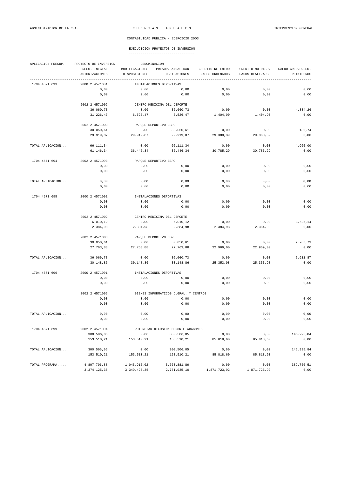## EJECUCICION PROYECTOS DE INVERSION

| APLICACION PRESUP. | PROYECTO DE INVERSION |                   | DENOMINACION                          |                   |                   |                    |
|--------------------|-----------------------|-------------------|---------------------------------------|-------------------|-------------------|--------------------|
|                    | PRESU. INICIAL        | MODIFICACIONES    | PRESUP. ANUALIDAD                     | CREDITO RETENIDO  | CREDITO NO DISP.  | SALDO CRED. PRESU. |
|                    | <b>AUTORIZACIONES</b> | DISPOSICIONES     | OBLIGACIONES                          | PAGOS ORDENADOS   | PAGOS REALIZADOS  | REINTEGROS         |
| 1704 4571 693      | 2000 2 4571001        |                   | INSTALACIONES DEPORTIVAS              |                   |                   |                    |
|                    | 0,00                  | 0,00              | 0,00                                  | 0,00              | 0,00              | 0,00               |
|                    | 0,00                  | 0,00              | 0,00                                  | 0,00              | 0,00              | 0,00               |
|                    | 2002 2 4571002        |                   | CENTRO MEDICINA DEL DEPORTE           |                   |                   |                    |
|                    | 36.060,73             | 0,00              | 36.060,73                             | 0,00              | 0,00              | 4.834,26           |
|                    | 31.226,47             | 6.526,47          | 6.526,47                              | 1.404,90          | 1.404,90          | 0,00               |
|                    | 2002 2 4571003        |                   | PARQUE DEPORTIVO EBRO                 |                   |                   |                    |
|                    | 30.050,61             |                   | 30.050,61                             |                   |                   | 130,74             |
|                    | 29.919,87             | 0,00<br>29.919,87 | 29.919.87                             | 0,00<br>29.380,39 | 0,00<br>29.380,39 | 0,00               |
|                    |                       |                   |                                       |                   |                   |                    |
| TOTAL APLICACION   | 66.111,34             | 0,00              | 66.111,34                             | 0,00              | 0,00              | 4.965,00           |
|                    | 61.146,34             | 36.446,34         | 36.446,34                             | 30.785,29         | 30.785,29         | 0,00               |
| 1704 4571 694      | 2002 2 4571003        |                   | PARQUE DEPORTIVO EBRO                 |                   |                   |                    |
|                    | 0,00                  | 0,00              | 0,00                                  | 0,00              | 0,00              | 0,00               |
|                    | 0,00                  | 0,00              | 0,00                                  | 0,00              | 0,00              | 0,00               |
| TOTAL APLICACION   | 0,00                  | 0,00              | 0,00                                  | 0,00              | 0,00              | 0,00               |
|                    | 0,00                  | 0,00              | 0,00                                  | 0,00              | 0,00              | 0,00               |
|                    |                       |                   |                                       |                   |                   |                    |
| 1704 4571 695      | 2000 2 4571001        |                   | INSTALACIONES DEPORTIVAS              |                   |                   |                    |
|                    | 0,00                  | 0,00              | 0,00                                  | 0,00              | 0,00              | 0,00               |
|                    | 0,00                  | 0,00              | 0,00                                  | 0,00              | 0,00              | 0,00               |
|                    | 2002 2 4571002        |                   | CENTRO MEDICINA DEL DEPORTE           |                   |                   |                    |
|                    | 6.010, 12             | 0,00              | 6.010, 12                             | 0,00              | 0,00              | 3.625, 14          |
|                    | 2.384,98              | 2.384,98          | 2.384,98                              | 2.384,98          | 2.384,98          | 0,00               |
|                    | 2002 2 4571003        |                   | PARQUE DEPORTIVO EBRO                 |                   |                   |                    |
|                    | 30.050,61             | 0,00              | 30.050,61                             | 0,00              | 0,00              | 2.286,73           |
|                    | 27.763,88             | 27.763,88         | 27.763,88                             | 22.969,00         | 22.969,00         | 0,00               |
| TOTAL APLICACION   | 36.060,73             | 0,00              | 36.060,73                             | 0,00              | 0,00              | 5.911,87           |
|                    | 30.148,86             | 30.148,86         | 30.148,86                             | 25.353,98         | 25.353,98         | 0,00               |
| 1704 4571 696      | 2000 2 4571001        |                   | INSTALACIONES DEPORTIVAS              |                   |                   |                    |
|                    | 0,00                  | 0,00              | 0,00                                  | 0,00              | 0,00              | 0,00               |
|                    | 0,00                  | 0,00              | 0,00                                  | 0,00              | 0,00              | 0,00               |
|                    |                       |                   |                                       |                   |                   |                    |
|                    | 2002 2 4571006        |                   | BIENES INFORMATICOS D.GRAL. Y CENTROS |                   |                   |                    |
|                    | 0,00<br>0,00          | 0,00<br>0,00      | 0,00<br>0,00                          | 0,00<br>0,00      | 0,00<br>0,00      | 0,00<br>0,00       |
|                    |                       |                   |                                       |                   |                   |                    |
| TOTAL APLICACION   | 0,00                  | 0,00              | 0,00                                  | 0,00              | $0$ , $00$        | 0,00               |
|                    | 0,00                  | 0,00              | 0,00                                  | 0,00              | 0,00              | 0,00               |
| 1704 4571 699      | 2002 2 4571004        |                   | POTENCIAR DIFUSION DEPORTE ARAGONES   |                   |                   |                    |
|                    | 300.506,05            | 0,00              | 300.506,05                            | 0,00              | 0,00              | 146.995,84         |
|                    | 153.510,21            | 153.510,21        | 153.510,21                            | 85.818,60         | 85.818,60         | 0,00               |
| TOTAL APLICACION   | 300.506,05            | 0,00              | 300.506,05                            | 0,00              | 0,00              | 146.995,84         |
|                    | 153.510,21            | 153.510,21        | 153.510,21                            | 85.818,60         | 85.818,60         | 0,00               |
|                    |                       |                   |                                       |                   |                   |                    |
| TOTAL PROGRAMA     | 4.807.796,88          | $-1.043.915,02$   | 3.763.881,86                          | 0,00              | 0,00              | 389.756,51         |
|                    | 3.374.125,35          | 3.349.425,35      | 2.751.935,10                          | 1.871.723,92      | 1.871.723,92      | 0,00               |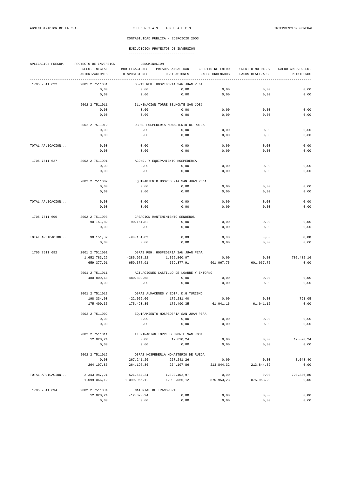| APLICACION PRESUP. | PROYECTO DE INVERSION | DENOMINACION   |                                          |                  |                  |                    |
|--------------------|-----------------------|----------------|------------------------------------------|------------------|------------------|--------------------|
|                    | PRESU. INICIAL        | MODIFICACIONES | PRESUP. ANUALIDAD                        | CREDITO RETENIDO | CREDITO NO DISP. | SALDO CRED. PRESU. |
|                    | <b>AUTORIZACIONES</b> | DISPOSICIONES  | OBLIGACIONES                             | PAGOS ORDENADOS  | PAGOS REALIZADOS | REINTEGROS         |
| 1705 7511 622      | 2001 2 7511001        |                | OBRAS REH. HOSPEDERIA SAN JUAN PEñA      |                  |                  |                    |
|                    | 0,00                  | 0,00           | 0,00                                     | 0,00             | 0,00             | 0,00               |
|                    | 0,00                  | 0,00           | 0,00                                     | 0,00             | 0,00             | 0,00               |
|                    |                       |                |                                          |                  |                  |                    |
|                    | 2002 2 7511011        |                | ILUMINACIÓN TORRE BELMONTE SAN JOSé      |                  |                  |                    |
|                    | 0,00                  | 0,00           | 0,00                                     | 0,00             | 0,00             | 0,00               |
|                    | 0,00                  | 0,00           | 0,00                                     | 0,00             | 0,00             | 0,00               |
|                    | 2002 2 7511012        |                | OBRAS HOSPEDERÍA MONASTERIO DE RUEDA     |                  |                  |                    |
|                    | 0,00                  | 0,00           | 0,00                                     | 0,00             | 0,00             | 0,00               |
|                    | 0,00                  | 0,00           | 0,00                                     | 0,00             | 0,00             | 0,00               |
|                    |                       |                |                                          |                  |                  |                    |
| TOTAL APLICACION   | 0,00<br>0,00          | 0,00<br>0,00   | 0,00<br>0,00                             | 0,00<br>0,00     | 0,00<br>0,00     | 0,00<br>0,00       |
|                    |                       |                |                                          |                  |                  |                    |
| 1705 7511 627      | 2002 2 7511001        |                | ACOND. Y EQUIPAMIENTO HOSPEDERÍA         |                  |                  |                    |
|                    | 0,00                  | 0,00           | 0,00                                     | 0,00             | 0,00             | 0,00               |
|                    | 0,00                  | 0,00           | 0,00                                     | 0,00             | 0,00             | 0,00               |
|                    | 2002 2 7511002        |                | EQUIPAMIENTO HOSPEDERIA SAN JUAN PEÑA    |                  |                  |                    |
|                    | 0,00                  | 0,00           | 0,00                                     | 0,00             | 0,00             | 0,00               |
|                    | 0,00                  | 0,00           | 0,00                                     | 0,00             | 0,00             | 0,00               |
|                    |                       |                |                                          |                  |                  |                    |
| TOTAL APLICACION   | 0,00<br>0,00          | 0,00<br>0,00   | 0,00<br>0,00                             | 0,00<br>0,00     | 0,00<br>0,00     | 0,00<br>0,00       |
|                    |                       |                |                                          |                  |                  |                    |
| 1705 7511 690      | 2002 2 7511003        |                | CREACION MANTENIMIENTO SENDEROS          |                  |                  |                    |
|                    | 90.151,82             | $-90.151,82$   | 0,00                                     | 0,00             | 0,00             | 0,00               |
|                    | 0,00                  | 0,00           | 0,00                                     | 0,00             | 0,00             | 0,00               |
| TOTAL APLICACION   | 90.151,82             | $-90.151,82$   | 0,00                                     | 0,00             | 0,00             | 0,00               |
|                    | 0,00                  | 0,00           | 0,00                                     | 0,00             | 0,00             | 0,00               |
|                    |                       |                |                                          |                  |                  |                    |
| 1705 7511 692      | 2001 2 7511001        |                | OBRAS REH. HOSPEDERIA SAN JUAN PEÑA      |                  |                  |                    |
|                    | 1.652.783,29          | $-285.923, 22$ | 1.366.860,07                             | 0,00             | 0,00             | 707.482,16         |
|                    | 659.377,91            | 659.377,91     | 659.377,91                               | 601.067,75       | 601.067,75       | 0,00               |
|                    | 2001 2 7511011        |                | ACTUACIONES CASTILLO DE LOARRE Y ENTORNO |                  |                  |                    |
|                    | 480.809,68            | $-480.809,68$  | 0,00                                     | 0,00             | 0,00             | 0,00               |
|                    | 0,00                  | 0,00           | 0,00                                     | 0,00             | 0,00             | 0,00               |
|                    | 2001 2 7511012        |                | OBRAS ALMACENES Y EDIF. D.G.TURISMO      |                  |                  |                    |
|                    | 198.334,00            | $-22.052,60$   | 176.281,40                               | 0,00             | 0,00             | 791,05             |
|                    | 175.490,35            | 175.490,35     | 175.490,35                               | 61.041,16        | 61.041,16        | 0,00               |
|                    |                       |                |                                          |                  |                  |                    |
|                    | 2002 2 7511002        |                | EQUIPAMIENTO HOSPEDERIA SAN JUAN PEñA    |                  |                  |                    |
|                    | 0,00                  | 0,00           | 0,00                                     | 0,00             | 0,00             | 0,00               |
|                    | 0,00                  | 0,00           | 0,00                                     | 0,00             | 0,00             | 0,00               |
|                    | 2002 2 7511011        |                | ILUMINACIÓN TORRE BELMONTE SAN JOSé      |                  |                  |                    |
|                    | 12.020,24             | 0,00           | 12.020,24                                | 0,00             | 0,00             | 12.020,24          |
|                    | 0,00                  | 0,00           | 0,00                                     | 0,00             | 0,00             | 0,00               |
|                    | 2002 2 7511012        |                | OBRAS HOSPEDERÍA MONASTERIO DE RUEDA     |                  |                  |                    |
|                    | 0,00                  | 267.241,26     | 267.241,26                               | 0,00             | 0,00             | 3.043, 40          |
|                    | 264.197,86            | 264.197,86     | 264.197,86                               | 213.844,32       | 213.844,32       | 0,00               |
|                    |                       |                |                                          |                  |                  |                    |
| TOTAL APLICACION   | 2.343.947,21          | $-521.544, 24$ | 1.822.402,97                             | 0,00             | 0,00             | 723.336,85         |
|                    | 1.099.066,12          | 1.099.066,12   | 1.099.066,12                             | 875.953,23       | 875.953,23       | 0,00               |
| 1705 7511 694      | 2002 2 7511004        |                | MATERIAL DE TRANSPORTE                   |                  |                  |                    |
|                    | 12.020,24             | $-12.020, 24$  | 0,00                                     | 0,00             | 0,00             | 0,00               |
|                    | 0,00                  | 0,00           | 0,00                                     | 0,00             | 0,00             | 0,00               |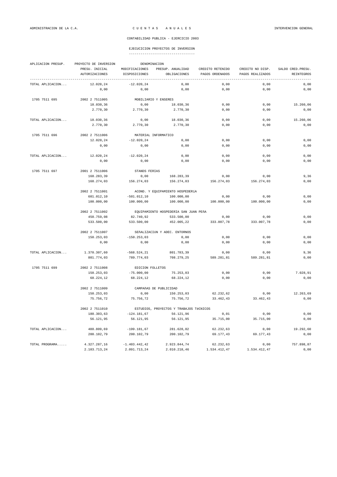| APLICACION PRESUP. | PROYECTO DE INVERSION<br>DENOMINACION |                                 |                                         |                                     |                                      |                                  |  |  |
|--------------------|---------------------------------------|---------------------------------|-----------------------------------------|-------------------------------------|--------------------------------------|----------------------------------|--|--|
|                    | PRESU. INICIAL<br>AUTORIZACIONES      | MODIFICACIONES<br>DISPOSICIONES | PRESUP. ANUALIDAD<br>OBLIGACIONES       | CREDITO RETENIDO<br>PAGOS ORDENADOS | CREDITO NO DISP.<br>PAGOS REALIZADOS | SALDO CRED. PRESU.<br>REINTEGROS |  |  |
| TOTAL APLICACION   | 12.020.24                             | ---------<br>$-12.020.24$       | 0,00                                    | 0,00                                | 0,00                                 | 0,00                             |  |  |
|                    | 0,00                                  | 0,00                            | 0,00                                    | 0,00                                | 0,00                                 | 0,00                             |  |  |
| 1705 7511 695      | 2002 2 7511005                        | MOBILIARIO Y ENSERES            |                                         |                                     |                                      |                                  |  |  |
|                    | 18.030,36                             | 0,00                            | 18.030,36                               | 0,00                                | 0,00                                 | 15.260,06                        |  |  |
|                    | 2.770,30                              | 2.770,30                        | 2.770,30                                | 0,00                                | 0,00                                 | 0,00                             |  |  |
| TOTAL APLICACION   | 18.030,36                             | 0,00                            | 18.030,36                               | 0,00                                | 0,00                                 | 15.260,06                        |  |  |
|                    | 2.770,30                              | 2.770,30                        | 2.770,30                                | 0,00                                | 0,00                                 | 0,00                             |  |  |
| 1705 7511 696      | 2002 2 7511006                        | MATERIAL INFORMATICO            |                                         |                                     |                                      |                                  |  |  |
|                    | 12.020,24                             | $-12.020, 24$                   | 0,00                                    | 0,00                                | 0,00                                 | 0,00                             |  |  |
|                    | 0,00                                  | 0,00                            | 0,00                                    | 0,00                                | 0,00                                 | 0,00                             |  |  |
| TOTAL APLICACION   | 12.020,24                             | $-12.020, 24$                   | 0,00                                    | 0,00                                | 0,00                                 | 0,00                             |  |  |
|                    | 0,00                                  | 0,00                            | 0,00                                    | 0,00                                | 0,00                                 | 0,00                             |  |  |
| 1705 7511 697      | 2001 2 7511006                        | STANDS FERIAS                   |                                         |                                     |                                      |                                  |  |  |
|                    | 168.283,39                            | 0,00                            | 168.283,39                              | 0,00                                | 0,00                                 | 9,36                             |  |  |
|                    | 168.274,03                            | 156.274,03                      | 156.274,03                              | 156.274,03                          | 156.274,03                           | 0,00                             |  |  |
|                    | 2002 2 7511001                        |                                 | ACOND. Y EQUIPAMIENTO HOSPEDERÍA        |                                     |                                      |                                  |  |  |
|                    | 601.012,10                            | $-501.012,10$                   | 100.000,00                              | 0,00                                | 0,00                                 | 0,00                             |  |  |
|                    | 100.000,00                            | 100.000,00                      | 100.000,00                              | 100.000,00                          | 100.000,00                           | 0,00                             |  |  |
|                    | 2002 2 7511002                        |                                 | EQUIPAMIENTO HOSPEDERIA SAN JUAN PEÑA   |                                     |                                      |                                  |  |  |
|                    | 450.759,08                            | 82.740,92                       | 533.500,00                              | 0,00                                | 0,00                                 | 0,00                             |  |  |
|                    | 533.500,00                            | 533.500,00                      | 452.005,22                              | 333.007,78                          | 333.007,78                           | 0,00                             |  |  |
|                    | 2002 2 7511007                        |                                 | SEñALIZACIÓN Y ADEC. ENTORNOS           |                                     |                                      |                                  |  |  |
|                    | 150.253,03                            | $-150.253,03$                   | 0,00                                    | 0,00                                | 0,00                                 | 0,00                             |  |  |
|                    | 0,00                                  | 0,00                            | 0,00                                    | 0,00                                | 0,00                                 | 0,00                             |  |  |
| TOTAL APLICACION   | 1.370.307,60                          | $-568.524, 21$                  | 801.783,39                              | 0,00                                | 0,00                                 | 9,36                             |  |  |
|                    | 801.774,03                            | 789.774,03                      | 708.279,25                              | 589.281,81                          | 589.281,81                           | 0,00                             |  |  |
| 1705 7511 699      | 2002 2 7511008                        | EDICION FOLLETOS                |                                         |                                     |                                      |                                  |  |  |
|                    | 150.253,03                            | $-75.000,00$                    | 75.253,03                               | 0,00                                | 0,00                                 | 7.028,91                         |  |  |
|                    | 68.224,12                             | 68.224,12                       | 68.224,12                               | 0,00                                | 0,00                                 | 0,00                             |  |  |
|                    | 2002 2 7511009                        |                                 | CAMPAñAS DE PUBLICIDAD                  |                                     |                                      |                                  |  |  |
|                    | 150.253,03                            | 0,00                            | 150.253,03                              | 62.232,62                           | 0,00                                 | 12.263,69                        |  |  |
|                    | 75.756,72                             | 75.756,72                       | 75.756,72                               | 33.462,43                           | 33.462,43                            | 0,00                             |  |  |
|                    | 2002 2 7511010                        |                                 | ESTUDIOS, PROYECTOS Y TRABAJOS TÉCNICOS |                                     |                                      |                                  |  |  |
|                    | 180.303,63                            | $-124.181,67$                   | 56.121,96                               | 0,01                                | 0,00                                 | 0,00                             |  |  |
|                    | 56.121,95                             | 56.121,95                       | 56.121,95                               | 35.715,00                           | 35.715,00                            | 0,00                             |  |  |
| TOTAL APLICACION   | 480.809,69                            | $-199.181,67$                   | 281.628,02                              | 62.232,63                           | 0,00                                 | 19.292,60                        |  |  |
|                    | 200.102,79                            | 200.102,79                      | 200.102,79                              | 69.177,43                           | 69.177,43                            | 0,00                             |  |  |
| TOTAL PROGRAMA     | 4.327.287,16                          | $-1.403.442,42$                 | 2.923.844,74                            | 62.232,63                           | 0,00                                 | 757.898,87                       |  |  |
|                    | 2.103.713,24                          | 2.091.713,24                    | 2.010.218,46                            | 1.534.412,47                        | 1.534.412,47                         | 0,00                             |  |  |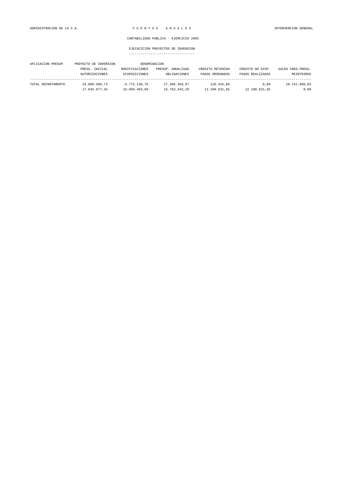| APLICACION PRESUP.  | PROYECTO DE INVERSION |                 | DENOMINACION      |                  |                  |                    |
|---------------------|-----------------------|-----------------|-------------------|------------------|------------------|--------------------|
|                     | PRESU. INICIAL        | MODIFICACIONES  | PRESUP. ANUALIDAD | CREDITO RETENIDO | CREDITO NO DISP. | SALDO CRED. PRESU. |
|                     | <b>AUTORIZACIONES</b> | DISPOSICIONES   | OBLIGACIONES      | PAGOS ORDENADOS  | PAGOS REALIZADOS | REINTEGROS         |
|                     |                       |                 |                   |                  |                  |                    |
| TOTAL DEPARTAMENTO. | 34.080.500.73         | $-6.772.130.76$ | 27.308.369.97     | 120.425.80       | 0.00             | 10.141.966,83      |
|                     | 17.045.977,34         | 16.995.493.00   | 15.763.343.28     | 12.100.631,65    | 12.100.631,65    | 0,00               |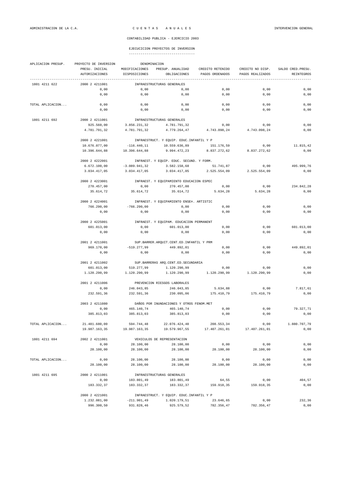# EJECUCICION PROYECTOS DE INVERSION

| ----------------------------------- |  |
|-------------------------------------|--|
|-------------------------------------|--|

| APLICACION PRESUP. | PROYECTO DE INVERSION        | DENOMINACION    |                                                        |                  |                  |                    |
|--------------------|------------------------------|-----------------|--------------------------------------------------------|------------------|------------------|--------------------|
|                    | PRESU. INICIAL               | MODIFICACIONES  | PRESUP. ANUALIDAD                                      | CREDITO RETENIDO | CREDITO NO DISP. | SALDO CRED. PRESU. |
|                    | <b>AUTORIZACIONES</b>        | DISPOSICIONES   | OBLIGACIONES                                           | PAGOS ORDENADOS  | PAGOS REALIZADOS | <b>REINTEGROS</b>  |
| 1801 4211 622      | 2000 2 4211001               |                 | INFRAESTRUCTURAS GENERALES                             |                  |                  |                    |
|                    | 0,00                         | 0,00            | 0,00                                                   | 0,00             | 0,00             | 0,00               |
|                    | 0,00                         | 0,00            | 0,00                                                   | 0,00             | 0,00             | 0,00               |
| TOTAL APLICACION   | 0,00                         | 0,00            | 0,00                                                   | 0,00             | 0,00             | 0,00               |
|                    | 0,00                         | 0,00            | 0,00                                                   | 0,00             | 0,00             | 0,00               |
|                    |                              |                 |                                                        |                  |                  |                    |
| 1801 4211 692      | 2000 2 4211001               |                 | INFRAESTRUCTURAS GENERALES                             |                  |                  |                    |
|                    | 925.560,00                   | 3.856.231,32    | 4.781.791,32                                           | 0,00             | 0,00             | 0,00               |
|                    | 4.781.791.32                 | 4.781.791,32    | 4.779.264,47                                           | 4.743.098.24     | 4.743.098,24     | 0,00               |
|                    | 2000 2 4221001               |                 | INFRAESTRUCT. Y EQUIP. EDUC. INFANTIL Y P              |                  |                  |                    |
|                    | 10.676.077,00                | $-116.440, 11$  | 10.559.636,89                                          | 151.176,59       | 0,00             | 11.815,42          |
|                    | 10.396.644,88                | 10.396.644,88   | 9.994.472,23                                           | 8.837.272,62     | 8.837.272,62     | 0,00               |
|                    | 2000 2 4222001               |                 | INFRAEST. Y EQUIP. EDUC. SECUND. Y FORM.               |                  |                  |                    |
|                    | 6.672.100,00                 | $-3.089.941,32$ | 3.582.158,68                                           | 51.741,87        | 0,00             | 495.999,76         |
|                    | 3.034.417,05                 | 3.034.417,05    | 3.034.417,05                                           | 2.525.554,09     | 2.525.554,09     | 0,00               |
|                    |                              |                 |                                                        |                  |                  |                    |
|                    | 2000 2 4223001               |                 | INFRAEST. Y EOUIPAMIENTO EDUCACION ESPEC               |                  |                  |                    |
|                    | 270.457,00                   | 0,00            | 270.457,00                                             | 0,00             | 0,00             | 234.842,28         |
|                    | 35.614,72                    | 35.614,72       | 35.614,72                                              | 5.634,28         | 5.634,28         | 0,00               |
|                    | 2000 2 4224001               |                 | INFRAEST. Y EQUIPAMIENTO ENSE¤. ARTISTIC               |                  |                  |                    |
|                    | 766.290,00                   | $-766.290,00$   | 0,00                                                   | 0,00             | 0,00             | 0,00               |
|                    | 0,00                         | 0,00            | 0,00                                                   | 0,00             | 0,00             | 0,00               |
|                    | 2000 2 4225001               |                 | INFRAEST. Y EQUIPAM. EDUCACION PERMANENT               |                  |                  |                    |
|                    | 601.013,00                   | 0,00            | 601.013,00                                             | 0,00             | 0,00             | 601.013,00         |
|                    | 0,00                         | 0,00            | 0,00                                                   | 0,00             | 0,00             | 0,00               |
|                    |                              |                 |                                                        |                  |                  |                    |
|                    | 2001 2 4211001<br>969.170,00 | $-519.277,99$   | SUP.BARRER.ARQUIT.CENT.ED.INFANTIL Y PRM<br>449.892,01 | 0,00             | 0,00             | 449.892,01         |
|                    | 0,00                         | 0,00            | 0,00                                                   | 0,00             | 0,00             | 0,00               |
|                    |                              |                 |                                                        |                  |                  |                    |
|                    | 2001 2 4211002               |                 | SUP. BARRERAS ARQ. CENT. ED. SECUNDARIA                |                  |                  |                    |
|                    | 601.013,00                   | 519.277,99      | 1.120.290,99                                           | 0,00             | 0,00             | 0,00               |
|                    | 1.120.290,99                 | 1.120.290,99    | 1.120.290,99                                           | 1.120.290,99     | 1.120.290,99     | 0,00               |
|                    | 2001 2 4211006               |                 | PREVENCION RIESGOS LABORALES                           |                  |                  |                    |
|                    | 0,00                         | 246.043,85      | 246.043,85                                             | 5.634,88         | 0,00             | 7.817,61           |
|                    | 232.591,36                   | 232.591,36      | 230.095,06                                             | 175.410,79       | 175.410,79       | 0,00               |
|                    | 2003 2 4211080               |                 | DAÑOS POR INUNDACIONES Y OTROS FENOM.MET               |                  |                  |                    |
|                    | 0,00                         | 465.140,74      | 465.140,74                                             | 0,00             | 0,00             | 79.327,71          |
|                    | 385.813,03                   | 385.813,03      | 385.813.03                                             | 0,00             | 0,00             | 0,00               |
|                    |                              |                 |                                                        |                  |                  |                    |
| TOTAL APLICACION   | 21.481.680,00                | 594.744,48      | 22.076.424,48                                          | 208.553,34       | 0,00             | 1.880.707,79       |
|                    | 19.987.163,35                | 19.987.163,35   | 19.579.967,55                                          | 17.407.261,01    | 17.407.261,01    | 0,00               |
| 1801 4211 694      | 2002 2 4211001               |                 | VEHICULOS DE REPRESENTACION                            |                  |                  |                    |
|                    | 0,00                         | 28.100,00       | 28.100,00                                              | 0,00             | 0,00             | 0,00               |
|                    | 28.100,00                    | 28.100,00       | 28.100,00                                              | 28.100,00        | 28.100,00        | 0,00               |
| TOTAL APLICACION   | 0,00                         | 28.100,00       | 28.100,00                                              | 0,00             | 0,00             | 0,00               |
|                    | 28.100,00                    | 28.100,00       | 28.100,00                                              | 28.100,00        | 28.100,00        | 0,00               |
|                    |                              |                 |                                                        |                  |                  |                    |
| 1801 4211 695      | 2000 2 4211001               |                 | INFRAESTRUCTURAS GENERALES                             |                  |                  |                    |
|                    | 0,00<br>183.332,37           | 183.801,49      | 183.801,49                                             | 64,55            | 0,00             | 404,57             |
|                    |                              | 183.332,37      | 183.332,37                                             | 159.918,35       | 159.918,35       | 0,00               |
|                    | 2000 2 4221001               |                 | INFRAESTRUCT. Y EQUIP. EDUC. INFANTIL Y P              |                  |                  |                    |
|                    | 1.232.081,00                 | $-211.901,49$   | 1.020.179,51                                           | 23.646,65        | 0,00             | 232,36             |
|                    | 996.300,50                   | 931.828,46      | 925.579,52                                             | 782.356,47       | 782.356,47       | 0,00               |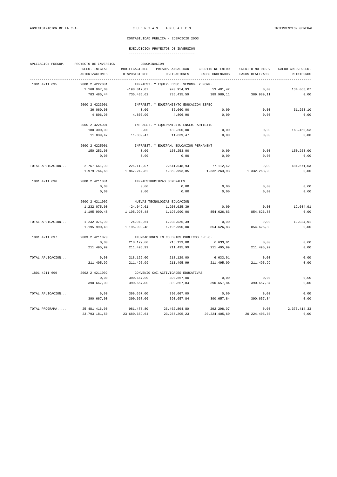| APLICACION PRESUP. | PROYECTO DE INVERSION | DENOMINACION   |                                          |                  |                  |                    |  |  |  |
|--------------------|-----------------------|----------------|------------------------------------------|------------------|------------------|--------------------|--|--|--|
|                    | PRESU. INICIAL        | MODIFICACIONES | PRESUP. ANUALIDAD                        | CREDITO RETENIDO | CREDITO NO DISP. | SALDO CRED. PRESU. |  |  |  |
|                    | AUTORIZACIONES        | DISPOSICIONES  | OBLIGACIONES                             | PAGOS ORDENADOS  | PAGOS REALIZADOS | REINTEGROS         |  |  |  |
| 1801 4211 695      | 2000 2 4222001        |                | INFRAEST. Y EQUIP. EDUC. SECUND. Y FORM. |                  |                  |                    |  |  |  |
|                    | 1.168.967,00          | $-198.012,07$  | 970.954,93                               | 53.401,42        | 0,00             | 134.068,07         |  |  |  |
|                    | 783.485,44            | 735.435,62     | 735.435,59                               | 389.989,11       | 389.989,11       | 0,00               |  |  |  |
|                    | 2000 2 4223001        |                | INFRAEST. Y EQUIPAMIENTO EDUCACION ESPEC |                  |                  |                    |  |  |  |
|                    | 36.060,00             | 0,00           | 36.060,00                                | 0,00             | 0,00             | 31.253,10          |  |  |  |
|                    | 4.806,90              | 4.806,90       | 4.806,90                                 | 0,00             | 0,00             | 0,00               |  |  |  |
|                    | 2000 2 4224001        |                | INFRAEST. Y EQUIPAMIENTO ENSE¤. ARTISTIC |                  |                  |                    |  |  |  |
|                    | 180.300,00            | 0,00           | 180.300,00                               | 0,00             | 0,00             | 168.460,53         |  |  |  |
|                    |                       |                |                                          |                  |                  |                    |  |  |  |
|                    | 11.839,47             | 11.839,47      | 11.839,47                                | 0,00             | 0,00             | 0,00               |  |  |  |
|                    | 2000 2 4225001        |                | INFRAEST. Y EQUIPAM. EDUCACION PERMANENT |                  |                  |                    |  |  |  |
|                    | 150.253,00            | 0,00           | 150.253,00                               | 0,00             | 0,00             | 150.253,00         |  |  |  |
|                    | 0,00                  | 0,00           | 0,00                                     | 0,00             | 0,00             | 0,00               |  |  |  |
| TOTAL APLICACION   | 2.767.661,00          | $-226.112,07$  | 2.541.548,93                             | 77.112,62        | 0,00             | 484.671,63         |  |  |  |
|                    | 1.979.764,68          | 1.867.242,82   | 1.860.993,85                             | 1.332.263,93     | 1.332.263,93     | 0,00               |  |  |  |
| 1801 4211 696      | 2000 2 4211001        |                | INFRAESTRUCTURAS GENERALES               |                  |                  |                    |  |  |  |
|                    | 0,00                  | 0,00           | 0,00                                     | 0,00             | 0,00             | 0,00               |  |  |  |
|                    | 0,00                  | 0,00           | 0,00                                     | 0,00             | 0,00             | 0,00               |  |  |  |
|                    | 2000 2 4211002        |                | NUEVAS TECNOLOGIAS EDUCACION             |                  |                  |                    |  |  |  |
|                    | 1.232.075,00          | $-24.049,61$   | 1.208.025,39                             | 0,00             | 0,00             | 12.034,91          |  |  |  |
|                    | 1.195.990,48          | 1.195.990,48   | 1.195.990,00                             | 854.626,83       | 854.626,83       | 0,00               |  |  |  |
| TOTAL APLICACION   | 1.232.075,00          | $-24.049,61$   | 1.208.025,39                             | 0,00             | 0,00             | 12.034,91          |  |  |  |
|                    | 1.195.990,48          | 1.195.990,48   | 1.195.990,00                             | 854.626,83       | 854.626,83       | 0,00               |  |  |  |
|                    |                       |                |                                          |                  |                  |                    |  |  |  |
| 1801 4211 697      | 2003 2 4211070        |                | INUNDACIONES EN COLEGIOS PUBLICOS D.E.C. |                  |                  |                    |  |  |  |
|                    | 0,00                  | 218.129,00     | 218.129,00                               | 6.633,01         | 0,00             | 0,00               |  |  |  |
|                    | 211.495,99            | 211.495,99     | 211.495,99                               | 211.495,99       | 211.495,99       | 0,00               |  |  |  |
| TOTAL APLICACION   | 0,00                  | 218.129,00     | 218.129,00                               | 6.633,01         | 0,00             | 0,00               |  |  |  |
|                    | 211.495,99            | 211.495,99     | 211.495,99                               | 211.495,99       | 211.495,99       | 0,00               |  |  |  |
| 1801 4211 699      | 2002 2 4211002        |                | CONVENIO CAI.ACTIVIDADES EDUCATIVAS      |                  |                  |                    |  |  |  |
|                    | 0,00                  | 390.667,00     | 390.667,00                               | 0,00             | 0,00             | 0,00               |  |  |  |
|                    | 390.667,00            | 390.667,00     | 390.657,84                               | 390.657,84       | 390.657,84       | 0,00               |  |  |  |
| TOTAL APLICACION   | 0,00                  | 390.667,00     | 390.667,00                               | 0,00             | 0,00             | 0,00               |  |  |  |
|                    | 390.667,00            | 390.667,00     | 390.657,84                               | 390.657,84       | 390.657,84       | 0,00               |  |  |  |
| TOTAL PROGRAMA     | 25.481.416,00         | 981.478,80     | 26.462.894,80                            | 292.298,97       | 0.00             | 2.377.414,33       |  |  |  |
|                    | 23.793.181,50         | 23.680.659,64  | 23.267.205,23                            | 20.224.405,60    | 20.224.405,60    | 0.00               |  |  |  |
|                    |                       |                |                                          |                  |                  |                    |  |  |  |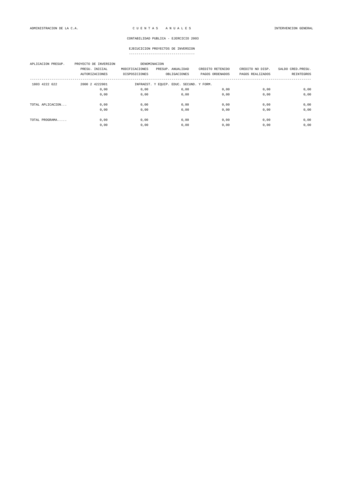| APLICACION PRESUP. | PROYECTO DE INVERSION<br>PRESU. INICIAL<br><b>AUTORIZACIONES</b> | DENOMINACION<br>MODIFICACIONES<br>DISPOSICIONES | PRESUP. ANUALIDAD<br>OBLIGACIONES        | CREDITO RETENIDO<br>PAGOS ORDENADOS | CREDITO NO DISP.<br>PAGOS REALIZADOS | SALDO CRED. PRESU.<br>REINTEGROS |
|--------------------|------------------------------------------------------------------|-------------------------------------------------|------------------------------------------|-------------------------------------|--------------------------------------|----------------------------------|
| 1803 4222 622      | 2000 2 4222001                                                   |                                                 | INFRAEST. Y EQUIP. EDUC. SECUND. Y FORM. |                                     |                                      |                                  |
|                    | 0,00                                                             | 0,00                                            | 0,00                                     | 0,00                                | 0,00                                 | 0,00                             |
|                    | 0,00                                                             | 0,00                                            | 0,00                                     | 0,00                                | 0,00                                 | 0,00                             |
| TOTAL APLICACION   | 0,00                                                             | 0,00                                            | 0,00                                     | 0,00                                | 0,00                                 | 0,00                             |
|                    | 0,00                                                             | 0,00                                            | 0,00                                     | 0,00                                | 0,00                                 | 0,00                             |
| TOTAL PROGRAMA     | 0.00                                                             | 0.00                                            | 0,00                                     | 0,00                                | 0,00                                 | 0,00                             |
|                    | 0,00                                                             | 0,00                                            | 0,00                                     | 0,00                                | 0,00                                 | 0,00                             |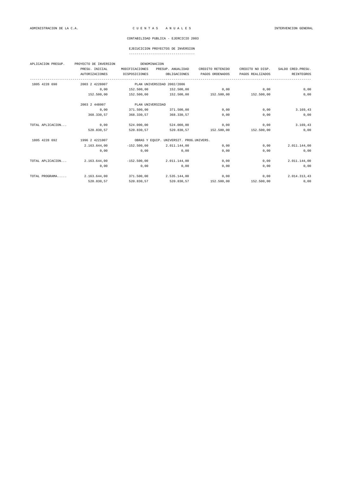### EJECUCICION PROYECTOS DE INVERSION

| APLICACION PRESUP. | PROYECTO DE INVERSION | DENOMINACION   |                                         |                  |                  |                    |  |
|--------------------|-----------------------|----------------|-----------------------------------------|------------------|------------------|--------------------|--|
|                    | PRESU. INICIAL        | MODIFICACIONES | PRESUP. ANUALIDAD                       | CREDITO RETENIDO | CREDITO NO DISP. | SALDO CRED. PRESU. |  |
|                    | AUTORIZACIONES        | DISPOSICIONES  | OBLIGACIONES                            | PAGOS ORDENADOS  | PAGOS REALIZADOS | <b>REINTEGROS</b>  |  |
| 1805 4228 690      | 2003 2 4228007        |                | PLAN UNIVERSIDAD 2002/2006              |                  |                  |                    |  |
|                    | 0,00                  | 152.500,00     | 152.500,00                              | 0,00             | 0,00             | 0,00               |  |
|                    | 152.500,00            | 152.500,00     | 152.500,00                              | 152.500,00       | 152.500,00       | 0,00               |  |
|                    | 2003 2 448007         |                | PLAN UNIVERSIDAD                        |                  |                  |                    |  |
|                    | 0,00                  | 371.500,00     | 371.500,00                              | 0,00             | 0,00             | 3.169, 43          |  |
|                    | 368.330,57            | 368,330.57     | 368, 330, 57                            | 0.00             | 0.00             | 0,00               |  |
| TOTAL APLICACION   | 0,00                  | 524.000,00     | 524.000,00                              | 0,00             | 0,00             | 3.169,43           |  |
|                    | 520.830,57            | 520.830,57     | 520.830,57                              | 152.500,00       | 152.500,00       | 0,00               |  |
| 1805 4228 692      | 1996 2 4221007        |                | OBRAS Y EQUIP. UNIVERSIT. PROG.UNIVERS. |                  |                  |                    |  |
|                    | 2.163.644,00          | $-152.500,00$  | 2.011.144,00                            | 0,00             | 0,00             | 2.011.144,00       |  |
|                    | 0,00                  | 0,00           | 0,00                                    | 0,00             | 0,00             | 0,00               |  |
| TOTAL APLICACION   | 2.163.644,00          | $-152.500.00$  | 2.011.144.00                            | 0,00             | 0,00             | 2.011.144,00       |  |
|                    | 0,00                  | 0,00           | 0,00                                    | 0,00             | 0,00             | 0,00               |  |
| TOTAL PROGRAMA     | 2.163.644.00          | 371.500,00     | 2.535.144.00                            | 0,00             | 0,00             | 2.014.313,43       |  |
|                    | 520.830,57            | 520.830,57     | 520.830,57                              | 152.500,00       | 152.500,00       | 0,00               |  |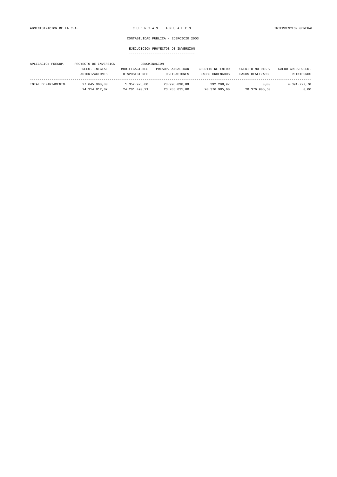| APLICACION PRESUP.  | PROYECTO DE INVERSION |                | DENOMINACION      |                  |                  |                    |
|---------------------|-----------------------|----------------|-------------------|------------------|------------------|--------------------|
|                     | PRESU. INICIAL        | MODIFICACIONES | PRESUP. ANUALIDAD | CREDITO RETENIDO | CREDITO NO DISP. | SALDO CRED. PRESU. |
|                     | <b>AUTORIZACIONES</b> | DISPOSICIONES  | OBLIGACIONES      | PAGOS ORDENADOS  | PAGOS REALIZADOS | REINTEGROS         |
|                     |                       |                |                   |                  |                  |                    |
| TOTAL DEPARTAMENTO. | 27.645.060.00         | 1.352.978.80   | 28.998.038.80     | 292.298.97       | 0.00             | 4.391.727.76       |
|                     | 24.314.012.07         | 24.201.490.21  | 23.788.035.80     | 20.376.905.60    | 20.376.905,60    | 0,00               |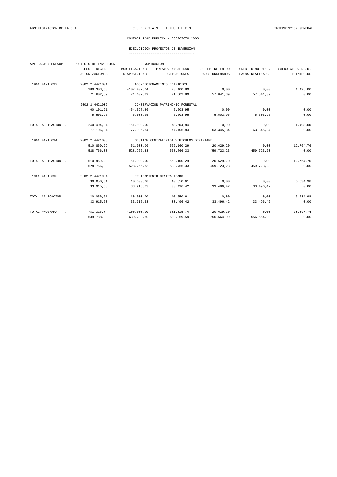### EJECUCICION PROYECTOS DE INVERSION

| APLICACION PRESUP. | PROYECTO DE INVERSION |                | DENOMINACION                             |                  |                  |                    |  |  |
|--------------------|-----------------------|----------------|------------------------------------------|------------------|------------------|--------------------|--|--|
|                    | PRESU. INICIAL        | MODIFICACIONES | PRESUP. ANUALIDAD                        | CREDITO RETENIDO | CREDITO NO DISP. | SALDO CRED. PRESU. |  |  |
|                    | AUTORIZACIONES        | DISPOSICIONES  | OBLIGACIONES                             | PAGOS ORDENADOS  | PAGOS REALIZADOS | REINTEGROS         |  |  |
| 1901 4421 692      | 2002 2 4421001        |                | ACONDICIONAMIENTO EDIFICIOS              |                  |                  |                    |  |  |
|                    | 180.303,63            | $-107.202,74$  | 73.100,89                                | 0,00             | 0,00             | 1.498,00           |  |  |
|                    | 71.602,89             | 71.602,89      | 71.602,89                                | 57.841,39        | 57.841,39        | 0,00               |  |  |
|                    | 2002 2 4421002        |                | CONSERVACION PATRIMONIO FORESTAL         |                  |                  |                    |  |  |
|                    | 60.101,21             | $-54.597, 26$  | 5.503,95                                 | 0,00             | 0,00             | 0,00               |  |  |
|                    | 5.503,95              | 5.503,95       | 5.503,95                                 | 5.503,95         | 5.503,95         | 0,00               |  |  |
| TOTAL APLICACION   | 240.404,84            | $-161.800,00$  | 78.604,84                                | 0,00             | 0,00             | 1.498,00           |  |  |
|                    | 77.106,84             | 77.106,84      | 77.106,84                                | 63.345,34        | 63.345,34        | 0,00               |  |  |
| 1901 4421 694      | 2002 2 4421003        |                | GESTION CENTRALIZADA VEHICULOS DEPARTAME |                  |                  |                    |  |  |
|                    | 510.860,29            | 51.300,00      | 562.160,29                               | 20.629,20        | 0,00             | 12.764,76          |  |  |
|                    | 528.766,33            | 528.766,33     | 528.766,33                               | 459.723,23       | 459.723,23       | 0,00               |  |  |
| TOTAL APLICACION   | 510.860,29            | 51.300,00      | 562.160,29                               | 20.629,20        | 0,00             | 12.764,76          |  |  |
|                    | 528.766,33            | 528.766,33     | 528.766,33                               | 459.723,23       | 459.723,23       | 0,00               |  |  |
| 1901 4421 695      | 2002 2 4421004        |                | EQUIPAMIENTO CENTRALIZADO                |                  |                  |                    |  |  |
|                    | 30.050,61             | 10.500,00      | 40.550,61                                | 0,00             | 0,00             | 6.634,98           |  |  |
|                    | 33.915,63             | 33.915,63      | 33.496,42                                | 33.496,42        | 33.496,42        | 0,00               |  |  |
| TOTAL APLICACION   | 30.050,61             | 10.500,00      | 40.550,61                                | 0,00             | 0,00             | 6.634,98           |  |  |
|                    | 33.915,63             | 33.915,63      | 33.496,42                                | 33.496,42        | 33.496,42        | 0,00               |  |  |
| TOTAL PROGRAMA     | 781.315,74            | $-100.000,00$  | 681.315,74                               | 20.629,20        | 0,00             | 20.897,74          |  |  |
|                    | 639.788,80            | 639.788,80     | 639.369,59                               | 556.564,99       | 556.564,99       | 0,00               |  |  |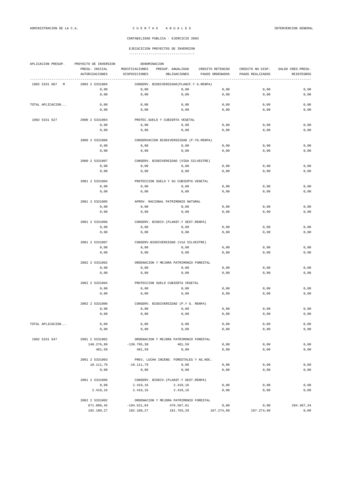| APLICACION PRESUP. | PROYECTO DE INVERSION<br>DENOMINACION |                      |                                                     |                  |                  |                    |
|--------------------|---------------------------------------|----------------------|-----------------------------------------------------|------------------|------------------|--------------------|
|                    | PRESU. INICIAL                        | MODIFICACIONES       | PRESUP. ANUALIDAD                                   | CREDITO RETENIDO | CREDITO NO DISP. | SALDO CRED. PRESU. |
|                    | <b>AUTORIZACIONES</b>                 | DISPOSICIONES        | OBLIGACIONES                                        | PAGOS ORDENADOS  | PAGOS REALIZADOS | <b>REINTEGROS</b>  |
| 1902 5331 607<br>M | 2003 2 5331006                        |                      | CONSERV. BIODIVERSIDAD (PLANIF.Y G.RENPA)           |                  |                  |                    |
|                    | 0,00                                  | 0,00                 | 0,00                                                | 0,00             | 0,00             | 0,00               |
|                    | 0,00                                  | 0,00                 | 0,00                                                | 0,00             | 0,00             | 0,00               |
| TOTAL APLICACION   | 0,00                                  | 0,00                 | 0,00                                                | 0,00             | 0,00             | 0,00               |
|                    | 0,00                                  | 0,00                 | 0,00                                                | 0,00             | 0,00             | 0,00               |
| 1902 5331 627      | 2000 2 5331004                        |                      | PROTEC. SUELO Y CUBIERTA VEGETAL                    |                  |                  |                    |
|                    | 0,00                                  | 0,00                 | 0,00                                                | 0,00             | 0,00             | 0,00               |
|                    | 0,00                                  | 0,00                 | $0$ , $00$                                          | 0,00             | 0,00             | 0,00               |
|                    | 2000 2 5331006                        |                      | CONSERVACION BIODIVERSSIDAD (P.YG.RENPA)            |                  |                  |                    |
|                    | 0,00                                  | 0,00                 | 0,00                                                | 0,00             | 0,00             | 0,00               |
|                    | 0,00                                  | 0,00                 | 0,00                                                | 0,00             | 0,00             | 0,00               |
|                    |                                       |                      |                                                     |                  |                  |                    |
|                    | 2000 2 5331007                        |                      | CONSERV. BIODIVERSIDAD (VIDA SILVESTRE)             |                  |                  |                    |
|                    | 0,00                                  | 0,00                 | 0,00                                                | 0,00             | 0,00             | 0,00               |
|                    | 0,00                                  | 0,00                 | 0,00                                                | 0,00             | 0,00             | 0,00               |
|                    | 2001 2 5331004                        |                      | PROTECCION SUELO Y SU CUBIERTA VEGETAL              |                  |                  |                    |
|                    | 0,00                                  | 0,00                 | 0,00                                                | 0,00             | 0,00             | 0,00               |
|                    | 0,00                                  | 0,00                 | 0,00                                                | 0,00             | 0,00             | 0,00               |
|                    | 2001 2 5331005                        |                      | APROV. RACIONAL PATRIMONIO NATURAL                  |                  |                  |                    |
|                    | 0,00                                  | 0,00                 | $0$ , $00$                                          | 0,00             | 0,00             | 0,00               |
|                    | 0,00                                  | 0,00                 | 0,00                                                | 0,00             | 0,00             | 0,00               |
|                    | 2001 2 5331006                        |                      | CONSERV. BIODIV. (PLANIF.Y GEST.RENPA)              |                  |                  |                    |
|                    | 0,00                                  | 0,00                 | 0,00                                                | 0,00             | 0,00             | 0,00               |
|                    | 0,00                                  | 0,00                 | 0,00                                                | 0,00             | 0,00             | 0,00               |
|                    |                                       |                      |                                                     |                  |                  |                    |
|                    | 2001 2 5331007<br>0,00                | 0,00                 | CONSERV.BIODIVERSIDAD (VíA SILVESTRE)<br>0,00       | 0,00             | 0,00             | 0,00               |
|                    | 0,00                                  | 0,00                 | 0,00                                                | 0,00             | 0,00             | 0,00               |
|                    |                                       |                      |                                                     |                  |                  |                    |
|                    | 2002 2 5331002                        |                      | ORDENACION Y MEJORA PATRIMONIO FORESTAL             |                  |                  |                    |
|                    | 0,00                                  | 0,00                 | 0,00                                                | 0,00             | 0,00             | 0,00               |
|                    | 0,00                                  | 0,00                 | 0,00                                                | 0,00             | 0,00             | 0,00               |
|                    | 2002 2 5331004                        |                      | PROTECCION SUELO CUBIERTA VEGETAL                   |                  |                  |                    |
|                    | 0,00                                  | 0,00                 | 0,00                                                | 0,00             | 0,00             | 0,00               |
|                    | 0,00                                  | 0,00                 | 0,00                                                | 0,00             | 0,00             | 0,00               |
|                    | 2002 2 5331006                        |                      | CONSERV. BIODIVERSIDAD (P.Y G. RENPA)               |                  |                  |                    |
|                    | 0,00                                  | 0,00                 | 0,00                                                | 0,00             | 0,00             | 0,00               |
|                    | 0,00                                  | 0,00                 | 0,00                                                | 0,00             | 0,00             | 0,00               |
| TOTAL APLICACION   | 0,00                                  | 0,00                 | $0,00$                                              | 0,00             | 0,00             | 0,00               |
|                    | 0,00                                  | 0,00                 | 0,00                                                | 0,00             | 0,00             | 0,00               |
| 1902 5331 647      | 2001 2 5331002                        |                      | ORDENACION Y MEJORA PATRIMONIO FORESTAL             |                  |                  |                    |
|                    | 140.276,89                            | $-139.795,30$        | 481,59                                              | 0,00             | 0,00             | 0,00               |
|                    | 481,59                                | 481,59               | 0,00                                                | 0,00             | 0,00             | 0,00               |
|                    |                                       |                      |                                                     |                  |                  |                    |
|                    | 2001 2 5331003                        |                      | PREV, LUCHA INCEND. FORESTALES Y AG.NOC.            |                  |                  |                    |
|                    | 10.111,79<br>0,00                     | $-10.111,79$<br>0,00 | 0,00<br>0,00                                        | 0,00<br>0,00     | 0,00<br>0,00     | 0,00<br>0,00       |
|                    |                                       |                      |                                                     |                  |                  |                    |
|                    | 2001 2 5331006<br>0,00                | 2.419,16             | CONSERV. BIODIV. (PLANIF.Y GEST. RENPA)<br>2.419,16 | 0,00             | 0,00             | 0,00               |
|                    | 2.419,16                              | 2.419,16             | 2.419,16                                            | 0,00             | 0,00             | 0,00               |
|                    |                                       |                      |                                                     |                  |                  |                    |
|                    | 2002 2 5331002                        |                      | ORDENACION Y MEJORA PATRIMONIO FORESTAL             |                  |                  |                    |
|                    | 671.089,45                            | $-194.521,84$        | 476.567,61                                          | 0,00             | 0,00             | 294.387,34         |
|                    | 182.180,27                            | 182.180,27           | 181.763,29                                          | 167.274,60       | 167.274,60       | 0,00               |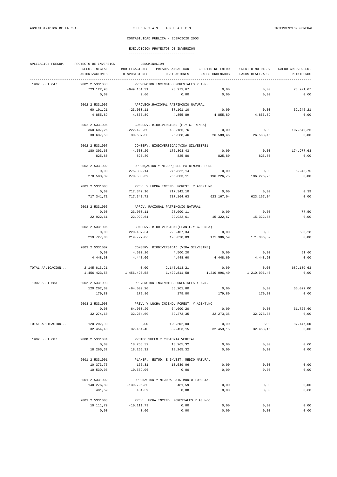| APLICACION PRESUP. | PROYECTO DE INVERSION<br>DENOMINACION     |                                          |                                                     |                       |                   |                    |  |  |  |
|--------------------|-------------------------------------------|------------------------------------------|-----------------------------------------------------|-----------------------|-------------------|--------------------|--|--|--|
|                    | PRESU. INICIAL                            |                                          | MODIFICACIONES PRESUP. ANUALIDAD                    | CREDITO RETENIDO      | CREDITO NO DISP.  | SALDO CRED. PRESU. |  |  |  |
|                    | AUTORIZACIONES                            | DISPOSICIONES                            | OBLIGACIONES                                        | PAGOS ORDENADOS       | PAGOS REALIZADOS  | <b>REINTEGROS</b>  |  |  |  |
|                    |                                           |                                          |                                                     |                       |                   |                    |  |  |  |
| 1902 5331 647      | 2002 2 5331003<br>723.122,98              | $-649.151,31$                            | PREVENCION INCENDIOS FORESTALES Y A.N.<br>73.971,67 | 0,00                  | 0,00              | 73.971,67          |  |  |  |
|                    | 0,00                                      | 0,00                                     | 0,00                                                | 0,00                  | 0,00              | 0,00               |  |  |  |
|                    |                                           |                                          |                                                     |                       |                   |                    |  |  |  |
|                    | 2002 2 5331005                            |                                          | APROVECH.RACIONAL PATRIMONIO NATURAL                |                       |                   |                    |  |  |  |
|                    | 60.101,21                                 | $-23.000, 11$                            | 37.101,10                                           | 0,00                  | 0,00              | 32.245,21          |  |  |  |
|                    | 4.855,89                                  | 4.855,89                                 | 4.855,89                                            | 4.855,89              | 4.855,89          | 0,00               |  |  |  |
|                    | 2002 2 5331006                            |                                          | CONSERV. BIODIVERSIDAD (P.Y G. RENPA)               |                       |                   |                    |  |  |  |
|                    | 360.607,26                                | $-222.420,50$                            | 138.186,76                                          | 0,00                  | 0,00              | 107.549,26         |  |  |  |
|                    | 30.637,50                                 | 30.637,50                                | 26.588,46                                           | 26.588,46             | 26.588,46         | 0,00               |  |  |  |
|                    |                                           |                                          |                                                     |                       |                   |                    |  |  |  |
|                    | 2002 2 5331007                            |                                          | CONSERV. BIODIVERSIDAD (VIDA SILVESTRE)             |                       |                   |                    |  |  |  |
|                    | 180.303,63                                | $-4.500, 20$                             | 175.803,43                                          | 0,00                  | 0,00              | 174.977,63         |  |  |  |
|                    | 825,80                                    | 825,80                                   | 825,80                                              | 825,80                | 825,80            | 0,00               |  |  |  |
|                    | 2003 2 5331002                            | ORDENQACION Y MEJORQ DEL PATRIMONIO FORE |                                                     |                       |                   |                    |  |  |  |
|                    | 0,00                                      | 275.832,14                               | 275.832,14                                          | 0,00                  | 0,00              | 5.248,75           |  |  |  |
|                    | 270.583,39                                | 270.583,39                               |                                                     | 266.803,11 196.226,75 | 196.226.75        | 0,00               |  |  |  |
|                    | 2003 2 5331003                            |                                          | PREV. Y LUCHA INCEND. FOREST. Y AGENT.NO            |                       |                   |                    |  |  |  |
|                    | 0,00                                      | 717.342,10                               | 717.342,10                                          | 0, 00                 | 0,00              | 0, 39              |  |  |  |
|                    | 717.341.71                                | 717.341,71                               | 717.164,63                                          | 623.167,04            | 623.167.04        | 0,00               |  |  |  |
|                    |                                           |                                          |                                                     |                       |                   |                    |  |  |  |
|                    | 2003 2 5331005                            |                                          | APROV. RACIONAL PATRIMONIO NATURAL                  |                       |                   |                    |  |  |  |
|                    | 0,00                                      | 23.000,11                                | 23.000,11                                           | 0,00<br>15,322.67     | 0,00              | 77,50              |  |  |  |
|                    | 22.922,61                                 | 22.922,61                                | 22.922,61                                           |                       | 15.322,67         | 0,00               |  |  |  |
|                    | 2003 2 5331006                            |                                          | CONSERV. BIODIVERSIDAD (PLANIF.Y G.RENPA)           |                       |                   |                    |  |  |  |
|                    | 0,00                                      | 220.407,34                               | 220.407,34                                          | 0,00                  | 0,00              | 680,28             |  |  |  |
|                    | 219.727,06                                | 219.727,06                               | 195.020,03                                          | 171.386,59            | 171.386,59        | 0,00               |  |  |  |
|                    | 2003 2 5331007                            |                                          | CONSERV. BIODIVERSIDAD (VIDA SILVESTRE)             |                       |                   |                    |  |  |  |
|                    | 0,00                                      | 4.500,20                                 | 4.500,20                                            | 0,00                  | 0,00              | 51,60              |  |  |  |
|                    | 4.448,60                                  | 4.448,60                                 | 4.448,60                                            | 4.448,60              | 4.448,60          | 0,00               |  |  |  |
|                    |                                           |                                          |                                                     |                       |                   |                    |  |  |  |
| TOTAL APLICACION   | 2.145.613,21<br>1.456.423,58 1.456.423,58 | 0,00                                     | 2.145.613,21                                        | 0,00                  | 0,00              | 689.189,63<br>0,00 |  |  |  |
|                    |                                           |                                          |                                                     |                       |                   |                    |  |  |  |
| 1902 5331 683      | 2002 2 5331003                            | PREVENCION INCENDIOS FORESTALES Y A.N.   |                                                     |                       |                   |                    |  |  |  |
|                    | 120.202,00                                | $-64.000, 20$                            | 56.201,80                                           | 0,00                  | 0,00              | 56.022,00          |  |  |  |
|                    | 179,80                                    | 179,80                                   | 179,80                                              | 179,80                | 179,80            | 0,00               |  |  |  |
|                    | 2003 2 5331003                            | PREV. Y LUCHA INCEND. FOREST. Y AGENT.NO |                                                     |                       |                   |                    |  |  |  |
|                    | 0,00                                      | 64.000,20                                | 64.000,20                                           | 0,00                  | 0,00              | 31.725,60          |  |  |  |
|                    | 32.274,60                                 | 32.274,60                                | 32.273,35                                           | 32.273,35             | 32.273,35         | 0,00               |  |  |  |
|                    |                                           |                                          |                                                     |                       |                   |                    |  |  |  |
| TOTAL APLICACION   | 120.202,00<br>32.454,40                   | 0,00<br>32.454,40                        | 120.202,00<br>32.453,15                             | 0,00<br>32.453,15     | 0,00<br>32.453,15 | 87.747,60<br>0,00  |  |  |  |
|                    |                                           |                                          |                                                     |                       |                   |                    |  |  |  |
| 1902 5331 687      | 2000 2 5331004                            |                                          | PROTEC. SUELO Y CUBIERTA VEGETAL                    |                       |                   |                    |  |  |  |
|                    | 0,00                                      | 18.265,32                                | 18.265,32                                           | 0,00                  | 0,00              | 0,00               |  |  |  |
|                    | 18.265,32                                 | 18.265,32                                | 18.265,32                                           | 0,00                  | 0,00              | 0,00               |  |  |  |
|                    | 2001 2 5331001                            |                                          | PLANIF., ESTUD. E INVEST. MEDIO NATURAL             |                       |                   |                    |  |  |  |
|                    | 10.373,75                                 | 165,31                                   | 10.539,06                                           | 0,00                  | 0,00              | 0,00               |  |  |  |
|                    | 10.539,06                                 | 10.539,06                                | 0,00                                                | 0,00                  | 0,00              | 0,00               |  |  |  |
|                    |                                           |                                          |                                                     |                       |                   |                    |  |  |  |
|                    | 2001 2 5331002<br>140.276,89              | $-139.795,30$                            | ORDENACION Y MEJORA PATRIMONIO FORESTAL<br>481,59   | 0,00                  | 0,00              | 0,00               |  |  |  |
|                    | 481,59                                    | 481,59                                   | 0,00                                                | 0,00                  | 0,00              | 0,00               |  |  |  |
|                    |                                           |                                          |                                                     |                       |                   |                    |  |  |  |
|                    | 2001 2 5331003                            |                                          | PREV, LUCHA INCEND. FORESTALES Y AG.NOC.            |                       |                   |                    |  |  |  |
|                    | 10.111,79                                 | $-10.111,79$                             | 0,00                                                | 0,00                  | 0,00              | 0,00               |  |  |  |
|                    | 0,00                                      | 0,00                                     | 0,00                                                | 0,00                  | 0,00              | 0,00               |  |  |  |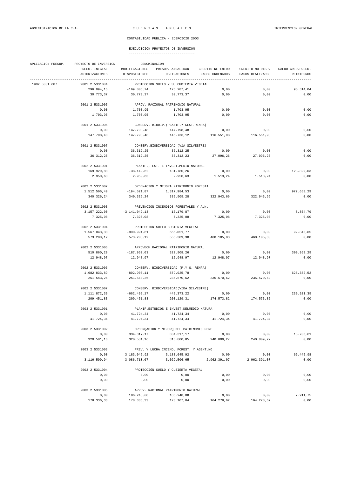| APLICACION PRESUP. | PROYECTO DE INVERSION |                                         |                                          |                                    |                      |                    |  |  |  |
|--------------------|-----------------------|-----------------------------------------|------------------------------------------|------------------------------------|----------------------|--------------------|--|--|--|
|                    | PRESU. INICIAL        | MODIFICACIONES                          |                                          | PRESUP. ANUALIDAD CREDITO RETENIDO | CREDITO NO DISP.     | SALDO CRED. PRESU. |  |  |  |
|                    | AUTORIZACIONES        | DISPOSICIONES                           |                                          | OBLIGACIONES PAGOS ORDENADOS       | PAGOS REALIZADOS     | REINTEGROS         |  |  |  |
| 1902 5331 687      | 2001 2 5331004        |                                         | PROTECCION SUELO Y SU CUBIERTA VEGETAL   |                                    |                      |                    |  |  |  |
|                    | 296.094,15            | $-169.806,74$                           | 126.287,41                               | 0,00                               | 0,00                 | 95.514,04          |  |  |  |
|                    | 30.773,37             | 30.773,37                               | 30.773,37                                | 0,00                               | 0,00                 | 0,00               |  |  |  |
|                    | 2001 2 5331005        |                                         | APROV. RACIONAL PATRIMONIO NATURAL       |                                    |                      |                    |  |  |  |
|                    | 0,00                  | 1.703,95                                | 1.703,95                                 | 0,00                               | 0,00                 | 0,00               |  |  |  |
|                    | 1.703,95              | 1.703,95                                | 1.703,95                                 | 0,00                               | 0,00                 | 0,00               |  |  |  |
|                    |                       |                                         |                                          |                                    |                      |                    |  |  |  |
|                    | 2001 2 5331006        |                                         | CONSERV. BIODIV. (PLANIF.Y GEST.RENPA)   |                                    |                      |                    |  |  |  |
|                    | 0,00                  | 147.798,48                              | 147.798,48                               | 0,00                               | 0,00                 | 0,00               |  |  |  |
|                    | 147.798,48            | 147.798,48                              |                                          | 146.736,12 116.551,98              | 116.551,98           | 0,00               |  |  |  |
|                    | 2001 2 5331007        |                                         | CONSERV.BIODIVERSIDAD (VÍA SILVESTRE)    |                                    |                      |                    |  |  |  |
|                    | 0,00                  | 36.312,25                               | 36.312,25                                | 0,00                               | 0,00                 | 0,00               |  |  |  |
|                    | 36.312,25             | 36.312,25                               | 36.312,23                                | 27.096,26                          | 27.096,26            | 0,00               |  |  |  |
|                    |                       |                                         |                                          |                                    |                      |                    |  |  |  |
|                    | 2002 2 5331001        |                                         | PLANIF., EST. E INVEST.MEDIO NATURAL     |                                    |                      |                    |  |  |  |
|                    | 169.929,88            | $-38.149,62$                            | 131.780,26                               | 0,00                               | 0,00                 | 128.829,63         |  |  |  |
|                    | 2.950,63              | 2.950,63                                | 2.950,63                                 | 1.513,24                           | 1.513,24             | 0,00               |  |  |  |
|                    | 2002 2 5331002        | ORDENACION Y MEJORA PATRIMONIO FORESTAL |                                          |                                    |                      |                    |  |  |  |
|                    | 1.512.506,40          | $-194.521,87$                           | 1.317.984,53                             | 0,00                               | 0,00                 | 977.658,29         |  |  |  |
|                    | 340.326,24            | 340.326,24                              | 339.909,28                               | 322.943,66                         | 322.943,66           | 0,00               |  |  |  |
|                    | 2002 2 5331003        |                                         | PREVENCION INCENDIOS FORESTALES Y A.N.   |                                    |                      |                    |  |  |  |
|                    |                       |                                         |                                          |                                    |                      | 8.854.79           |  |  |  |
|                    | 3.157.222,00          | $-3.141.042,13$                         | 16.179,87                                | 0,00                               | 0,00                 |                    |  |  |  |
|                    | 7.325,08              | 7.325,08                                | 7.325,08                                 | 7.325,08                           | 7.325,08             | 0,00               |  |  |  |
|                    | 2002 2 5331004        |                                         | PROTECCION SUELO CUBIERTA VEGETAL        |                                    |                      |                    |  |  |  |
|                    | 1.567.043,38          | $-900.991,61$                           | 666.051,77                               | 0,00                               | 0,00                 | 92.843,65          |  |  |  |
|                    | 573.208,12            | 573.208,12                              | 555.309,38                               | 460.105,83                         | 460.105,83           | 0,00               |  |  |  |
|                    | 2002 2 5331005        |                                         | APROVECH.RACIONAL PATRIMONIO NATURAL     |                                    |                      |                    |  |  |  |
|                    | 510.860,29            | -187.952,03                             | 322.908,26                               | 0,00                               | 0,00                 | 309.959,29         |  |  |  |
|                    | 12.948,97             | 12.948,97                               | 12.948,97                                | 12.948,97                          | 12.948,97            | 0,00               |  |  |  |
|                    |                       |                                         |                                          |                                    |                      |                    |  |  |  |
|                    | 2002 2 5331006        |                                         | CONSERV. BIODIVERSIDAD (P.Y G. RENPA)    |                                    |                      |                    |  |  |  |
|                    | 1.682.833,89          | $-802.908, 11$                          | 879.925,78                               | 0,00                               | 0,00                 | 628.382,52         |  |  |  |
|                    | 251.543,26            | 251.543,26                              | 235.570,62                               | 235.570,62                         | 235.570,62           | 0,00               |  |  |  |
|                    | 2002 2 5331007        | CONSERV. BIODIVERSIDAD(VIDA SILVESTRE)  |                                          |                                    |                      |                    |  |  |  |
|                    | 1.111.872,39          | -662.499,17                             | 449.373,22                               | 0,00                               | 0,00                 | 239.921,39         |  |  |  |
|                    | 209.451,83            | 209.451,83                              |                                          | 200.129,31 174.573,82              | 174.573,82           | 0,00               |  |  |  |
|                    |                       |                                         |                                          |                                    |                      |                    |  |  |  |
|                    | 2003 2 5331001        |                                         | PLANIF.ESTUDIOS E INVEST.DELMEDIO NATURA |                                    |                      |                    |  |  |  |
|                    | 0,00                  | 41.724.34                               | 41.724,34                                | 0,00                               | 0,00                 | 0,00               |  |  |  |
|                    | 41.724,34             | 41.724,34                               | 41.724,34                                | 41.724,34                          | 41.724,34            | 0,00               |  |  |  |
|                    | 2003 2 5331002        |                                         | ORDENQACION Y MEJORQ DEL PATRIMONIO FORE |                                    |                      |                    |  |  |  |
|                    | 0,00                  | 334.317,17                              | 334.317,17                               | 0,00                               | 0,00                 | 13.736,01          |  |  |  |
|                    | 320.581,16            | 320.581,16                              |                                          | 316.800,85 240.809,27              | 240.809,27           | 0,00               |  |  |  |
|                    | 2003 2 5331003        |                                         | PREV. Y LUCHA INCEND. FOREST. Y AGENT.NO |                                    |                      |                    |  |  |  |
|                    |                       |                                         |                                          |                                    |                      | 66.445,98          |  |  |  |
|                    | 0,00<br>3.116.599,94  | 3.183.045,92<br>3.086.710,07            | 3.183.045,92                             | 0,00<br>3.029.506,65 2.962.391,07  | 0,00<br>2.962.391,07 | 0,00               |  |  |  |
|                    |                       |                                         |                                          |                                    |                      |                    |  |  |  |
|                    | 2003 2 5331004        |                                         | PROTECCIÓN SUELO Y CUBIERTA VEGETAL      |                                    |                      |                    |  |  |  |
|                    | 0,00                  | 0,00                                    | 0,00                                     | 0,00                               | 0,00                 | 0,00               |  |  |  |
|                    | 0,00                  | 0,00                                    | 0,00                                     | 0,00                               | 0,00                 | 0,00               |  |  |  |
|                    | 2003 2 5331005        |                                         | APROV. RACIONAL PATRIMONIO NATURAL       |                                    |                      |                    |  |  |  |
|                    | 0,00                  | 186.248,08                              | 186.248,08                               | 0,00                               | 0,00                 | 7.911,75           |  |  |  |
|                    | 178.336,33            | 178.336,33                              | 178.107,04                               | 164.278,62                         | 164.278,62           | 0,00               |  |  |  |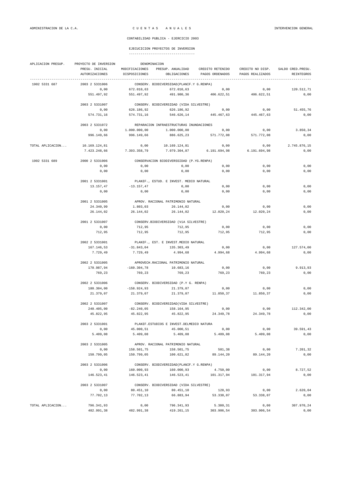| APLICACION PRESUP. | DENOMINACION<br>PROYECTO DE INVERSION |                                      |                                                   |                 |                           |                    |  |  |
|--------------------|---------------------------------------|--------------------------------------|---------------------------------------------------|-----------------|---------------------------|--------------------|--|--|
|                    | PRESU. INICIAL                        |                                      | MODIFICACIONES PRESUP. ANUALIDAD CREDITO RETENIDO |                 | CREDITO NO DISP.          | SALDO CRED. PRESU. |  |  |
|                    | AUTORIZACIONES                        | DISPOSICIONES                        | OBLIGACIONES                                      | PAGOS ORDENADOS | PAGOS REALIZADOS          | REINTEGROS         |  |  |
| 1902 5331 687      | 2003 2 5331006                        |                                      | CONSERV. BIODIVERSIDAD (PLANIF.Y G.RENPA)         |                 |                           |                    |  |  |
|                    | 0,00                                  | 672.010,63                           | 672.010,63                                        | 0,00            | 0,00                      | 120.512,71         |  |  |
|                    | 551.497,92                            | 551.497,92                           | 491.980,36                                        | 406.622,51      | 406.622,51                | 0,00               |  |  |
|                    |                                       |                                      |                                                   |                 |                           |                    |  |  |
|                    | 2003 2 5331007                        |                                      | CONSERV. BIODIVERSIDAD (VIDA SILVESTRE)           |                 |                           |                    |  |  |
|                    | 0,00                                  | 626.186,92                           | 626.186,92                                        | 0,00            | 0,00                      | 51.455,76          |  |  |
|                    | 574.731,16                            | 574.731,16                           | 546.626,14                                        | 445.467,63      | 445.467,63                | 0,00               |  |  |
|                    | 2003 2 5331072                        |                                      | REPARACION INFRAESTRUCTURAS INUNDACIONES          |                 |                           |                    |  |  |
|                    | 0,00                                  | 1.000.000,00                         | 1.000.000,00                                      | 0,00            | 0,00                      | 3.850,34           |  |  |
|                    | 996.149,66                            | 996.149,66                           | 886.625,23                                        | 571.772,08      | 571.772,08                | 0,00               |  |  |
| TOTAL APLICACION   | 10.169.124,81                         | 0,00                                 | 10.169.124,81                                     | 0,00            | 0,00                      | 2.745.876,15       |  |  |
|                    | 7.423.248,66                          | 7.393.358,79                         | 7.079.304,87                                      |                 | 6.191.694,98 6.191.694,98 | 0,00               |  |  |
| 1902 5331 689      | 2000 2 5331006                        |                                      | CONSERVACION BIODIVERSSIDAD (P.YG.RENPA)          |                 |                           |                    |  |  |
|                    | 0,00                                  | 0,00                                 | 0,00                                              | 0,00            | 0,00                      | 0,00               |  |  |
|                    | 0,00                                  | 0,00                                 | 0,00                                              | 0,00            | 0,00                      | 0,00               |  |  |
|                    |                                       |                                      |                                                   |                 |                           |                    |  |  |
|                    | 2001 2 5331001                        |                                      | PLANIF., ESTUD. E INVEST. MEDIO NATURAL           |                 |                           |                    |  |  |
|                    | 13.157,47                             | $-13.157,47$                         | 0,00                                              | 0,00            | 0,00                      | 0,00               |  |  |
|                    | 0,00                                  | 0,00                                 | 0,00                                              | 0,00            | 0,00                      | 0,00               |  |  |
|                    | 2001 2 5331005                        |                                      | APROV. RACIONAL PATRIMONIO NATURAL                |                 |                           |                    |  |  |
|                    | 24.340,99                             | 1.803,03                             | 26.144,02                                         | 0,00            | 0,00                      | 0,00               |  |  |
|                    | 26.144,02                             | 26.144,02                            | 26.144,02                                         | 12.020,24       | 12.020,24                 | 0,00               |  |  |
|                    | 2001 2 5331007                        |                                      | CONSERV.BIODIVERSIDAD (VÍA SILVESTRE)             |                 |                           |                    |  |  |
|                    | 0,00                                  | 712,95                               | 712,95                                            | 0,00            | 0,00                      | 0,00               |  |  |
|                    | 712,95                                | 712,95                               | 712,95                                            | 712,95          | 712,95                    | 0,00               |  |  |
|                    | 2002 2 5331001                        |                                      | PLANIF., EST. E INVEST.MEDIO NATURAL              |                 |                           |                    |  |  |
|                    | 167.146,53                            | $-31.843,04$                         | 135.303,49                                        | 0,00            | 0,00                      | 127.574,00         |  |  |
|                    | 7.729,49                              | 7.729,49                             | 4.994,68                                          | 4.994,68        | 4.994,68                  | 0,00               |  |  |
|                    | 2002 2 5331005                        | APROVECH.RACIONAL PATRIMONIO NATURAL |                                                   |                 |                           |                    |  |  |
|                    | 170.987,94                            | $-160.304,78$                        | 10.683,16                                         | 0,00            | 0,00                      | 9.913,93           |  |  |
|                    | 769,23                                | 769,23                               | 769,23                                            | 769,23          | 769,23                    | 0,00               |  |  |
|                    |                                       |                                      |                                                   |                 |                           |                    |  |  |
|                    | 2002 2 5331006                        |                                      | CONSERV. BIODIVERSIDAD (P.Y G. RENPA)             |                 |                           |                    |  |  |
|                    | 180.304,00                            | $-158.924,93$                        | 21.379,07                                         | 0,00            | 0,00                      | 0,00               |  |  |
|                    | 21.379,07                             | 21.379,07                            | 21.379,07                                         | 11.850,37       | 11.850,37                 | 0,00               |  |  |
|                    | 2002 2 5331007                        |                                      | CONSERV. BIODIVERSIDAD (VIDA SILVESTRE)           |                 |                           |                    |  |  |
|                    | 240.405,00                            | $-82.240,05$                         | 158.164,95                                        | 0,00            | 0,00                      | 112.342,00         |  |  |
|                    | 45.822,95                             | 45.822,95                            | 45.822,95                                         | 24.349,78       | 24.349,78                 | 0,00               |  |  |
|                    | 2003 2 5331001                        |                                      | PLANIF.ESTUDIOS E INVEST.DELMEDIO NATURA          |                 |                           |                    |  |  |
|                    | 0,00                                  | 45.000,51                            | 45.000,51                                         | 0,00            | 0,00                      | 39.591,43          |  |  |
|                    | 5.409,08                              | 5.409,08                             | 5.409,08                                          | 5.409,08        | 5.409,08                  | 0,00               |  |  |
|                    | 2003 2 5331005                        |                                      | APROV. RACIONAL PATRIMONIO NATURAL                |                 |                           |                    |  |  |
|                    | 0,00                                  | 158.501,75                           | 158.501,75                                        | 501,38          | 0,00                      | 7.201,32           |  |  |
|                    | 150.799,05                            | 150.799,05                           | 100.621,82                                        | 89.144,20       | 89.144,20                 | 0,00               |  |  |
|                    | 2003 2 5331006                        |                                      | CONSERV. BIODIVERSIDAD (PLANIF.Y G.RENPA)         |                 |                           |                    |  |  |
|                    | 0,00                                  | 160.000,93                           | 160.000,93                                        | 4.750,00        | 0,00                      | 8.727,52           |  |  |
|                    | 146.523,41                            | 146.523,41                           | 146.523,41                                        | 101.317,94      | 101.317,94                | 0,00               |  |  |
|                    |                                       |                                      |                                                   |                 |                           |                    |  |  |
|                    | 2003 2 5331007                        |                                      | CONSERV. BIODIVERSIDAD (VIDA SILVESTRE)           |                 |                           |                    |  |  |
|                    | 0,00                                  | 80.451,10                            | 80.451,10                                         | 128,93          | 0,00                      | 2.620,04           |  |  |
|                    | 77.702,13                             | 77.702,13                            | 66.883,94                                         | 53.338,07       | 53.338,07                 | 0,00               |  |  |
| TOTAL APLICACION   | 796.341,93                            | 0,00                                 | 796.341,93                                        | 5.380,31        | 0,00                      | 307.970,24         |  |  |
|                    | 482.991,38                            | 482.991,38                           | 419.261,15                                        | 303.906,54      | 303.906,54                | 0,00               |  |  |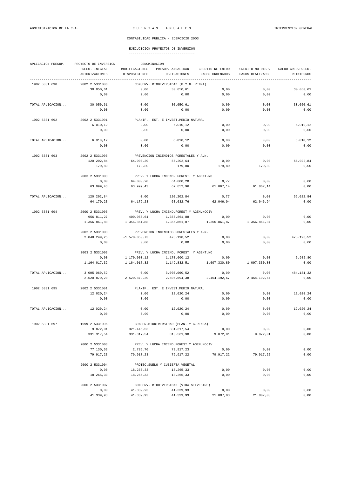| APLICACION PRESUP. | PROYECTO DE INVERSION<br>DENOMINACION |                         |                                             |                  |                                                         |                    |  |  |
|--------------------|---------------------------------------|-------------------------|---------------------------------------------|------------------|---------------------------------------------------------|--------------------|--|--|
|                    | PRESU. INICIAL                        | MODIFICACIONES          | PRESUP. ANUALIDAD                           | CREDITO RETENIDO | CREDITO NO DISP.                                        | SALDO CRED. PRESU. |  |  |
|                    | AUTORIZACIONES                        | DISPOSICIONES           | OBLIGACIONES<br>-------------------------   | PAGOS ORDENADOS  | PAGOS REALIZADOS<br>----------------------------------- | REINTEGROS         |  |  |
| 1902 5331 690      | 2002 2 5331006                        |                         | CONSERV. BIODIVERSIDAD (P.Y G. RENPA)       |                  |                                                         |                    |  |  |
|                    | 30.050,61                             | 0,00                    | 30.050,61                                   | 0,00             | 0,00                                                    | 30.050,61          |  |  |
|                    | 0,00                                  | 0,00                    | 0,00                                        | 0,00             | 0,00                                                    | 0,00               |  |  |
| TOTAL APLICACION   | 30.050,61                             | 0,00                    | 30.050,61                                   | 0,00             | 0,00                                                    | 30.050,61          |  |  |
|                    | 0,00                                  | 0,00                    | 0,00                                        | 0,00             | 0,00                                                    | 0,00               |  |  |
|                    |                                       |                         |                                             |                  |                                                         |                    |  |  |
| 1902 5331 692      | 2002 2 5331001                        |                         | PLANIF., EST. E INVEST.MEDIO NATURAL        |                  |                                                         |                    |  |  |
|                    | 6.010, 12                             | 0,00                    | 6.010, 12                                   | 0,00             | 0,00                                                    | 6.010, 12          |  |  |
|                    | 0,00                                  | 0,00                    | 0,00                                        | 0,00             | 0,00                                                    | 0,00               |  |  |
| TOTAL APLICACION   | 6.010, 12                             | 0,00                    | 6.010, 12                                   | 0,00             | 0,00                                                    | 6.010, 12          |  |  |
|                    | 0,00                                  | 0,00                    | 0,00                                        | 0,00             | 0,00                                                    | 0,00               |  |  |
|                    |                                       |                         |                                             |                  |                                                         |                    |  |  |
| 1902 5331 693      | 2002 2 5331003                        |                         | PREVENCION INCENDIOS FORESTALES Y A.N.      |                  |                                                         |                    |  |  |
|                    | 120.202,84<br>179,80                  | $-64.000, 20$<br>179,80 | 56.202,64<br>179,80                         | 0,00<br>179,80   | 0,00<br>179,80                                          | 56.022,84<br>0,00  |  |  |
|                    |                                       |                         |                                             |                  |                                                         |                    |  |  |
|                    | 2003 2 5331003                        |                         | PREV. Y LUCHA INCEND. FOREST. Y AGENT. NO   |                  |                                                         |                    |  |  |
|                    | 0,00                                  | 64.000,20               | 64.000,20                                   | 0,77             | 0,00                                                    | 0,00               |  |  |
|                    | 63.999,43                             | 63.999,43               | 62.852,96                                   | 61.867,14        | 61.867,14                                               | 0,00               |  |  |
| TOTAL APLICACION   | 120.202,84                            | 0,00                    | 120.202,84                                  | 0,77             | 0,00                                                    | 56.022,84          |  |  |
|                    | 64.179,23                             | 64.179,23               | 63.032,76                                   | 62.046,94        | 62.046,94                                               | 0,00               |  |  |
| 1902 5331 694      | 2000 2 5331003                        |                         | PREV. Y LUCHA INCEND. FOREST. Y AGEN. NOCIV |                  |                                                         |                    |  |  |
|                    | 956.811,27                            | 400.050,61              | 1.356.861,88                                | 0,00             | 0,00                                                    | 0,00               |  |  |
|                    | 1.356.861,88                          | 1.356.861,88            | 1.356.861,87                                | 1.356.861,87     | 1.356.861,87                                            | 0,00               |  |  |
|                    |                                       |                         |                                             |                  |                                                         |                    |  |  |
|                    | 2002 2 5331003                        |                         | PREVENCION INCENDIOS FORESTALES Y A.N.      |                  |                                                         |                    |  |  |
|                    | 2.048.249,25                          | $-1.570.050, 73$        | 478.198,52                                  | 0,00             | 0,00                                                    | 478.198,52         |  |  |
|                    | 0,00                                  | 0,00                    | 0,00                                        | 0,00             | 0,00                                                    | 0,00               |  |  |
|                    | 2003 2 5331003                        |                         | PREV. Y LUCHA INCEND. FOREST. Y AGENT. NO   |                  |                                                         |                    |  |  |
|                    | 0,00                                  | 1.170.000,12            | 1.170.000,12                                | 0,00             | 0,00                                                    | 5.982,80           |  |  |
|                    | 1.164.017,32                          | 1.164.017,32            | 1.149.832,51                                | 1.097.330,80     | 1.097.330,80                                            | 0,00               |  |  |
| TOTAL APLICACION   | 3.005.060,52                          | 0,00                    | 3.005.060,52                                | 0,00             | 0,00                                                    | 484.181,32         |  |  |
|                    | 2.520.879,20                          | 2.520.879,20            | 2.506.694,38                                | 2.454.192,67     | 2.454.192,67                                            | 0,00               |  |  |
|                    |                                       |                         |                                             |                  |                                                         |                    |  |  |
| 1902 5331 695      | 2002 2 5331001                        |                         | PLANIF., EST. E INVEST.MEDIO NATURAL        |                  |                                                         |                    |  |  |
|                    | 12.020,24                             | 0,00                    | 12.020,24                                   | 0,00             | 0,00                                                    | 12.020,24          |  |  |
|                    | 0,00                                  | 0,00                    | 0,00                                        | 0,00             | 0,00                                                    | 0,00               |  |  |
| TOTAL APLICACION   | 12.020,24                             | 0,00                    | 12.020,24                                   | 0,00             | 0,00                                                    | 12.020,24          |  |  |
|                    | 0,00                                  | 0,00                    | 0,00                                        | 0,00             | 0,00                                                    | 0,00               |  |  |
| 1902 5331 697      | 1999 2 5331006                        |                         | CONSER.BIODIVERSIDAD (PLAN. Y G.RENPA)      |                  |                                                         |                    |  |  |
|                    | 9.872,01                              | 321.445,53              | 331.317,54                                  | 0,00             | 0,00                                                    | 0,00               |  |  |
|                    | 331.317,54                            | 331.317,54              | 313.561,90                                  | 9.872,01         | 9.872,01                                                | 0,00               |  |  |
|                    |                                       |                         |                                             |                  |                                                         |                    |  |  |
|                    | 2000 2 5331003                        |                         | PREV. Y LUCHA INCEND. FOREST. Y AGEN. NOCIV |                  |                                                         |                    |  |  |
|                    | 77.130,53                             | 2.786,70                | 79.917,23                                   | 0,00             | 0,00                                                    | 0,00               |  |  |
|                    | 79.917,23                             | 79.917,23               | 79.917,22                                   | 79.917,22        | 79.917,22                                               | 0,00               |  |  |
|                    | 2000 2 5331004                        |                         | PROTEC. SUELO Y CUBIERTA VEGETAL            |                  |                                                         |                    |  |  |
|                    | 0,00                                  | 18.265,33               | 18.265,33                                   | 0,00             | 0,00                                                    | 0,00               |  |  |
|                    | 18.265,33                             | 18.265,33               | 18.265,33                                   | 0,00             | 0,00                                                    | 0,00               |  |  |
|                    | 2000 2 5331007                        |                         | CONSERV. BIODIVERSIDAD (VIDA SILVESTRE)     |                  |                                                         |                    |  |  |
|                    | 0,00                                  | 41.339,93               | 41.339,93                                   | 0,00             | 0,00                                                    | 0,00               |  |  |
|                    | 41.339,93                             | 41.339,93               | 41.339,93                                   | 21.807,03        | 21.807,03                                               | 0,00               |  |  |
|                    |                                       |                         |                                             |                  |                                                         |                    |  |  |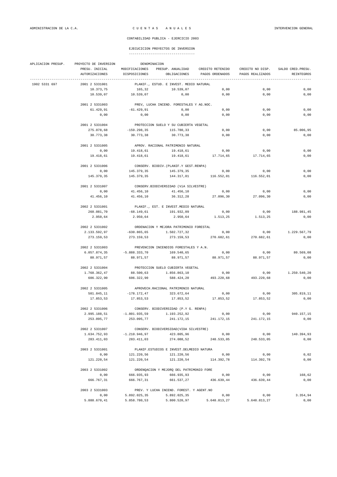| APLICACION PRESUP. | DENOMINACION<br>PROYECTO DE INVERSION |                                      |                                                           |                  |                  |                    |  |  |  |
|--------------------|---------------------------------------|--------------------------------------|-----------------------------------------------------------|------------------|------------------|--------------------|--|--|--|
|                    | PRESU. INICIAL                        | MODIFICACIONES                       | PRESUP. ANUALIDAD                                         | CREDITO RETENIDO | CREDITO NO DISP. | SALDO CRED. PRESU. |  |  |  |
|                    | AUTORIZACIONES                        | DISPOSICIONES                        | OBLIGACIONES                                              | PAGOS ORDENADOS  | PAGOS REALIZADOS | <b>REINTEGROS</b>  |  |  |  |
| 1902 5331 697      | 2001 2 5331001                        |                                      | PLANIF., ESTUD. E INVEST. MEDIO NATURAL                   |                  |                  |                    |  |  |  |
|                    | 10.373,75                             | 165,32                               | 10.539,07                                                 | 0,00             | 0,00             | 0,00               |  |  |  |
|                    | 10.539,07                             | 10.539,07                            | 0,00                                                      | 0,00             | 0,00             | 0,00               |  |  |  |
|                    |                                       |                                      |                                                           |                  |                  |                    |  |  |  |
|                    | 2001 2 5331003                        |                                      | PREV, LUCHA INCEND. FORESTALES Y AG.NOC.                  |                  |                  |                    |  |  |  |
|                    | 61.429,91                             | $-61.429, 91$                        | 0,00                                                      | 0,00             | 0,00             | 0,00               |  |  |  |
|                    | 0,00                                  | 0,00                                 | 0,00                                                      | 0,00             | 0,00             | 0,00               |  |  |  |
|                    | 2001 2 5331004                        |                                      | PROTECCION SUELO Y SU CUBIERTA VEGETAL                    |                  |                  |                    |  |  |  |
|                    | 275.078,68                            | $-159.298,35$                        | 115.780,33                                                | 0,00             | 0,00             | 85.006,95          |  |  |  |
|                    | 30.773,38                             | 30.773,38                            | 30.773,38                                                 | 0,00             | 0,00             | 0,00               |  |  |  |
|                    | 2001 2 5331005                        |                                      | APROV. RACIONAL PATRIMONIO NATURAL                        |                  |                  |                    |  |  |  |
|                    | 0,00                                  | 19.418,61                            | 19.418,61                                                 | 0,00             | 0,00             | 0,00               |  |  |  |
|                    | 19.418,61                             | 19.418,61                            | 19.418,61                                                 | 17.714,65        | 17.714,65        | 0,00               |  |  |  |
|                    | 2001 2 5331006                        |                                      | CONSERV. BIODIV. (PLANIF.Y GEST.RENPA)                    |                  |                  |                    |  |  |  |
|                    | 0,00                                  | 145.379,35                           | 145.379,35                                                | 0,00             | 0,00             | 0,00               |  |  |  |
|                    | 145.379,35                            | 145.379,35                           | 144.317,01                                                | 116.552,01       | 116.552.01       | 0,00               |  |  |  |
|                    |                                       |                                      |                                                           |                  |                  |                    |  |  |  |
|                    | 2001 2 5331007                        |                                      | CONSERV.BIODIVERSIDAD (VÍA SILVESTRE)                     |                  |                  |                    |  |  |  |
|                    | 0,00                                  | 41.456,10                            | 41.456,10                                                 | 0,00             | 0,00             | 0,00               |  |  |  |
|                    | 41.456,10                             | 41.456,10                            | 36.312,28                                                 | 27.096,30        | 27.096,30        | 0,00               |  |  |  |
|                    | 2002 2 5331001                        | PLANIF., EST. E INVEST.MEDIO NATURAL |                                                           |                  |                  |                    |  |  |  |
|                    | 260.081,70                            | $-68.149,61$                         | 191.932,09                                                | 0,00             | 0,00             | 188.981,45         |  |  |  |
|                    | 2.950,64                              | 2.950,64                             | 2.950,64                                                  | 1.513,25         | 1.513,25         | 0,00               |  |  |  |
|                    | 2002 2 5331002                        |                                      | ORDENACION Y MEJORA PATRIMONIO FORESTAL                   |                  |                  |                    |  |  |  |
|                    | 2.133.592,97                          | $-630.865,65$                        | 1.502.727,32                                              | 0,00             | 0,00             | 1.229.567,79       |  |  |  |
|                    | 273.159,53                            | 273.159,53                           | 273.159,53                                                | 270.682,61       | 270.682,61       | 0,00               |  |  |  |
|                    | 2002 2 5331003                        |                                      | PREVENCION INCENDIOS FORESTALES Y A.N.                    |                  |                  |                    |  |  |  |
|                    | 6.057.874,35                          | $-5.888.333,70$                      | 169.540,65                                                | 0,00             | 0,00             | 80.569,08          |  |  |  |
|                    | 88.971,57                             | 88.971,57                            | 88.971,57                                                 | 88.971,57        | 88.971,57        | 0,00               |  |  |  |
|                    | 2002 2 5331004                        |                                      | PROTECCION SUELO CUBIERTA VEGETAL                         |                  |                  |                    |  |  |  |
|                    | 1.768.362,47                          | 88.500,63                            | 1.856.863,10                                              | 0,00             | 0,00             | 1.250.540,20       |  |  |  |
|                    | 606.322,90                            | 606.322,90                           | 588.424,20                                                | 493.220,68       | 493.220,68       | 0,00               |  |  |  |
|                    |                                       |                                      |                                                           |                  |                  |                    |  |  |  |
|                    | 2002 2 5331005                        |                                      | APROVECH.RACIONAL PATRIMONIO NATURAL                      |                  |                  |                    |  |  |  |
|                    | 501.845,11                            | $-178.172,47$                        | 323.672,64                                                | 0,00             | 0,00             | 305.819,11         |  |  |  |
|                    | 17.853,53                             | 17.853,53                            | 17.853,52                                                 | 17.853,52        | 17.853,52        | 0,00               |  |  |  |
|                    | 2002 2 5331006                        |                                      | CONSERV. BIODIVERSIDAD (P.Y G. RENPA)                     |                  |                  |                    |  |  |  |
|                    | 2.995.188,51                          | $-1.801.935,59$                      | 1.193.252,92                                              | 0,00             | 0,00             | 940.157,15         |  |  |  |
|                    | 253.095,77                            | 253.095,77                           | 241.172,15                                                | 241.172,15       | 241.172,15       | 0,00               |  |  |  |
|                    | 2002 2 5331007                        |                                      | CONSERV. BIODIVERSIDAD (VIDA SILVESTRE)                   |                  |                  |                    |  |  |  |
|                    | 1.634.752,93                          | $-1.210.946,97$                      | 423.805,96                                                | 0,00             | 0,00             | 140.394,93         |  |  |  |
|                    | 283.411,03                            | 283.411,03                           | 274.088,52                                                | 248.533,05       | 248.533,05       | 0,00               |  |  |  |
|                    | 2003 2 5331001                        |                                      | PLANIF. ESTUDIOS E INVEST. DELMEDIO NATURA                |                  |                  |                    |  |  |  |
|                    | 0,00                                  | 121.220,56                           | 121.220,56                                                | 0,00             | 0,00             | 0,02               |  |  |  |
|                    | 121.220,54                            | 121.220,54                           | 121.220,54                                                | 114.392,78       | 114.392,78       | 0,00               |  |  |  |
|                    | 2003 2 5331002                        |                                      | ORDENQACION Y MEJORQ DEL PATRIMONIO FORE                  |                  |                  |                    |  |  |  |
|                    | 0,00                                  | 666.935,93                           | 666.935,93                                                | 0,00             | 0,00             | 168,62             |  |  |  |
|                    | 666.767,31                            | 666.767,31                           | 661.537,27                                                | 436.639,44       | 436.639,44       | 0,00               |  |  |  |
|                    | 2003 2 5331003                        |                                      |                                                           |                  |                  |                    |  |  |  |
|                    | 0,00                                  | 5.892.025,35                         | PREV. Y LUCHA INCEND. FOREST. Y AGENT. NO<br>5.892.025,35 | 0,00             | 0,00             | 3.354,94           |  |  |  |
|                    | 5.888.670,41                          | 5.858.780,53                         | 5.800.520,97                                              | 5.648.813,27     | 5.648.813,27     | 0,00               |  |  |  |
|                    |                                       |                                      |                                                           |                  |                  |                    |  |  |  |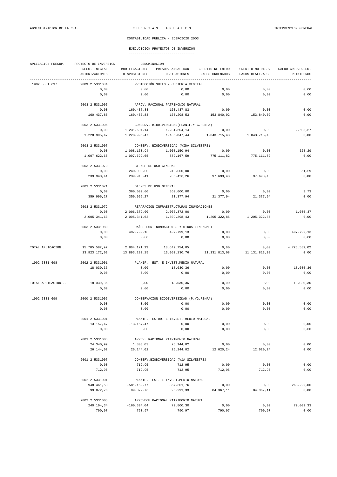| APLICACION PRESUP. | PROYECTO DE INVERSION<br>DENOMINACION |                |                                           |                  |                  |                    |  |  |
|--------------------|---------------------------------------|----------------|-------------------------------------------|------------------|------------------|--------------------|--|--|
|                    | PRESU. INICIAL                        | MODIFICACIONES | PRESUP. ANUALIDAD                         | CREDITO RETENIDO | CREDITO NO DISP. | SALDO CRED. PRESU. |  |  |
|                    | <b>AUTORIZACIONES</b>                 | DISPOSICIONES  | OBLIGACIONES                              | PAGOS ORDENADOS  | PAGOS REALIZADOS | <b>REINTEGROS</b>  |  |  |
| 1902 5331 697      | 2003 2 5331004                        |                | PROTECCIÓN SUELO Y CUBIERTA VEGETAL       |                  |                  |                    |  |  |
|                    | 0,00                                  | 0,00           | 0,00                                      | 0,00             | 0,00             | 0,00               |  |  |
|                    | 0,00                                  | 0,00           | 0,00                                      | 0,00             | 0,00             | 0,00               |  |  |
|                    | 2003 2 5331005                        |                | APROV. RACIONAL PATRIMONIO NATURAL        |                  |                  |                    |  |  |
|                    | 0,00                                  | 160.437,83     | 160.437,83                                | 0,00             | 0,00             | 0,00               |  |  |
|                    | 160.437,83                            | 160.437,83     | 160.208,53                                | 153.840,02       | 153.840,02       | 0,00               |  |  |
|                    | 2003 2 5331006                        |                | CONSERV. BIODIVERSIDAD (PLANIF.Y G.RENPA) |                  |                  |                    |  |  |
|                    | 0,00                                  | 1.231.604,14   | 1.231.604,14                              | 0,00             | 0,00             | 2.608,67           |  |  |
|                    | 1.228.995.47                          | 1.228.995,47   | 1.186.847,44                              | 1.043.715,43     | 1.043.715.43     | 0,00               |  |  |
|                    | 2003 2 5331007                        |                | CONSERV. BIODIVERSIDAD (VIDA SILVESTRE)   |                  |                  |                    |  |  |
|                    | 0,00                                  | 1.008.150,94   | 1.008.150,94                              | 0,00             | 0,00             | 528,29             |  |  |
|                    | 1.007.622,65                          | 1.007.622,65   | 882.167,59                                | 775.111,82       | 775.111,82       | 0,00               |  |  |
|                    | 2003 2 5331070                        |                | BIENES DE USO GENERAL                     |                  |                  |                    |  |  |
|                    | 0,00                                  | 240.000,00     | 240.000,00                                | 0,00             | 0,00             | 51,59              |  |  |
|                    | 239.948,41                            | 239.948,41     | 236.426,26                                | 97.693,48        | 97.693,48        | 0,00               |  |  |
|                    |                                       |                |                                           |                  |                  |                    |  |  |
|                    | 2003 2 5331071                        |                | BIENES DE USO GENERAL                     |                  |                  |                    |  |  |
|                    | 0,00                                  | 360.000,00     | 360.000,00                                | 0,00             | 0,00             | 3,73               |  |  |
|                    | 359.996,27                            | 359.996,27     | 21.377,94                                 | 21.377,94        | 21.377,94        | 0,00               |  |  |
|                    | 2003 2 5331072                        |                | REPARACION INFRAESTRUCTURAS INUNDACIONES  |                  |                  |                    |  |  |
|                    | 0,00                                  | 2.006.372,00   | 2.006.372,00                              | 0,00             | 0,00             | 1.030,37           |  |  |
|                    | 2.005.341,63                          | 2.005.341,63   | 1.809.298,43                              | 1.205.322,85     | 1.205.322,85     | 0,00               |  |  |
|                    | 2003 2 5331080                        |                | DAÑOS POR INUNDACIONES Y OTROS FENOM.MET  |                  |                  |                    |  |  |
|                    | 0,00                                  | 497.799,13     | 497.799,13                                | 0,00             | 0,00             | 497.799,13         |  |  |
|                    | 0,00                                  | 0,00           | 0,00                                      | 0,00             | 0,00             | 0,00               |  |  |
| TOTAL APLICACION   | 15.785.582,92                         | 2.864.171,13   | 18.649.754,05                             | 0,00             | 0,00             | 4.726.582,02       |  |  |
|                    | 13.923.172,03                         | 13.893.282,15  | 13.050.130,76                             | 11.131.813,08    | 11.131.813,08    | 0,00               |  |  |
| 1902 5331 698      | 2002 2 5331001                        |                | PLANIF., EST. E INVEST. MEDIO NATURAL     |                  |                  |                    |  |  |
|                    | 18.030,36                             | 0,00           | 18.030,36                                 | 0,00             | 0,00             | 18.030,36          |  |  |
|                    | 0,00                                  | 0,00           | 0,00                                      | 0,00             | 0,00             | 0,00               |  |  |
|                    |                                       |                |                                           |                  |                  |                    |  |  |
| TOTAL APLICACION   | 18.030,36<br>0,00                     | 0,00<br>0,00   | 18.030,36<br>0,00                         | 0,00<br>0,00     | 0,00<br>0,00     | 18.030,36<br>0,00  |  |  |
|                    |                                       |                |                                           |                  |                  |                    |  |  |
| 1902 5331 699      | 2000 2 5331006                        |                | CONSERVACION BIODIVERSSIDAD (P.YG.RENPA)  |                  |                  |                    |  |  |
|                    | 0,00                                  | 0,00           | 0,00                                      | 0,00             | 0,00             | 0,00               |  |  |
|                    | 0,00                                  | 0,00           | 0,00                                      | 0,00             | 0,00             | 0,00               |  |  |
|                    | 2001 2 5331001                        |                | PLANIF., ESTUD. E INVEST. MEDIO NATURAL   |                  |                  |                    |  |  |
|                    | 13.157,47                             | $-13.157, 47$  | 0,00                                      | 0,00             | 0,00             | 0,00               |  |  |
|                    | 0,00                                  | 0,00           | 0,00                                      | 0,00             | 0,00             | 0,00               |  |  |
|                    | 2001 2 5331005                        |                | APROV. RACIONAL PATRIMONIO NATURAL        |                  |                  |                    |  |  |
|                    | 24.340,99                             | 1.803,03       | 26.144,02                                 | 0,00             | 0,00             | 0,00               |  |  |
|                    | 26.144,02                             | 26.144,02      | 26.144,02                                 | 12.020,24        | 12.020,24        | 0,00               |  |  |
|                    | 2001 2 5331007                        |                | CONSERV.BIODIVERSIDAD (VÍA SILVESTRE)     |                  |                  |                    |  |  |
|                    | 0,00                                  | 712,95         | 712,95                                    | 0,00             | 0,00             | 0,00               |  |  |
|                    | 712,95                                | 712,95         | 712,95                                    | 712,95           | 712,95           | 0,00               |  |  |
|                    | 2002 2 5331001                        |                | PLANIF., EST. E INVEST. MEDIO NATURAL     |                  |                  |                    |  |  |
|                    | 948.461,53                            | $-581.159,77$  | 367.301,76                                | 0,00             | 0,00             | 268.229,00         |  |  |
|                    | 99.072,76                             | 99.072,76      | 96.291,33                                 | 84.367,11        | 84.367,11        | 0,00               |  |  |
|                    | 2002 2 5331005                        |                | APROVECH.RACIONAL PATRIMONIO NATURAL      |                  |                  |                    |  |  |
|                    | 240.104,34                            | $-160.304,04$  | 79.800,30                                 | 0,00             | 0,00             | 79.009,33          |  |  |
|                    | 790,97                                | 790,97         | 790,97                                    | 790,97           | 790,97           | 0,00               |  |  |
|                    |                                       |                |                                           |                  |                  |                    |  |  |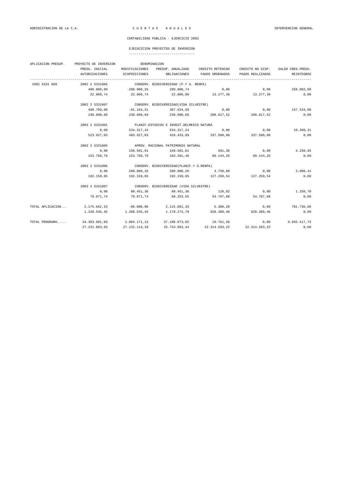| APLICACION PRESUP. | PROYECTO DE INVERSION                      |                                            | DENOMINACION                                                                   |                                    |                            |                    |  |  |  |
|--------------------|--------------------------------------------|--------------------------------------------|--------------------------------------------------------------------------------|------------------------------------|----------------------------|--------------------|--|--|--|
|                    | PRESU. INICIAL                             | MODIFICACIONES                             |                                                                                | PRESUP. ANUALIDAD CREDITO RETENIDO | CREDITO NO DISP.           | SALDO CRED. PRESU. |  |  |  |
|                    | AUTORIZACIONES                             | DISPOSICIONES                              | OBLIGACIONES                                                                   | PAGOS ORDENADOS                    | PAGOS REALIZADOS           | <b>REINTEGROS</b>  |  |  |  |
| 1902 5331 699      | 2002 2 5331006                             |                                            | CONSERV. BIODIVERSIDAD (P.Y G. RENPA)                                          |                                    |                            |                    |  |  |  |
|                    |                                            |                                            | $480.809.00$ $-200.000.26$ $280.808.74$ $0.00$ $0.00$ $0.00$ $258.002.00$      |                                    |                            |                    |  |  |  |
|                    | 22.806,74                                  |                                            | $22.806,74$ $22.806,09$ $13.277,39$ $13.277,39$                                |                                    |                            | 0,00               |  |  |  |
|                    | 2002 2 5331007                             |                                            | CONSERV. BIODIVERSIDAD (VIDA SILVESTRE)                                        |                                    |                            |                    |  |  |  |
|                    | 468.789,00                                 |                                            | $-81.164, 31$ 387.624,69                                                       |                                    | $0,00$ $0,00$ $157.534,00$ |                    |  |  |  |
|                    | 230.090,69                                 |                                            | $230.090,69$ $230.090,68$ $208.617,52$ $208.617,52$                            |                                    |                            | 0,00               |  |  |  |
|                    | 2003 2 5331001                             | PLANIF. ESTUDIOS E INVEST. DELMEDIO NATURA |                                                                                |                                    |                            |                    |  |  |  |
|                    | 0,00                                       |                                            | 534.317,24 0,00                                                                |                                    | 0,00                       | 10.390,21          |  |  |  |
|                    | 523.927,03                                 |                                            | $483.927,03$ $429.433,89$ $337.500,80$ $337.500,80$                            |                                    |                            | 0,00               |  |  |  |
|                    | 2003 2 5331005                             |                                            | APROV. RACIONAL PATRIMONIO NATURAL                                             |                                    |                            |                    |  |  |  |
|                    | 0,00                                       |                                            | 158.501,01    158.501,01                                                       | 501,36                             | 0,00                       | 4.230,95           |  |  |  |
|                    | 153.768,70                                 |                                            | 153.768,70 103.591,46 89.144,26 89.144,26                                      |                                    |                            | 0,00               |  |  |  |
|                    | 2003 2 5331006                             | CONSERV. BIODIVERSIDAD (PLANIF.Y G.RENPA)  |                                                                                |                                    |                            |                    |  |  |  |
|                    | 0,00                                       |                                            | $200.000, 26$ $200.000, 26$ $4.750, 00$                                        |                                    | 0,00                       | 3.090,41           |  |  |  |
|                    | 192.159,85                                 |                                            | 192.159,85 192.159,85 127.250,54 127.250,54                                    |                                    |                            | 0,00               |  |  |  |
|                    | 2003 2 5331007                             |                                            | CONSERV. BIODIVERSIDAD (VIDA SILVESTRE)                                        |                                    |                            |                    |  |  |  |
|                    | 0,00                                       |                                            | $80.451,36$ $80.451,36$ $128,92$ 0,00                                          |                                    |                            | 1.250,70           |  |  |  |
|                    | 79.071,74                                  |                                            | 79.071,74 68.253,55                                                            | 54.707,68 54.707,68                |                            | 0,00               |  |  |  |
| TOTAL APLICACION   | $2.175.662,33$ $-60.000,00$ $2.115.662,33$ |                                            |                                                                                | 5.380,28                           | 0,00                       | 781.736,60         |  |  |  |
|                    | 1.328.545,45                               | 1.288.545,45                               | 1.170.274,79                                                                   | 928.389,46 928.389,46              |                            | 0,00               |  |  |  |
| TOTAL PROGRAMA     |                                            |                                            | $34.383.901.89$ $2.804.171.13$ $37.188.073.02$ $10.761.36$ 0.00 $9.945.417.73$ |                                    |                            |                    |  |  |  |
|                    | 27.231.893,93                              | 27.132.114,18                              | 25.743.963,44                                                                  | 22.314.593,22                      | 22.314.593,22              | 0,00               |  |  |  |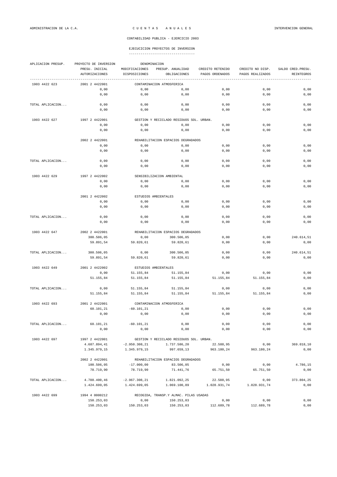| APLICACION PRESUP. | PROYECTO DE INVERSION<br>DENOMINACION |                           |                                                  |                   |                   |                    |  |  |  |
|--------------------|---------------------------------------|---------------------------|--------------------------------------------------|-------------------|-------------------|--------------------|--|--|--|
|                    | PRESU. INICIAL                        | MODIFICACIONES            | PRESUP. ANUALIDAD                                | CREDITO RETENIDO  | CREDITO NO DISP.  | SALDO CRED. PRESU. |  |  |  |
|                    | <b>AUTORIZACIONES</b>                 | DISPOSICIONES             | OBLIGACIONES                                     | PAGOS ORDENADOS   | PAGOS REALIZADOS  | REINTEGROS         |  |  |  |
|                    | 2001 2 4422001                        |                           |                                                  |                   |                   |                    |  |  |  |
| 1903 4422 623      | 0,00                                  | 0,00                      | CONTAMINACION ATMOSFERICA<br>0,00                | 0,00              | 0,00              | 0,00               |  |  |  |
|                    | 0,00                                  | 0,00                      | 0,00                                             | 0,00              | 0,00              | 0,00               |  |  |  |
|                    |                                       |                           |                                                  |                   |                   |                    |  |  |  |
| TOTAL APLICACION   | 0,00                                  | 0,00                      | 0,00                                             | 0,00              | 0,00              | 0,00               |  |  |  |
|                    | 0,00                                  | 0,00                      | 0,00                                             | 0,00              | 0,00              | 0,00               |  |  |  |
| 1903 4422 627      | 1997 2 4422001                        |                           |                                                  |                   |                   |                    |  |  |  |
|                    | 0,00                                  | 0,00                      | GESTION Y RECICLADO RESIDUOS SOL. URBAN.<br>0,00 | 0,00              | 0,00              | 0,00               |  |  |  |
|                    | 0,00                                  | 0,00                      | 0,00                                             | 0,00              | 0,00              | 0,00               |  |  |  |
|                    |                                       |                           |                                                  |                   |                   |                    |  |  |  |
|                    | 2002 2 4422001                        |                           | REHABILITACION ESPACIOS DEGRADADOS               |                   |                   |                    |  |  |  |
|                    | 0,00                                  | 0,00                      | 0,00                                             | 0,00              | 0,00              | 0,00               |  |  |  |
|                    | 0,00                                  | 0,00                      | 0,00                                             | 0,00              | 0,00              | 0,00               |  |  |  |
|                    |                                       |                           |                                                  |                   |                   |                    |  |  |  |
| TOTAL APLICACION   | 0,00<br>0,00                          | 0,00<br>0,00              | 0,00<br>0,00                                     | 0,00<br>0,00      | 0,00<br>0,00      | 0,00<br>0,00       |  |  |  |
|                    |                                       |                           |                                                  |                   |                   |                    |  |  |  |
| 1903 4422 629      | 1997 2 4422002                        |                           | SENSIBILIZACION AMBIENTAL                        |                   |                   |                    |  |  |  |
|                    | 0,00                                  | 0,00                      | 0,00                                             | 0,00              | 0,00              | 0,00               |  |  |  |
|                    | 0,00                                  | 0,00                      | 0,00                                             | 0,00              | 0,00              | 0,00               |  |  |  |
|                    |                                       |                           |                                                  |                   |                   |                    |  |  |  |
|                    | 2001 2 4422002                        |                           | ESTUDIOS AMBIENTALES                             |                   |                   |                    |  |  |  |
|                    | 0,00<br>0,00                          | 0,00<br>0,00              | 0,00<br>0,00                                     | 0,00<br>0,00      | 0,00<br>0,00      | 0,00<br>0,00       |  |  |  |
|                    |                                       |                           |                                                  |                   |                   |                    |  |  |  |
| TOTAL APLICACION   | 0,00                                  | 0,00                      | 0,00                                             | 0,00              | 0,00              | 0,00               |  |  |  |
|                    | 0,00                                  | 0,00                      | 0,00                                             | 0,00              | 0,00              | 0,00               |  |  |  |
|                    |                                       |                           |                                                  |                   |                   |                    |  |  |  |
| 1903 4422 647      | 2002 2 4422001                        |                           | REHABILITACION ESPACIOS DEGRADADOS               |                   |                   |                    |  |  |  |
|                    | 300.506,05                            | 0,00                      | 300.506,05                                       | 0,00              | 0,00              | 240.614,51         |  |  |  |
|                    | 59.891,54                             | 59.820,61                 | 59.820,61                                        | 0,00              | 0,00              | 0,00               |  |  |  |
| TOTAL APLICACION   | 300.506,05                            | 0,00                      | 300.506,05                                       | 0,00              | 0,00              | 240.614,51         |  |  |  |
|                    | 59.891,54                             | 59.820,61                 | 59.820,61                                        | 0,00              | 0,00              | 0,00               |  |  |  |
|                    |                                       |                           |                                                  |                   |                   |                    |  |  |  |
| 1903 4422 649      | 2001 2 4422002                        | ESTUDIOS AMBIENTALES      |                                                  |                   |                   |                    |  |  |  |
|                    | 0,00                                  | 51.155,84                 | 51.155,84                                        | 0,00              | 0,00              | 0,00               |  |  |  |
|                    | 51.155,84                             | 51.155,84                 | 51.155,84                                        | 51.155,84         | 51.155,84         | 0,00               |  |  |  |
| TOTAL APLICACION   | 0,00                                  | 51.155,84                 | 51.155,84                                        | 0,00              | 0,00              | 0,00               |  |  |  |
|                    | 51.155,84                             | 51.155,84                 | 51.155,84                                        | 51.155,84         | 51.155,84         | 0,00               |  |  |  |
|                    |                                       |                           |                                                  |                   |                   |                    |  |  |  |
| 1903 4422 693      | 2001 2 4422001                        |                           | CONTAMINACION ATMOSFERICA                        |                   |                   |                    |  |  |  |
|                    | 60.101,21                             | $-60.101, 21$             | 0,00                                             | 0,00              | 0,00              | 0,00               |  |  |  |
|                    | 0,00                                  | 0,00                      | 0,00                                             | 0,00              | $0$ , $0$ $0$     | 0,00               |  |  |  |
|                    |                                       | $-60.101, 21$             | 0,00                                             |                   |                   |                    |  |  |  |
| TOTAL APLICACION   | 60.101,21<br>0,00                     | 0,00                      | 0,00                                             | 0,00<br>0,00      | 0,00<br>0,00      | 0,00<br>0,00       |  |  |  |
|                    |                                       |                           |                                                  |                   |                   |                    |  |  |  |
| 1903 4422 697      | 1997 2 4422001                        |                           | GESTION Y RECICLADO RESIDUOS SOL. URBAN.         |                   |                   |                    |  |  |  |
|                    | 4.687.894,41                          | $-2.950.308, 21$          | 1.737.586,20                                     | 22.588,95         | 0,00              | 369.018,10         |  |  |  |
|                    | 1.345.979,15                          | 1.345.979,15              | 997.659,13                                       | 963.180,24        | 963.180,24        | 0,00               |  |  |  |
|                    |                                       |                           |                                                  |                   |                   |                    |  |  |  |
|                    | 2002 2 4422001<br>100.506,05          |                           | REHABILITACION ESPACIOS DEGRADADOS               |                   |                   |                    |  |  |  |
|                    | 78.719,90                             | $-17.000,00$<br>78.719,90 | 83.506,05<br>71.441,76                           | 0,00<br>65.751,50 | 0,00<br>65.751,50 | 4.786,15<br>0,00   |  |  |  |
|                    |                                       |                           |                                                  |                   |                   |                    |  |  |  |
| TOTAL APLICACION   | 4.788.400,46                          | $-2.967.308, 21$          | 1.821.092,25                                     | 22.588,95         | 0,00              | 373.804,25         |  |  |  |
|                    | 1.424.699,05                          | 1.424.699,05              | 1.069.100,89                                     | 1.028.931,74      | 1.028.931,74      | 0,00               |  |  |  |
|                    |                                       |                           |                                                  |                   |                   |                    |  |  |  |
| 1903 4422 699      | 1994 4 0000212                        |                           | RECOGIDA, TRANSP.Y ALMAC. PILAS USADAS           |                   |                   |                    |  |  |  |
|                    | 150.253,03                            | 0,00                      | 150.253,03                                       | 0,00              | 0,00              | 0,00               |  |  |  |
|                    | 150.253,03                            | 150.253,03                | 150.253,03                                       | 112.689,78        | 112.689,78        | 0,00               |  |  |  |
|                    |                                       |                           |                                                  |                   |                   |                    |  |  |  |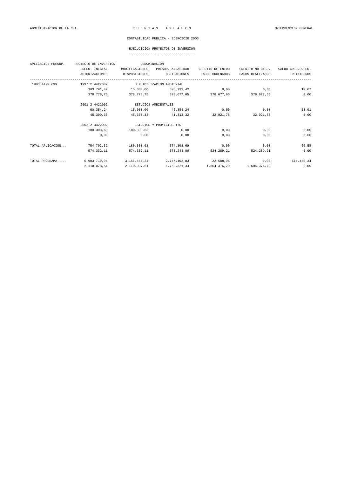### EJECUCICION PROYECTOS DE INVERSION

| APLICACION PRESUP. | PROYECTO DE INVERSION | DENOMINACION         |                           |                  |                       |                    |
|--------------------|-----------------------|----------------------|---------------------------|------------------|-----------------------|--------------------|
|                    | PRESU. INICIAL        | MODIFICACIONES       | PRESUP. ANUALIDAD         | CREDITO RETENIDO | CREDITO NO DISP.      | SALDO CRED. PRESU. |
|                    | <b>AUTORIZACIONES</b> | DISPOSICIONES        | OBLIGACIONES              | PAGOS ORDENADOS  | PAGOS REALIZADOS      | <b>REINTEGROS</b>  |
| 1903 4422 699      | 1997 2 4422002        |                      | SENSIBILIZACION AMBIENTAL |                  |                       |                    |
|                    | 363.791,42            | 15.000,00            | 378.791,42                | 0,00             | 0,00                  | 12,67              |
|                    | 378.778.75            |                      | 378.778.75 378.677.65     |                  | 378.677,65 378.677,65 | 0,00               |
|                    | 2001 2 4422002        | ESTUDIOS AMBIENTALES |                           |                  |                       |                    |
|                    | 60.354,24             | $-15.000,00$         | 45.354,24                 | 0,00             | 0,00                  | 53,91              |
|                    | 45.300,33             | 45.300,33            | 41.313,32                 | 32.921,78        | 32.921,78             | 0,00               |
|                    | 2002 2 4422002        |                      | ESTUDIOS Y PROYECTOS I+D  |                  |                       |                    |
|                    | 180.303,63            | $-180.303.63$        | 0,00                      | 0,00             | 0,00                  | 0,00               |
|                    | 0,00                  | 0,00                 | 0,00                      | 0,00             | 0,00                  | 0,00               |
| TOTAL APLICACION   | 754.702,32            | $-180.303,63$        | 574.398,69                | 0,00             | 0,00                  | 66,58              |
|                    | 574.332,11            | 574.332,11           | 570.244.00                | 524.289,21       | 524.289,21            | 0,00               |
| TOTAL PROGRAMA     | 5.903.710,04          | $-3.156.557,21$      | 2.747.152,83              | 22.588,95        | 0,00                  | 614.485,34         |
|                    | 2.110.078,54          | 2.110.007,61         | 1.750.321,34              | 1.604.376,79     | 1.604.376,79          | 0,00               |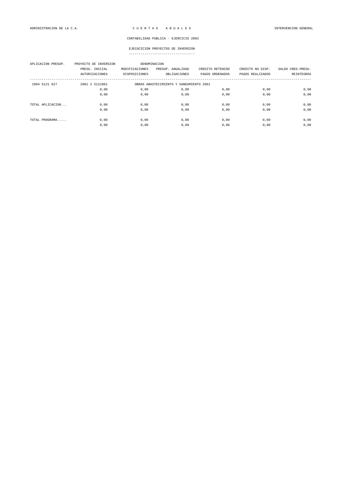| APLICACION PRESUP. | PROYECTO DE INVERSION<br>PRESU. INICIAL<br>AUTORIZACIONES | DENOMINACION<br>MODIFICACIONES<br>DISPOSICIONES | PRESUP. ANUALIDAD<br>OBLIGACIONES | CREDITO RETENIDO<br>PAGOS ORDENADOS | CREDITO NO DISP.<br>PAGOS REALIZADOS | SALDO CRED. PRESU.<br>REINTEGROS |  |
|--------------------|-----------------------------------------------------------|-------------------------------------------------|-----------------------------------|-------------------------------------|--------------------------------------|----------------------------------|--|
| 1904 5121 627      | 2001 2 5121001                                            | OBRAS ABASTECIMIENTO Y SANEAMIENTO 2001         |                                   |                                     |                                      |                                  |  |
|                    | 0,00                                                      | 0,00                                            | 0,00                              | 0,00                                | 0,00                                 | 0,00                             |  |
|                    | 0,00                                                      | 0,00                                            | 0,00                              | 0,00                                | 0,00                                 | 0,00                             |  |
| TOTAL APLICACION   | 0,00                                                      | 0,00                                            | 0,00                              | 0,00                                | 0,00                                 | 0,00                             |  |
|                    | 0,00                                                      | 0,00                                            | 0,00                              | 0,00                                | 0,00                                 | 0,00                             |  |
| TOTAL PROGRAMA     | 0,00                                                      | 0,00                                            | 0,00                              | 0,00                                | 0,00                                 | 0,00                             |  |
|                    | 0,00                                                      | 0,00                                            | 0,00                              | 0,00                                | 0,00                                 | 0,00                             |  |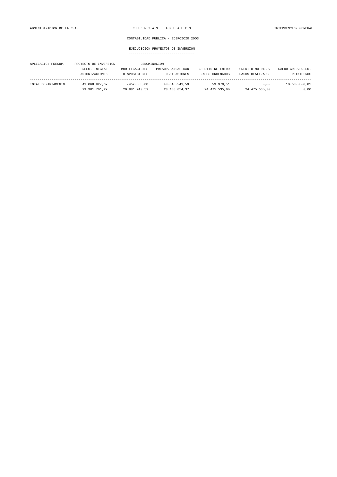| APLICACION PRESUP.  | PROYECTO DE INVERSION |                | DENOMINACION      |                  |                  |                    |
|---------------------|-----------------------|----------------|-------------------|------------------|------------------|--------------------|
|                     | PRESU. INICIAL        | MODIFICACIONES | PRESUP. ANUALIDAD | CREDITO RETENIDO | CREDITO NO DISP. | SALDO CRED. PRESU. |
|                     | <b>AUTORIZACIONES</b> | DISPOSICIONES  | OBLIGACIONES      | PAGOS ORDENADOS  | PAGOS REALIZADOS | REINTEGROS         |
|                     |                       |                |                   |                  |                  |                    |
| TOTAL DEPARTAMENTO. | 41.068.927.67         | $-452.386.08$  | 40.616.541.59     | 53.979.51        | 0.00             | 10.580.800.81      |
|                     | 29.981.761.27         | 29.881.910.59  | 28.133.654.37     | 24.475.535.00    | 24.475.535,00    | 0,00               |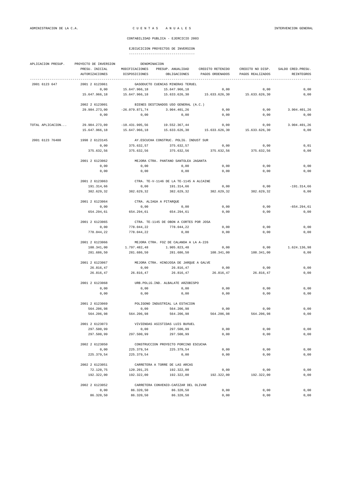| APLICACION PRESUP. | PROYECTO DE INVERSION | DENOMINACION                      |                                         |                  |                  |                    |  |
|--------------------|-----------------------|-----------------------------------|-----------------------------------------|------------------|------------------|--------------------|--|
|                    | PRESU. INICIAL        | MODIFICACIONES                    | PRESUP. ANUALIDAD                       | CREDITO RETENIDO | CREDITO NO DISP. | SALDO CRED. PRESU. |  |
|                    | <b>AUTORIZACIONES</b> | DISPOSICIONES                     | OBLIGACIONES                            | PAGOS ORDENADOS  | PAGOS REALIZADOS | REINTEGROS         |  |
| 2001 6123 647      | 2001 2 6123061        |                                   | GASODUCTO CUENCAS MINERAS TERUEL        |                  |                  |                    |  |
|                    | 0,00                  | 15.647.966,18                     | 15.647.966,18                           | 0,00             | 0,00             | 0,00               |  |
|                    | 15.647.966,18         | 15.647.966,18                     | 15.633.626,30                           | 15.633.626,30    | 15.633.626,30    | 0,00               |  |
|                    |                       |                                   |                                         |                  |                  |                    |  |
|                    | 2002 2 6123001        |                                   | BIENES DESTINADOS USO GENERAL (A.C.)    |                  |                  |                    |  |
|                    | 29.984.273,00         | $-26.079.871,74$                  | 3.904.401,26                            | 0,00             | 0,00             | 3.904.401,26       |  |
|                    | 0,00                  | 0,00                              | 0,00                                    | 0,00             | 0,00             | 0,00               |  |
| TOTAL APLICACION   | 29.984.273,00         | $-10.431.905,56$                  | 19.552.367,44                           | 0,00             | 0,00             | 3.904.401.26       |  |
|                    | 15.647.966,18         | 15.647.966,18                     | 15.633.626,30                           | 15.633.626,30    | 15.633.626,30    | 0,00               |  |
| 2001 6123 76400    | 1998 2 6123145        |                                   | AY. ESCUCHA CONSTRUC. POLIG. INDUST SUR |                  |                  |                    |  |
|                    | 0,00                  | 375.632,57                        | 375.632,57                              | 0,00             | 0,00             | 0,01               |  |
|                    | 375.632,56            | 375.632,56                        | 375.632,56                              | 375.632,56       | 375.632,56       | 0,00               |  |
|                    |                       |                                   |                                         |                  |                  |                    |  |
|                    | 2001 2 6123062        |                                   | MEJORA CTRA. PANTANO SANTOLEA JAGANTA   |                  |                  |                    |  |
|                    | 0,00                  | 0,00                              | 0,00                                    | 0,00             | 0,00             | 0,00               |  |
|                    | 0,00                  | 0,00                              | 0,00                                    | 0,00             | 0,00             | 0,00               |  |
|                    | 2001 2 6123063        |                                   | CTRA. TE-V-1146 DE LA TE-1145 A ALCAINE |                  |                  |                    |  |
|                    | 191.314,66            | 0,00                              | 191.314,66                              | 0,00             | 0,00             | $-191.314,66$      |  |
|                    | 382.629,32            | 382.629,32                        | 382.629,32                              | 382.629,32       | 382.629,32       | 0,00               |  |
|                    | 2001 2 6123064        | CTRA. ALIAGA A PITARQUE           |                                         |                  |                  |                    |  |
|                    | 0,00                  | 0,00                              | 0,00                                    | 0,00             | 0,00             | $-654.294,61$      |  |
|                    | 654.294,61            | 654.294,61                        | 654.294,61                              | 0,00             | 0,00             | 0,00               |  |
|                    | 2001 2 6123065        |                                   | CTRA. TE-1145 DE OBON A CORTES POR JOSA |                  |                  |                    |  |
|                    | 0,00                  | 778.044,22                        | 778.044,22                              | 0,00             | 0,00             | 0,00               |  |
|                    | 778.044,22            | 778.044,22                        | 0,00                                    | 0,00             | 0,00             | 0,00               |  |
|                    | 2001 2 6123066        |                                   | MEJORA CTRA. FOZ DE CALANDA A LA A-226  |                  |                  |                    |  |
|                    | 108.341,00            | 1.797.482,48                      | 1.905.823,48                            | 0,00             | 0,00             | 1.624.136,98       |  |
|                    | 281.686,50            | 281.686,50                        | 281.686,50                              | 108.341,00       | 108.341,00       | 0,00               |  |
|                    |                       |                                   |                                         |                  |                  |                    |  |
|                    | 2001 2 6123067        |                                   | MEJORA CTRA. HINOJOSA DE JARQUE A GALVE |                  |                  |                    |  |
|                    | 26.816,47             | 0,00                              | 26.816,47                               | 0,00             | 0,00             | 0,00               |  |
|                    | 26.816,47             | 26.816,47                         | 26.816,47                               | 26.816,47        | 26.816,47        | 0,00               |  |
|                    | 2001 2 6123068        | URB.POLÍG.IND. ALBALATE ARZOBISPO |                                         |                  |                  |                    |  |
|                    | 0,00                  | 0,00                              | 0,00                                    | 0,00             | 0,00             | 0,00               |  |
|                    | 0,00                  | 0,00                              | 0,00                                    | 0,00             | 0,00             | 0,00               |  |
|                    | 2001 2 6123069        |                                   | POLIGONO INDUSTRIAL LA ESTACION         |                  |                  |                    |  |
|                    | 564.206,98            | 0,00                              | 564.206,98                              | 0,00             | 0,00             | 0,00               |  |
|                    | 564.206,98            | 564.206,98                        | 564.206,98                              | 564.206,98       | 564.206,98       | $0$ , $00$         |  |
|                    | 2001 2 6123073        |                                   | VIVIENDAS ASISTIDAS LUIS BUÑUEL         |                  |                  |                    |  |
|                    | 297.500,99            | 0,00                              | 297.500,99                              | 0,00             | 0,00             | 0,00               |  |
|                    | 297.500,99            | 297.500,99                        | 297.500,99                              | 0,00             | 0,00             | $0,00$             |  |
|                    |                       |                                   |                                         |                  |                  |                    |  |
|                    | 2002 2 6123050        |                                   | CONSTRUCCION PROYECTO PORCINO ESCUCHA   |                  |                  |                    |  |
|                    | 0,00                  | 225.379,54                        | 225.379,54                              | 0,00             | 0,00             | 0,00               |  |
|                    | 225.379,54            | 225.379,54                        | 0,00                                    | 0,00             | 0,00             | $0,00$             |  |
|                    | 2002 2 6123051        |                                   | CARRETERA A TORRE DE LAS ARCAS          |                  |                  |                    |  |
|                    | 72.120,75             | 120.201,25                        | 192.322,00                              | 0,00             | 0,00             | 0,00               |  |
|                    | 192.322,00            | 192.322,00                        | 192.322,00                              | 192.322,00       | 192.322,00       | $0,00$             |  |
|                    | 2002 2 6123052        |                                   | CARRETERA CONVENIO-CAñIZAR DEL OLIVAR   |                  |                  |                    |  |
|                    | 0,00                  | 86.320,50                         | 86.320,50                               | 0,00             | 0,00             | 0,00               |  |
|                    | 86.320,50             | 86.320,50                         | 86.320,50                               | 0,00             | 0,00             | 0,00               |  |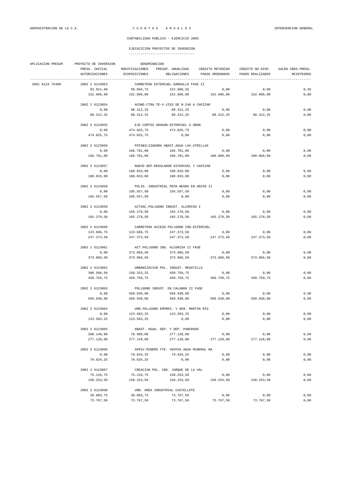| APLICACION PRESUP. | DENOMINACION<br>PROYECTO DE INVERSION |                                     |                                           |                                                                    |                  |                    |  |  |
|--------------------|---------------------------------------|-------------------------------------|-------------------------------------------|--------------------------------------------------------------------|------------------|--------------------|--|--|
|                    | PRESU. INICIAL                        |                                     |                                           | MODIFICACIONES PRESUP. ANUALIDAD CREDITO RETENIDO CREDITO NO DISP. |                  | SALDO CRED. PRESU. |  |  |
|                    | AUTORIZACIONES                        | DISPOSICIONES                       |                                           | OBLIGACIONES PAGOS ORDENADOS                                       | PAGOS REALIZADOS | REINTEGROS         |  |  |
| 2001 6123 76400    | 2002 2 6123053                        |                                     | CARRETERA ESTERCUEL-GARGALLO FASE II      |                                                                    |                  |                    |  |  |
|                    | 93.911,60                             | 58.694,75                           | 152.606,35                                | 0,00                                                               | 0,00             | 0, 35              |  |  |
|                    | 152.606,00                            | 152.606,00                          | 152.606,00                                | 152.606,00 152.606,00                                              |                  | 0,00               |  |  |
|                    | 2002 2 6123054                        |                                     | ACOND.CTRA.TE-V-1333 DE N-240 A CAÑIZAR   |                                                                    |                  |                    |  |  |
|                    | 0,00                                  | 88.312,25                           | 88.312,25                                 | 0,00                                                               | 0,00             | 0,00               |  |  |
|                    | 88.312,25                             | 88.312,25                           |                                           | 88.312,25 88.312,25                                                | 88.312,25        | 0,00               |  |  |
|                    |                                       |                                     |                                           |                                                                    |                  |                    |  |  |
|                    | 2002 2 6123055                        |                                     | EJE CORTES ARAGON-ESTERCUEL A OBON        |                                                                    |                  |                    |  |  |
|                    | 0,00                                  | 474.825,75                          | 474.825,75                                | 0,00                                                               | 0,00             | 0,00               |  |  |
|                    | 474.825,75                            | 474.825,75                          | 0,00                                      | 0,00                                                               | 0,00             | 0,00               |  |  |
|                    | 2002 2 6123056                        |                                     | POTABILIZADORA ABAST.AGUA LAV.UTRILLAS    |                                                                    |                  |                    |  |  |
|                    | 0,00                                  | 166.781,00                          | 166.781,00                                | 0,00                                                               | 0,00             | 0,00               |  |  |
|                    | 166.781,00                            | 166.781,00                          |                                           | 166.781,00 100.068,60                                              | 100.068,60       | 0,00               |  |  |
|                    | 2002 2 6123057                        |                                     | NUEVO DEP.REGULADOR ESTERCUEL Y CAÑIZAR   |                                                                    |                  |                    |  |  |
|                    |                                       |                                     |                                           |                                                                    |                  | 0,00               |  |  |
|                    | 0,00                                  | 188.833,00                          | 188.833,00                                | 0,00                                                               | 0,00             |                    |  |  |
|                    | 188.833,00                            | 188.833,00                          | 188.833,00                                | 0,00                                                               | 0,00             | 0,00               |  |  |
|                    | 2002 2 6123058                        |                                     | POLIG. INDUSTRIAL PEñA NEGRA EN ARIñO II  |                                                                    |                  |                    |  |  |
|                    | 0,00                                  | 195.557,50                          | 195.557,50                                | 0,00                                                               | 0,00             | 0,00               |  |  |
|                    | 195.557,50                            | 195.557,50                          | 0,00                                      | 0,00                                                               | 0,00             | 0,00               |  |  |
|                    | 2002 2 6123059                        |                                     | ACTUAC.POLÍGONO INDUST. ALCORISA I        |                                                                    |                  |                    |  |  |
|                    | 0,00                                  | 165.278,50                          | 165.278,50                                | 0,00                                                               | 0,00             | 0,00               |  |  |
|                    | 165.278,50                            | 165.278,50                          |                                           | 165.278,50 165.278,50                                              | 165.278,50       | 0,00               |  |  |
|                    | 2002 2 6123060                        |                                     | CARRETERA ACCESO POLÍGONO IND.ESTERCUEL   |                                                                    |                  |                    |  |  |
|                    | 123.686,75                            | 123.686,75                          | 247.373,50                                | 0,00                                                               | 0,00             | 0,00               |  |  |
|                    | 247.373,50                            | 247.373,50                          |                                           | 247.373,50 247.373,50                                              | 247.373,50       | 0,00               |  |  |
|                    |                                       |                                     |                                           |                                                                    |                  |                    |  |  |
|                    | 2002 2 6123061                        |                                     | ACT.POLÍGONO IND. ALCORISA II FASE        |                                                                    |                  |                    |  |  |
|                    | 0,00                                  | 373.866,50                          | 373.866,50                                | 0,00                                                               | 0,00             | 0,00               |  |  |
|                    | 373.866,50                            | 373.866,50                          | 373.866,50                                | 373.866,50                                                         | 373.866,50       | 0,00               |  |  |
|                    | 2002 2 6123062                        |                                     | URBANIZACIÓN POL. INDUST. REGATILLO       |                                                                    |                  |                    |  |  |
|                    | 300.506,50                            | 150.253,25                          | 450.759,75                                | 0,00                                                               | 0,00             | 0,00               |  |  |
|                    | 450.759,75                            | 450.759,75                          | 450.759,75                                | 450.759,75                                                         | 450.759,75       | 0,00               |  |  |
|                    | 2002 2 6123063                        | POLÍGONO INDUST. EN CALANDA II FASE |                                           |                                                                    |                  |                    |  |  |
|                    | 0,00                                  | 569.930,00                          | 569.930,00                                | 0,00                                                               | 0,00             | 0,00               |  |  |
|                    | 569.930,00                            | 569.930,00                          | 569.930,00                                | 569.930,00                                                         | 569.930,00       | 0,00               |  |  |
|                    | 2002 2 6123064                        |                                     | URB.POLÍGONO EMPRES. Y GEN. MARTIN RIO    |                                                                    |                  |                    |  |  |
|                    | 0,00                                  | 123.583,25                          | 123.583,25                                | 0,00                                                               | 0,00             | 0,00               |  |  |
|                    | 123.583,25                            | 123.583,25                          | 0,00                                      | 0,00                                                               | 0,00             | 0,00               |  |  |
|                    |                                       |                                     |                                           |                                                                    |                  |                    |  |  |
|                    | 2002 2 6123065                        |                                     | ABAST. AGUA, DEP. Y DEP. PANCRUDO         |                                                                    |                  |                    |  |  |
|                    | 200.148,00                            | 76.980,00                           | 277.128,00                                | 0,00                                                               | 0,00             | 0,00               |  |  |
|                    | 277.128,00                            | 277.128,00                          | 277.128,00                                | 277.128,00                                                         | 277.128,00       | 0,00               |  |  |
|                    | 2002 2 6123066                        |                                     | APRIV. MINERO FTE. VENTAS AGUA MINERAL NA |                                                                    |                  |                    |  |  |
|                    | 0,00                                  | 79.634,25                           | 79.634,25                                 | 0,00                                                               | 0,00             | 0,00               |  |  |
|                    | 79.634,25                             | 79.634,25                           | 0,00                                      | 0,00                                                               | 0,00             | 0,00               |  |  |
|                    | 2002 2 6123067                        |                                     | CREACIÓN POL. IND. JARQUE DE LA VAL       |                                                                    |                  |                    |  |  |
|                    | 75.126,75                             | 75.126,75                           | 150.253,50                                | 0,00                                                               | 0,00             | 0,00               |  |  |
|                    | 150.253,50                            | 150.253,50                          | 150.253,50                                | 150.253,50                                                         | 150.253,50       | 0,00               |  |  |
|                    | 2002 2 6123068                        |                                     | URB. AREA INDUSTRIAL CASTELLOTE           |                                                                    |                  |                    |  |  |
|                    | 36.883,75                             | 36.883,75                           | 73.767,50                                 |                                                                    | 0,00             | 0,00               |  |  |
|                    |                                       |                                     |                                           | 0,00                                                               |                  |                    |  |  |
|                    | 73.767,50                             | 73.767,50                           | 73.767,50                                 | 73.767,50                                                          | 73.767,50        | 0,00               |  |  |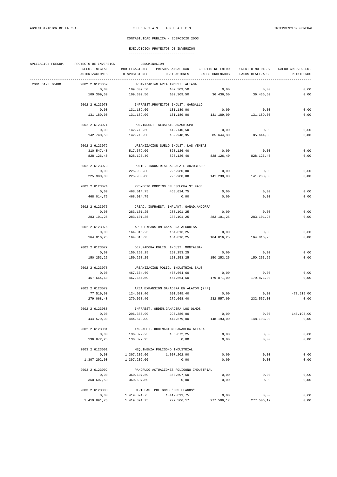| APLICACION PRESUP. | PROYECTO DE INVERSION  | DENOMINACION                            |                                          |                               |                  |                    |  |  |
|--------------------|------------------------|-----------------------------------------|------------------------------------------|-------------------------------|------------------|--------------------|--|--|
|                    | PRESU. INICIAL         | MODIFICACIONES                          | PRESUP. ANUALIDAD                        | CREDITO RETENIDO              | CREDITO NO DISP. | SALDO CRED. PRESU. |  |  |
|                    | AUTORIZACIONES         | DISPOSICIONES                           | OBLIGACIONES                             | PAGOS ORDENADOS               | PAGOS REALIZADOS | REINTEGROS         |  |  |
| 2001 6123 76400    | 2002 2 6123069         |                                         | URBANIZACIÓN AREA INDUST. ALIAGA         |                               |                  |                    |  |  |
|                    | 0,00                   | 109.309,50                              | 109.309,50                               | 0,00                          | 0,00             | 0,00               |  |  |
|                    | 109.309,50             | 109.309,50                              | 109.309,50                               | 36.436,50                     | 36.436,50        | 0,00               |  |  |
|                    |                        |                                         |                                          |                               |                  |                    |  |  |
|                    | 2002 2 6123070         |                                         | INFRAEST. PROYECTOS INDUST. GARGALLO     |                               |                  |                    |  |  |
|                    | 0,00                   | 131.189,00                              | 131.189,00                               | 0,00                          | 0,00             | 0,00               |  |  |
|                    | 131.189,00             | 131.189,00                              | 131.189,00                               | 131.189,00                    | 131.189,00       | 0,00               |  |  |
|                    | 2002 2 6123071         |                                         | POL. INDUST. ALBALATE ARZOBISPO          |                               |                  |                    |  |  |
|                    | 0,00                   | 142.740,50                              | 142.740,50                               | 0,00                          | 0,00             | 0,00               |  |  |
|                    | 142.740,50             | 142.740,50                              | 139.948,95                               | 85.644,30                     | 85.644,30        | 0,00               |  |  |
|                    | 2002 2 6123072         |                                         | URBANIZACION SUELO INDUST. LAS VENTAS    |                               |                  |                    |  |  |
|                    | 310.547,40             | 517.579,00                              | 828.126,40                               |                               | 0,00             | 0,00               |  |  |
|                    | 828.126,40             | 828.126,40                              |                                          | 0,00<br>828.126,40 828.126,40 | 828.126,40       | 0,00               |  |  |
|                    |                        |                                         |                                          |                               |                  |                    |  |  |
|                    | 2002 2 6123073         |                                         | POLIG. INDUSTRIAL ALBALATE ARZOBISPO     |                               |                  |                    |  |  |
|                    | 0,00                   | 225.980,80                              | 225.980,80                               | 0,00                          | 0,00             | 0,00               |  |  |
|                    | 225.980,80             | 225.980,80                              |                                          | 225.980,80 141.238,00         | 141.238,00       | 0,00               |  |  |
|                    |                        |                                         |                                          |                               |                  |                    |  |  |
|                    | 2002 2 6123074         |                                         | PROYECTO PORCINO EN ESCUCHA 3ª FASE      |                               |                  |                    |  |  |
|                    | 0,00                   | 468.014,75                              | 468.014,75                               | 0,00                          | 0,00             | 0,00               |  |  |
|                    | 468.014,75             | 468.014,75                              | 0,00                                     | 0,00                          | 0,00             | 0,00               |  |  |
|                    | 2002 2 6123075         |                                         | CREAC. INFRAEST. IMPLANT. GANAD. ANDORRA |                               |                  |                    |  |  |
|                    | 0,00                   | 283.101,25                              | 283.101,25                               | 0,00                          | 0,00             | 0,00               |  |  |
|                    | 283.101,25             | 283.101,25                              | 283.101,25                               | 283.101,25                    | 283.101,25       | 0,00               |  |  |
|                    | 2002 2 6123076         |                                         | AREA EXPANSION GANADERA ALCORISA         |                               |                  |                    |  |  |
|                    | 0,00                   | 164.016,25                              | 164.016,25                               | 0,00                          | 0,00             | 0,00               |  |  |
|                    | 164.016,25             | 164.016,25                              | 164.016,25                               | 164.016,25                    | 164.016,25       | 0,00               |  |  |
|                    |                        |                                         |                                          |                               |                  |                    |  |  |
|                    | 2002 2 6123077         |                                         | DEPURADORA POLIG. INDUST. MONTALBAN      |                               |                  |                    |  |  |
|                    | 0,00                   | 150.253,25                              | 150.253,25                               | 0,00                          | 0,00             | 0,00               |  |  |
|                    | 150.253,25             | 150.253,25                              | 150.253,25                               | 150.253,25                    | 150.253,25       | 0,00               |  |  |
|                    | 2002 2 6123078         | URBANIZACION POLIG. INDUSTRIAL SAU3     |                                          |                               |                  |                    |  |  |
|                    | 0,00                   | 467.664,60                              | 467.664,60                               | 0,00                          | 0,00             | 0,00               |  |  |
|                    | 467.664,60             | 467.664,60                              | 467.664,60                               | 179.871,00                    | 179.871,00       | 0,00               |  |  |
|                    | 2002 2 6123079         | AREA EXPANSION GANADERA EN ALACON (2°F) |                                          |                               |                  |                    |  |  |
|                    | 77.519,00              | 124.030,40                              | 201.549,40                               | 0,00                          | 0,00             | $-77.519,00$       |  |  |
|                    | 279,068,40             | 279.068,40                              | 279.068,40                               | 232.557,00                    | 232.557,00       | 0,00               |  |  |
|                    |                        |                                         |                                          |                               |                  |                    |  |  |
|                    | 2002 2 6123080         |                                         | INFRAEST. ORDEN.GANADERA LOS OLMOS       |                               |                  |                    |  |  |
|                    | 0,00                   | 296.386.00                              | 296.386,00                               | 0,00                          | 0,00             | $-148.193.00$      |  |  |
|                    | 444.579,00             | 444.579,00                              | 444.579,00                               | 148.193,00                    | 148.193,00       | 0,00               |  |  |
|                    | 2002 2 6123081         |                                         | INFRAEST. ORDENACION GANADERA ALIAGA     |                               |                  |                    |  |  |
|                    | 0,00                   | 136.872,25                              | 136.872,25                               | 0,00                          | 0,00             | 0,00               |  |  |
|                    | 136.872,25             | 136.872,25                              | 0,00                                     | 0,00                          | 0,00             | 0,00               |  |  |
|                    | 2003 2 6123001         |                                         | MEQUINENZA POLIGONO INDUSTRIAL           |                               |                  |                    |  |  |
|                    | 0,00                   | 1.307.202,00                            | 1.307.202,00                             | 0,00                          | 0,00             | 0,00               |  |  |
|                    | 1.307.202,00           | 1.307.202,00                            | 0,00                                     | 0,00                          | 0,00             | 0,00               |  |  |
|                    |                        |                                         | PANCRUDO ACTUACIONES POLIGONO INDUSTRIAL |                               |                  |                    |  |  |
|                    | 2003 2 6123002<br>0,00 | 360.607,50                              | 360.607,50                               | 0,00                          | 0,00             | 0,00               |  |  |
|                    | 360.607,50             | 360.607,50                              | 0,00                                     | 0,00                          | 0,00             | 0,00               |  |  |
|                    |                        |                                         |                                          |                               |                  |                    |  |  |
|                    | 2003 2 6123003         |                                         | UTRILLAS POLIGONO "LOS LLANOS"           |                               |                  |                    |  |  |
|                    | 0,00                   | 1.419.891,75                            | 1.419.891,75                             | 0,00                          | 0,00             | 0,00               |  |  |
|                    | 1.419.891,75           | 1.419.891,75                            | 277.506,17                               | 277.506,17                    | 277.506,17       | 0,00               |  |  |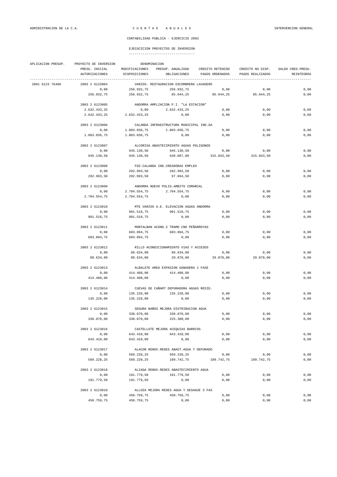|                 | APLICACION PRESUP. PROYECTO DE INVERSION | DENOMINACION                             |                                            |                                    |                  |                    |  |  |  |
|-----------------|------------------------------------------|------------------------------------------|--------------------------------------------|------------------------------------|------------------|--------------------|--|--|--|
|                 | PRESU. INICIAL                           | MODIFICACIONES                           |                                            | PRESUP. ANUALIDAD CREDITO RETENIDO | CREDITO NO DISP. | SALDO CRED. PRESU. |  |  |  |
|                 | AUTORIZACIONES                           | DISPOSICIONES                            | OBLIGACIONES                               | PAGOS ORDENADOS                    | PAGOS REALIZADOS | <b>REINTEGROS</b>  |  |  |  |
| 2001 6123 76400 | 2003 2 6123004                           |                                          | VARIOS- RESTAURACION ESCOMBRERA LAVADERO   |                                    |                  |                    |  |  |  |
|                 | 0,00                                     | 256.932,75                               | 256.932,75                                 | 0,00                               | 0,00             | 0,00               |  |  |  |
|                 | 256.932,75                               | 256.932,75                               |                                            | 85.644,25 85.644,25                | 85.644,25        | 0,00               |  |  |  |
|                 | 2003 2 6123005                           |                                          | ANDORRA AMPLIACION P.I. "LA ESTACION"      |                                    |                  |                    |  |  |  |
|                 | 2.632.433,25                             | 0, 00                                    | 2.632.433,25                               | 0,00                               | 0,00             | 0,00               |  |  |  |
|                 |                                          |                                          |                                            |                                    |                  |                    |  |  |  |
|                 | 2.632.433,25                             | 2.632.433,25                             | 0,00                                       | 0,00                               | 0,00             | 0,00               |  |  |  |
|                 | 2003 2 6123006                           |                                          | CALANDA INFRAESTRUCTURA MUNICIPAL IND.GA   |                                    |                  |                    |  |  |  |
|                 | 0,00                                     | 1.803.036,75                             | 1.803.036,75                               | 0,00                               | 0,00             | 0,00               |  |  |  |
|                 | 1.803.036,75                             | 1.803.036,75                             | 0,00                                       | 0,00                               | 0,00             | 0,00               |  |  |  |
|                 | 2003 2 6123007                           |                                          | ALCORISA ABASTECIMIENTO AGUAS POLIGONOS    |                                    |                  |                    |  |  |  |
|                 | 0,00                                     | 945.130,50                               | 945.130,50                                 | 0,00                               | 0,00             | 0,00               |  |  |  |
|                 | 945.130,50                               | 945.130,50                               | 630.087,00                                 | 315.043,50                         | 315.043,50       | 0,00               |  |  |  |
|                 | 2003 2 6123008                           |                                          | FOZ-CALANDA IND. CREADORAS EMPLEO          |                                    |                  |                    |  |  |  |
|                 | 0,00                                     | 292.993,50                               | 292.993,50                                 | 0,00                               | 0,00             | 0,00               |  |  |  |
|                 | 292.993,50                               | 292.993,50                               | 97.664,50                                  | 0,00                               | 0,00             | 0,00               |  |  |  |
|                 | 2003 2 6123009                           | ANDORRA NUEVO POLIG.AMBITO COMARCAL      |                                            |                                    |                  |                    |  |  |  |
|                 | 0,00                                     | 2.704.554,75                             | 2.704.554,75                               | 0,00                               | 0,00             | 0,00               |  |  |  |
|                 | 2.704.554.75                             | 2.704.554,75                             | 0,00                                       | 0,00                               | 0,00             | 0,00               |  |  |  |
|                 | 2003 2 6123010                           |                                          | MTE VARIOS A.E. ELEVACION AGUAS ANDORRA    |                                    |                  |                    |  |  |  |
|                 |                                          |                                          | 901.518,75                                 |                                    |                  |                    |  |  |  |
|                 | 0,00                                     | 901.518,75                               |                                            | 0,00                               | 0,00             | 0,00               |  |  |  |
|                 | 901.518,75                               | 901.518,75                               | 0,00                                       | 0,00                               | 0,00             | 0,00               |  |  |  |
|                 | 2003 2 6123011                           |                                          | MONTALBAN ACOND.2 TRAMO CNO PEÑARROYAS     |                                    |                  |                    |  |  |  |
|                 | 0,00                                     | 603.894,75                               | 603.894,75                                 | 0,00                               | 0,00             | 0,00               |  |  |  |
|                 | 603.894,75                               | 603.894,75                               | 0,00                                       | 0,00                               | 0,00             | 0,00               |  |  |  |
|                 | 2003 2 6123012                           |                                          | RILLO ACONDICIONAMIENTO VIAS Y ACCESOS     |                                    |                  |                    |  |  |  |
|                 | 0,00                                     | 89.634,00                                | 89.634,00                                  | 0,00                               | 0,00             | 0,00               |  |  |  |
|                 | 89.634,00                                | 89.634,00                                | 29.878,00                                  | 29.878,00                          | 29.878,00        | 0,00               |  |  |  |
|                 | 2003 2 6123013                           |                                          | ALBALATE AREA EXPASION GANADERA 1 FASE     |                                    |                  |                    |  |  |  |
|                 | 0,00                                     | 414.408,00                               | 414.408,00                                 | 0,00                               | 0,00             | 0,00               |  |  |  |
|                 | 414.408,00                               | 414.408,00                               | 0,00                                       | 0,00                               | 0,00             | 0,00               |  |  |  |
|                 | 2003 2 6123014                           | CUEVAS DE CAÑART DEPURADORA AGUAS RESID. |                                            |                                    |                  |                    |  |  |  |
|                 | 0,00                                     | 135.228,00                               | 135.228,00                                 | 0,00                               | 0,00             | 0,00               |  |  |  |
|                 | 135.228,00                               | 135.228,00                               | 0,00                                       | 0,00                               | 0,00             | 0,00               |  |  |  |
|                 | 2003 2 6123015                           |                                          | SEGURA BAÑOS MEJORA DISTRIBUCION AGUA      |                                    |                  |                    |  |  |  |
|                 | 0,00                                     | 338.070,00                               | 338.070,00                                 | 0,00                               | 0,00             | 0,00               |  |  |  |
|                 | 338.070,00                               | 338.070,00                               | 225.380,00                                 | 0,00                               | 0,00             | 0,00               |  |  |  |
|                 |                                          |                                          |                                            |                                    |                  |                    |  |  |  |
|                 | 2003 2 6123016                           |                                          | CASTELLOTE MEJORA ACEQUIAS BARRIOS         |                                    |                  |                    |  |  |  |
|                 | 0,00                                     | 643.410,00                               | 643.410,00                                 | 0,00                               | 0,00             | 0,00               |  |  |  |
|                 | 643.410,00                               | 643.410,00                               | 0,00                                       | 0,00                               | 0,00             | 0,00               |  |  |  |
|                 | 2003 2 6123017                           |                                          | ALACON RENOV. REDES ABAST. AGUA Y DEPURADO |                                    |                  |                    |  |  |  |
|                 | 0,00                                     | 569.228,25                               | 569.228,25                                 | 0,00                               | 0,00             | 0,00               |  |  |  |
|                 | 569.228,25                               | 569.228,25                               | 189.742,75                                 | 189.742,75                         | 189.742,75       | 0,00               |  |  |  |
|                 | 2003 2 6123018                           |                                          | ALIAGA RENOV.REDES ABASTECIMIENTO AGUA     |                                    |                  |                    |  |  |  |
|                 | 0,00                                     | 191.779,50                               | 191.779,50                                 | 0,00                               | 0,00             | 0,00               |  |  |  |
|                 | 191.779,50                               | 191.779,50                               | 0,00                                       | 0,00                               | 0,00             | 0,00               |  |  |  |
|                 | 2003 2 6123019                           |                                          | ALLOZA MEJORA REDES AGUA Y DESAGUE 3 FAS   |                                    |                  |                    |  |  |  |
|                 | 0,00                                     | 450.759,75                               | 450.759,75                                 | 0,00                               | 0,00             | 0,00               |  |  |  |
|                 | 450.759,75                               | 450.759,75                               | 0,00                                       | 0,00                               | 0,00             | 0,00               |  |  |  |
|                 |                                          |                                          |                                            |                                    |                  |                    |  |  |  |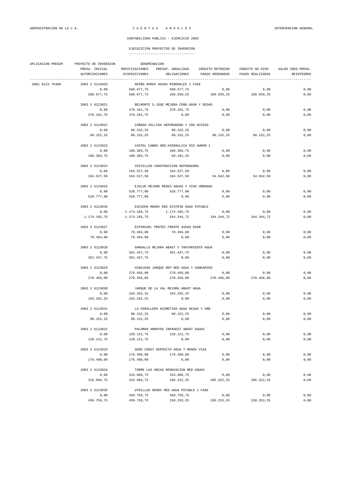| APLICACION PRESUP. | PROYECTO DE INVERSION            | DENOMINACION                             |                                           |                                                                                                                     |                    |                                  |  |  |  |
|--------------------|----------------------------------|------------------------------------------|-------------------------------------------|---------------------------------------------------------------------------------------------------------------------|--------------------|----------------------------------|--|--|--|
|                    | PRESU. INICIAL<br>AUTORIZACIONES | DISPOSICIONES                            |                                           | MODIFICACIONES PRESUP. ANUALIDAD CREDITO RETENIDO CREDITO NO DISP.<br>OBLIGACIONES PAGOS ORDENADOS PAGOS REALIZADOS |                    | SALDO CRED. PRESU.<br>REINTEGROS |  |  |  |
|                    | -----------------                |                                          |                                           |                                                                                                                     |                    |                                  |  |  |  |
| 2001 6123 76400    | 2003 2 6123020                   |                                          | ARIÑO APROV AGUAS MINERALES 1 FASE        |                                                                                                                     |                    |                                  |  |  |  |
|                    | 0,00                             | 568.677,75                               | 568.677,75                                | 0,00                                                                                                                | 0,00               | 0,00                             |  |  |  |
|                    | 568.677,75                       | 568.677,75                               | 189.559,25                                | 189.559,25 189.559,25                                                                                               |                    | 0,00                             |  |  |  |
|                    | 2003 2 6123021                   |                                          | BELMONTE S.JOSE MEJORA COND. AGUA Y DESAG |                                                                                                                     |                    |                                  |  |  |  |
|                    | 0,00                             | 370.101,75                               | 370.101,75                                | 0,00                                                                                                                | 0,00               | 0,00                             |  |  |  |
|                    | 370.101,75                       | 370.101,75                               | 0,00                                      | 0,00                                                                                                                | 0,00               | 0,00                             |  |  |  |
|                    | 2003 2 6123022                   |                                          | CAÑADA VELLIDA DEPURADORA Y CNO ACCESO    |                                                                                                                     |                    |                                  |  |  |  |
|                    | 0,00                             | 90.152,25                                | 90.152,25                                 | 0,00                                                                                                                | 0,00               | 0,00                             |  |  |  |
|                    | 90.152,25                        | 90.152,25                                |                                           | 90.152,25 90.152,25 90.152,25                                                                                       |                    | 0,00                             |  |  |  |
|                    |                                  | CASTEL CABRA ORD. HIDRAULICA RIO HURON 1 |                                           |                                                                                                                     |                    |                                  |  |  |  |
|                    | 2003 2 6123023                   |                                          |                                           |                                                                                                                     |                    |                                  |  |  |  |
|                    | 0,00                             | 180.303,75                               | 180.303,75                                | 0,00                                                                                                                | 0,00               | 0,00                             |  |  |  |
|                    | 180.303,75                       | 180.303,75                               | 60.101,25                                 | 0,00                                                                                                                | 0,00               | 0,00                             |  |  |  |
|                    | 2003 2 6123024                   | CRIVILLEN CONSTRUCCION DEPURADORA        |                                           |                                                                                                                     |                    |                                  |  |  |  |
|                    | 0,00                             | 164.527,50                               | 164.527,50                                | 0,00                                                                                                                | 0,00               | 0,00                             |  |  |  |
|                    | 164.527,50                       | 164.527,50                               |                                           | 164.527,50 54.842,50 54.842,50                                                                                      |                    | 0,00                             |  |  |  |
|                    | 2003 2 6123025                   | EJULVE MEJORA REDES AGUAS Y VIAS URBANAS |                                           |                                                                                                                     |                    |                                  |  |  |  |
|                    | 0,00                             | 528.777,00                               | 528.777,00                                | 0,00                                                                                                                | 0,00               | 0,00                             |  |  |  |
|                    | 528.777,00                       | 528.777,00                               | 0,00                                      | 0,00                                                                                                                | 0,00               | 0,00                             |  |  |  |
|                    | 2003 2 6123026                   |                                          |                                           |                                                                                                                     |                    |                                  |  |  |  |
|                    |                                  |                                          | ESCUCHA RENOV RED DISTRIB AGUA POTABLE    |                                                                                                                     |                    |                                  |  |  |  |
|                    | 0,00                             | 1.174.185,75                             | 1.174.185,75                              | 0,00<br>344.344,72 344.344,72 344.344,72                                                                            | 0,00               | 0,00                             |  |  |  |
|                    | 1.174.185,75                     | 1.174.185,75                             |                                           |                                                                                                                     |                    | 0,00                             |  |  |  |
|                    | 2003 2 6123027                   |                                          | ESTERCUEL PROTEC FRENTE AVDAS EDAR        |                                                                                                                     |                    |                                  |  |  |  |
|                    | 0,00                             | 70.494,00                                | 70.494,00                                 | 0,00                                                                                                                | 0,00               | 0,00                             |  |  |  |
|                    | 70.494,00                        | 70.494,00                                | 0,00                                      | 0,00                                                                                                                | 0,00               | 0,00                             |  |  |  |
|                    | 2003 2 6123028                   |                                          | GARGALLO MEJORA ABAST Y TRATAMIENTO AGUA  |                                                                                                                     |                    |                                  |  |  |  |
|                    | 0,00                             | 361.437,75                               | 361.437,75                                | 0,00                                                                                                                | 0,00               | 0,00                             |  |  |  |
|                    | 361.437,75                       | 361.437,75                               | 0,00                                      | 0,00                                                                                                                | 0,00               | 0,00                             |  |  |  |
|                    | 2003 2 6123029                   |                                          | HINOJOSA JARQUE REP RED AGUA Y SANEAMIEN  |                                                                                                                     |                    |                                  |  |  |  |
|                    | 0,00                             | 270.456,00                               | 270.456,00                                | 0,00                                                                                                                | 0,00               | 0,00                             |  |  |  |
|                    | 270.456,00                       | 270.456,00                               | 270.456,00                                | 270.456,00                                                                                                          | 270.456,00         | 0,00                             |  |  |  |
|                    | 2003 2 6123030                   | JARQUE DE LA VAL MEJORA ABAST AGUA       |                                           |                                                                                                                     |                    |                                  |  |  |  |
|                    | 0,00                             | 163.262,25                               | 163.262,25                                | 0,00                                                                                                                | 0,00               | 0,00                             |  |  |  |
|                    | 163.262,25                       | 163.262,25                               | 0,00                                      | 0,00                                                                                                                | 0,00               | 0,00                             |  |  |  |
|                    |                                  |                                          |                                           |                                                                                                                     |                    |                                  |  |  |  |
|                    | 2003 2 6123031                   |                                          | LA CEROLLERA ACOMETIDA AGUA DESAG Y URB   |                                                                                                                     |                    |                                  |  |  |  |
|                    | 0,00                             | 90.152,25                                | 90.152,25                                 | 0,00                                                                                                                | 0,00               | 0,00                             |  |  |  |
|                    | 90.152,25                        | 90.152,25                                | 0,00                                      | 0,00                                                                                                                | 0,00               | 0,00                             |  |  |  |
|                    | 2003 2 6123032                   |                                          | PALOMAR ARROYOS INFRAEST ABAST AGUAS      |                                                                                                                     |                    |                                  |  |  |  |
|                    | 0,00                             | 128.121,75                               | 128.121,75                                | 0,00                                                                                                                | 0,00               | 0,00                             |  |  |  |
|                    | 128.121,75                       | 128.121,75                               | 0,00                                      | 0,00                                                                                                                | 0,00               | 0,00                             |  |  |  |
|                    | 2003 2 6123033                   |                                          | SENO CONST DEPOSITO AGUA Y RENOV VIAS     |                                                                                                                     |                    |                                  |  |  |  |
|                    | 0,00                             | 176.490,00                               | 176.490,00                                | 0,00                                                                                                                | 0,00               | 0,00                             |  |  |  |
|                    | 176.490,00                       | 176.490,00                               | 0,00                                      | 0,00                                                                                                                | 0,00               | 0,00                             |  |  |  |
|                    | 2003 2 6123034                   |                                          | TORRE LAS ARCAS RENOVACION RED AGUAS      |                                                                                                                     |                    |                                  |  |  |  |
|                    | 0,00                             | 315.966,75                               | 315.966,75                                | 0,00                                                                                                                | 0,00               | 0,00                             |  |  |  |
|                    | 315.966,75                       | 315.966,75                               |                                           | 105.322,25 105.322,25                                                                                               | 105.322,25         | 0,00                             |  |  |  |
|                    |                                  |                                          |                                           |                                                                                                                     |                    |                                  |  |  |  |
|                    | 2003 2 6123035                   |                                          | UTRILLAS RENOV RED AGUA POTABLE 1 FASE    |                                                                                                                     |                    | 0,00                             |  |  |  |
|                    | 0,00<br>450.759,75               | 450.759,75<br>450.759,75                 | 450.759,75                                | 0,00<br>150.253,25 150.253,25                                                                                       | 0,00<br>150.253,25 | 0,00                             |  |  |  |
|                    |                                  |                                          |                                           |                                                                                                                     |                    |                                  |  |  |  |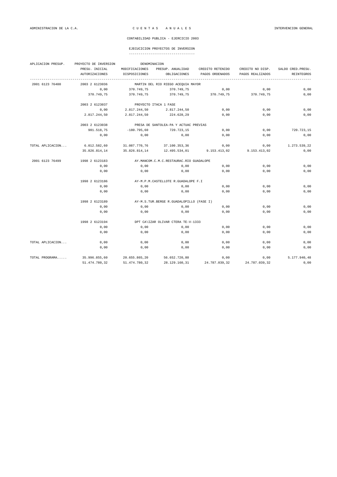### EJECUCICION PROYECTOS DE INVERSION

| APLICACION PRESUP. | PROYECTO DE INVERSION | DENOMINACION   |                                              |                  |                  |                    |  |  |  |
|--------------------|-----------------------|----------------|----------------------------------------------|------------------|------------------|--------------------|--|--|--|
|                    | PRESU. INICIAL        | MODIFICACIONES | PRESUP. ANUALIDAD                            | CREDITO RETENIDO | CREDITO NO DISP. | SALDO CRED. PRESU. |  |  |  |
|                    | <b>AUTORIZACIONES</b> | DISPOSICIONES  | OBLIGACIONES                                 | PAGOS ORDENADOS  | PAGOS REALIZADOS | REINTEGROS         |  |  |  |
| 2001 6123 76400    | 2003 2 6123036        |                | MARTIN DEL RIO RIEGO ACEOUIA MAYOR           |                  |                  |                    |  |  |  |
|                    | 0,00                  | 370.749,75     | 370.749,75                                   | 0,00             | 0,00             | 0,00               |  |  |  |
|                    | 370.749,75            | 370.749,75     | 370.749,75                                   | 370.749,75       | 370.749,75       | 0,00               |  |  |  |
|                    | 2003 2 6123037        |                | PROYECTO ITACA 1 FASE                        |                  |                  |                    |  |  |  |
|                    | 0,00                  | 2.817.244,50   | 2.817.244,50                                 | 0,00             | 0,00             | 0,00               |  |  |  |
|                    | 2.817.244,50          | 2.817.244,50   | 224.628,29                                   | 0,00             | 0,00             | 0,00               |  |  |  |
|                    | 2003 2 6123038        |                | PRESA DE SANTOLEA-PA Y ACTUAC PREVIAS        |                  |                  |                    |  |  |  |
|                    | 901.518,75            | $-180.795.60$  | 720.723,15                                   | 0.00             | 0.00             | 720.723,15         |  |  |  |
|                    | 0,00                  | 0,00           | 0,00                                         | 0,00             | 0,00             | 0,00               |  |  |  |
| TOTAL APLICACION   | 6.012.582,60          | 31.087.770,76  | 37.100.353,36                                | 0,00             | 0,00             | 1.273.539,22       |  |  |  |
|                    | 35.826.814,14         | 35.826.814,14  | 12.495.534,01                                | 9.153.413,02     | 9.153.413,02     | 0,00               |  |  |  |
| 2001 6123 76499    | 1998 2 6123183        |                | AY. MANCOM. C.M. C. RESTAURAC. RIO GUADALOPE |                  |                  |                    |  |  |  |
|                    | 0,00                  | 0,00           | 0,00                                         | 0,00             | 0,00             | 0,00               |  |  |  |
|                    | 0,00                  | 0,00           | 0,00                                         | 0.00             | 0.00             | 0,00               |  |  |  |
|                    | 1998 2 6123186        |                | AY-M.P.M.CASTELLOTE R.GUADALOPE F.I          |                  |                  |                    |  |  |  |
|                    | 0,00                  | 0,00           | 0,00                                         | 0,00             | 0.00             | 0,00               |  |  |  |
|                    | 0,00                  | 0,00           | 0,00                                         | 0,00             | 0.00             | 0,00               |  |  |  |
|                    | 1998 2 6123189        |                | AY-M.S.TUR.BERGE R.GUADALOPILLO (FASE I)     |                  |                  |                    |  |  |  |
|                    | 0,00                  | 0,00           | 0,00                                         | 0,00             | 0,00             | 0,00               |  |  |  |
|                    | 0.00                  | 0,00           | 0.00                                         | 0.00             | 0.00             | 0,00               |  |  |  |
|                    | 1998 2 6123194        |                | DPT CA\IZAR OLIVAR CTERA TE-V-1333           |                  |                  |                    |  |  |  |
|                    | 0,00                  | 0,00           | 0,00                                         | 0,00             | 0,00             | 0,00               |  |  |  |
|                    | 0,00                  | 0,00           | 0,00                                         | 0,00             | 0,00             | 0,00               |  |  |  |
| TOTAL APLICACION   | 0,00                  | 0,00           | 0,00                                         | 0,00             | 0,00             | 0,00               |  |  |  |
|                    | 0,00                  | 0,00           | 0,00                                         | 0,00             | 0,00             | 0,00               |  |  |  |
| TOTAL PROGRAMA     | 35.996.855,60         | 20.655.865,20  | 56.652.720,80                                | 0,00             | 0.00             | 5.177.940.48       |  |  |  |
|                    | 51.474.780,32         | 51.474.780,32  | 28.129.160,31                                | 24.787.039,32    | 24.787.039,32    | 0,00               |  |  |  |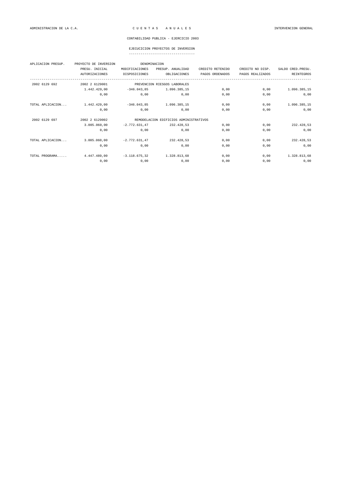### EJECUCICION PROYECTOS DE INVERSION

| APLICACION PRESUP. | PROYECTO DE INVERSION | DENOMINACION    |                                        |                  |                  |                    |
|--------------------|-----------------------|-----------------|----------------------------------------|------------------|------------------|--------------------|
|                    | PRESU. INICIAL        | MODIFICACIONES  | PRESUP. ANUALIDAD                      | CREDITO RETENIDO | CREDITO NO DISP. | SALDO CRED. PRESU. |
|                    | AUTORIZACIONES        | DISPOSICIONES   | OBLIGACIONES                           | PAGOS ORDENADOS  | PAGOS REALIZADOS | REINTEGROS         |
| 2002 6129 692      | 2002 2 6129001        |                 | PREVENCION RIESGOS LABORALES           |                  |                  |                    |
|                    | 1.442.429,00          | $-346.043,85$   | 1.096.385,15                           | 0,00             | 0,00             | 1.096.385,15       |
|                    | 0,00                  | 0,00            | 0,00                                   | 0,00             | 0,00             | 0,00               |
| TOTAL APLICACION   | 1.442.429,00          | $-346.043.85$   | 1.096.385.15                           | 0,00             | 0,00             | 1.096.385,15       |
|                    | 0,00                  | 0,00            | 0,00                                   | 0,00             | 0,00             | 0,00               |
| 2002 6129 697      | 2002 2 6129002        |                 | REMODELACION EDIFICIOS ADMINISTRATIVOS |                  |                  |                    |
|                    | 3.005.060,00          | $-2.772.631.47$ | 232.428.53                             | 0,00             | 0,00             | 232.428,53         |
|                    | 0,00                  | 0,00            | 0,00                                   | 0.00             | 0,00             | 0,00               |
| TOTAL APLICACION   | 3.005.060,00          | $-2.772.631.47$ | 232.428.53                             | 0,00             | 0,00             | 232.428,53         |
|                    | 0,00                  | 0,00            | 0,00                                   | 0.00             | 0,00             | 0,00               |
| TOTAL PROGRAMA     | 4.447.489,00          | $-3.118.675,32$ | 1.328.813,68                           | 0,00             | 0,00             | 1.328.813,68       |
|                    | 0,00                  | 0,00            | 0,00                                   | 0,00             | 0,00             | 0,00               |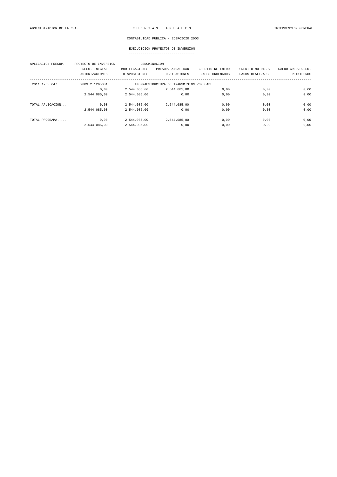### EJECUCICION PROYECTOS DE INVERSION

| APLICACION PRESUP. | PROYECTO DE INVERSION | DENOMINACION                             |                   |                  |                  |                    |
|--------------------|-----------------------|------------------------------------------|-------------------|------------------|------------------|--------------------|
|                    | PRESU. INICIAL        | MODIFICACIONES                           | PRESUP. ANUALIDAD | CREDITO RETENIDO | CREDITO NO DISP. | SALDO CRED. PRESU. |
|                    | <b>AUTORIZACIONES</b> | DISPOSICIONES                            | OBLIGACIONES      | PAGOS ORDENADOS  | PAGOS REALIZADOS | <b>REINTEGROS</b>  |
| 2011 1265 647      | 2003 2 1265001        | INSFRAESTRUCTURA DE TRANSMISION POR CABL |                   |                  |                  |                    |
|                    | 0.00                  | 2.544.085.00                             | 2.544.085.00      | 0.00             | 0,00             | 0,00               |
|                    | 2.544.085,00          | 2.544.085.00                             | 0.00              | 0.00             | 0,00             | 0,00               |
| TOTAL APLICACION   | 0,00                  | 2.544.085,00                             | 2.544.085,00      | 0,00             | 0,00             | 0,00               |
|                    | 2.544.085.00          | 2.544.085.00                             | 0.00              | 0.00             | 0.00             | 0,00               |
| TOTAL PROGRAMA     | 0,00                  | 2.544.085.00                             | 2.544.085.00      | 0,00             | 0,00             | 0,00               |
|                    | 2.544.085.00          | 2.544.085.00                             | 0.00              | 0.00             | 0,00             | 0,00               |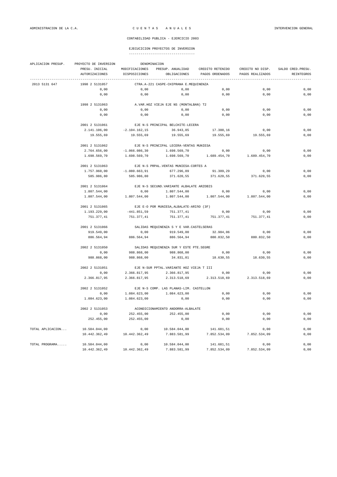|                  | APLICACION PRESUP. PROYECTO DE INVERSION DENOMINACION |                                          |                                           |                                                                                      |              |            |  |  |  |
|------------------|-------------------------------------------------------|------------------------------------------|-------------------------------------------|--------------------------------------------------------------------------------------|--------------|------------|--|--|--|
|                  | PRESU. INICIAL                                        |                                          |                                           | MODIFICACIONES PRESUP. ANUALIDAD CREDITO RETENIDO CREDITO NO DISP. SALDO CRED.PRESU. |              |            |  |  |  |
|                  | AUTORIZACIONES                                        |                                          |                                           | DISPOSICIONES OBLIGACIONES PAGOS ORDENADOS PAGOS REALIZADOS                          |              | REINTEGROS |  |  |  |
| 2013 5131 647    | 1998 2 5131057                                        |                                          | CTRA.A-221 CASPE-CHIPRANA E.MEQUINENZA    |                                                                                      |              |            |  |  |  |
|                  | 0,00                                                  | 0,00                                     | 0,00                                      | 0,00                                                                                 | 0,00         | 0,00       |  |  |  |
|                  | 0,00                                                  | 0,00                                     | 0,00                                      | 0,00                                                                                 | 0,00         | 0,00       |  |  |  |
|                  | 1998 2 5131063                                        |                                          | A. VAR. HOZ VIEJA EJE NS (MONTALBAN) T2   |                                                                                      |              |            |  |  |  |
|                  | 0,00                                                  | 0,00                                     | 0,00                                      | 0,00                                                                                 | 0.00         | 0.00       |  |  |  |
|                  | 0,00                                                  | 0,00                                     | 0,00                                      | 0,00                                                                                 | 0,00         | 0,00       |  |  |  |
|                  | 2001 2 5131061                                        |                                          | EJE N-S PRINCIPAL BELCHITE-LECERA         |                                                                                      |              |            |  |  |  |
|                  | 2.141.106,00                                          | $-2.104.162,15$                          | 36.943,85                                 | 17.388,16                                                                            | 0,00         | 0,00       |  |  |  |
|                  | 19.555,69                                             | 19.555,69                                | 19.555,69                                 | 19.555,69                                                                            | 19.555,69    | 0,00       |  |  |  |
|                  | 2001 2 5131062                                        |                                          | EJE N-S PRINCIPAL LECERA-VENTAS MUNIESA   |                                                                                      |              |            |  |  |  |
|                  | 2.764.656,00                                          | $-1.066.086,30$                          |                                           | $1.698.569,70$ 0,00                                                                  | 0,00         | 0,00       |  |  |  |
|                  | 1.698.569,70                                          |                                          |                                           | $1.698.569,70$ $1.698.569,70$ $1.689.454,70$ $1.689.454,70$                          |              | 0,00       |  |  |  |
|                  | 2001 2 5131063                                        | EJE N-S PRPAL. VENTAS MUNIESA-CORTES A   |                                           |                                                                                      |              |            |  |  |  |
|                  | 1.757.960,00                                          | $-1.080.663, 91$                         | 677.296,09                                | 91.309,29                                                                            | 0,00         | 0,00       |  |  |  |
|                  | 585.986,80                                            | 585.986,80                               | 371.620,55                                | 371.620,55                                                                           | 371.620,55   | 0,00       |  |  |  |
|                  | 2001 2 5131064                                        |                                          | EJE N-S SECUND. VARIANTE ALBALATE ARZOBIS |                                                                                      |              |            |  |  |  |
|                  | 1.807.544,00                                          | 0,00                                     | 1.807.544,00                              | 0,00                                                                                 | 0, 00        | $0$ , $00$ |  |  |  |
|                  | 1.807.544,00                                          | 1.807.544,00                             |                                           |                                                                                      | 1.807.544,00 | 0,00       |  |  |  |
|                  | 2001 2 5131065                                        |                                          | EJE E-O POR MUNIESA, ALBALATE-ARIÑO (3F)  |                                                                                      |              |            |  |  |  |
|                  | 1.193.229,00                                          |                                          | $-441.851,59$ $751.377,41$                | 0,00                                                                                 | 0,00         | 0,00       |  |  |  |
|                  | 751.377,41                                            | 751.377,41                               |                                           | 751.377,41 751.377,41                                                                | 751.377,41   | 0,00       |  |  |  |
|                  | 2001 2 5131066                                        | SALIDAS MEQUINENZA S Y E VAR.CASTELSERAS |                                           |                                                                                      |              |            |  |  |  |
|                  | 919.549,00                                            | 0,00                                     | 919.549,00                                | 32.984,06                                                                            | 0,00         | 0,00       |  |  |  |
|                  | 886.564,94                                            | 886.564,94                               |                                           | 886.564,94 880.832,50                                                                | 880.832,50   | 0,00       |  |  |  |
|                  | 2002 2 5131050                                        | SALIDAS MEQUINENZA SUR Y ESTE PTE.SEGRE  |                                           |                                                                                      |              |            |  |  |  |
|                  | 0,00                                                  | 988.868,00                               | 988.868,00                                | 0,00                                                                                 | 0,00         | 0,00       |  |  |  |
|                  | 988.868,00                                            | 988.868,00                               | 34.831,01                                 | 18.630,55                                                                            | 18.630,55    | 0,00       |  |  |  |
|                  | 2002 2 5131051                                        |                                          | EJE N-SUR PPTAL. VARIANTE HOZ VIEJA T III |                                                                                      |              |            |  |  |  |
|                  | 0,00                                                  |                                          |                                           | 2.366.817,95 2.366.817,95 0,00                                                       | 0,00         | 0,00       |  |  |  |
|                  | 2.366.817,95                                          | 2.366.817,95                             |                                           | 2.313.518,69 2.313.518,69                                                            | 2.313.518,69 | 0,00       |  |  |  |
|                  | 2002 2 5131052                                        |                                          | EJE N-S COMP. LAS PLANAS-LIM. CASTELLON   |                                                                                      |              |            |  |  |  |
|                  | 0,00                                                  | 1.084.623,00                             | 1.084.623,00                              | 0,00                                                                                 | 0,00         | 0,00       |  |  |  |
|                  | 1.084.623,00                                          | 1.084.623,00                             | 0,00                                      | 0,00                                                                                 | 0,00         | 0,00       |  |  |  |
|                  | 2002 2 5131053                                        |                                          | ACONDICIONAMIENTO ANDORRA-ALBALATE        |                                                                                      |              |            |  |  |  |
|                  | 0,00                                                  | 252.455,00                               | 252.455,00                                | 0,00                                                                                 | 0,00         | 0,00       |  |  |  |
|                  | 252.455,00                                            | 252.455,00                               | 0,00                                      | 0,00                                                                                 | 0,00         | 0,00       |  |  |  |
| TOTAL APLICACION | 10.584.044,00                                         | 0,00                                     | 10.584.044,00                             | 141.681,51                                                                           | 0,00         | 0,00       |  |  |  |
|                  | 10.442.362,49                                         | 10.442.362,49                            | 7.883.581,99                              | 7.852.534,09 7.852.534,09                                                            |              | 0,00       |  |  |  |
| TOTAL PROGRAMA   | 10.584.044,00                                         | 0,00                                     | 10.584.044,00                             | 141.681,51                                                                           | 0,00         | 0,00       |  |  |  |
|                  | 10.442.362,49                                         | 10.442.362,49                            | 7.883.581,99                              | 7.852.534,09                                                                         | 7.852.534,09 | 0,00       |  |  |  |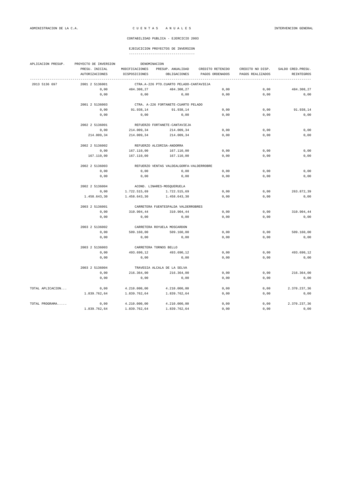| APLICACION PRESUP. | PROYECTO DE INVERSION |                                          |                                     |                  |                  |                    |  |  |  |
|--------------------|-----------------------|------------------------------------------|-------------------------------------|------------------|------------------|--------------------|--|--|--|
|                    | PRESU. INICIAL        | MODIFICACIONES                           | PRESUP. ANUALIDAD                   | CREDITO RETENIDO | CREDITO NO DISP. | SALDO CRED. PRESU. |  |  |  |
|                    | <b>AUTORIZACIONES</b> | DISPOSICIONES                            | OBLIGACIONES                        | PAGOS ORDENADOS  | PAGOS REALIZADOS | REINTEGROS         |  |  |  |
| 2013 5136 697      | 2001 2 5136001        | CTRA.A-226 PTO.CUARTO PELADO-CANTAVIEJA  |                                     |                  |                  |                    |  |  |  |
|                    | 0,00                  | 484.308,27                               | 484.308,27                          | 0,00             | 0,00             | 484.308,27         |  |  |  |
|                    | 0,00                  | 0,00                                     | 0,00                                | 0,00             | 0,00             | 0,00               |  |  |  |
|                    | 2001 2 5136003        |                                          | CTRA. A-226 FORTANETE-CUARTO PELADO |                  |                  |                    |  |  |  |
|                    | 0,00                  | 91.938,14                                | 91.938,14                           | 0,00             | 0,00             | 91.938,14          |  |  |  |
|                    | 0,00                  | 0,00                                     | 0,00                                | 0,00             | 0,00             | 0,00               |  |  |  |
|                    | 2002 2 5136001        |                                          | REFUERZO FORTANETE-CANTAVIEJA       |                  |                  |                    |  |  |  |
|                    | 0,00                  | 214.009,34                               | 214.009,34                          | 0,00             | 0,00             | 0,00               |  |  |  |
|                    | 214.009,34            | 214.009,34                               | 214.009,34                          | 0,00             | 0,00             | 0,00               |  |  |  |
|                    | 2002 2 5136002        | REFUERZO ALCORISA-ANDORRA                |                                     |                  |                  |                    |  |  |  |
|                    | 0,00                  | 167.110,00                               | 167.110,00                          | 0,00             | 0,00             | 0,00               |  |  |  |
|                    | 167.110,00            | 167.110,00                               | 167.110,00                          | 0,00             | 0,00             | 0,00               |  |  |  |
|                    | 2002 2 5136003        | REFUERZO VENTAS VALDEALGORFA-VALDERROBRE |                                     |                  |                  |                    |  |  |  |
|                    | 0,00                  | 0,00                                     | 0,00                                | 0,00             | 0,00             | 0,00               |  |  |  |
|                    | 0,00                  | 0,00                                     | 0,00                                | 0,00             | 0,00             | 0,00               |  |  |  |
|                    | 2002 2 5136004        | ACOND. LINARES-MOSQUERUELA               |                                     |                  |                  |                    |  |  |  |
|                    | 0,00                  | 1.722.515,69                             | 1.722.515,69                        | 0,00             | 0,00             | 263.872,39         |  |  |  |
|                    | 1.458.643,30          | 1.458.643,30                             | 1.458.643,30                        | 0,00             | 0,00             | 0,00               |  |  |  |
|                    | 2003 2 5136001        | CARRETERA FUENTESPALDA VALDERROBRES      |                                     |                  |                  |                    |  |  |  |
|                    | 0,00                  | 310.904,44                               | 310.904,44                          | 0,00             | 0,00             | 310.904,44         |  |  |  |
|                    | 0,00                  | 0,00                                     | 0,00                                | 0,00             | 0,00             | 0,00               |  |  |  |
|                    | 2003 2 5136002        | CARRETERA ROYUELA MOSCARDON              |                                     |                  |                  |                    |  |  |  |
|                    | 0,00                  | 509.160,00                               | 509.160,00                          | 0,00             | 0,00             | 509.160,00         |  |  |  |
|                    | 0,00                  | 0,00                                     | 0,00                                | 0,00             | 0,00             | 0,00               |  |  |  |
|                    | 2003 2 5136003        | CARRETERA TORNOS BELLO                   |                                     |                  |                  |                    |  |  |  |
|                    | 0,00                  | 493.690,12                               | 493.690,12                          | 0,00             | 0,00             | 493.690,12         |  |  |  |
|                    | 0,00                  | 0,00                                     | 0,00                                | 0,00             | 0,00             | 0,00               |  |  |  |
|                    | 2003 2 5136004        | TRAVESIA ALCALA DE LA SELVA              |                                     |                  |                  |                    |  |  |  |
|                    | 0,00                  | 216.364,00                               | 216.364,00                          | 0,00             | 0,00             | 216.364,00         |  |  |  |
|                    | 0.00                  | 0,00                                     | 0,00                                | 0,00             | 0.00             | 0.00               |  |  |  |
| TOTAL APLICACION   | 0,00                  | 4.210.000,00                             | 4.210.000,00                        | 0,00             | 0,00             | 2.370.237,36       |  |  |  |
|                    | 1.839.762,64          | 1.839.762,64                             | 1.839.762,64                        | 0,00             | 0,00             | 0,00               |  |  |  |
| TOTAL PROGRAMA     | 0,00                  | 4.210.000,00                             | 4.210.000,00                        | 0,00             | 0,00             | 2.370.237,36       |  |  |  |
|                    | 1.839.762,64          | 1.839.762,64                             | 1.839.762,64                        | 0,00             | 0,00             | 0,00               |  |  |  |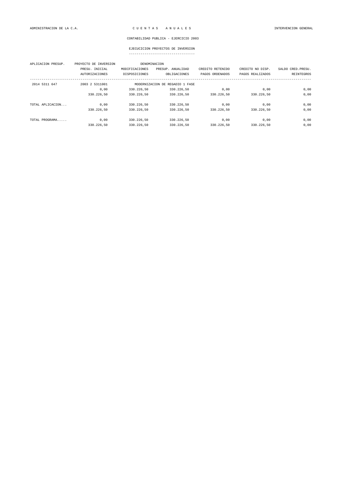### EJECUCICION PROYECTOS DE INVERSION

| APLICACION PRESUP. | PROYECTO DE INVERSION | DENOMINACION                    |                   |                  |                  |                    |
|--------------------|-----------------------|---------------------------------|-------------------|------------------|------------------|--------------------|
|                    | PRESU. INICIAL        | MODIFICACIONES                  | PRESUP. ANUALIDAD | CREDITO RETENIDO | CREDITO NO DISP. | SALDO CRED. PRESU. |
|                    | <b>AUTORIZACIONES</b> | DISPOSICIONES                   | OBLIGACIONES      | PAGOS ORDENADOS  | PAGOS REALIZADOS | REINTEGROS         |
| 2014 5311 647      | 2003 2 5311001        | MODERNIZACION DE REGADIO 1 FASE |                   |                  |                  |                    |
|                    | 0,00                  | 330.226,50                      | 330.226,50        | 0,00             | 0,00             | 0,00               |
|                    | 330.226,50            | 330.226.50                      | 330.226.50        | 330.226.50       | 330.226.50       | 0,00               |
| TOTAL APLICACION   | 0.00                  | 330.226.50                      | 330.226.50        | 0,00             | 0,00             | 0,00               |
|                    | 330.226,50            | 330.226,50                      | 330.226,50        | 330.226,50       | 330.226,50       | 0,00               |
| TOTAL PROGRAMA     | 0.00                  | 330.226.50                      | 330.226.50        | 0.00             | 0,00             | 0,00               |
|                    | 330.226,50            | 330.226.50                      | 330.226.50        | 330.226.50       | 330.226.50       | 0,00               |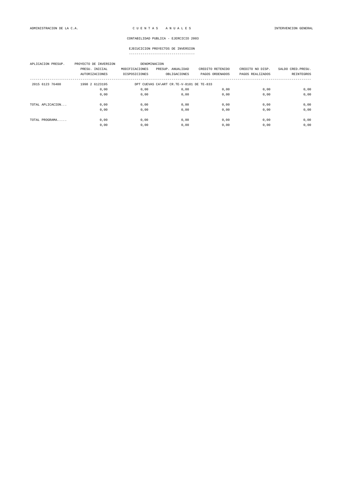| APLICACION PRESUP. | PROYECTO DE INVERSION<br>PRESU. INICIAL<br><b>AUTORIZACIONES</b> | DENOMINACION<br>MODIFICACIONES<br>DISPOSICIONES | PRESUP. ANUALIDAD<br>OBLIGACIONES | CREDITO RETENIDO<br>PAGOS ORDENADOS | CREDITO NO DISP.<br>PAGOS REALIZADOS | SALDO CRED. PRESU.<br>REINTEGROS |  |  |
|--------------------|------------------------------------------------------------------|-------------------------------------------------|-----------------------------------|-------------------------------------|--------------------------------------|----------------------------------|--|--|
| 2015 6123 76400    | 1998 2 6123195                                                   | DPT CUEVAS CA\ART CR.TE-V-8101 DE TE-833        |                                   |                                     |                                      |                                  |  |  |
|                    | 0,00                                                             | 0,00                                            | 0,00                              | 0,00                                | 0,00                                 | 0,00                             |  |  |
|                    | 0,00                                                             | 0,00                                            | 0,00                              | 0,00                                | 0,00                                 | 0,00                             |  |  |
| TOTAL APLICACION   | 0.00                                                             | 0,00                                            | 0,00                              | 0.00                                | 0,00                                 | 0,00                             |  |  |
|                    | 0,00                                                             | 0,00                                            | 0,00                              | 0,00                                | 0,00                                 | 0,00                             |  |  |
| TOTAL PROGRAMA     | 0,00                                                             | 0,00                                            | 0,00                              | 0,00                                | 0,00                                 | 0,00                             |  |  |
|                    | 0,00                                                             | 0,00                                            | 0,00                              | 0,00                                | 0,00                                 | 0,00                             |  |  |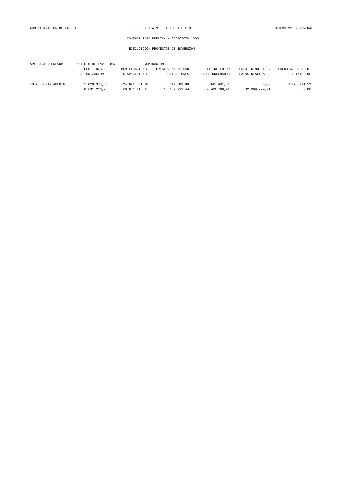| APLICACION PRESUP.  | PROYECTO DE INVERSION |                | DENOMINACION      |                  |                  |                    |
|---------------------|-----------------------|----------------|-------------------|------------------|------------------|--------------------|
|                     | PRESU. INICIAL        | MODIFICACIONES | PRESUP. ANUALIDAD | CREDITO RETENIDO | CREDITO NO DISP. | SALDO CRED. PRESU. |
|                     | AUTORIZACIONES        | DISPOSICIONES  | OBLIGACIONES      | PAGOS ORDENADOS  | PAGOS REALIZADOS | REINTEGROS         |
|                     |                       |                |                   |                  |                  |                    |
| TOTAL DEPARTAMENTO. | 51.028.388.60         | 24.621.501.38  | 75.649.889.98     | 141.681.51       | 0.00             | 8.876.991.52       |
|                     | 66.631.216.95         | 66.631.216.95  | 38.182.731,44     | 32.969.799.91    | 32.969.799,91    | 0,00               |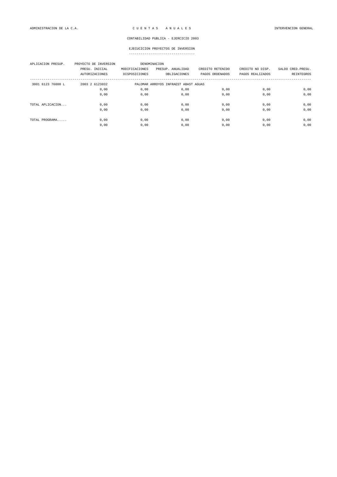| APLICACION PRESUP. | PROYECTO DE INVERSION<br>PRESU. INICIAL<br><b>AUTORIZACIONES</b> | MODIFICACIONES<br>DISPOSICIONES      | DENOMINACION<br>PRESUP. ANUALIDAD<br>OBLIGACIONES | CREDITO RETENIDO<br>PAGOS ORDENADOS | CREDITO NO DISP.<br>PAGOS REALIZADOS | SALDO CRED. PRESU.<br>REINTEGROS |  |
|--------------------|------------------------------------------------------------------|--------------------------------------|---------------------------------------------------|-------------------------------------|--------------------------------------|----------------------------------|--|
| 3001 6123 76000 L  | 2003 2 6123032                                                   | PALOMAR ARROYOS INFRAEST ABAST AGUAS |                                                   |                                     |                                      |                                  |  |
|                    | 0,00                                                             | 0,00                                 | 0,00                                              | 0,00                                | 0,00                                 | 0,00                             |  |
|                    | 0,00                                                             | 0,00                                 | 0,00                                              | 0,00                                | 0,00                                 | 0,00                             |  |
| TOTAL APLICACION   | 0,00                                                             | 0,00                                 | 0,00                                              | 0,00                                | 0,00                                 | 0,00                             |  |
|                    | 0,00                                                             | 0,00                                 | 0,00                                              | 0,00                                | 0,00                                 | 0,00                             |  |
| TOTAL PROGRAMA     | 0,00                                                             | 0,00                                 | 0,00                                              | 0,00                                | 0,00                                 | 0,00                             |  |
|                    | 0,00                                                             | 0,00                                 | 0,00                                              | 0,00                                | 0,00                                 | 0,00                             |  |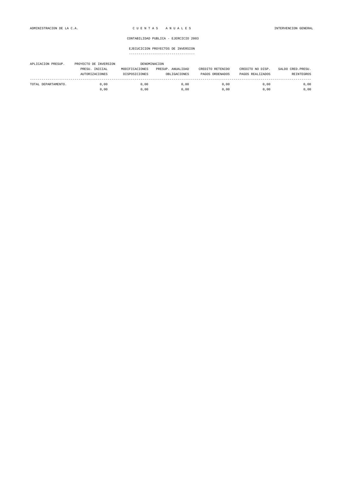| APLICACION PRESUP.  | PROYECTO DE INVERSION |                | DENOMINACION      |                  |                  |                    |
|---------------------|-----------------------|----------------|-------------------|------------------|------------------|--------------------|
|                     | PRESU. INICIAL        | MODIFICACIONES | PRESUP. ANUALIDAD | CREDITO RETENIDO | CREDITO NO DISP. | SALDO CRED. PRESU. |
|                     | AUTORIZACIONES        | DISPOSICIONES  | OBLIGACIONES      | PAGOS ORDENADOS  | PAGOS REALIZADOS | REINTEGROS         |
| TOTAL DEPARTAMENTO. | 0.00                  | 0.00           | 0.00              | 0.00             | 0.00             | 0,00               |
|                     | 0.00                  | 0.00           | 0,00              | 0.00             | 0.00             | 0,00               |